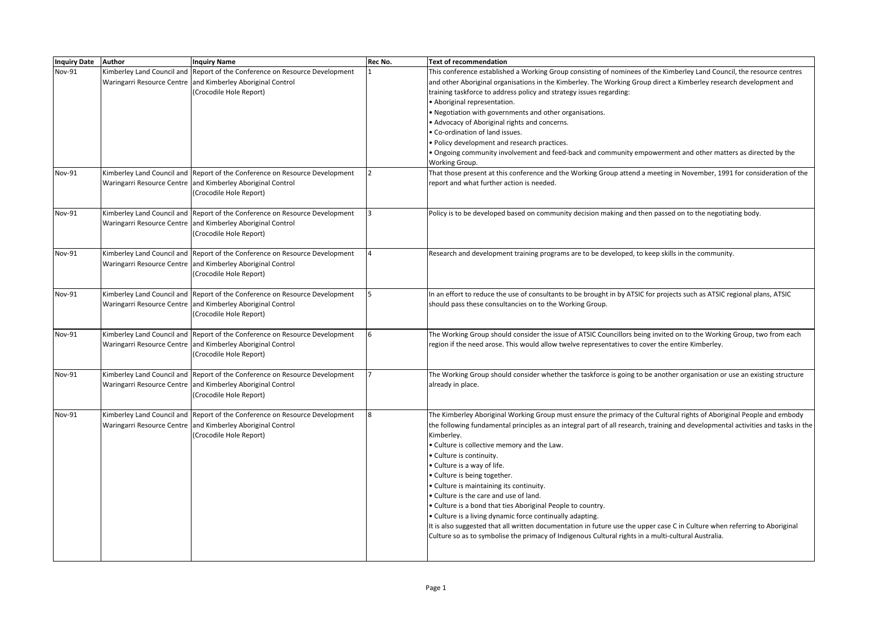| <b>Inquiry Date</b> | <b>Author</b> | <b>Inquiry Name</b>                                                         | <b>Rec No.</b> | <b>Text of recommendation</b>                                                                                                    |
|---------------------|---------------|-----------------------------------------------------------------------------|----------------|----------------------------------------------------------------------------------------------------------------------------------|
| <b>Nov-91</b>       |               | Kimberley Land Council and Report of the Conference on Resource Development |                | This conference established a Working Group consisting of nominees of the Kimberley Land Council, the resource centres           |
|                     |               | Waringarri Resource Centre and Kimberley Aboriginal Control                 |                | and other Aboriginal organisations in the Kimberley. The Working Group direct a Kimberley research development and               |
|                     |               | (Crocodile Hole Report)                                                     |                | training taskforce to address policy and strategy issues regarding:                                                              |
|                     |               |                                                                             |                | Aboriginal representation.                                                                                                       |
|                     |               |                                                                             |                | . Negotiation with governments and other organisations.                                                                          |
|                     |               |                                                                             |                | Advocacy of Aboriginal rights and concerns.                                                                                      |
|                     |               |                                                                             |                | · Co-ordination of land issues.                                                                                                  |
|                     |               |                                                                             |                | · Policy development and research practices.                                                                                     |
|                     |               |                                                                             |                | . Ongoing community involvement and feed-back and community empowerment and other matters as directed by the                     |
|                     |               |                                                                             |                | Working Group.                                                                                                                   |
| Nov-91              |               | Kimberley Land Council and Report of the Conference on Resource Development |                | That those present at this conference and the Working Group attend a meeting in November, 1991 for consideration of the          |
|                     |               | Waringarri Resource Centre and Kimberley Aboriginal Control                 |                | report and what further action is needed.                                                                                        |
|                     |               | (Crocodile Hole Report)                                                     |                |                                                                                                                                  |
|                     |               |                                                                             |                |                                                                                                                                  |
| Nov-91              |               | Kimberley Land Council and Report of the Conference on Resource Development |                | Policy is to be developed based on community decision making and then passed on to the negotiating body.                         |
|                     |               | Waringarri Resource Centre and Kimberley Aboriginal Control                 |                |                                                                                                                                  |
|                     |               | (Crocodile Hole Report)                                                     |                |                                                                                                                                  |
| Nov-91              |               | Kimberley Land Council and Report of the Conference on Resource Development |                | Research and development training programs are to be developed, to keep skills in the community.                                 |
|                     |               | Waringarri Resource Centre and Kimberley Aboriginal Control                 |                |                                                                                                                                  |
|                     |               | (Crocodile Hole Report)                                                     |                |                                                                                                                                  |
|                     |               |                                                                             |                |                                                                                                                                  |
| Nov-91              |               | Kimberley Land Council and Report of the Conference on Resource Development |                | In an effort to reduce the use of consultants to be brought in by ATSIC for projects such as ATSIC regional plans, ATSIC         |
|                     |               | Waringarri Resource Centre and Kimberley Aboriginal Control                 |                | should pass these consultancies on to the Working Group.                                                                         |
|                     |               | (Crocodile Hole Report)                                                     |                |                                                                                                                                  |
|                     |               |                                                                             |                |                                                                                                                                  |
| Nov-91              |               | Kimberley Land Council and Report of the Conference on Resource Development |                | The Working Group should consider the issue of ATSIC Councillors being invited on to the Working Group, two from each            |
|                     |               | Waringarri Resource Centre and Kimberley Aboriginal Control                 |                | region if the need arose. This would allow twelve representatives to cover the entire Kimberley.                                 |
|                     |               | (Crocodile Hole Report)                                                     |                |                                                                                                                                  |
|                     |               |                                                                             |                |                                                                                                                                  |
| Nov-91              |               | Kimberley Land Council and Report of the Conference on Resource Development |                | The Working Group should consider whether the taskforce is going to be another organisation or use an existing structure         |
|                     |               | Waringarri Resource Centre and Kimberley Aboriginal Control                 |                | already in place.                                                                                                                |
|                     |               | (Crocodile Hole Report)                                                     |                |                                                                                                                                  |
| Nov-91              |               | Kimberley Land Council and Report of the Conference on Resource Development |                | The Kimberley Aboriginal Working Group must ensure the primacy of the Cultural rights of Aboriginal People and embody            |
|                     |               | Waringarri Resource Centre and Kimberley Aboriginal Control                 |                | the following fundamental principles as an integral part of all research, training and developmental activities and tasks in the |
|                     |               | (Crocodile Hole Report)                                                     |                | Kimberley.                                                                                                                       |
|                     |               |                                                                             |                | . Culture is collective memory and the Law.                                                                                      |
|                     |               |                                                                             |                | • Culture is continuity.                                                                                                         |
|                     |               |                                                                             |                | • Culture is a way of life.                                                                                                      |
|                     |               |                                                                             |                | • Culture is being together.                                                                                                     |
|                     |               |                                                                             |                | • Culture is maintaining its continuity.                                                                                         |
|                     |               |                                                                             |                | . Culture is the care and use of land.                                                                                           |
|                     |               |                                                                             |                | . Culture is a bond that ties Aboriginal People to country.                                                                      |
|                     |               |                                                                             |                | • Culture is a living dynamic force continually adapting.                                                                        |
|                     |               |                                                                             |                | It is also suggested that all written documentation in future use the upper case C in Culture when referring to Aboriginal       |
|                     |               |                                                                             |                | Culture so as to symbolise the primacy of Indigenous Cultural rights in a multi-cultural Australia.                              |
|                     |               |                                                                             |                |                                                                                                                                  |
|                     |               |                                                                             |                |                                                                                                                                  |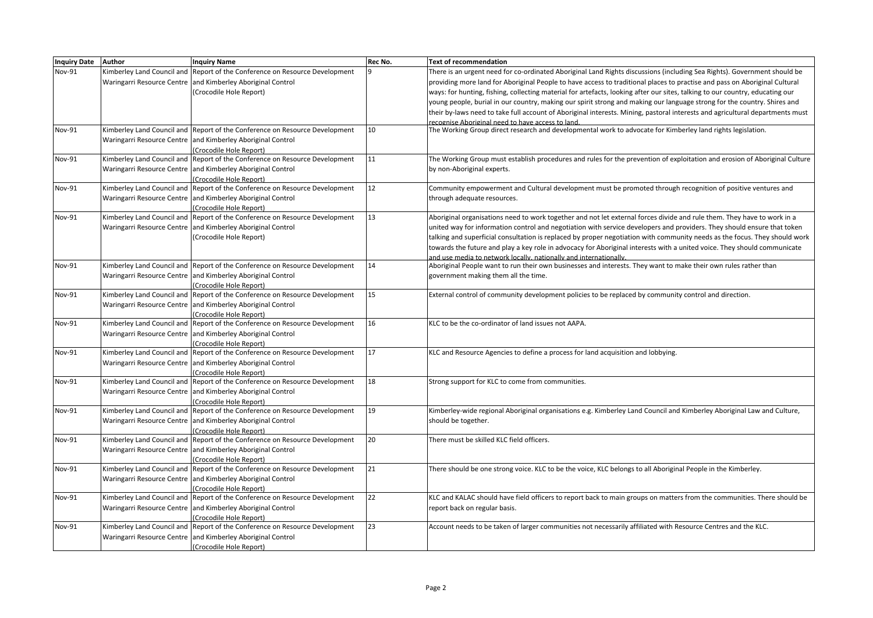| Inquiry Date Author |                            | <b>Inquiry Name</b>                                                                    | Rec No. | <b>Text of recommendation</b>                                                                                                 |
|---------------------|----------------------------|----------------------------------------------------------------------------------------|---------|-------------------------------------------------------------------------------------------------------------------------------|
| Nov-91              | Kimberley Land Council and | Report of the Conference on Resource Development                                       |         | There is an urgent need for co-ordinated Aboriginal Land Rights discussions (including Sea Rights). Government should be      |
|                     |                            | Waringarri Resource Centre and Kimberley Aboriginal Control                            |         | providing more land for Aboriginal People to have access to traditional places to practise and pass on Aboriginal Cultural    |
|                     |                            | (Crocodile Hole Report)                                                                |         | ways: for hunting, fishing, collecting material for artefacts, looking after our sites, talking to our country, educating our |
|                     |                            |                                                                                        |         | young people, burial in our country, making our spirit strong and making our language strong for the country. Shires and      |
|                     |                            |                                                                                        |         | their by-laws need to take full account of Aboriginal interests. Mining, pastoral interests and agricultural departments must |
|                     |                            |                                                                                        |         | recognise Aboriginal need to have access to land.                                                                             |
| Nov-91              |                            | Kimberley Land Council and Report of the Conference on Resource Development            | 10      | The Working Group direct research and developmental work to advocate for Kimberley land rights legislation.                   |
|                     |                            | Waringarri Resource Centre and Kimberley Aboriginal Control                            |         |                                                                                                                               |
|                     |                            | (Crocodile Hole Report)                                                                |         |                                                                                                                               |
| Nov-91              | Kimberley Land Council and | Report of the Conference on Resource Development                                       | 11      | The Working Group must establish procedures and rules for the prevention of exploitation and erosion of Aboriginal Culture    |
|                     |                            | Waringarri Resource Centre and Kimberley Aboriginal Control                            |         | by non-Aboriginal experts.                                                                                                    |
|                     |                            | (Crocodile Hole Report)                                                                |         |                                                                                                                               |
| <b>Nov-91</b>       | Kimberley Land Council and | Report of the Conference on Resource Development                                       | 12      | Community empowerment and Cultural development must be promoted through recognition of positive ventures and                  |
|                     |                            | Waringarri Resource Centre and Kimberley Aboriginal Control                            |         | through adequate resources.                                                                                                   |
|                     |                            | Crocodile Hole Report)                                                                 |         |                                                                                                                               |
| Nov-91              | Kimberley Land Council and | Report of the Conference on Resource Development                                       | 13      | Aboriginal organisations need to work together and not let external forces divide and rule them. They have to work in a       |
|                     |                            | Waringarri Resource Centre and Kimberley Aboriginal Control                            |         | united way for information control and negotiation with service developers and providers. They should ensure that token       |
|                     |                            | (Crocodile Hole Report)                                                                |         | talking and superficial consultation is replaced by proper negotiation with community needs as the focus. They should work    |
|                     |                            |                                                                                        |         | towards the future and play a key role in advocacy for Aboriginal interests with a united voice. They should communicate      |
|                     |                            |                                                                                        |         | and use media to network locally, nationally and internationally.                                                             |
| Nov-91              | Kimberley Land Council and | Report of the Conference on Resource Development                                       | 14      | Aboriginal People want to run their own businesses and interests. They want to make their own rules rather than               |
|                     |                            | Waringarri Resource Centre and Kimberley Aboriginal Control                            |         | government making them all the time.                                                                                          |
|                     |                            | (Crocodile Hole Report)                                                                | 15      |                                                                                                                               |
| Nov-91              |                            | Kimberley Land Council and Report of the Conference on Resource Development            |         | External control of community development policies to be replaced by community control and direction.                         |
|                     |                            | Waringarri Resource Centre and Kimberley Aboriginal Control<br>(Crocodile Hole Report) |         |                                                                                                                               |
| Nov-91              | Kimberley Land Council and | Report of the Conference on Resource Development                                       | 16      | KLC to be the co-ordinator of land issues not AAPA.                                                                           |
|                     |                            | Waringarri Resource Centre and Kimberley Aboriginal Control                            |         |                                                                                                                               |
|                     |                            | Crocodile Hole Report)                                                                 |         |                                                                                                                               |
| Nov-91              | Kimberley Land Council and | Report of the Conference on Resource Development                                       | 17      | KLC and Resource Agencies to define a process for land acquisition and lobbying.                                              |
|                     |                            | Waringarri Resource Centre and Kimberley Aboriginal Control                            |         |                                                                                                                               |
|                     |                            | (Crocodile Hole Report)                                                                |         |                                                                                                                               |
| Nov-91              | Kimberley Land Council and | Report of the Conference on Resource Development                                       | 18      | Strong support for KLC to come from communities.                                                                              |
|                     | Waringarri Resource Centre | and Kimberley Aboriginal Control                                                       |         |                                                                                                                               |
|                     |                            | (Crocodile Hole Report)                                                                |         |                                                                                                                               |
| Nov-91              | Kimberley Land Council and | Report of the Conference on Resource Development                                       | 19      | Kimberley-wide regional Aboriginal organisations e.g. Kimberley Land Council and Kimberley Aboriginal Law and Culture,        |
|                     |                            | Waringarri Resource Centre and Kimberley Aboriginal Control                            |         | should be together.                                                                                                           |
|                     |                            | (Crocodile Hole Report)                                                                |         |                                                                                                                               |
| Nov-91              | Kimberley Land Council and | Report of the Conference on Resource Development                                       | 20      | There must be skilled KLC field officers.                                                                                     |
|                     |                            | Waringarri Resource Centre and Kimberley Aboriginal Control                            |         |                                                                                                                               |
|                     |                            | Crocodile Hole Report)                                                                 |         |                                                                                                                               |
| Nov-91              | Kimberley Land Council and | Report of the Conference on Resource Development                                       | 21      | There should be one strong voice. KLC to be the voice, KLC belongs to all Aboriginal People in the Kimberley.                 |
|                     |                            | Waringarri Resource Centre and Kimberley Aboriginal Control                            |         |                                                                                                                               |
|                     |                            | (Crocodile Hole Report)                                                                |         |                                                                                                                               |
| <b>Nov-91</b>       | Kimberley Land Council and | Report of the Conference on Resource Development                                       | 22      | KLC and KALAC should have field officers to report back to main groups on matters from the communities. There should be       |
|                     |                            | Waringarri Resource Centre and Kimberley Aboriginal Control                            |         | report back on regular basis.                                                                                                 |
|                     |                            | (Crocodile Hole Report)                                                                |         |                                                                                                                               |
| Nov-91              | Kimberley Land Council and | Report of the Conference on Resource Development                                       | 23      | Account needs to be taken of larger communities not necessarily affiliated with Resource Centres and the KLC.                 |
|                     |                            | Waringarri Resource Centre and Kimberley Aboriginal Control                            |         |                                                                                                                               |
|                     |                            | (Crocodile Hole Report)                                                                |         |                                                                                                                               |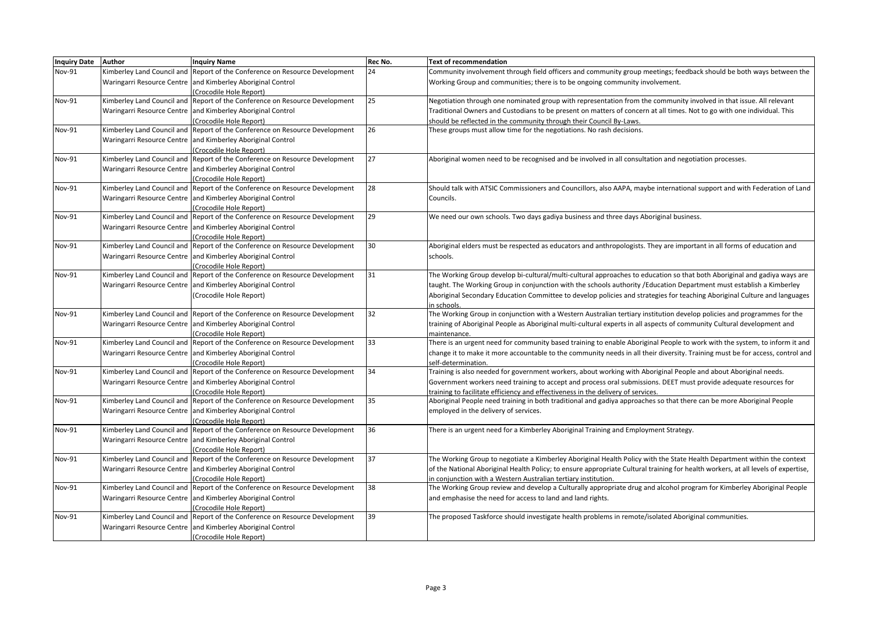| <b>Inquiry Date</b> | <b>Author</b> | <b>Inquiry Name</b>                                                                                    | Rec No. | <b>Text of recommendation</b>                                                                                                                                                            |
|---------------------|---------------|--------------------------------------------------------------------------------------------------------|---------|------------------------------------------------------------------------------------------------------------------------------------------------------------------------------------------|
| Nov-91              |               | Kimberley Land Council and Report of the Conference on Resource Development                            | 24      | Community involvement through field officers and community group meetings; feedback should be both ways between the                                                                      |
|                     |               | Waringarri Resource Centre and Kimberley Aboriginal Control                                            |         | Working Group and communities; there is to be ongoing community involvement.                                                                                                             |
|                     |               | (Crocodile Hole Report)                                                                                |         |                                                                                                                                                                                          |
| Nov-91              |               | Kimberley Land Council and Report of the Conference on Resource Development                            | 25      | Negotiation through one nominated group with representation from the community involved in that issue. All relevant                                                                      |
|                     |               | Waringarri Resource Centre and Kimberley Aboriginal Control                                            |         | Traditional Owners and Custodians to be present on matters of concern at all times. Not to go with one individual. This                                                                  |
|                     |               | (Crocodile Hole Report)                                                                                |         | should be reflected in the community through their Council By-Laws.                                                                                                                      |
| Nov-91              |               | Kimberley Land Council and Report of the Conference on Resource Development                            | 26      | These groups must allow time for the negotiations. No rash decisions.                                                                                                                    |
|                     |               | Waringarri Resource Centre and Kimberley Aboriginal Control                                            |         |                                                                                                                                                                                          |
|                     |               | (Crocodile Hole Report)                                                                                |         |                                                                                                                                                                                          |
| Nov-91              |               | Kimberley Land Council and Report of the Conference on Resource Development                            | 27      | Aboriginal women need to be recognised and be involved in all consultation and negotiation processes.                                                                                    |
|                     |               | Waringarri Resource Centre and Kimberley Aboriginal Control                                            |         |                                                                                                                                                                                          |
|                     |               | (Crocodile Hole Report)                                                                                |         |                                                                                                                                                                                          |
| Nov-91              |               | Kimberley Land Council and Report of the Conference on Resource Development                            | 28      | Should talk with ATSIC Commissioners and Councillors, also AAPA, maybe international support and with Federation of Land                                                                 |
|                     |               | Waringarri Resource Centre and Kimberley Aboriginal Control                                            |         | Councils.                                                                                                                                                                                |
|                     |               | (Crocodile Hole Report)                                                                                |         |                                                                                                                                                                                          |
| Nov-91              |               | Kimberley Land Council and Report of the Conference on Resource Development                            | 29      | We need our own schools. Two days gadiya business and three days Aboriginal business.                                                                                                    |
|                     |               | Waringarri Resource Centre and Kimberley Aboriginal Control                                            |         |                                                                                                                                                                                          |
|                     |               | (Crocodile Hole Report)                                                                                |         |                                                                                                                                                                                          |
| <b>Nov-91</b>       |               | Kimberley Land Council and Report of the Conference on Resource Development                            | 30      | Aboriginal elders must be respected as educators and anthropologists. They are important in all forms of education and                                                                   |
|                     |               | Waringarri Resource Centre and Kimberley Aboriginal Control                                            |         | schools.                                                                                                                                                                                 |
|                     |               | (Crocodile Hole Report)                                                                                |         |                                                                                                                                                                                          |
| Nov-91              |               | Kimberley Land Council and Report of the Conference on Resource Development                            | 31      | The Working Group develop bi-cultural/multi-cultural approaches to education so that both Aboriginal and gadiya ways are                                                                 |
|                     |               | Waringarri Resource Centre and Kimberley Aboriginal Control                                            |         | taught. The Working Group in conjunction with the schools authority /Education Department must establish a Kimberley                                                                     |
|                     |               | (Crocodile Hole Report)                                                                                |         | Aboriginal Secondary Education Committee to develop policies and strategies for teaching Aboriginal Culture and languages                                                                |
|                     |               |                                                                                                        |         | in schools.                                                                                                                                                                              |
| <b>Nov-91</b>       |               | Kimberley Land Council and Report of the Conference on Resource Development                            | 32      | The Working Group in conjunction with a Western Australian tertiary institution develop policies and programmes for the                                                                  |
|                     |               | Waringarri Resource Centre and Kimberley Aboriginal Control                                            |         | training of Aboriginal People as Aboriginal multi-cultural experts in all aspects of community Cultural development and                                                                  |
|                     |               | (Crocodile Hole Report)                                                                                |         | maintenance.                                                                                                                                                                             |
| Nov-91              |               | Kimberley Land Council and Report of the Conference on Resource Development                            | 33      | There is an urgent need for community based training to enable Aboriginal People to work with the system, to inform it and                                                               |
|                     |               | Waringarri Resource Centre and Kimberley Aboriginal Control                                            |         | change it to make it more accountable to the community needs in all their diversity. Training must be for access, control and                                                            |
|                     |               | (Crocodile Hole Report)                                                                                |         | self-determination.                                                                                                                                                                      |
| Nov-91              |               | Kimberley Land Council and Report of the Conference on Resource Development                            | 34      | Training is also needed for government workers, about working with Aboriginal People and about Aboriginal needs.                                                                         |
|                     |               | Waringarri Resource Centre and Kimberley Aboriginal Control                                            |         | Government workers need training to accept and process oral submissions. DEET must provide adequate resources for                                                                        |
|                     |               | (Crocodile Hole Report)                                                                                |         | training to facilitate efficiency and effectiveness in the delivery of services.                                                                                                         |
| Nov-91              |               | Kimberley Land Council and Report of the Conference on Resource Development                            | 35      | Aboriginal People need training in both traditional and gadiya approaches so that there can be more Aboriginal People                                                                    |
|                     |               | Waringarri Resource Centre and Kimberley Aboriginal Control                                            |         | employed in the delivery of services.                                                                                                                                                    |
|                     |               | (Crocodile Hole Report)                                                                                | 36      |                                                                                                                                                                                          |
| Nov-91              |               | Kimberley Land Council and Report of the Conference on Resource Development                            |         | There is an urgent need for a Kimberley Aboriginal Training and Employment Strategy.                                                                                                     |
|                     |               | Waringarri Resource Centre and Kimberley Aboriginal Control                                            |         |                                                                                                                                                                                          |
| Nov-91              |               | (Crocodile Hole Report)<br>Kimberley Land Council and Report of the Conference on Resource Development | 37      | The Working Group to negotiate a Kimberley Aboriginal Health Policy with the State Health Department within the context                                                                  |
|                     |               |                                                                                                        |         |                                                                                                                                                                                          |
|                     |               | Waringarri Resource Centre and Kimberley Aboriginal Control                                            |         | of the National Aboriginal Health Policy; to ensure appropriate Cultural training for health workers, at all levels of expertise,                                                        |
| Nov-91              |               | (Crocodile Hole Report)<br>Kimberley Land Council and Report of the Conference on Resource Development | 38      | in conjunction with a Western Australian tertiary institution.<br>The Working Group review and develop a Culturally appropriate drug and alcohol program for Kimberley Aboriginal People |
|                     |               |                                                                                                        |         |                                                                                                                                                                                          |
|                     |               | Waringarri Resource Centre and Kimberley Aboriginal Control                                            |         | and emphasise the need for access to land and land rights.                                                                                                                               |
| <b>Nov-91</b>       |               | (Crocodile Hole Report)<br>Kimberley Land Council and Report of the Conference on Resource Development | 39      | The proposed Taskforce should investigate health problems in remote/isolated Aboriginal communities.                                                                                     |
|                     |               | Waringarri Resource Centre and Kimberley Aboriginal Control                                            |         |                                                                                                                                                                                          |
|                     |               |                                                                                                        |         |                                                                                                                                                                                          |
|                     |               | (Crocodile Hole Report)                                                                                |         |                                                                                                                                                                                          |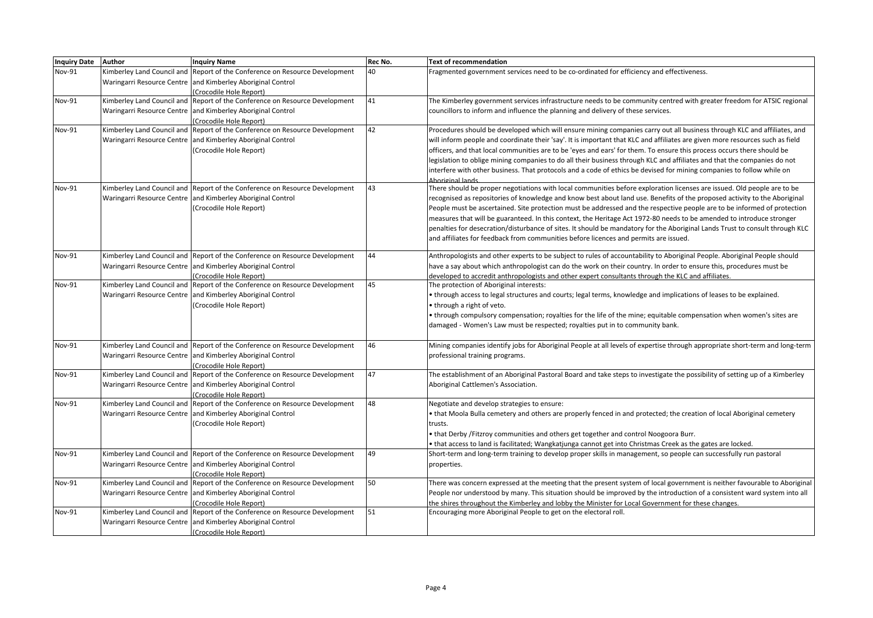| <b>Inquiry Date</b> | <b>Author</b> | <b>Inquiry Name</b>                                                         | Rec No. | Text of recommendation                                                                                                        |
|---------------------|---------------|-----------------------------------------------------------------------------|---------|-------------------------------------------------------------------------------------------------------------------------------|
| Nov-91              |               | Kimberley Land Council and Report of the Conference on Resource Development | 40      | Fragmented government services need to be co-ordinated for efficiency and effectiveness.                                      |
|                     |               | Waringarri Resource Centre and Kimberley Aboriginal Control                 |         |                                                                                                                               |
|                     |               | (Crocodile Hole Report)                                                     |         |                                                                                                                               |
| <b>Nov-91</b>       |               | Kimberley Land Council and Report of the Conference on Resource Development | 41      | The Kimberley government services infrastructure needs to be community centred with greater freedom for ATSIC regional        |
|                     |               | Waringarri Resource Centre and Kimberley Aboriginal Control                 |         | councillors to inform and influence the planning and delivery of these services.                                              |
|                     |               | (Crocodile Hole Report)                                                     |         |                                                                                                                               |
| Nov-91              |               | Kimberley Land Council and Report of the Conference on Resource Development | 42      | Procedures should be developed which will ensure mining companies carry out all business through KLC and affiliates, and      |
|                     |               | Waringarri Resource Centre and Kimberley Aboriginal Control                 |         | will inform people and coordinate their 'say'. It is important that KLC and affiliates are given more resources such as field |
|                     |               | (Crocodile Hole Report)                                                     |         | officers, and that local communities are to be 'eyes and ears' for them. To ensure this process occurs there should be        |
|                     |               |                                                                             |         | legislation to oblige mining companies to do all their business through KLC and affiliates and that the companies do not      |
|                     |               |                                                                             |         | interfere with other business. That protocols and a code of ethics be devised for mining companies to follow while on         |
|                     |               |                                                                             |         | Aboriginal lands.                                                                                                             |
| Nov-91              |               | Kimberley Land Council and Report of the Conference on Resource Development | 43      | There should be proper negotiations with local communities before exploration licenses are issued. Old people are to be       |
|                     |               | Waringarri Resource Centre and Kimberley Aboriginal Control                 |         | recognised as repositories of knowledge and know best about land use. Benefits of the proposed activity to the Aboriginal     |
|                     |               | (Crocodile Hole Report)                                                     |         | People must be ascertained. Site protection must be addressed and the respective people are to be informed of protection      |
|                     |               |                                                                             |         | measures that will be guaranteed. In this context, the Heritage Act 1972-80 needs to be amended to introduce stronger         |
|                     |               |                                                                             |         | penalties for desecration/disturbance of sites. It should be mandatory for the Aboriginal Lands Trust to consult through KLC  |
|                     |               |                                                                             |         | and affiliates for feedback from communities before licences and permits are issued.                                          |
| Nov-91              |               | Kimberley Land Council and Report of the Conference on Resource Development | 44      | Anthropologists and other experts to be subject to rules of accountability to Aboriginal People. Aboriginal People should     |
|                     |               | Waringarri Resource Centre and Kimberley Aboriginal Control                 |         | have a say about which anthropologist can do the work on their country. In order to ensure this, procedures must be           |
|                     |               | (Crocodile Hole Report)                                                     |         | developed to accredit anthropologists and other expert consultants through the KLC and affiliates.                            |
| Nov-91              |               | Kimberley Land Council and Report of the Conference on Resource Development | 45      | The protection of Aboriginal interests:                                                                                       |
|                     |               | Waringarri Resource Centre and Kimberley Aboriginal Control                 |         | • through access to legal structures and courts; legal terms, knowledge and implications of leases to be explained.           |
|                     |               | (Crocodile Hole Report)                                                     |         | • through a right of veto.                                                                                                    |
|                     |               |                                                                             |         | • through compulsory compensation; royalties for the life of the mine; equitable compensation when women's sites are          |
|                     |               |                                                                             |         | damaged - Women's Law must be respected; royalties put in to community bank.                                                  |
|                     |               |                                                                             |         |                                                                                                                               |
| Nov-91              |               | Kimberley Land Council and Report of the Conference on Resource Development | 46      | Mining companies identify jobs for Aboriginal People at all levels of expertise through appropriate short-term and long-term  |
|                     |               | Waringarri Resource Centre and Kimberley Aboriginal Control                 |         | professional training programs.                                                                                               |
|                     |               | (Crocodile Hole Report)                                                     |         |                                                                                                                               |
| Nov-91              |               | Kimberley Land Council and Report of the Conference on Resource Development | 47      | The establishment of an Aboriginal Pastoral Board and take steps to investigate the possibility of setting up of a Kimberley  |
|                     |               | Waringarri Resource Centre and Kimberley Aboriginal Control                 |         | Aboriginal Cattlemen's Association.                                                                                           |
|                     |               | (Crocodile Hole Report)                                                     |         |                                                                                                                               |
| Nov-91              |               | Kimberley Land Council and Report of the Conference on Resource Development | 48      | Negotiate and develop strategies to ensure:                                                                                   |
|                     |               | Waringarri Resource Centre and Kimberley Aboriginal Control                 |         | . that Moola Bulla cemetery and others are properly fenced in and protected; the creation of local Aboriginal cemetery        |
|                     |               | (Crocodile Hole Report)                                                     |         | trusts.                                                                                                                       |
|                     |               |                                                                             |         | • that Derby / Fitzroy communities and others get together and control Noogoora Burr.                                         |
|                     |               |                                                                             |         | • that access to land is facilitated; Wangkatjunga cannot get into Christmas Creek as the gates are locked.                   |
| Nov-91              |               | Kimberley Land Council and Report of the Conference on Resource Development | 49      | Short-term and long-term training to develop proper skills in management, so people can successfully run pastoral             |
|                     |               | Waringarri Resource Centre and Kimberley Aboriginal Control                 |         | properties.                                                                                                                   |
|                     |               | (Crocodile Hole Report)                                                     |         |                                                                                                                               |
| Nov-91              |               | Kimberley Land Council and Report of the Conference on Resource Development | 50      | There was concern expressed at the meeting that the present system of local government is neither favourable to Aboriginal    |
|                     |               | Waringarri Resource Centre and Kimberley Aboriginal Control                 |         | People nor understood by many. This situation should be improved by the introduction of a consistent ward system into all     |
|                     |               | (Crocodile Hole Report)                                                     |         | the shires throughout the Kimberley and lobby the Minister for Local Government for these changes.                            |
| Nov-91              |               | Kimberley Land Council and Report of the Conference on Resource Development | 51      | Encouraging more Aboriginal People to get on the electoral roll.                                                              |
|                     |               | Waringarri Resource Centre and Kimberley Aboriginal Control                 |         |                                                                                                                               |
|                     |               | (Crocodile Hole Report)                                                     |         |                                                                                                                               |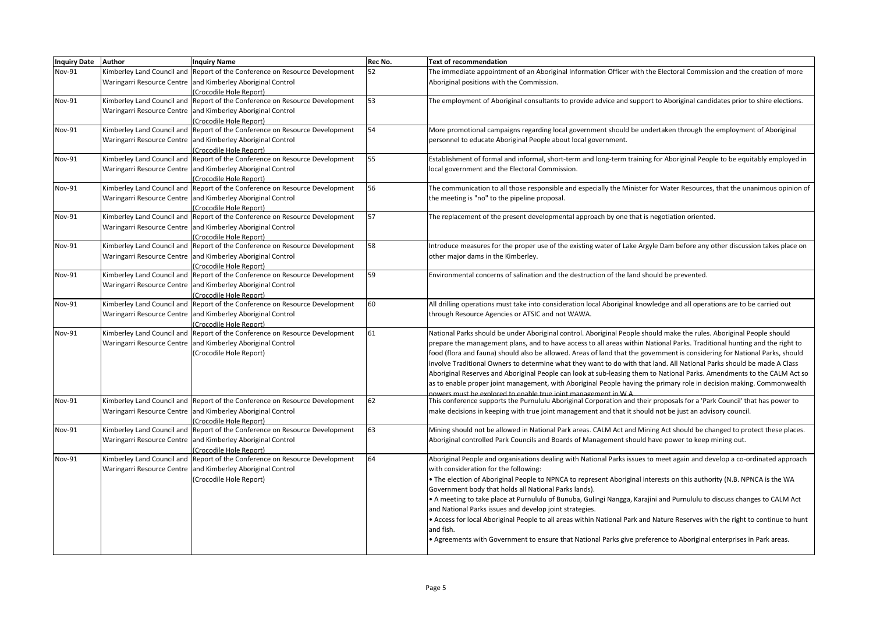| <b>Inquiry Date</b> | Author | <b>Inquiry Name</b>                                                         | Rec No. | <b>Text of recommendation</b>                                                                                                 |
|---------------------|--------|-----------------------------------------------------------------------------|---------|-------------------------------------------------------------------------------------------------------------------------------|
| Nov-91              |        | Kimberley Land Council and Report of the Conference on Resource Development | 52      | The immediate appointment of an Aboriginal Information Officer with the Electoral Commission and the creation of more         |
|                     |        | Waringarri Resource Centre and Kimberley Aboriginal Control                 |         | Aboriginal positions with the Commission.                                                                                     |
|                     |        | (Crocodile Hole Report)                                                     |         |                                                                                                                               |
| <b>Nov-91</b>       |        | Kimberley Land Council and Report of the Conference on Resource Development | 53      | The employment of Aboriginal consultants to provide advice and support to Aboriginal candidates prior to shire elections.     |
|                     |        | Waringarri Resource Centre and Kimberley Aboriginal Control                 |         |                                                                                                                               |
|                     |        | (Crocodile Hole Report)                                                     |         |                                                                                                                               |
| <b>Nov-91</b>       |        | Kimberley Land Council and Report of the Conference on Resource Development | 54      | More promotional campaigns regarding local government should be undertaken through the employment of Aboriginal               |
|                     |        | Waringarri Resource Centre and Kimberley Aboriginal Control                 |         | personnel to educate Aboriginal People about local government.                                                                |
|                     |        | (Crocodile Hole Report)                                                     |         |                                                                                                                               |
| Nov-91              |        | Kimberley Land Council and Report of the Conference on Resource Development | 55      | Establishment of formal and informal, short-term and long-term training for Aboriginal People to be equitably employed in     |
|                     |        | Waringarri Resource Centre and Kimberley Aboriginal Control                 |         | local government and the Electoral Commission.                                                                                |
|                     |        | (Crocodile Hole Report)                                                     |         |                                                                                                                               |
| Nov-91              |        | Kimberley Land Council and Report of the Conference on Resource Development | 56      | The communication to all those responsible and especially the Minister for Water Resources, that the unanimous opinion of     |
|                     |        | Waringarri Resource Centre and Kimberley Aboriginal Control                 |         | the meeting is "no" to the pipeline proposal.                                                                                 |
|                     |        | (Crocodile Hole Report)                                                     |         |                                                                                                                               |
| <b>Nov-91</b>       |        | Kimberley Land Council and Report of the Conference on Resource Development | 57      | The replacement of the present developmental approach by one that is negotiation oriented.                                    |
|                     |        | Waringarri Resource Centre and Kimberley Aboriginal Control                 |         |                                                                                                                               |
|                     |        | (Crocodile Hole Report)                                                     |         |                                                                                                                               |
| Nov-91              |        | Kimberley Land Council and Report of the Conference on Resource Development | 58      | Introduce measures for the proper use of the existing water of Lake Argyle Dam before any other discussion takes place on     |
|                     |        | Waringarri Resource Centre and Kimberley Aboriginal Control                 |         | other major dams in the Kimberley.                                                                                            |
|                     |        | (Crocodile Hole Report)                                                     |         |                                                                                                                               |
| <b>Nov-91</b>       |        | Kimberley Land Council and Report of the Conference on Resource Development | 59      | Environmental concerns of salination and the destruction of the land should be prevented.                                     |
|                     |        | Waringarri Resource Centre and Kimberley Aboriginal Control                 |         |                                                                                                                               |
|                     |        | (Crocodile Hole Report)                                                     |         |                                                                                                                               |
| <b>Nov-91</b>       |        | Kimberley Land Council and Report of the Conference on Resource Development | 60      | All drilling operations must take into consideration local Aboriginal knowledge and all operations are to be carried out      |
|                     |        | Waringarri Resource Centre and Kimberley Aboriginal Control                 |         | through Resource Agencies or ATSIC and not WAWA.                                                                              |
|                     |        | (Crocodile Hole Report)                                                     |         |                                                                                                                               |
| Nov-91              |        | Kimberley Land Council and Report of the Conference on Resource Development | 61      | National Parks should be under Aboriginal control. Aboriginal People should make the rules. Aboriginal People should          |
|                     |        | Waringarri Resource Centre and Kimberley Aboriginal Control                 |         | prepare the management plans, and to have access to all areas within National Parks. Traditional hunting and the right to     |
|                     |        | (Crocodile Hole Report)                                                     |         | food (flora and fauna) should also be allowed. Areas of land that the government is considering for National Parks, should    |
|                     |        |                                                                             |         | involve Traditional Owners to determine what they want to do with that land. All National Parks should be made A Class        |
|                     |        |                                                                             |         | Aboriginal Reserves and Aboriginal People can look at sub-leasing them to National Parks. Amendments to the CALM Act so       |
|                     |        |                                                                             |         | as to enable proper joint management, with Aboriginal People having the primary role in decision making. Commonwealth         |
|                     |        |                                                                             |         | nowers must be explored to enable true joint management in W A                                                                |
| Nov-91              |        | Kimberley Land Council and Report of the Conference on Resource Development | 62      | This conference supports the Purnululu Aboriginal Corporation and their proposals for a 'Park Council' that has power to      |
|                     |        | Waringarri Resource Centre and Kimberley Aboriginal Control                 |         | make decisions in keeping with true joint management and that it should not be just an advisory council.                      |
|                     |        | (Crocodile Hole Report)                                                     |         |                                                                                                                               |
| Nov-91              |        | Kimberley Land Council and Report of the Conference on Resource Development | 63      | Mining should not be allowed in National Park areas. CALM Act and Mining Act should be changed to protect these places.       |
|                     |        | Waringarri Resource Centre and Kimberley Aboriginal Control                 |         | Aboriginal controlled Park Councils and Boards of Management should have power to keep mining out.                            |
|                     |        | (Crocodile Hole Report)                                                     |         |                                                                                                                               |
| <b>Nov-91</b>       |        | Kimberley Land Council and Report of the Conference on Resource Development | 64      | Aboriginal People and organisations dealing with National Parks issues to meet again and develop a co-ordinated approach      |
|                     |        | Waringarri Resource Centre and Kimberley Aboriginal Control                 |         | with consideration for the following:                                                                                         |
|                     |        | (Crocodile Hole Report)                                                     |         | . The election of Aboriginal People to NPNCA to represent Aboriginal interests on this authority (N.B. NPNCA is the WA        |
|                     |        |                                                                             |         | Government body that holds all National Parks lands).                                                                         |
|                     |        |                                                                             |         | • A meeting to take place at Purnululu of Bunuba, Gulingi Nangga, Karajini and Purnululu to discuss changes to CALM Act       |
|                     |        |                                                                             |         | and National Parks issues and develop joint strategies.                                                                       |
|                     |        |                                                                             |         |                                                                                                                               |
|                     |        |                                                                             |         | . Access for local Aboriginal People to all areas within National Park and Nature Reserves with the right to continue to hunt |
|                     |        |                                                                             |         | and fish.                                                                                                                     |
|                     |        |                                                                             |         | • Agreements with Government to ensure that National Parks give preference to Aboriginal enterprises in Park areas.           |
|                     |        |                                                                             |         |                                                                                                                               |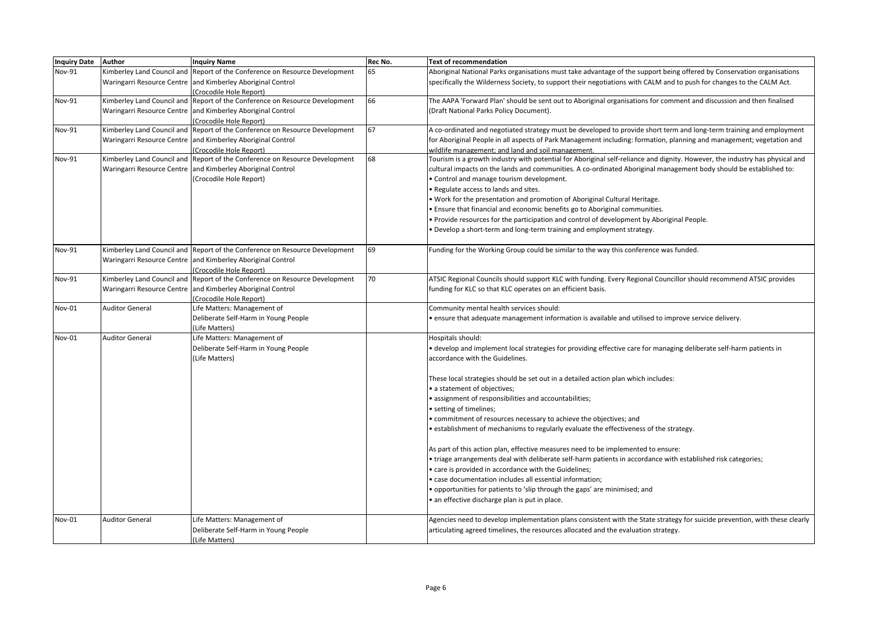| <b>Inquiry Date</b> | Author                 | <b>Inquiry Name</b>                                                         | Rec No. | <b>Text of recommendation</b>                                                                                                |
|---------------------|------------------------|-----------------------------------------------------------------------------|---------|------------------------------------------------------------------------------------------------------------------------------|
| Nov-91              |                        | Kimberley Land Council and Report of the Conference on Resource Development | 65      | Aboriginal National Parks organisations must take advantage of the support being offered by Conservation organisations       |
|                     |                        | Waringarri Resource Centre and Kimberley Aboriginal Control                 |         | specifically the Wilderness Society, to support their negotiations with CALM and to push for changes to the CALM Act.        |
|                     |                        | (Crocodile Hole Report)                                                     |         |                                                                                                                              |
| <b>Nov-91</b>       |                        | Kimberley Land Council and Report of the Conference on Resource Development | 66      | The AAPA 'Forward Plan' should be sent out to Aboriginal organisations for comment and discussion and then finalised         |
|                     |                        | Waringarri Resource Centre and Kimberley Aboriginal Control                 |         | (Draft National Parks Policy Document).                                                                                      |
|                     |                        | (Crocodile Hole Report)                                                     |         |                                                                                                                              |
| Nov-91              |                        | Kimberley Land Council and Report of the Conference on Resource Development | 67      | A co-ordinated and negotiated strategy must be developed to provide short term and long-term training and employment         |
|                     |                        | Waringarri Resource Centre and Kimberley Aboriginal Control                 |         | for Aboriginal People in all aspects of Park Management including: formation, planning and management; vegetation and        |
|                     |                        | (Crocodile Hole Report)                                                     |         | wildlife management; and land and soil management.                                                                           |
| Nov-91              |                        | Kimberley Land Council and Report of the Conference on Resource Development | 68      | Tourism is a growth industry with potential for Aboriginal self-reliance and dignity. However, the industry has physical and |
|                     |                        | Waringarri Resource Centre and Kimberley Aboriginal Control                 |         | cultural impacts on the lands and communities. A co-ordinated Aboriginal management body should be established to:           |
|                     |                        | (Crocodile Hole Report)                                                     |         | • Control and manage tourism development.                                                                                    |
|                     |                        |                                                                             |         | . Regulate access to lands and sites.                                                                                        |
|                     |                        |                                                                             |         | . Work for the presentation and promotion of Aboriginal Cultural Heritage.                                                   |
|                     |                        |                                                                             |         | . Ensure that financial and economic benefits go to Aboriginal communities.                                                  |
|                     |                        |                                                                             |         | . Provide resources for the participation and control of development by Aboriginal People.                                   |
|                     |                        |                                                                             |         | . Develop a short-term and long-term training and employment strategy.                                                       |
| Nov-91              |                        | Kimberley Land Council and Report of the Conference on Resource Development | 69      | Funding for the Working Group could be similar to the way this conference was funded.                                        |
|                     |                        | Waringarri Resource Centre and Kimberley Aboriginal Control                 |         |                                                                                                                              |
|                     |                        | (Crocodile Hole Report)                                                     |         |                                                                                                                              |
| Nov-91              |                        | Kimberley Land Council and Report of the Conference on Resource Development | 70      | ATSIC Regional Councils should support KLC with funding. Every Regional Councillor should recommend ATSIC provides           |
|                     |                        | Waringarri Resource Centre and Kimberley Aboriginal Control                 |         | funding for KLC so that KLC operates on an efficient basis.                                                                  |
|                     |                        | (Crocodile Hole Report)                                                     |         |                                                                                                                              |
| Nov-01              | <b>Auditor General</b> | Life Matters: Management of                                                 |         | Community mental health services should:                                                                                     |
|                     |                        | Deliberate Self-Harm in Young People                                        |         | • ensure that adequate management information is available and utilised to improve service delivery.                         |
|                     |                        | (Life Matters)                                                              |         |                                                                                                                              |
| Nov-01              | <b>Auditor General</b> | Life Matters: Management of                                                 |         | Hospitals should:                                                                                                            |
|                     |                        | Deliberate Self-Harm in Young People                                        |         | • develop and implement local strategies for providing effective care for managing deliberate self-harm patients in          |
|                     |                        | (Life Matters)                                                              |         | accordance with the Guidelines.                                                                                              |
|                     |                        |                                                                             |         | These local strategies should be set out in a detailed action plan which includes:                                           |
|                     |                        |                                                                             |         | • a statement of objectives;                                                                                                 |
|                     |                        |                                                                             |         | • assignment of responsibilities and accountabilities;                                                                       |
|                     |                        |                                                                             |         | • setting of timelines;                                                                                                      |
|                     |                        |                                                                             |         | • commitment of resources necessary to achieve the objectives; and                                                           |
|                     |                        |                                                                             |         | • establishment of mechanisms to regularly evaluate the effectiveness of the strategy.                                       |
|                     |                        |                                                                             |         | As part of this action plan, effective measures need to be implemented to ensure:                                            |
|                     |                        |                                                                             |         | • triage arrangements deal with deliberate self-harm patients in accordance with established risk categories;                |
|                     |                        |                                                                             |         | • care is provided in accordance with the Guidelines;                                                                        |
|                     |                        |                                                                             |         | · case documentation includes all essential information;                                                                     |
|                     |                        |                                                                             |         | • opportunities for patients to 'slip through the gaps' are minimised; and                                                   |
|                     |                        |                                                                             |         | • an effective discharge plan is put in place.                                                                               |
|                     |                        |                                                                             |         |                                                                                                                              |
| Nov-01              | <b>Auditor General</b> | Life Matters: Management of                                                 |         | Agencies need to develop implementation plans consistent with the State strategy for suicide prevention, with these clearly  |
|                     |                        | Deliberate Self-Harm in Young People                                        |         | articulating agreed timelines, the resources allocated and the evaluation strategy.                                          |
|                     |                        | (Life Matters)                                                              |         |                                                                                                                              |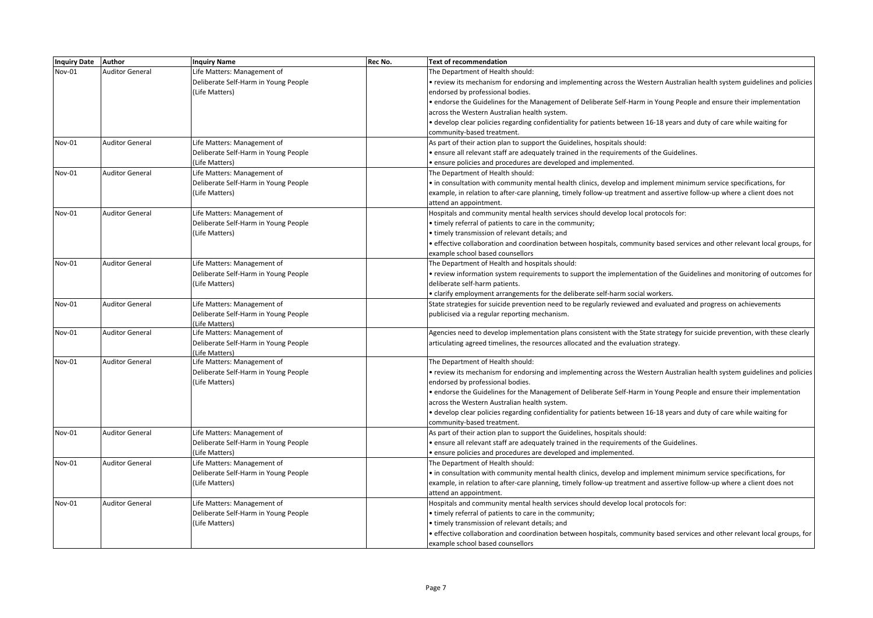| Inquiry Date Author |                        | <b>Inquiry Name</b>                  | Rec No. | <b>Text of recommendation</b>                                                                                               |
|---------------------|------------------------|--------------------------------------|---------|-----------------------------------------------------------------------------------------------------------------------------|
| <b>Nov-01</b>       | <b>Auditor General</b> | Life Matters: Management of          |         | The Department of Health should:                                                                                            |
|                     |                        | Deliberate Self-Harm in Young People |         | review its mechanism for endorsing and implementing across the Western Australian health system guidelines and policies     |
|                     |                        | (Life Matters)                       |         | endorsed by professional bodies.                                                                                            |
|                     |                        |                                      |         | • endorse the Guidelines for the Management of Deliberate Self-Harm in Young People and ensure their implementation         |
|                     |                        |                                      |         | across the Western Australian health system.                                                                                |
|                     |                        |                                      |         | • develop clear policies regarding confidentiality for patients between 16-18 years and duty of care while waiting for      |
|                     |                        |                                      |         | community-based treatment.                                                                                                  |
| Nov-01              | <b>Auditor General</b> | Life Matters: Management of          |         | As part of their action plan to support the Guidelines, hospitals should:                                                   |
|                     |                        | Deliberate Self-Harm in Young People |         | · ensure all relevant staff are adequately trained in the requirements of the Guidelines.                                   |
|                     |                        | (Life Matters)                       |         | · ensure policies and procedures are developed and implemented.                                                             |
| Nov-01              | <b>Auditor General</b> | Life Matters: Management of          |         | The Department of Health should:                                                                                            |
|                     |                        | Deliberate Self-Harm in Young People |         | • in consultation with community mental health clinics, develop and implement minimum service specifications, for           |
|                     |                        | (Life Matters)                       |         | example, in relation to after-care planning, timely follow-up treatment and assertive follow-up where a client does not     |
|                     |                        |                                      |         | attend an appointment.                                                                                                      |
| Nov-01              | <b>Auditor General</b> | Life Matters: Management of          |         | Hospitals and community mental health services should develop local protocols for:                                          |
|                     |                        | Deliberate Self-Harm in Young People |         | • timely referral of patients to care in the community;                                                                     |
|                     |                        | (Life Matters)                       |         | timely transmission of relevant details; and                                                                                |
|                     |                        |                                      |         | · effective collaboration and coordination between hospitals, community based services and other relevant local groups, for |
|                     |                        |                                      |         | example school based counsellors                                                                                            |
| Nov-01              | <b>Auditor General</b> | Life Matters: Management of          |         | The Department of Health and hospitals should:                                                                              |
|                     |                        | Deliberate Self-Harm in Young People |         | • review information system requirements to support the implementation of the Guidelines and monitoring of outcomes for     |
|                     |                        | (Life Matters)                       |         | deliberate self-harm patients.                                                                                              |
|                     |                        |                                      |         | clarify employment arrangements for the deliberate self-harm social workers.                                                |
| Nov-01              | <b>Auditor General</b> | Life Matters: Management of          |         | State strategies for suicide prevention need to be regularly reviewed and evaluated and progress on achievements            |
|                     |                        | Deliberate Self-Harm in Young People |         | publicised via a regular reporting mechanism.                                                                               |
|                     |                        | (Life Matters)                       |         |                                                                                                                             |
| Nov-01              | <b>Auditor General</b> | Life Matters: Management of          |         | Agencies need to develop implementation plans consistent with the State strategy for suicide prevention, with these clearly |
|                     |                        | Deliberate Self-Harm in Young People |         | articulating agreed timelines, the resources allocated and the evaluation strategy.                                         |
|                     |                        | Life Matters)                        |         |                                                                                                                             |
| Nov-01              | <b>Auditor General</b> | Life Matters: Management of          |         | The Department of Health should:                                                                                            |
|                     |                        | Deliberate Self-Harm in Young People |         | review its mechanism for endorsing and implementing across the Western Australian health system guidelines and policies     |
|                     |                        | (Life Matters)                       |         | endorsed by professional bodies.                                                                                            |
|                     |                        |                                      |         | • endorse the Guidelines for the Management of Deliberate Self-Harm in Young People and ensure their implementation         |
|                     |                        |                                      |         | across the Western Australian health system.                                                                                |
|                     |                        |                                      |         | · develop clear policies regarding confidentiality for patients between 16-18 years and duty of care while waiting for      |
|                     |                        |                                      |         | community-based treatment.                                                                                                  |
| Nov-01              | <b>Auditor General</b> | Life Matters: Management of          |         | As part of their action plan to support the Guidelines, hospitals should:                                                   |
|                     |                        | Deliberate Self-Harm in Young People |         | . ensure all relevant staff are adequately trained in the requirements of the Guidelines.                                   |
|                     |                        | (Life Matters)                       |         | · ensure policies and procedures are developed and implemented.                                                             |
| Nov-01              | <b>Auditor General</b> | Life Matters: Management of          |         | The Department of Health should:                                                                                            |
|                     |                        | Deliberate Self-Harm in Young People |         | • in consultation with community mental health clinics, develop and implement minimum service specifications, for           |
|                     |                        | (Life Matters)                       |         | example, in relation to after-care planning, timely follow-up treatment and assertive follow-up where a client does not     |
|                     |                        |                                      |         | attend an appointment.                                                                                                      |
| Nov-01              | <b>Auditor General</b> | Life Matters: Management of          |         | Hospitals and community mental health services should develop local protocols for:                                          |
|                     |                        | Deliberate Self-Harm in Young People |         | • timely referral of patients to care in the community;                                                                     |
|                     |                        | (Life Matters)                       |         | timely transmission of relevant details; and                                                                                |
|                     |                        |                                      |         | effective collaboration and coordination between hospitals, community based services and other relevant local groups, for   |
|                     |                        |                                      |         | example school based counsellors                                                                                            |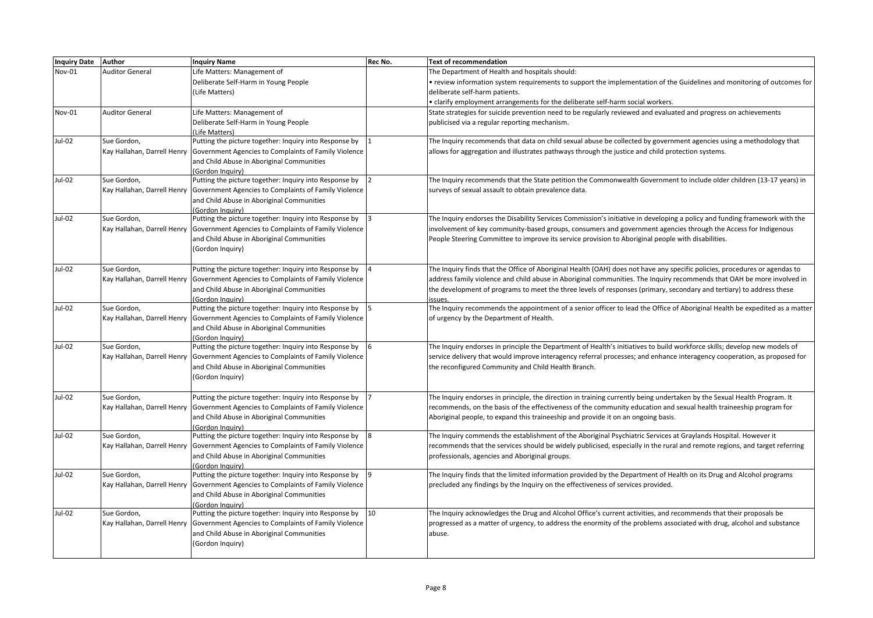| Inquiry Date Author |                             | <b>Inquiry Name</b>                                                                | Rec No. | <b>Text of recommendation</b>                                                                                                          |
|---------------------|-----------------------------|------------------------------------------------------------------------------------|---------|----------------------------------------------------------------------------------------------------------------------------------------|
| Nov-01              | <b>Auditor General</b>      | Life Matters: Management of                                                        |         | The Department of Health and hospitals should:                                                                                         |
|                     |                             | Deliberate Self-Harm in Young People                                               |         | review information system requirements to support the implementation of the Guidelines and monitoring of outcomes for                  |
|                     |                             | (Life Matters)                                                                     |         | deliberate self-harm patients.                                                                                                         |
|                     |                             |                                                                                    |         | $\cdot$ clarify employment arrangements for the deliberate self-harm social workers.                                                   |
| Nov-01              | <b>Auditor General</b>      | Life Matters: Management of                                                        |         | State strategies for suicide prevention need to be regularly reviewed and evaluated and progress on achievements                       |
|                     |                             | Deliberate Self-Harm in Young People                                               |         | publicised via a regular reporting mechanism.                                                                                          |
|                     |                             | (Life Matters)                                                                     |         |                                                                                                                                        |
| Jul-02              | Sue Gordon,                 | Putting the picture together: Inquiry into Response by                             |         | The Inquiry recommends that data on child sexual abuse be collected by government agencies using a methodology that                    |
|                     |                             | Kay Hallahan, Darrell Henry Government Agencies to Complaints of Family Violence   |         | allows for aggregation and illustrates pathways through the justice and child protection systems.                                      |
|                     |                             | and Child Abuse in Aboriginal Communities                                          |         |                                                                                                                                        |
|                     |                             | (Gordon Inauirv)                                                                   |         |                                                                                                                                        |
| Jul-02              | Sue Gordon,                 | Putting the picture together: Inquiry into Response by                             |         | The Inquiry recommends that the State petition the Commonwealth Government to include older children (13-17 years) in                  |
|                     |                             | Kay Hallahan, Darrell Henry Government Agencies to Complaints of Family Violence   |         | surveys of sexual assault to obtain prevalence data.                                                                                   |
|                     |                             | and Child Abuse in Aboriginal Communities                                          |         |                                                                                                                                        |
|                     |                             | (Gordon Inquiry)                                                                   |         |                                                                                                                                        |
| Jul-02              | Sue Gordon,                 | Putting the picture together: Inquiry into Response by                             |         | The Inquiry endorses the Disability Services Commission's initiative in developing a policy and funding framework with the             |
|                     | Kay Hallahan, Darrell Henry | Government Agencies to Complaints of Family Violence                               |         | involvement of key community-based groups, consumers and government agencies through the Access for Indigenous                         |
|                     |                             | and Child Abuse in Aboriginal Communities                                          |         | People Steering Committee to improve its service provision to Aboriginal people with disabilities.                                     |
|                     |                             | (Gordon Inquiry)                                                                   |         |                                                                                                                                        |
|                     |                             |                                                                                    |         |                                                                                                                                        |
| Jul-02              | Sue Gordon,                 | Putting the picture together: Inquiry into Response by                             |         | The Inquiry finds that the Office of Aboriginal Health (OAH) does not have any specific policies, procedures or agendas to             |
|                     | Kay Hallahan, Darrell Henry | Government Agencies to Complaints of Family Violence                               |         | address family violence and child abuse in Aboriginal communities. The Inquiry recommends that OAH be more involved in                 |
|                     |                             | and Child Abuse in Aboriginal Communities                                          |         | the development of programs to meet the three levels of responses (primary, secondary and tertiary) to address these                   |
| Jul-02              | Sue Gordon,                 | (Gordon Inquiry)<br>Putting the picture together: Inquiry into Response by         |         | issues.<br>The Inquiry recommends the appointment of a senior officer to lead the Office of Aboriginal Health be expedited as a matter |
|                     |                             |                                                                                    |         | of urgency by the Department of Health.                                                                                                |
|                     |                             | Kay Hallahan, Darrell Henry   Government Agencies to Complaints of Family Violence |         |                                                                                                                                        |
|                     |                             | and Child Abuse in Aboriginal Communities<br>(Gordon Inauiry)                      |         |                                                                                                                                        |
| Jul-02              | Sue Gordon,                 | Putting the picture together: Inquiry into Response by                             |         | The Inquiry endorses in principle the Department of Health's initiatives to build workforce skills; develop new models of              |
|                     |                             | Kay Hallahan, Darrell Henry   Government Agencies to Complaints of Family Violence |         | service delivery that would improve interagency referral processes; and enhance interagency cooperation, as proposed for               |
|                     |                             | and Child Abuse in Aboriginal Communities                                          |         | the reconfigured Community and Child Health Branch.                                                                                    |
|                     |                             | (Gordon Inquiry)                                                                   |         |                                                                                                                                        |
|                     |                             |                                                                                    |         |                                                                                                                                        |
| Jul-02              | Sue Gordon,                 | Putting the picture together: Inquiry into Response by                             |         | The Inquiry endorses in principle, the direction in training currently being undertaken by the Sexual Health Program. It               |
|                     |                             | Kay Hallahan, Darrell Henry   Government Agencies to Complaints of Family Violence |         | recommends, on the basis of the effectiveness of the community education and sexual health traineeship program for                     |
|                     |                             | and Child Abuse in Aboriginal Communities                                          |         | Aboriginal people, to expand this traineeship and provide it on an ongoing basis.                                                      |
|                     |                             | (Gordon Inquiry)                                                                   |         |                                                                                                                                        |
| Jul-02              | Sue Gordon,                 | Putting the picture together: Inquiry into Response by                             |         | The Inquiry commends the establishment of the Aboriginal Psychiatric Services at Graylands Hospital. However it                        |
|                     |                             | Kay Hallahan, Darrell Henry   Government Agencies to Complaints of Family Violence |         | recommends that the services should be widely publicised, especially in the rural and remote regions, and target referring             |
|                     |                             | and Child Abuse in Aboriginal Communities                                          |         | professionals, agencies and Aboriginal groups.                                                                                         |
|                     |                             | (Gordon Inauirv)                                                                   |         |                                                                                                                                        |
| Jul-02              | Sue Gordon,                 | Putting the picture together: Inquiry into Response by                             |         | The Inquiry finds that the limited information provided by the Department of Health on its Drug and Alcohol programs                   |
|                     |                             | Kay Hallahan, Darrell Henry   Government Agencies to Complaints of Family Violence |         | precluded any findings by the Inquiry on the effectiveness of services provided.                                                       |
|                     |                             | and Child Abuse in Aboriginal Communities                                          |         |                                                                                                                                        |
|                     |                             | (Gordon Inauiry)                                                                   |         |                                                                                                                                        |
| Jul-02              | Sue Gordon,                 | Putting the picture together: Inquiry into Response by                             | 10      | The Inquiry acknowledges the Drug and Alcohol Office's current activities, and recommends that their proposals be                      |
|                     | Kay Hallahan, Darrell Henry | Government Agencies to Complaints of Family Violence                               |         | progressed as a matter of urgency, to address the enormity of the problems associated with drug, alcohol and substance                 |
|                     |                             | and Child Abuse in Aboriginal Communities                                          |         | abuse.                                                                                                                                 |
|                     |                             | (Gordon Inquiry)                                                                   |         |                                                                                                                                        |
|                     |                             |                                                                                    |         |                                                                                                                                        |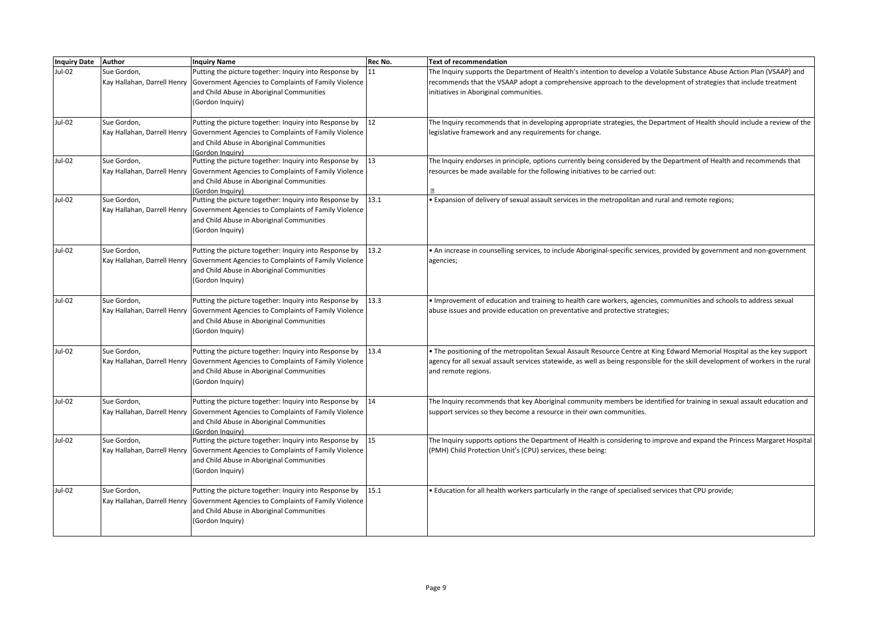| Inquiry Date Author |                                            | <b>Inquiry Name</b>                                                                                                                                                                                         | Rec No. | <b>Text of recommendation</b>                                                                                                                                                                                                                                                         |
|---------------------|--------------------------------------------|-------------------------------------------------------------------------------------------------------------------------------------------------------------------------------------------------------------|---------|---------------------------------------------------------------------------------------------------------------------------------------------------------------------------------------------------------------------------------------------------------------------------------------|
| Jul-02              | Sue Gordon,                                | Putting the picture together: Inquiry into Response by<br>Kay Hallahan, Darrell Henry Government Agencies to Complaints of Family Violence<br>and Child Abuse in Aboriginal Communities<br>(Gordon Inquiry) | 11      | The Inquiry supports the Department of Health's intention to develop a Volatile Substance Abuse Action Plan (VSAAP) and<br>recommends that the VSAAP adopt a comprehensive approach to the development of strategies that include treatment<br>initiatives in Aboriginal communities. |
| Jul-02              | Sue Gordon,                                | Putting the picture together: Inquiry into Response by<br>Kay Hallahan, Darrell Henry Government Agencies to Complaints of Family Violence<br>and Child Abuse in Aboriginal Communities<br>(Gordon Inauiry) | 12      | The Inquiry recommends that in developing appropriate strategies, the Department of Health should include a review of the<br>legislative framework and any requirements for change.                                                                                                   |
| Jul-02              | Sue Gordon,                                | Putting the picture together: Inquiry into Response by<br>Kay Hallahan, Darrell Henry Government Agencies to Complaints of Family Violence<br>and Child Abuse in Aboriginal Communities<br>(Gordon Inquiry) | 13      | The Inquiry endorses in principle, options currently being considered by the Department of Health and recommends that<br>resources be made available for the following initiatives to be carried out:                                                                                 |
| Jul-02              | Sue Gordon,                                | Putting the picture together: Inquiry into Response by<br>Kay Hallahan, Darrell Henry Government Agencies to Complaints of Family Violence<br>and Child Abuse in Aboriginal Communities<br>(Gordon Inquiry) | 13.1    | Expansion of delivery of sexual assault services in the metropolitan and rural and remote regions;                                                                                                                                                                                    |
| Jul-02              | Sue Gordon,<br>Kay Hallahan, Darrell Henry | Putting the picture together: Inquiry into Response by<br>Government Agencies to Complaints of Family Violence<br>and Child Abuse in Aboriginal Communities<br>(Gordon Inquiry)                             | 13.2    | • An increase in counselling services, to include Aboriginal-specific services, provided by government and non-government<br>agencies;                                                                                                                                                |
| Jul-02              | Sue Gordon,<br>Kay Hallahan, Darrell Henry | Putting the picture together: Inquiry into Response by<br>Government Agencies to Complaints of Family Violence<br>and Child Abuse in Aboriginal Communities<br>(Gordon Inquiry)                             | 13.3    | Improvement of education and training to health care workers, agencies, communities and schools to address sexual<br>abuse issues and provide education on preventative and protective strategies;                                                                                    |
| Jul-02              | Sue Gordon,<br>Kay Hallahan, Darrell Henry | Putting the picture together: Inquiry into Response by<br>Government Agencies to Complaints of Family Violence<br>and Child Abuse in Aboriginal Communities<br>(Gordon Inquiry)                             | 13.4    | The positioning of the metropolitan Sexual Assault Resource Centre at King Edward Memorial Hospital as the key support<br>agency for all sexual assault services statewide, as well as being responsible for the skill development of workers in the rural<br>and remote regions.     |
| Jul-02              | Sue Gordon,<br>Kay Hallahan, Darrell Henry | Putting the picture together: Inquiry into Response by<br>Government Agencies to Complaints of Family Violence<br>and Child Abuse in Aboriginal Communities<br>(Gordon Inauiry)                             | 14      | The Inquiry recommends that key Aboriginal community members be identified for training in sexual assault education and<br>support services so they become a resource in their own communities.                                                                                       |
| Jul-02              | Sue Gordon,<br>Kay Hallahan, Darrell Henry | Putting the picture together: Inquiry into Response by<br>Government Agencies to Complaints of Family Violence<br>and Child Abuse in Aboriginal Communities<br>(Gordon Inquiry)                             | 15      | The Inquiry supports options the Department of Health is considering to improve and expand the Princess Margaret Hospital<br>(PMH) Child Protection Unit's (CPU) services, these being:                                                                                               |
| <b>Jul-02</b>       | Sue Gordon,<br>Kay Hallahan, Darrell Henry | Putting the picture together: Inquiry into Response by<br>Government Agencies to Complaints of Family Violence<br>and Child Abuse in Aboriginal Communities<br>(Gordon Inquiry)                             | 15.1    | Education for all health workers particularly in the range of specialised services that CPU provide;                                                                                                                                                                                  |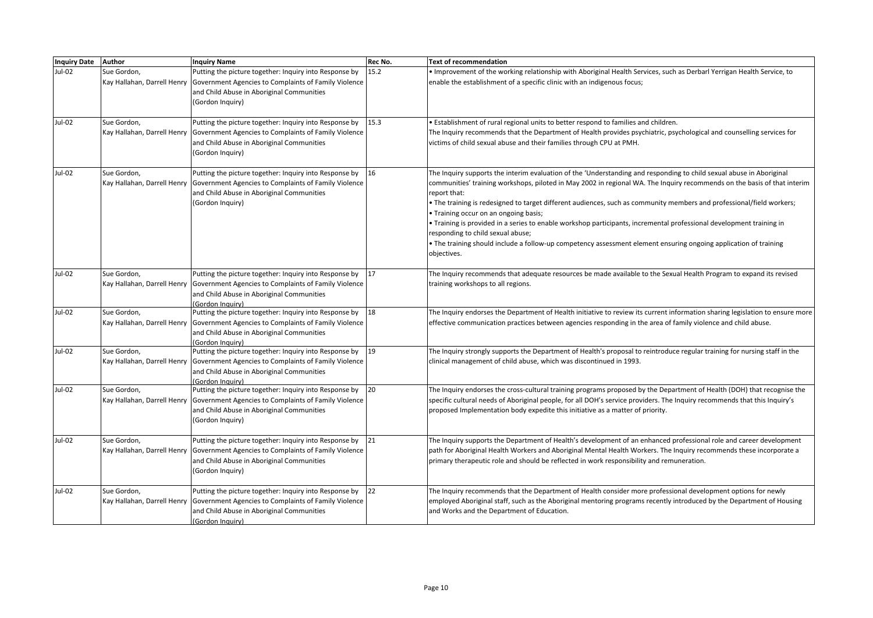| <b>Inquiry Date</b> | Author                                     | <b>Inquiry Name</b>                                                                                                                                                                                           | Rec No. | <b>Text of recommendation</b>                                                                                                                                                                                                                                                                                                                                                                                                                                                                                                                                                                                                                                                                                                      |
|---------------------|--------------------------------------------|---------------------------------------------------------------------------------------------------------------------------------------------------------------------------------------------------------------|---------|------------------------------------------------------------------------------------------------------------------------------------------------------------------------------------------------------------------------------------------------------------------------------------------------------------------------------------------------------------------------------------------------------------------------------------------------------------------------------------------------------------------------------------------------------------------------------------------------------------------------------------------------------------------------------------------------------------------------------------|
| Jul-02              | Sue Gordon,                                | Putting the picture together: Inquiry into Response by<br>Kay Hallahan, Darrell Henry Government Agencies to Complaints of Family Violence<br>and Child Abuse in Aboriginal Communities<br>(Gordon Inquiry)   | 15.2    | Improvement of the working relationship with Aboriginal Health Services, such as Derbarl Yerrigan Health Service, to<br>enable the establishment of a specific clinic with an indigenous focus;                                                                                                                                                                                                                                                                                                                                                                                                                                                                                                                                    |
| Jul-02              | Sue Gordon,<br>Kay Hallahan, Darrell Henry | Putting the picture together: Inquiry into Response by<br>Government Agencies to Complaints of Family Violence<br>and Child Abuse in Aboriginal Communities<br>(Gordon Inquiry)                               | 15.3    | · Establishment of rural regional units to better respond to families and children.<br>The Inquiry recommends that the Department of Health provides psychiatric, psychological and counselling services for<br>victims of child sexual abuse and their families through CPU at PMH.                                                                                                                                                                                                                                                                                                                                                                                                                                               |
| Jul-02              | Sue Gordon,<br>Kay Hallahan, Darrell Henry | Putting the picture together: Inquiry into Response by<br>Government Agencies to Complaints of Family Violence<br>and Child Abuse in Aboriginal Communities<br>(Gordon Inquiry)                               | 16      | The Inquiry supports the interim evaluation of the 'Understanding and responding to child sexual abuse in Aboriginal<br>communities' training workshops, piloted in May 2002 in regional WA. The Inquiry recommends on the basis of that interim<br>report that:<br>. The training is redesigned to target different audiences, such as community members and professional/field workers;<br>• Training occur on an ongoing basis;<br>• Training is provided in a series to enable workshop participants, incremental professional development training in<br>responding to child sexual abuse;<br>• The training should include a follow-up competency assessment element ensuring ongoing application of training<br>objectives. |
| Jul-02              | Sue Gordon,<br>Kay Hallahan, Darrell Henry | Putting the picture together: Inquiry into Response by<br>Government Agencies to Complaints of Family Violence<br>and Child Abuse in Aboriginal Communities<br>(Gordon Inquiry)                               | 17      | The Inquiry recommends that adequate resources be made available to the Sexual Health Program to expand its revised<br>training workshops to all regions.                                                                                                                                                                                                                                                                                                                                                                                                                                                                                                                                                                          |
| Jul-02              | Sue Gordon,<br>Kay Hallahan, Darrell Henry | Putting the picture together: Inquiry into Response by<br>Government Agencies to Complaints of Family Violence<br>and Child Abuse in Aboriginal Communities<br>(Gordon Inauiry)                               | 18      | The Inquiry endorses the Department of Health initiative to review its current information sharing legislation to ensure more<br>effective communication practices between agencies responding in the area of family violence and child abuse.                                                                                                                                                                                                                                                                                                                                                                                                                                                                                     |
| Jul-02              | Sue Gordon,<br>Kay Hallahan, Darrell Henry | Putting the picture together: Inquiry into Response by<br>Government Agencies to Complaints of Family Violence<br>and Child Abuse in Aboriginal Communities<br>(Gordon Inauirv)                               | 19      | The Inquiry strongly supports the Department of Health's proposal to reintroduce regular training for nursing staff in the<br>clinical management of child abuse, which was discontinued in 1993.                                                                                                                                                                                                                                                                                                                                                                                                                                                                                                                                  |
| Jul-02              | Sue Gordon,<br>Kay Hallahan, Darrell Henry | Putting the picture together: Inquiry into Response by<br>Government Agencies to Complaints of Family Violence<br>and Child Abuse in Aboriginal Communities<br>(Gordon Inquiry)                               | 20      | The Inquiry endorses the cross-cultural training programs proposed by the Department of Health (DOH) that recognise the<br>specific cultural needs of Aboriginal people, for all DOH's service providers. The Inquiry recommends that this Inquiry's<br>proposed Implementation body expedite this initiative as a matter of priority.                                                                                                                                                                                                                                                                                                                                                                                             |
| Jul-02              | Sue Gordon,                                | Putting the picture together: Inquiry into Response by<br>Kay Hallahan, Darrell Henry   Government Agencies to Complaints of Family Violence<br>and Child Abuse in Aboriginal Communities<br>(Gordon Inquiry) | 21      | The Inquiry supports the Department of Health's development of an enhanced professional role and career development<br>path for Aboriginal Health Workers and Aboriginal Mental Health Workers. The Inquiry recommends these incorporate a<br>primary therapeutic role and should be reflected in work responsibility and remuneration.                                                                                                                                                                                                                                                                                                                                                                                            |
| Jul-02              | Sue Gordon,<br>Kay Hallahan, Darrell Henry | Putting the picture together: Inquiry into Response by<br>Government Agencies to Complaints of Family Violence<br>and Child Abuse in Aboriginal Communities<br>(Gordon Inquiry)                               | 22      | The Inquiry recommends that the Department of Health consider more professional development options for newly<br>employed Aboriginal staff, such as the Aboriginal mentoring programs recently introduced by the Department of Housing<br>and Works and the Department of Education.                                                                                                                                                                                                                                                                                                                                                                                                                                               |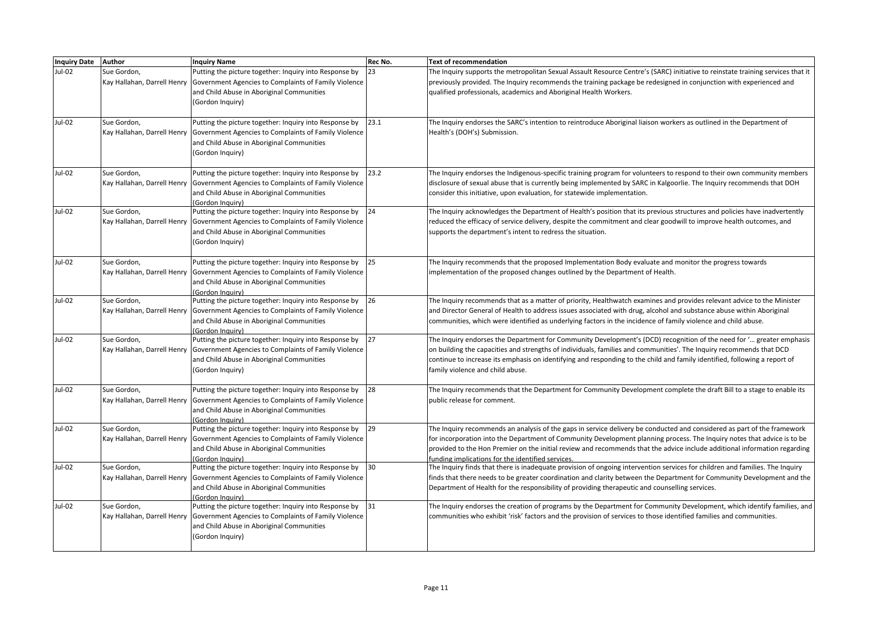| <b>Inquiry Date Author</b> |                             | <b>Inquiry Name</b>                                                                                            | Rec No. | Text of recommendation                                                                                                                                                                                                                        |
|----------------------------|-----------------------------|----------------------------------------------------------------------------------------------------------------|---------|-----------------------------------------------------------------------------------------------------------------------------------------------------------------------------------------------------------------------------------------------|
| Jul-02                     | Sue Gordon,                 | Putting the picture together: Inquiry into Response by                                                         | 23      | The Inquiry supports the metropolitan Sexual Assault Resource Centre's (SARC) initiative to reinstate training services that it                                                                                                               |
|                            |                             | Kay Hallahan, Darrell Henry   Government Agencies to Complaints of Family Violence                             |         | previously provided. The Inquiry recommends the training package be redesigned in conjunction with experienced and                                                                                                                            |
|                            |                             | and Child Abuse in Aboriginal Communities                                                                      |         | qualified professionals, academics and Aboriginal Health Workers.                                                                                                                                                                             |
|                            |                             | (Gordon Inquiry)                                                                                               |         |                                                                                                                                                                                                                                               |
|                            |                             |                                                                                                                |         |                                                                                                                                                                                                                                               |
| Jul-02                     | Sue Gordon,                 | Putting the picture together: Inquiry into Response by                                                         | 23.1    | The Inquiry endorses the SARC's intention to reintroduce Aboriginal liaison workers as outlined in the Department of                                                                                                                          |
|                            |                             | Kay Hallahan, Darrell Henry   Government Agencies to Complaints of Family Violence                             |         | Health's (DOH's) Submission.                                                                                                                                                                                                                  |
|                            |                             | and Child Abuse in Aboriginal Communities                                                                      |         |                                                                                                                                                                                                                                               |
|                            |                             | (Gordon Inquiry)                                                                                               |         |                                                                                                                                                                                                                                               |
| Jul-02                     | Sue Gordon,                 | Putting the picture together: Inquiry into Response by                                                         | 23.2    | The Inquiry endorses the Indigenous-specific training program for volunteers to respond to their own community members                                                                                                                        |
|                            |                             | Kay Hallahan, Darrell Henry Government Agencies to Complaints of Family Violence                               |         | disclosure of sexual abuse that is currently being implemented by SARC in Kalgoorlie. The Inquiry recommends that DOH                                                                                                                         |
|                            |                             | and Child Abuse in Aboriginal Communities                                                                      |         | consider this initiative, upon evaluation, for statewide implementation.                                                                                                                                                                      |
|                            |                             | (Gordon Inquiry)                                                                                               |         |                                                                                                                                                                                                                                               |
| Jul-02                     | Sue Gordon,                 | Putting the picture together: Inquiry into Response by                                                         | 24      | The Inquiry acknowledges the Department of Health's position that its previous structures and policies have inadvertently                                                                                                                     |
|                            |                             | Kay Hallahan, Darrell Henry   Government Agencies to Complaints of Family Violence                             |         | reduced the efficacy of service delivery, despite the commitment and clear goodwill to improve health outcomes, and                                                                                                                           |
|                            |                             | and Child Abuse in Aboriginal Communities                                                                      |         | supports the department's intent to redress the situation.                                                                                                                                                                                    |
|                            |                             | (Gordon Inquiry)                                                                                               |         |                                                                                                                                                                                                                                               |
| Jul-02                     | Sue Gordon,                 | Putting the picture together: Inquiry into Response by                                                         | 25      | The Inquiry recommends that the proposed Implementation Body evaluate and monitor the progress towards                                                                                                                                        |
|                            |                             | Kay Hallahan, Darrell Henry   Government Agencies to Complaints of Family Violence                             |         | implementation of the proposed changes outlined by the Department of Health.                                                                                                                                                                  |
|                            |                             | and Child Abuse in Aboriginal Communities                                                                      |         |                                                                                                                                                                                                                                               |
|                            |                             | (Gordon Inquiry)                                                                                               |         |                                                                                                                                                                                                                                               |
| Jul-02                     | Sue Gordon,                 | Putting the picture together: Inquiry into Response by                                                         | 26      | The Inquiry recommends that as a matter of priority, Healthwatch examines and provides relevant advice to the Minister                                                                                                                        |
|                            |                             | Kay Hallahan, Darrell Henry   Government Agencies to Complaints of Family Violence                             |         | and Director General of Health to address issues associated with drug, alcohol and substance abuse within Aboriginal                                                                                                                          |
|                            |                             | and Child Abuse in Aboriginal Communities                                                                      |         | communities, which were identified as underlying factors in the incidence of family violence and child abuse.                                                                                                                                 |
| Jul-02                     | Sue Gordon,                 | (Gordon Inauiry)<br>Putting the picture together: Inquiry into Response by                                     | 127     | The Inquiry endorses the Department for Community Development's (DCD) recognition of the need for ' greater emphasis                                                                                                                          |
|                            |                             | Kay Hallahan, Darrell Henry   Government Agencies to Complaints of Family Violence                             |         | on building the capacities and strengths of individuals, families and communities'. The Inquiry recommends that DCD                                                                                                                           |
|                            |                             | and Child Abuse in Aboriginal Communities                                                                      |         | continue to increase its emphasis on identifying and responding to the child and family identified, following a report of                                                                                                                     |
|                            |                             | (Gordon Inquiry)                                                                                               |         | family violence and child abuse.                                                                                                                                                                                                              |
|                            |                             |                                                                                                                |         |                                                                                                                                                                                                                                               |
| Jul-02                     | Sue Gordon,                 | Putting the picture together: Inquiry into Response by                                                         | 28      | The Inquiry recommends that the Department for Community Development complete the draft Bill to a stage to enable its                                                                                                                         |
|                            |                             | Kay Hallahan, Darrell Henry   Government Agencies to Complaints of Family Violence                             |         | public release for comment.                                                                                                                                                                                                                   |
|                            |                             | and Child Abuse in Aboriginal Communities                                                                      |         |                                                                                                                                                                                                                                               |
| Jul-02                     | Sue Gordon,                 | (Gordon Inauiry)<br>Putting the picture together: Inquiry into Response by                                     | 29      | The Inquiry recommends an analysis of the gaps in service delivery be conducted and considered as part of the framework                                                                                                                       |
|                            |                             | Kay Hallahan, Darrell Henry   Government Agencies to Complaints of Family Violence                             |         | for incorporation into the Department of Community Development planning process. The Inquiry notes that advice is to be                                                                                                                       |
|                            |                             | and Child Abuse in Aboriginal Communities                                                                      |         | provided to the Hon Premier on the initial review and recommends that the advice include additional information regarding                                                                                                                     |
|                            |                             | Gordon Inquiry)                                                                                                |         | funding implications for the identified services.                                                                                                                                                                                             |
| Jul-02                     | Sue Gordon,                 | Putting the picture together: Inquiry into Response by                                                         | 30      | The Inquiry finds that there is inadequate provision of ongoing intervention services for children and families. The Inquiry                                                                                                                  |
|                            |                             | Kay Hallahan, Darrell Henry   Government Agencies to Complaints of Family Violence                             |         | finds that there needs to be greater coordination and clarity between the Department for Community Development and the                                                                                                                        |
|                            |                             | and Child Abuse in Aboriginal Communities                                                                      |         | Department of Health for the responsibility of providing therapeutic and counselling services.                                                                                                                                                |
|                            |                             | (Gordon Inauirv)                                                                                               |         |                                                                                                                                                                                                                                               |
| Jul-02                     | Sue Gordon,                 | Putting the picture together: Inquiry into Response by<br>Government Agencies to Complaints of Family Violence | 31      | The Inquiry endorses the creation of programs by the Department for Community Development, which identify families, and<br>communities who exhibit 'risk' factors and the provision of services to those identified families and communities. |
|                            | Kay Hallahan, Darrell Henry |                                                                                                                |         |                                                                                                                                                                                                                                               |
|                            |                             | and Child Abuse in Aboriginal Communities<br>(Gordon Inquiry)                                                  |         |                                                                                                                                                                                                                                               |
|                            |                             |                                                                                                                |         |                                                                                                                                                                                                                                               |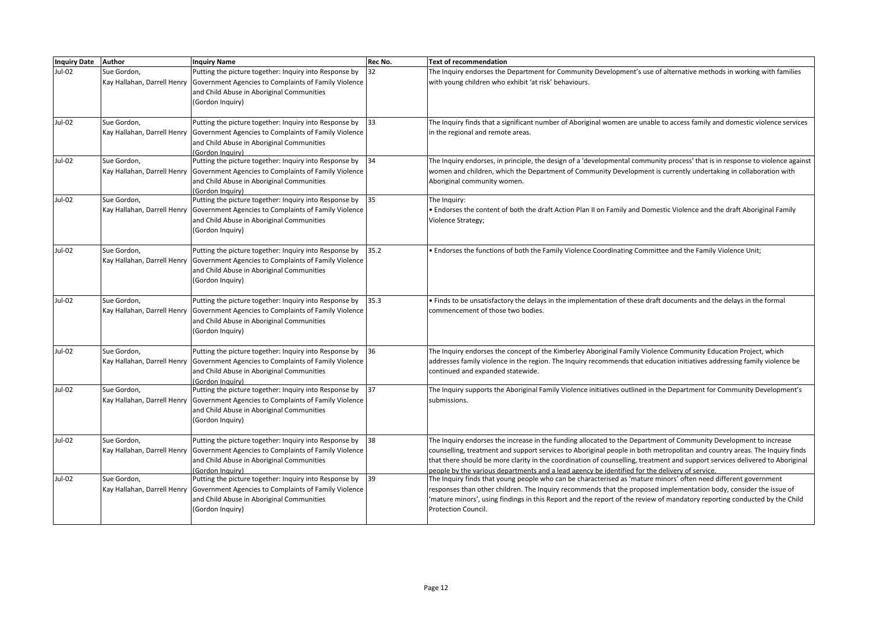| <b>Inquiry Date</b> | Author                                     | <b>Inquiry Name</b>                                                                                            | <b>Rec No.</b> | <b>Text of recommendation</b>                                                                                                                                                                                                                     |
|---------------------|--------------------------------------------|----------------------------------------------------------------------------------------------------------------|----------------|---------------------------------------------------------------------------------------------------------------------------------------------------------------------------------------------------------------------------------------------------|
| $Jul-02$            | Sue Gordon,                                | Putting the picture together: Inquiry into Response by                                                         | 32             | The Inquiry endorses the Department for Community Development's use of alternative methods in working with families                                                                                                                               |
|                     | Kay Hallahan, Darrell Henry                | Government Agencies to Complaints of Family Violence                                                           |                | with young children who exhibit 'at risk' behaviours.                                                                                                                                                                                             |
|                     |                                            | and Child Abuse in Aboriginal Communities<br>(Gordon Inquiry)                                                  |                |                                                                                                                                                                                                                                                   |
|                     |                                            |                                                                                                                |                |                                                                                                                                                                                                                                                   |
| Jul-02              | Sue Gordon,                                | Putting the picture together: Inquiry into Response by                                                         | 33             | The Inquiry finds that a significant number of Aboriginal women are unable to access family and domestic violence services                                                                                                                        |
|                     | Kay Hallahan, Darrell Henry                | Government Agencies to Complaints of Family Violence                                                           |                | in the regional and remote areas.                                                                                                                                                                                                                 |
|                     |                                            | and Child Abuse in Aboriginal Communities                                                                      |                |                                                                                                                                                                                                                                                   |
|                     |                                            | (Gordon Inguiry)                                                                                               |                |                                                                                                                                                                                                                                                   |
| Jul-02              | Sue Gordon,<br>Kay Hallahan, Darrell Henry | Putting the picture together: Inquiry into Response by<br>Government Agencies to Complaints of Family Violence | 34             | The Inquiry endorses, in principle, the design of a 'developmental community process' that is in response to violence against<br>women and children, which the Department of Community Development is currently undertaking in collaboration with |
|                     |                                            | and Child Abuse in Aboriginal Communities                                                                      |                | Aboriginal community women.                                                                                                                                                                                                                       |
|                     |                                            | (Gordon Inquirv)                                                                                               |                |                                                                                                                                                                                                                                                   |
| Jul-02              | Sue Gordon,                                | Putting the picture together: Inquiry into Response by                                                         | 35             | The Inquiry:                                                                                                                                                                                                                                      |
|                     | Kay Hallahan, Darrell Henry                | Government Agencies to Complaints of Family Violence                                                           |                | • Endorses the content of both the draft Action Plan II on Family and Domestic Violence and the draft Aboriginal Family                                                                                                                           |
|                     |                                            | and Child Abuse in Aboriginal Communities                                                                      |                | Violence Strategy;                                                                                                                                                                                                                                |
|                     |                                            | (Gordon Inquiry)                                                                                               |                |                                                                                                                                                                                                                                                   |
| <b>Jul-02</b>       | Sue Gordon,                                | Putting the picture together: Inquiry into Response by                                                         | 35.2           | . Endorses the functions of both the Family Violence Coordinating Committee and the Family Violence Unit;                                                                                                                                         |
|                     | Kay Hallahan, Darrell Henry                | Government Agencies to Complaints of Family Violence                                                           |                |                                                                                                                                                                                                                                                   |
|                     |                                            | and Child Abuse in Aboriginal Communities                                                                      |                |                                                                                                                                                                                                                                                   |
|                     |                                            | (Gordon Inquiry)                                                                                               |                |                                                                                                                                                                                                                                                   |
| Jul-02              | Sue Gordon.                                | Putting the picture together: Inquiry into Response by                                                         | 35.3           | · Finds to be unsatisfactory the delays in the implementation of these draft documents and the delays in the formal                                                                                                                               |
|                     |                                            | Kay Hallahan, Darrell Henry   Government Agencies to Complaints of Family Violence                             |                | commencement of those two bodies.                                                                                                                                                                                                                 |
|                     |                                            | and Child Abuse in Aboriginal Communities                                                                      |                |                                                                                                                                                                                                                                                   |
|                     |                                            | (Gordon Inquiry)                                                                                               |                |                                                                                                                                                                                                                                                   |
|                     |                                            |                                                                                                                |                |                                                                                                                                                                                                                                                   |
| Jul-02              | Sue Gordon,                                | Putting the picture together: Inquiry into Response by                                                         | 36             | The Inquiry endorses the concept of the Kimberley Aboriginal Family Violence Community Education Project, which                                                                                                                                   |
|                     |                                            | Kay Hallahan, Darrell Henry Government Agencies to Complaints of Family Violence                               |                | addresses family violence in the region. The Inquiry recommends that education initiatives addressing family violence be                                                                                                                          |
|                     |                                            | and Child Abuse in Aboriginal Communities<br>(Gordon Inquiry)                                                  |                | continued and expanded statewide.                                                                                                                                                                                                                 |
| Jul-02              | Sue Gordon,                                | Putting the picture together: Inquiry into Response by                                                         | 37             | The Inquiry supports the Aboriginal Family Violence initiatives outlined in the Department for Community Development's                                                                                                                            |
|                     | Kay Hallahan, Darrell Henry                | Government Agencies to Complaints of Family Violence                                                           |                | submissions.                                                                                                                                                                                                                                      |
|                     |                                            | and Child Abuse in Aboriginal Communities                                                                      |                |                                                                                                                                                                                                                                                   |
|                     |                                            | (Gordon Inquiry)                                                                                               |                |                                                                                                                                                                                                                                                   |
| <b>Jul-02</b>       | Sue Gordon,                                | Putting the picture together: Inquiry into Response by                                                         | 38             | The Inquiry endorses the increase in the funding allocated to the Department of Community Development to increase                                                                                                                                 |
|                     | Kay Hallahan, Darrell Henry                | Government Agencies to Complaints of Family Violence                                                           |                | counselling, treatment and support services to Aboriginal people in both metropolitan and country areas. The Inquiry finds                                                                                                                        |
|                     |                                            | and Child Abuse in Aboriginal Communities                                                                      |                | that there should be more clarity in the coordination of counselling, treatment and support services delivered to Aboriginal                                                                                                                      |
|                     |                                            | (Gordon Inauiry)                                                                                               |                | people by the various departments and a lead agency be identified for the delivery of service.                                                                                                                                                    |
| <b>Jul-02</b>       | Sue Gordon,                                | Putting the picture together: Inquiry into Response by                                                         | 39             | The Inquiry finds that young people who can be characterised as 'mature minors' often need different government                                                                                                                                   |
|                     | Kay Hallahan, Darrell Henry                | Government Agencies to Complaints of Family Violence                                                           |                | responses than other children. The Inquiry recommends that the proposed implementation body, consider the issue of                                                                                                                                |
|                     |                                            | and Child Abuse in Aboriginal Communities                                                                      |                | 'mature minors', using findings in this Report and the report of the review of mandatory reporting conducted by the Child                                                                                                                         |
|                     |                                            | (Gordon Inquiry)                                                                                               |                | Protection Council.                                                                                                                                                                                                                               |
|                     |                                            |                                                                                                                |                |                                                                                                                                                                                                                                                   |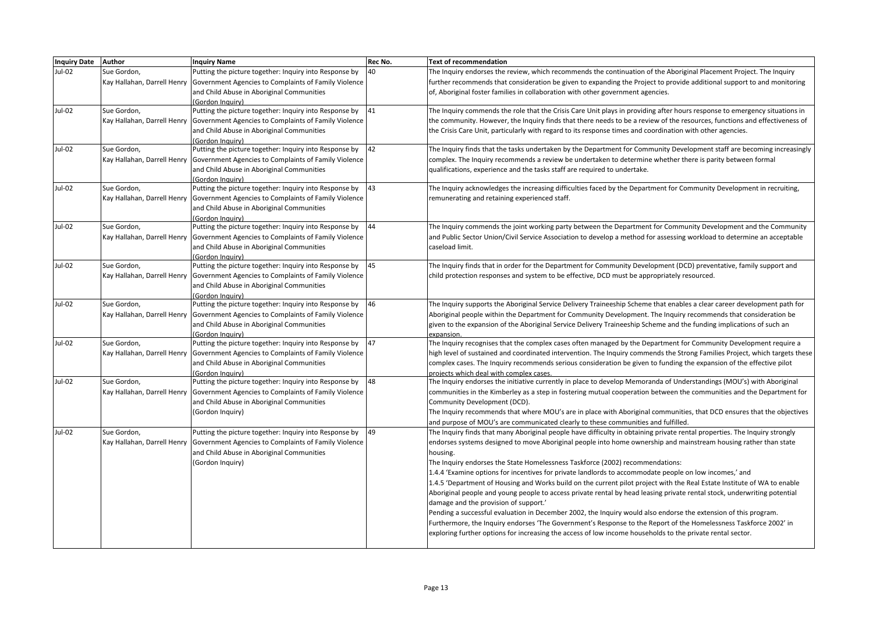| <b>Inquiry Date</b> | <b>Author</b> | <b>Inquiry Name</b>                                                              | Rec No. | <b>Text of recommendation</b>                                                                                                                                    |
|---------------------|---------------|----------------------------------------------------------------------------------|---------|------------------------------------------------------------------------------------------------------------------------------------------------------------------|
| Jul-02              | Sue Gordon,   | Putting the picture together: Inquiry into Response by                           | 40      | The Inquiry endorses the review, which recommends the continuation of the Aboriginal Placement Project. The Inquiry                                              |
|                     |               | Kay Hallahan, Darrell Henry Government Agencies to Complaints of Family Violence |         | further recommends that consideration be given to expanding the Project to provide additional support to and monitoring                                          |
|                     |               | and Child Abuse in Aboriginal Communities                                        |         | of, Aboriginal foster families in collaboration with other government agencies.                                                                                  |
|                     |               | (Gordon Inquiry)                                                                 |         |                                                                                                                                                                  |
| Jul-02              | Sue Gordon,   | Putting the picture together: Inquiry into Response by                           | 41      | The Inquiry commends the role that the Crisis Care Unit plays in providing after hours response to emergency situations in                                       |
|                     |               | Kay Hallahan, Darrell Henry Government Agencies to Complaints of Family Violence |         | the community. However, the Inquiry finds that there needs to be a review of the resources, functions and effectiveness of                                       |
|                     |               | and Child Abuse in Aboriginal Communities                                        |         | the Crisis Care Unit, particularly with regard to its response times and coordination with other agencies.                                                       |
| Jul-02              |               | (Gordon Inauiry)                                                                 | 42      |                                                                                                                                                                  |
|                     | Sue Gordon,   | Putting the picture together: Inquiry into Response by                           |         | The Inquiry finds that the tasks undertaken by the Department for Community Development staff are becoming increasingly                                          |
|                     |               | Kay Hallahan, Darrell Henry Government Agencies to Complaints of Family Violence |         | complex. The Inquiry recommends a review be undertaken to determine whether there is parity between formal                                                       |
|                     |               | and Child Abuse in Aboriginal Communities                                        |         | qualifications, experience and the tasks staff are required to undertake.                                                                                        |
| Jul-02              | Sue Gordon,   | (Gordon Inquiry)<br>Putting the picture together: Inquiry into Response by       | 43      | The Inquiry acknowledges the increasing difficulties faced by the Department for Community Development in recruiting,                                            |
|                     |               | Kay Hallahan, Darrell Henry Government Agencies to Complaints of Family Violence |         | remunerating and retaining experienced staff.                                                                                                                    |
|                     |               | and Child Abuse in Aboriginal Communities                                        |         |                                                                                                                                                                  |
|                     |               | (Gordon Inauiry)                                                                 |         |                                                                                                                                                                  |
| Jul-02              | Sue Gordon,   | Putting the picture together: Inquiry into Response by                           | 44      | The Inquiry commends the joint working party between the Department for Community Development and the Community                                                  |
|                     |               | Kay Hallahan, Darrell Henry Government Agencies to Complaints of Family Violence |         | and Public Sector Union/Civil Service Association to develop a method for assessing workload to determine an acceptable                                          |
|                     |               | and Child Abuse in Aboriginal Communities                                        |         | caseload limit.                                                                                                                                                  |
|                     |               | (Gordon Inquiry)                                                                 |         |                                                                                                                                                                  |
| Jul-02              | Sue Gordon,   | Putting the picture together: Inquiry into Response by                           | 45      | The Inquiry finds that in order for the Department for Community Development (DCD) preventative, family support and                                              |
|                     |               | Kay Hallahan, Darrell Henry Government Agencies to Complaints of Family Violence |         | child protection responses and system to be effective, DCD must be appropriately resourced.                                                                      |
|                     |               | and Child Abuse in Aboriginal Communities                                        |         |                                                                                                                                                                  |
|                     |               | (Gordon Inquiry)                                                                 |         |                                                                                                                                                                  |
| Jul-02              | Sue Gordon,   | Putting the picture together: Inquiry into Response by                           | 46      | The Inquiry supports the Aboriginal Service Delivery Traineeship Scheme that enables a clear career development path for                                         |
|                     |               | Kay Hallahan, Darrell Henry Government Agencies to Complaints of Family Violence |         | Aboriginal people within the Department for Community Development. The Inquiry recommends that consideration be                                                  |
|                     |               | and Child Abuse in Aboriginal Communities                                        |         | given to the expansion of the Aboriginal Service Delivery Traineeship Scheme and the funding implications of such an                                             |
|                     |               | (Gordon Inauiry)                                                                 |         | expansion.                                                                                                                                                       |
| Jul-02              | Sue Gordon,   | Putting the picture together: Inquiry into Response by                           | 47      | The Inquiry recognises that the complex cases often managed by the Department for Community Development require a                                                |
|                     |               | Kay Hallahan, Darrell Henry Government Agencies to Complaints of Family Violence |         | high level of sustained and coordinated intervention. The Inquiry commends the Strong Families Project, which targets these                                      |
|                     |               | and Child Abuse in Aboriginal Communities                                        |         | complex cases. The Inquiry recommends serious consideration be given to funding the expansion of the effective pilot                                             |
| Jul-02              | Sue Gordon,   | Gordon Inquiry)<br>Putting the picture together: Inquiry into Response by        | 48      | projects which deal with complex cases.<br>The Inquiry endorses the initiative currently in place to develop Memoranda of Understandings (MOU's) with Aboriginal |
|                     |               | Kay Hallahan, Darrell Henry Government Agencies to Complaints of Family Violence |         | communities in the Kimberley as a step in fostering mutual cooperation between the communities and the Department for                                            |
|                     |               | and Child Abuse in Aboriginal Communities                                        |         | Community Development (DCD).                                                                                                                                     |
|                     |               | (Gordon Inquiry)                                                                 |         | The Inquiry recommends that where MOU's are in place with Aboriginal communities, that DCD ensures that the objectives                                           |
|                     |               |                                                                                  |         | and purpose of MOU's are communicated clearly to these communities and fulfilled.                                                                                |
| <b>Jul-02</b>       | Sue Gordon,   | Putting the picture together: Inquiry into Response by                           | 49      | The Inquiry finds that many Aboriginal people have difficulty in obtaining private rental properties. The Inquiry strongly                                       |
|                     |               | Kay Hallahan, Darrell Henry Government Agencies to Complaints of Family Violence |         | endorses systems designed to move Aboriginal people into home ownership and mainstream housing rather than state                                                 |
|                     |               | and Child Abuse in Aboriginal Communities                                        |         | housing.                                                                                                                                                         |
|                     |               | (Gordon Inquiry)                                                                 |         | The Inquiry endorses the State Homelessness Taskforce (2002) recommendations:                                                                                    |
|                     |               |                                                                                  |         | 1.4.4 'Examine options for incentives for private landlords to accommodate people on low incomes,' and                                                           |
|                     |               |                                                                                  |         | 1.4.5 'Department of Housing and Works build on the current pilot project with the Real Estate Institute of WA to enable                                         |
|                     |               |                                                                                  |         | Aboriginal people and young people to access private rental by head leasing private rental stock, underwriting potential                                         |
|                     |               |                                                                                  |         | damage and the provision of support.'                                                                                                                            |
|                     |               |                                                                                  |         | Pending a successful evaluation in December 2002, the Inquiry would also endorse the extension of this program.                                                  |
|                     |               |                                                                                  |         | Furthermore, the Inquiry endorses 'The Government's Response to the Report of the Homelessness Taskforce 2002' in                                                |
|                     |               |                                                                                  |         | exploring further options for increasing the access of low income households to the private rental sector.                                                       |
|                     |               |                                                                                  |         |                                                                                                                                                                  |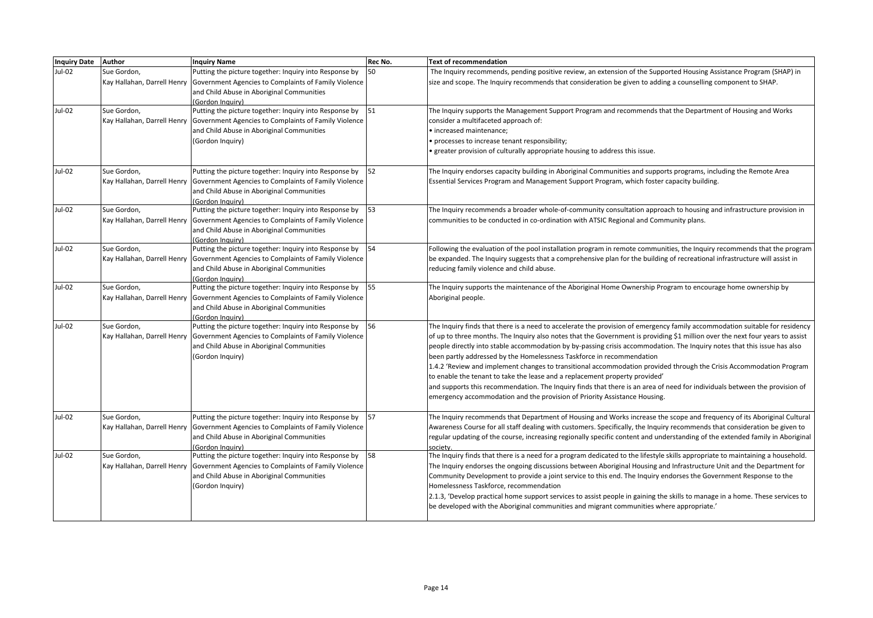| <b>Inquiry Date</b> | Author                                     | <b>Inquiry Name</b>                                                                                                                                                                                            | Rec No. | <b>Text of recommendation</b>                                                                                                                                                                                                                                                                                                                                                                                                                                                                                                                                                                                                                                                                                                                                                                                                                                                      |
|---------------------|--------------------------------------------|----------------------------------------------------------------------------------------------------------------------------------------------------------------------------------------------------------------|---------|------------------------------------------------------------------------------------------------------------------------------------------------------------------------------------------------------------------------------------------------------------------------------------------------------------------------------------------------------------------------------------------------------------------------------------------------------------------------------------------------------------------------------------------------------------------------------------------------------------------------------------------------------------------------------------------------------------------------------------------------------------------------------------------------------------------------------------------------------------------------------------|
| Jul-02              | Sue Gordon,                                | Putting the picture together: Inquiry into Response by<br>Kay Hallahan, Darrell Henry   Government Agencies to Complaints of Family Violence<br>and Child Abuse in Aboriginal Communities<br>(Gordon Inquiry)  | 50      | The Inquiry recommends, pending positive review, an extension of the Supported Housing Assistance Program (SHAP) in<br>size and scope. The Inquiry recommends that consideration be given to adding a counselling component to SHAP.                                                                                                                                                                                                                                                                                                                                                                                                                                                                                                                                                                                                                                               |
| <b>Jul-02</b>       | Sue Gordon,<br>Kay Hallahan, Darrell Henry | Putting the picture together: Inquiry into Response by 51<br>Government Agencies to Complaints of Family Violence<br>and Child Abuse in Aboriginal Communities<br>(Gordon Inquiry)                             |         | The Inquiry supports the Management Support Program and recommends that the Department of Housing and Works<br>consider a multifaceted approach of:<br>· increased maintenance;<br>• processes to increase tenant responsibility;<br>greater provision of culturally appropriate housing to address this issue.                                                                                                                                                                                                                                                                                                                                                                                                                                                                                                                                                                    |
| Jul-02              | Sue Gordon,                                | Putting the picture together: Inquiry into Response by<br>Kay Hallahan, Darrell Henry   Government Agencies to Complaints of Family Violence<br>and Child Abuse in Aboriginal Communities<br>(Gordon Inguiry)  | 52      | The Inquiry endorses capacity building in Aboriginal Communities and supports programs, including the Remote Area<br>Essential Services Program and Management Support Program, which foster capacity building.                                                                                                                                                                                                                                                                                                                                                                                                                                                                                                                                                                                                                                                                    |
| Jul-02              | Sue Gordon,                                | Putting the picture together: Inquiry into Response by<br>Kay Hallahan, Darrell Henry   Government Agencies to Complaints of Family Violence<br>and Child Abuse in Aboriginal Communities<br>(Gordon Inquiry)  | 53      | The Inquiry recommends a broader whole-of-community consultation approach to housing and infrastructure provision in<br>communities to be conducted in co-ordination with ATSIC Regional and Community plans.                                                                                                                                                                                                                                                                                                                                                                                                                                                                                                                                                                                                                                                                      |
| Jul-02              | Sue Gordon,                                | Putting the picture together: Inquiry into Response by 54<br>Kay Hallahan, Darrell Henry Government Agencies to Complaints of Family Violence<br>and Child Abuse in Aboriginal Communities<br>(Gordon Inquiry) |         | Following the evaluation of the pool installation program in remote communities, the Inquiry recommends that the program<br>be expanded. The Inquiry suggests that a comprehensive plan for the building of recreational infrastructure will assist in<br>reducing family violence and child abuse.                                                                                                                                                                                                                                                                                                                                                                                                                                                                                                                                                                                |
| Jul-02              | Sue Gordon,                                | Putting the picture together: Inquiry into Response by<br>Kay Hallahan, Darrell Henry   Government Agencies to Complaints of Family Violence<br>and Child Abuse in Aboriginal Communities<br>(Gordon Inquiry)  | 55      | The Inquiry supports the maintenance of the Aboriginal Home Ownership Program to encourage home ownership by<br>Aboriginal people.                                                                                                                                                                                                                                                                                                                                                                                                                                                                                                                                                                                                                                                                                                                                                 |
| Jul-02              | Sue Gordon,                                | Putting the picture together: Inquiry into Response by<br>Kay Hallahan, Darrell Henry   Government Agencies to Complaints of Family Violence<br>and Child Abuse in Aboriginal Communities<br>(Gordon Inquiry)  | 56      | The Inquiry finds that there is a need to accelerate the provision of emergency family accommodation suitable for residency<br>of up to three months. The Inquiry also notes that the Government is providing \$1 million over the next four years to assist<br>people directly into stable accommodation by by-passing crisis accommodation. The Inquiry notes that this issue has also<br>been partly addressed by the Homelessness Taskforce in recommendation<br>1.4.2 'Review and implement changes to transitional accommodation provided through the Crisis Accommodation Program<br>to enable the tenant to take the lease and a replacement property provided'<br>and supports this recommendation. The Inquiry finds that there is an area of need for individuals between the provision of<br>emergency accommodation and the provision of Priority Assistance Housing. |
| Jul-02              | Sue Gordon,                                | Putting the picture together: Inquiry into Response by<br>Kay Hallahan, Darrell Henry Government Agencies to Complaints of Family Violence<br>and Child Abuse in Aboriginal Communities<br>(Gordon Inquiry)    | 57      | The Inquiry recommends that Department of Housing and Works increase the scope and frequency of its Aboriginal Cultural<br>Awareness Course for all staff dealing with customers. Specifically, the Inquiry recommends that consideration be given to<br>regular updating of the course, increasing regionally specific content and understanding of the extended family in Aboriginal<br>society                                                                                                                                                                                                                                                                                                                                                                                                                                                                                  |
| Jul-02              | Sue Gordon,                                | Putting the picture together: Inquiry into Response by 58<br>Kay Hallahan, Darrell Henry Government Agencies to Complaints of Family Violence<br>and Child Abuse in Aboriginal Communities<br>(Gordon Inquiry) |         | The Inquiry finds that there is a need for a program dedicated to the lifestyle skills appropriate to maintaining a household.<br>The Inquiry endorses the ongoing discussions between Aboriginal Housing and Infrastructure Unit and the Department for<br>Community Development to provide a joint service to this end. The Inquiry endorses the Government Response to the<br>Homelessness Taskforce, recommendation<br>2.1.3, 'Develop practical home support services to assist people in gaining the skills to manage in a home. These services to<br>be developed with the Aboriginal communities and migrant communities where appropriate.                                                                                                                                                                                                                                |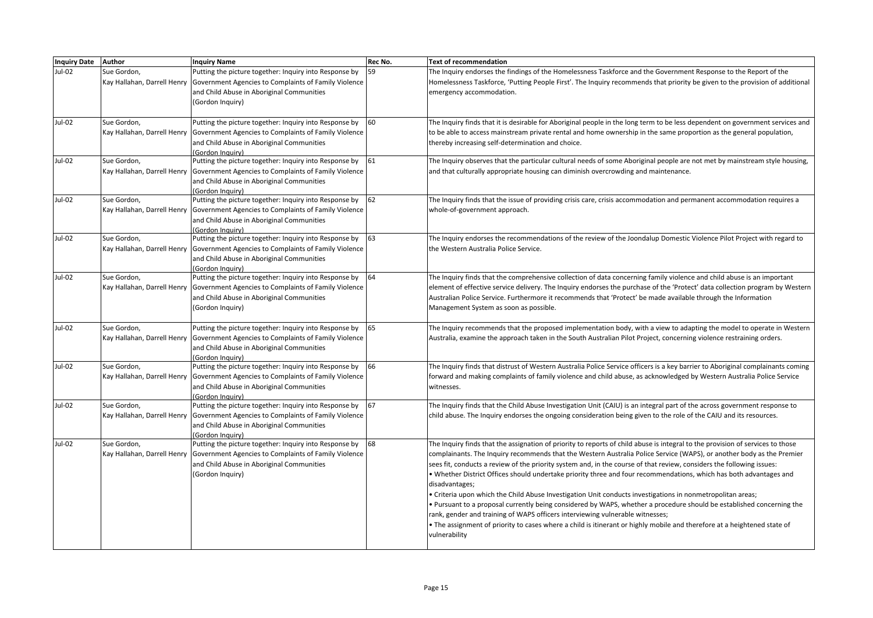| <b>Inquiry Date</b> | Author                      | <b>Inquiry Name</b>                                                                                                                        | Rec No. | Text of recommendation                                                                                                                                                                                                                                  |
|---------------------|-----------------------------|--------------------------------------------------------------------------------------------------------------------------------------------|---------|---------------------------------------------------------------------------------------------------------------------------------------------------------------------------------------------------------------------------------------------------------|
| $Jul-02$            | Sue Gordon,                 | Putting the picture together: Inquiry into Response by                                                                                     | 59      | The Inguiry endorses the findings of the Homelessness Taskforce and the Government Response to the Report of the                                                                                                                                        |
|                     |                             | Kay Hallahan, Darrell Henry Government Agencies to Complaints of Family Violence                                                           |         | Homelessness Taskforce, 'Putting People First'. The Inquiry recommends that priority be given to the provision of additional                                                                                                                            |
|                     |                             | and Child Abuse in Aboriginal Communities                                                                                                  |         | emergency accommodation.                                                                                                                                                                                                                                |
|                     |                             | (Gordon Inquiry)                                                                                                                           |         |                                                                                                                                                                                                                                                         |
|                     |                             |                                                                                                                                            |         |                                                                                                                                                                                                                                                         |
| Jul-02              | Sue Gordon,                 | Putting the picture together: Inquiry into Response by                                                                                     | 60      | The Inquiry finds that it is desirable for Aboriginal people in the long term to be less dependent on government services and                                                                                                                           |
|                     |                             | Kay Hallahan, Darrell Henry Government Agencies to Complaints of Family Violence                                                           |         | to be able to access mainstream private rental and home ownership in the same proportion as the general population,                                                                                                                                     |
|                     |                             | and Child Abuse in Aboriginal Communities                                                                                                  |         | thereby increasing self-determination and choice.                                                                                                                                                                                                       |
|                     |                             | (Gordon Inauiry)                                                                                                                           |         |                                                                                                                                                                                                                                                         |
| Jul-02              | Sue Gordon,                 | Putting the picture together: Inquiry into Response by                                                                                     | 61      | The Inquiry observes that the particular cultural needs of some Aboriginal people are not met by mainstream style housing,                                                                                                                              |
|                     |                             | Kay Hallahan, Darrell Henry   Government Agencies to Complaints of Family Violence                                                         |         | and that culturally appropriate housing can diminish overcrowding and maintenance.                                                                                                                                                                      |
|                     |                             | and Child Abuse in Aboriginal Communities                                                                                                  |         |                                                                                                                                                                                                                                                         |
|                     |                             | (Gordon Inguiry)                                                                                                                           | 62      |                                                                                                                                                                                                                                                         |
| Jul-02              | Sue Gordon,                 | Putting the picture together: Inquiry into Response by                                                                                     |         | The Inquiry finds that the issue of providing crisis care, crisis accommodation and permanent accommodation requires a                                                                                                                                  |
|                     |                             | Kay Hallahan, Darrell Henry   Government Agencies to Complaints of Family Violence                                                         |         | whole-of-government approach.                                                                                                                                                                                                                           |
|                     |                             | and Child Abuse in Aboriginal Communities<br>(Gordon Inauiry)                                                                              |         |                                                                                                                                                                                                                                                         |
| Jul-02              | Sue Gordon,                 | Putting the picture together: Inquiry into Response by                                                                                     | 63      | The Inquiry endorses the recommendations of the review of the Joondalup Domestic Violence Pilot Project with regard to                                                                                                                                  |
|                     | Kay Hallahan, Darrell Henry | Government Agencies to Complaints of Family Violence                                                                                       |         | the Western Australia Police Service.                                                                                                                                                                                                                   |
|                     |                             | and Child Abuse in Aboriginal Communities                                                                                                  |         |                                                                                                                                                                                                                                                         |
|                     |                             | (Gordon Inauiry)                                                                                                                           |         |                                                                                                                                                                                                                                                         |
| Jul-02              | Sue Gordon,                 | Putting the picture together: Inquiry into Response by                                                                                     | 64      | The Inquiry finds that the comprehensive collection of data concerning family violence and child abuse is an important                                                                                                                                  |
|                     |                             | Kay Hallahan, Darrell Henry   Government Agencies to Complaints of Family Violence                                                         |         | element of effective service delivery. The Inquiry endorses the purchase of the 'Protect' data collection program by Western                                                                                                                            |
|                     |                             | and Child Abuse in Aboriginal Communities                                                                                                  |         | Australian Police Service. Furthermore it recommends that 'Protect' be made available through the Information                                                                                                                                           |
|                     |                             | (Gordon Inquiry)                                                                                                                           |         | Management System as soon as possible.                                                                                                                                                                                                                  |
|                     |                             |                                                                                                                                            |         |                                                                                                                                                                                                                                                         |
| Jul-02              | Sue Gordon,                 | Putting the picture together: Inquiry into Response by                                                                                     | 65      | The Inquiry recommends that the proposed implementation body, with a view to adapting the model to operate in Western                                                                                                                                   |
|                     |                             | Kay Hallahan, Darrell Henry   Government Agencies to Complaints of Family Violence                                                         |         | Australia, examine the approach taken in the South Australian Pilot Project, concerning violence restraining orders.                                                                                                                                    |
|                     |                             | and Child Abuse in Aboriginal Communities                                                                                                  |         |                                                                                                                                                                                                                                                         |
|                     |                             | (Gordon Inauiry)                                                                                                                           |         |                                                                                                                                                                                                                                                         |
| Jul-02              | Sue Gordon,                 | Putting the picture together: Inquiry into Response by                                                                                     | 66      | The Inquiry finds that distrust of Western Australia Police Service officers is a key barrier to Aboriginal complainants coming                                                                                                                         |
|                     |                             | Kay Hallahan, Darrell Henry   Government Agencies to Complaints of Family Violence                                                         |         | forward and making complaints of family violence and child abuse, as acknowledged by Western Australia Police Service                                                                                                                                   |
|                     |                             | and Child Abuse in Aboriginal Communities                                                                                                  |         | witnesses.                                                                                                                                                                                                                                              |
|                     |                             | (Gordon Inquiry)                                                                                                                           |         |                                                                                                                                                                                                                                                         |
| Jul-02              | Sue Gordon,                 | Putting the picture together: Inquiry into Response by                                                                                     | 67      | The Inquiry finds that the Child Abuse Investigation Unit (CAIU) is an integral part of the across government response to                                                                                                                               |
|                     |                             | Kay Hallahan, Darrell Henry   Government Agencies to Complaints of Family Violence                                                         |         | child abuse. The Inquiry endorses the ongoing consideration being given to the role of the CAIU and its resources.                                                                                                                                      |
|                     |                             | and Child Abuse in Aboriginal Communities                                                                                                  |         |                                                                                                                                                                                                                                                         |
| Jul-02              |                             | (Gordon Inauiry)                                                                                                                           | 68      |                                                                                                                                                                                                                                                         |
|                     | Sue Gordon,                 | Putting the picture together: Inquiry into Response by<br>Kay Hallahan, Darrell Henry Government Agencies to Complaints of Family Violence |         | The Inquiry finds that the assignation of priority to reports of child abuse is integral to the provision of services to those<br>complainants. The Inquiry recommends that the Western Australia Police Service (WAPS), or another body as the Premier |
|                     |                             |                                                                                                                                            |         |                                                                                                                                                                                                                                                         |
|                     |                             | and Child Abuse in Aboriginal Communities<br>(Gordon Inquiry)                                                                              |         | sees fit, conducts a review of the priority system and, in the course of that review, considers the following issues:<br>. Whether District Offices should undertake priority three and four recommendations, which has both advantages and             |
|                     |                             |                                                                                                                                            |         |                                                                                                                                                                                                                                                         |
|                     |                             |                                                                                                                                            |         | disadvantages;<br>• Criteria upon which the Child Abuse Investigation Unit conducts investigations in nonmetropolitan areas;                                                                                                                            |
|                     |                             |                                                                                                                                            |         | . Pursuant to a proposal currently being considered by WAPS, whether a procedure should be established concerning the                                                                                                                                   |
|                     |                             |                                                                                                                                            |         | rank, gender and training of WAPS officers interviewing vulnerable witnesses;                                                                                                                                                                           |
|                     |                             |                                                                                                                                            |         | . The assignment of priority to cases where a child is itinerant or highly mobile and therefore at a heightened state of                                                                                                                                |
|                     |                             |                                                                                                                                            |         | vulnerability                                                                                                                                                                                                                                           |
|                     |                             |                                                                                                                                            |         |                                                                                                                                                                                                                                                         |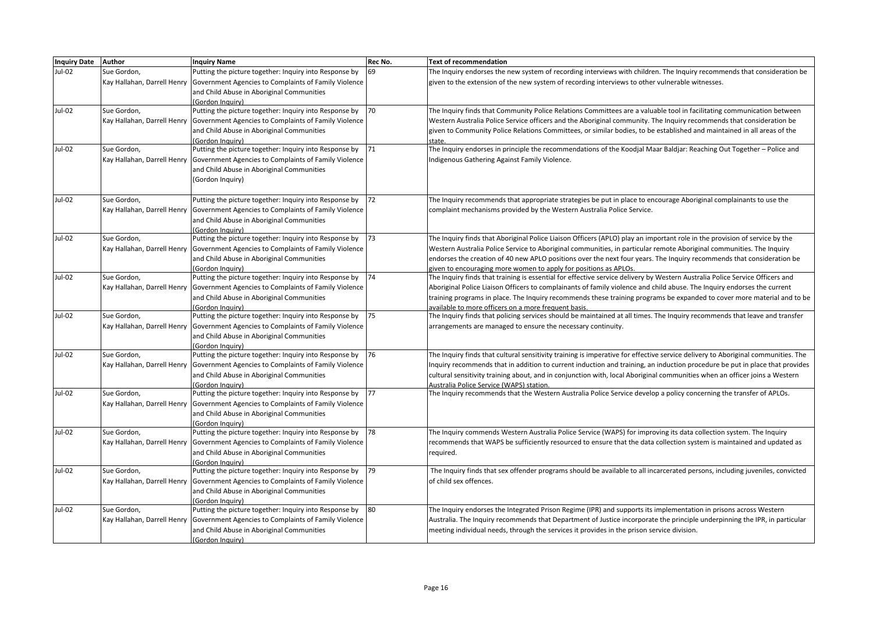| Inquiry Date Author |                             | <b>Inquiry Name</b>                                                                               | Rec No. | <b>Text of recommendation</b>                                                                                                    |
|---------------------|-----------------------------|---------------------------------------------------------------------------------------------------|---------|----------------------------------------------------------------------------------------------------------------------------------|
| Jul-02              | Sue Gordon,                 | Putting the picture together: Inquiry into Response by                                            | 69      | The Inquiry endorses the new system of recording interviews with children. The Inquiry recommends that consideration be          |
|                     |                             | Kay Hallahan, Darrell Henry   Government Agencies to Complaints of Family Violence                |         | given to the extension of the new system of recording interviews to other vulnerable witnesses.                                  |
|                     |                             | and Child Abuse in Aboriginal Communities                                                         |         |                                                                                                                                  |
|                     |                             | (Gordon Inauiry)                                                                                  |         |                                                                                                                                  |
| Jul-02              | Sue Gordon,                 | Putting the picture together: Inquiry into Response by                                            | 70      | The Inquiry finds that Community Police Relations Committees are a valuable tool in facilitating communication between           |
|                     |                             | Kay Hallahan, Darrell Henry Government Agencies to Complaints of Family Violence                  |         | Western Australia Police Service officers and the Aboriginal community. The Inquiry recommends that consideration be             |
|                     |                             | and Child Abuse in Aboriginal Communities                                                         |         | given to Community Police Relations Committees, or similar bodies, to be established and maintained in all areas of the          |
|                     |                             | (Gordon Inguiry)                                                                                  |         | state.                                                                                                                           |
| Jul-02              | Sue Gordon,                 | Putting the picture together: Inquiry into Response by                                            | 71      | The Inquiry endorses in principle the recommendations of the Koodjal Maar Baldjar: Reaching Out Together - Police and            |
|                     |                             | Kay Hallahan, Darrell Henry Government Agencies to Complaints of Family Violence                  |         | Indigenous Gathering Against Family Violence.                                                                                    |
|                     |                             | and Child Abuse in Aboriginal Communities                                                         |         |                                                                                                                                  |
|                     |                             | (Gordon Inquiry)                                                                                  |         |                                                                                                                                  |
| Jul-02              | Sue Gordon,                 | Putting the picture together: Inquiry into Response by                                            | 72      | The Inquiry recommends that appropriate strategies be put in place to encourage Aboriginal complainants to use the               |
|                     |                             | Kay Hallahan, Darrell Henry Government Agencies to Complaints of Family Violence                  |         | complaint mechanisms provided by the Western Australia Police Service.                                                           |
|                     |                             | and Child Abuse in Aboriginal Communities                                                         |         |                                                                                                                                  |
|                     |                             | (Gordon Inquiry)                                                                                  |         |                                                                                                                                  |
| Jul-02              | Sue Gordon,                 | Putting the picture together: Inquiry into Response by                                            | 73      | The Inquiry finds that Aboriginal Police Liaison Officers (APLO) play an important role in the provision of service by the       |
|                     |                             | Kay Hallahan, Darrell Henry Government Agencies to Complaints of Family Violence                  |         | Western Australia Police Service to Aboriginal communities, in particular remote Aboriginal communities. The Inquiry             |
|                     |                             | and Child Abuse in Aboriginal Communities                                                         |         | endorses the creation of 40 new APLO positions over the next four years. The Inquiry recommends that consideration be            |
|                     |                             | (Gordon Inauirv)                                                                                  |         | given to encouraging more women to apply for positions as APLOs.                                                                 |
| Jul-02              | Sue Gordon,                 | Putting the picture together: Inquiry into Response by                                            | 74      | The Inquiry finds that training is essential for effective service delivery by Western Australia Police Service Officers and     |
|                     |                             | Kay Hallahan, Darrell Henry Government Agencies to Complaints of Family Violence                  |         | Aboriginal Police Liaison Officers to complainants of family violence and child abuse. The Inquiry endorses the current          |
|                     |                             | and Child Abuse in Aboriginal Communities                                                         |         | training programs in place. The Inquiry recommends these training programs be expanded to cover more material and to be          |
|                     |                             | (Gordon Inguiry)                                                                                  |         | available to more officers on a more frequent basis.                                                                             |
| Jul-02              | Sue Gordon,                 | Putting the picture together: Inquiry into Response by                                            | 75      | The Inquiry finds that policing services should be maintained at all times. The Inquiry recommends that leave and transfer       |
|                     |                             | Kay Hallahan, Darrell Henry   Government Agencies to Complaints of Family Violence                |         | arrangements are managed to ensure the necessary continuity.                                                                     |
|                     |                             | and Child Abuse in Aboriginal Communities                                                         |         |                                                                                                                                  |
|                     |                             | (Gordon Inguiry)                                                                                  |         |                                                                                                                                  |
| Jul-02              | Sue Gordon,                 | Putting the picture together: Inquiry into Response by                                            | 76      | The Inquiry finds that cultural sensitivity training is imperative for effective service delivery to Aboriginal communities. The |
|                     |                             | Kay Hallahan, Darrell Henry Government Agencies to Complaints of Family Violence                  |         | Inquiry recommends that in addition to current induction and training, an induction procedure be put in place that provides      |
|                     |                             | and Child Abuse in Aboriginal Communities                                                         |         | cultural sensitivity training about, and in conjunction with, local Aboriginal communities when an officer joins a Western       |
|                     |                             | (Gordon Inquiry)                                                                                  |         | Australia Police Service (WAPS) station.                                                                                         |
| Jul-02              | Sue Gordon,                 | Putting the picture together: Inquiry into Response by                                            | 77      | The Inquiry recommends that the Western Australia Police Service develop a policy concerning the transfer of APLOs.              |
|                     |                             | Kay Hallahan, Darrell Henry   Government Agencies to Complaints of Family Violence                |         |                                                                                                                                  |
|                     |                             | and Child Abuse in Aboriginal Communities                                                         |         |                                                                                                                                  |
| Jul-02              |                             | (Gordon Inquiry)                                                                                  | 78      |                                                                                                                                  |
|                     | Sue Gordon,                 | Putting the picture together: Inquiry into Response by                                            |         | The Inquiry commends Western Australia Police Service (WAPS) for improving its data collection system. The Inquiry               |
|                     | Kay Hallahan, Darrell Henry | Government Agencies to Complaints of Family Violence<br>and Child Abuse in Aboriginal Communities |         | recommends that WAPS be sufficiently resourced to ensure that the data collection system is maintained and updated as            |
|                     |                             | (Gordon Inquiry)                                                                                  |         | required.                                                                                                                        |
| Jul-02              | Sue Gordon,                 | Putting the picture together: Inquiry into Response by                                            | 79      | The Inquiry finds that sex offender programs should be available to all incarcerated persons, including juveniles, convicted     |
|                     |                             | Kay Hallahan, Darrell Henry Government Agencies to Complaints of Family Violence                  |         | of child sex offences.                                                                                                           |
|                     |                             | and Child Abuse in Aboriginal Communities                                                         |         |                                                                                                                                  |
|                     |                             | (Gordon Inquiry)                                                                                  |         |                                                                                                                                  |
| Jul-02              | Sue Gordon,                 | Putting the picture together: Inquiry into Response by                                            | 80      | The Inquiry endorses the Integrated Prison Regime (IPR) and supports its implementation in prisons across Western                |
|                     |                             | Kay Hallahan, Darrell Henry Government Agencies to Complaints of Family Violence                  |         | Australia. The Inquiry recommends that Department of Justice incorporate the principle underpinning the IPR, in particular       |
|                     |                             | and Child Abuse in Aboriginal Communities                                                         |         | meeting individual needs, through the services it provides in the prison service division.                                       |
|                     |                             | (Gordon Inquiry)                                                                                  |         |                                                                                                                                  |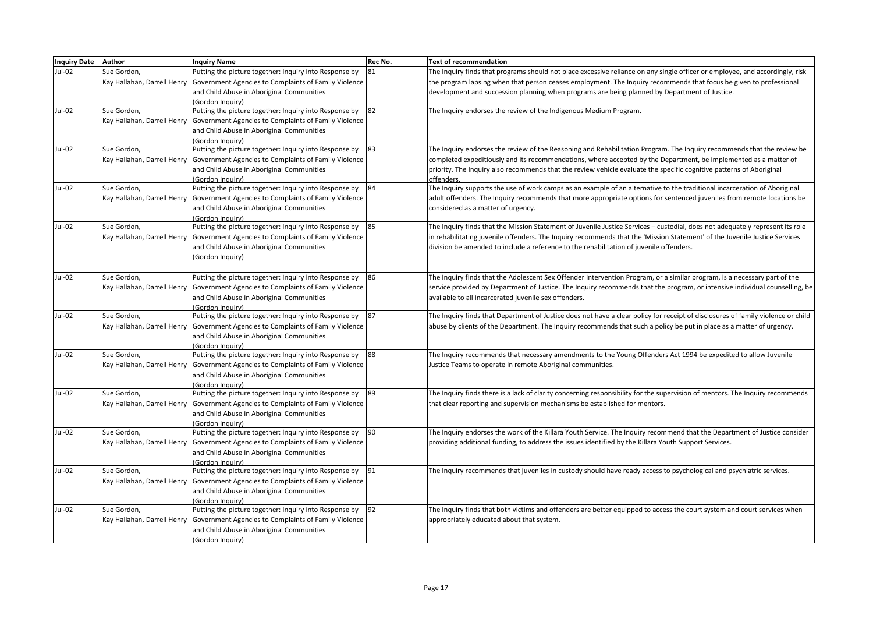| <b>Inquiry Date</b> | Author                      | <b>Inquiry Name</b>                                                                | Rec No. | <b>Text of recommendation</b>                                                                                                    |
|---------------------|-----------------------------|------------------------------------------------------------------------------------|---------|----------------------------------------------------------------------------------------------------------------------------------|
| Jul-02              | Sue Gordon,                 | Putting the picture together: Inquiry into Response by                             | 81      | The Inquiry finds that programs should not place excessive reliance on any single officer or employee, and accordingly, risk     |
|                     |                             | Kay Hallahan, Darrell Henry   Government Agencies to Complaints of Family Violence |         | the program lapsing when that person ceases employment. The Inquiry recommends that focus be given to professional               |
|                     |                             | and Child Abuse in Aboriginal Communities                                          |         | development and succession planning when programs are being planned by Department of Justice.                                    |
|                     |                             | Gordon Inquiry)                                                                    |         |                                                                                                                                  |
| Jul-02              | Sue Gordon,                 | Putting the picture together: Inquiry into Response by                             | 82      | The Inquiry endorses the review of the Indigenous Medium Program.                                                                |
|                     |                             | Kay Hallahan, Darrell Henry   Government Agencies to Complaints of Family Violence |         |                                                                                                                                  |
|                     |                             | and Child Abuse in Aboriginal Communities                                          |         |                                                                                                                                  |
|                     |                             | Gordon Inquiry)                                                                    |         |                                                                                                                                  |
| Jul-02              | Sue Gordon,                 | Putting the picture together: Inquiry into Response by                             | 83      | The Inquiry endorses the review of the Reasoning and Rehabilitation Program. The Inquiry recommends that the review be           |
|                     |                             | Kay Hallahan, Darrell Henry   Government Agencies to Complaints of Family Violence |         | completed expeditiously and its recommendations, where accepted by the Department, be implemented as a matter of                 |
|                     |                             | and Child Abuse in Aboriginal Communities                                          |         | priority. The Inquiry also recommends that the review vehicle evaluate the specific cognitive patterns of Aboriginal             |
|                     |                             | (Gordon Inquiry)                                                                   |         | offenders.                                                                                                                       |
| Jul-02              | Sue Gordon,                 | Putting the picture together: Inquiry into Response by                             | 84      | The Inquiry supports the use of work camps as an example of an alternative to the traditional incarceration of Aboriginal        |
|                     | Kay Hallahan, Darrell Henry | Government Agencies to Complaints of Family Violence                               |         | adult offenders. The Inquiry recommends that more appropriate options for sentenced juveniles from remote locations be           |
|                     |                             | and Child Abuse in Aboriginal Communities                                          |         | considered as a matter of urgency.                                                                                               |
|                     |                             | (Gordon Inquiry)                                                                   |         |                                                                                                                                  |
| Jul-02              | Sue Gordon,                 | Putting the picture together: Inquiry into Response by                             | 85      | The Inquiry finds that the Mission Statement of Juvenile Justice Services - custodial, does not adequately represent its role    |
|                     | Kay Hallahan, Darrell Henry | Government Agencies to Complaints of Family Violence                               |         | in rehabilitating juvenile offenders. The Inquiry recommends that the 'Mission Statement' of the Juvenile Justice Services       |
|                     |                             | and Child Abuse in Aboriginal Communities                                          |         | division be amended to include a reference to the rehabilitation of juvenile offenders.                                          |
|                     |                             | (Gordon Inquiry)                                                                   |         |                                                                                                                                  |
|                     |                             |                                                                                    |         |                                                                                                                                  |
| <b>Jul-02</b>       | Sue Gordon,                 | Putting the picture together: Inquiry into Response by                             | 86      | The Inquiry finds that the Adolescent Sex Offender Intervention Program, or a similar program, is a necessary part of the        |
|                     |                             | Kay Hallahan, Darrell Henry   Government Agencies to Complaints of Family Violence |         | service provided by Department of Justice. The Inquiry recommends that the program, or intensive individual counselling, be      |
|                     |                             | and Child Abuse in Aboriginal Communities                                          |         | available to all incarcerated juvenile sex offenders.                                                                            |
|                     |                             | (Gordon Inguiry)                                                                   |         |                                                                                                                                  |
| Jul-02              | Sue Gordon,                 | Putting the picture together: Inquiry into Response by                             | 87      | The Inquiry finds that Department of Justice does not have a clear policy for receipt of disclosures of family violence or child |
|                     | Kay Hallahan, Darrell Henry | Government Agencies to Complaints of Family Violence                               |         | abuse by clients of the Department. The Inquiry recommends that such a policy be put in place as a matter of urgency.            |
|                     |                             | and Child Abuse in Aboriginal Communities                                          |         |                                                                                                                                  |
|                     |                             | (Gordon Inguiry)                                                                   |         |                                                                                                                                  |
| Jul-02              | Sue Gordon,                 | Putting the picture together: Inquiry into Response by                             | 88      | The Inquiry recommends that necessary amendments to the Young Offenders Act 1994 be expedited to allow Juvenile                  |
|                     | Kay Hallahan, Darrell Henry | Government Agencies to Complaints of Family Violence                               |         | Justice Teams to operate in remote Aboriginal communities.                                                                       |
|                     |                             | and Child Abuse in Aboriginal Communities                                          |         |                                                                                                                                  |
|                     |                             | (Gordon Inquiry)                                                                   |         |                                                                                                                                  |
| Jul-02              | Sue Gordon,                 | Putting the picture together: Inquiry into Response by                             | 89      | The Inquiry finds there is a lack of clarity concerning responsibility for the supervision of mentors. The Inquiry recommends    |
|                     | Kay Hallahan, Darrell Henry | Government Agencies to Complaints of Family Violence                               |         | that clear reporting and supervision mechanisms be established for mentors.                                                      |
|                     |                             | and Child Abuse in Aboriginal Communities                                          |         |                                                                                                                                  |
|                     |                             | (Gordon Inquiry)                                                                   |         |                                                                                                                                  |
| Jul-02              | Sue Gordon,                 | Putting the picture together: Inquiry into Response by                             | 90      | The Inquiry endorses the work of the Killara Youth Service. The Inquiry recommend that the Department of Justice consider        |
|                     | Kay Hallahan, Darrell Henry | Government Agencies to Complaints of Family Violence                               |         | providing additional funding, to address the issues identified by the Killara Youth Support Services.                            |
|                     |                             | and Child Abuse in Aboriginal Communities                                          |         |                                                                                                                                  |
|                     |                             | Gordon Inquiry)                                                                    |         |                                                                                                                                  |
| Jul-02              | Sue Gordon,                 | Putting the picture together: Inquiry into Response by                             | 91      | The Inquiry recommends that juveniles in custody should have ready access to psychological and psychiatric services.             |
|                     |                             | Kay Hallahan, Darrell Henry   Government Agencies to Complaints of Family Violence |         |                                                                                                                                  |
|                     |                             | and Child Abuse in Aboriginal Communities                                          |         |                                                                                                                                  |
|                     |                             | (Gordon Inquiry)                                                                   |         |                                                                                                                                  |
| Jul-02              | Sue Gordon,                 | Putting the picture together: Inquiry into Response by                             | 92      | The Inquiry finds that both victims and offenders are better equipped to access the court system and court services when         |
|                     |                             | Kay Hallahan, Darrell Henry   Government Agencies to Complaints of Family Violence |         | appropriately educated about that system.                                                                                        |
|                     |                             | and Child Abuse in Aboriginal Communities                                          |         |                                                                                                                                  |
|                     |                             | (Gordon Inquiry)                                                                   |         |                                                                                                                                  |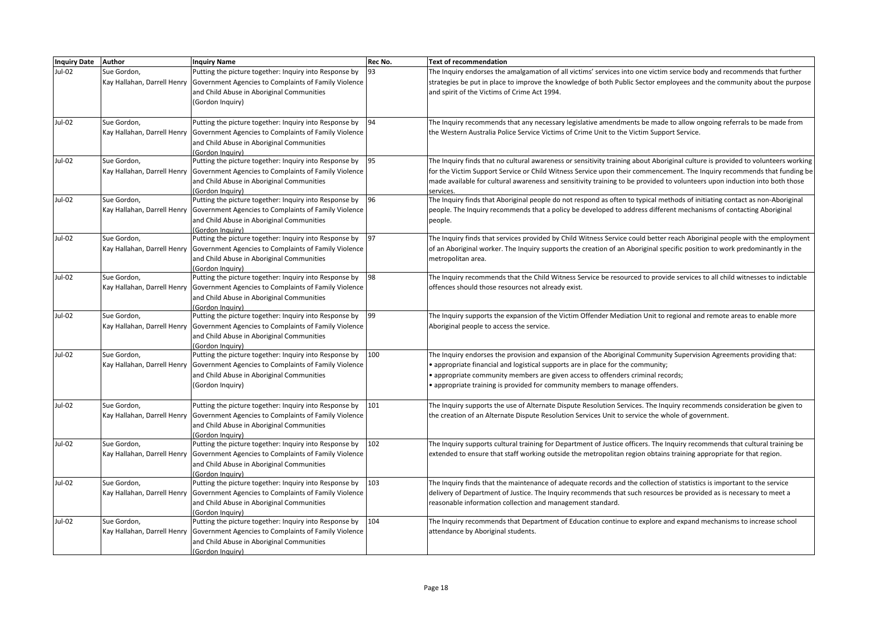| Inquiry Date Author |                             | <b>Inquiry Name</b>                                                                                                                        | Rec No. | <b>Text of recommendation</b>                                                                                                   |
|---------------------|-----------------------------|--------------------------------------------------------------------------------------------------------------------------------------------|---------|---------------------------------------------------------------------------------------------------------------------------------|
| Jul-02              | Sue Gordon,                 | Putting the picture together: Inquiry into Response by                                                                                     | 93      | The Inquiry endorses the amalgamation of all victims' services into one victim service body and recommends that further         |
|                     |                             | Kay Hallahan, Darrell Henry Government Agencies to Complaints of Family Violence                                                           |         | strategies be put in place to improve the knowledge of both Public Sector employees and the community about the purpose         |
|                     |                             | and Child Abuse in Aboriginal Communities                                                                                                  |         | and spirit of the Victims of Crime Act 1994.                                                                                    |
|                     |                             | (Gordon Inquiry)                                                                                                                           |         |                                                                                                                                 |
| Jul-02              | Sue Gordon,                 | Putting the picture together: Inquiry into Response by                                                                                     | 94      | The Inquiry recommends that any necessary legislative amendments be made to allow ongoing referrals to be made from             |
|                     |                             | Kay Hallahan, Darrell Henry   Government Agencies to Complaints of Family Violence                                                         |         | the Western Australia Police Service Victims of Crime Unit to the Victim Support Service.                                       |
|                     |                             | and Child Abuse in Aboriginal Communities                                                                                                  |         |                                                                                                                                 |
|                     |                             | (Gordon Inguiry)                                                                                                                           |         |                                                                                                                                 |
| Jul-02              | Sue Gordon,                 | Putting the picture together: Inquiry into Response by                                                                                     | 95      | The Inquiry finds that no cultural awareness or sensitivity training about Aboriginal culture is provided to volunteers working |
|                     | Kay Hallahan, Darrell Henry | Government Agencies to Complaints of Family Violence                                                                                       |         | for the Victim Support Service or Child Witness Service upon their commencement. The Inquiry recommends that funding be         |
|                     |                             | and Child Abuse in Aboriginal Communities                                                                                                  |         | made available for cultural awareness and sensitivity training to be provided to volunteers upon induction into both those      |
|                     |                             | (Gordon Inauiry)                                                                                                                           |         | services.                                                                                                                       |
| Jul-02              | Sue Gordon,                 | Putting the picture together: Inquiry into Response by                                                                                     | 96      | The Inquiry finds that Aboriginal people do not respond as often to typical methods of initiating contact as non-Aboriginal     |
|                     |                             | Kay Hallahan, Darrell Henry   Government Agencies to Complaints of Family Violence                                                         |         | people. The Inquiry recommends that a policy be developed to address different mechanisms of contacting Aboriginal              |
|                     |                             | and Child Abuse in Aboriginal Communities                                                                                                  |         | people.                                                                                                                         |
|                     |                             | Gordon Inauiry)                                                                                                                            |         |                                                                                                                                 |
| Jul-02              | Sue Gordon,                 | Putting the picture together: Inquiry into Response by                                                                                     | 97      | The Inquiry finds that services provided by Child Witness Service could better reach Aboriginal people with the employment      |
|                     |                             | Kay Hallahan, Darrell Henry Government Agencies to Complaints of Family Violence                                                           |         | of an Aboriginal worker. The Inquiry supports the creation of an Aboriginal specific position to work predominantly in the      |
|                     |                             | and Child Abuse in Aboriginal Communities                                                                                                  |         | metropolitan area.                                                                                                              |
|                     |                             | (Gordon Inauiry)                                                                                                                           |         |                                                                                                                                 |
| $Jul-02$            | Sue Gordon,                 | Putting the picture together: Inquiry into Response by                                                                                     | 98      | The Inquiry recommends that the Child Witness Service be resourced to provide services to all child witnesses to indictable     |
|                     |                             | Kay Hallahan, Darrell Henry Government Agencies to Complaints of Family Violence                                                           |         | offences should those resources not already exist.                                                                              |
|                     |                             | and Child Abuse in Aboriginal Communities                                                                                                  |         |                                                                                                                                 |
| Jul-02              | Sue Gordon,                 | (Gordon Inauiry)                                                                                                                           | 99      |                                                                                                                                 |
|                     |                             | Putting the picture together: Inquiry into Response by<br>Kay Hallahan, Darrell Henry Government Agencies to Complaints of Family Violence |         | The Inquiry supports the expansion of the Victim Offender Mediation Unit to regional and remote areas to enable more            |
|                     |                             | and Child Abuse in Aboriginal Communities                                                                                                  |         | Aboriginal people to access the service.                                                                                        |
|                     |                             | (Gordon Inauiry)                                                                                                                           |         |                                                                                                                                 |
| Jul-02              | Sue Gordon,                 | Putting the picture together: Inquiry into Response by                                                                                     | 100     | The Inquiry endorses the provision and expansion of the Aboriginal Community Supervision Agreements providing that:             |
|                     | Kay Hallahan, Darrell Henry | Government Agencies to Complaints of Family Violence                                                                                       |         | • appropriate financial and logistical supports are in place for the community;                                                 |
|                     |                             | and Child Abuse in Aboriginal Communities                                                                                                  |         | • appropriate community members are given access to offenders criminal records;                                                 |
|                     |                             | (Gordon Inquiry)                                                                                                                           |         | • appropriate training is provided for community members to manage offenders.                                                   |
|                     |                             |                                                                                                                                            |         |                                                                                                                                 |
| Jul-02              | Sue Gordon,                 | Putting the picture together: Inquiry into Response by                                                                                     | 101     | The Inquiry supports the use of Alternate Dispute Resolution Services. The Inquiry recommends consideration be given to         |
|                     | Kay Hallahan, Darrell Henry | Government Agencies to Complaints of Family Violence                                                                                       |         | the creation of an Alternate Dispute Resolution Services Unit to service the whole of government.                               |
|                     |                             | and Child Abuse in Aboriginal Communities                                                                                                  |         |                                                                                                                                 |
|                     |                             | (Gordon Inquiry)                                                                                                                           |         |                                                                                                                                 |
| Jul-02              | Sue Gordon,                 | Putting the picture together: Inquiry into Response by                                                                                     | 102     | The Inquiry supports cultural training for Department of Justice officers. The Inquiry recommends that cultural training be     |
|                     |                             | Kay Hallahan, Darrell Henry   Government Agencies to Complaints of Family Violence                                                         |         | extended to ensure that staff working outside the metropolitan region obtains training appropriate for that region.             |
|                     |                             | and Child Abuse in Aboriginal Communities                                                                                                  |         |                                                                                                                                 |
|                     |                             | (Gordon Inauiry)                                                                                                                           |         |                                                                                                                                 |
| Jul-02              | Sue Gordon,                 | Putting the picture together: Inquiry into Response by                                                                                     | 103     | The Inquiry finds that the maintenance of adequate records and the collection of statistics is important to the service         |
|                     |                             | Kay Hallahan, Darrell Henry Government Agencies to Complaints of Family Violence                                                           |         | delivery of Department of Justice. The Inquiry recommends that such resources be provided as is necessary to meet a             |
|                     |                             | and Child Abuse in Aboriginal Communities                                                                                                  |         | reasonable information collection and management standard.                                                                      |
|                     |                             | (Gordon Inquiry)                                                                                                                           |         |                                                                                                                                 |
| Jul-02              | Sue Gordon,                 | Putting the picture together: Inquiry into Response by                                                                                     | 104     | The Inquiry recommends that Department of Education continue to explore and expand mechanisms to increase school                |
|                     | Kay Hallahan, Darrell Henry | Government Agencies to Complaints of Family Violence                                                                                       |         | attendance by Aboriginal students.                                                                                              |
|                     |                             | and Child Abuse in Aboriginal Communities                                                                                                  |         |                                                                                                                                 |
|                     |                             | (Gordon Inquiry)                                                                                                                           |         |                                                                                                                                 |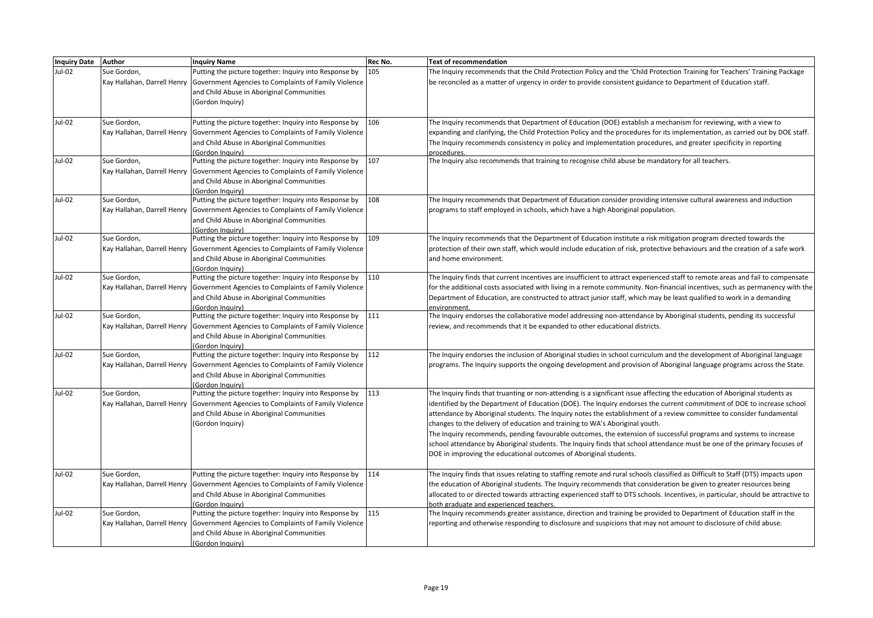| Inquiry Date Author |                             | <b>Inquiry Name</b>                                                                | Rec No. | <b>Text of recommendation</b>                                                                                                                                    |
|---------------------|-----------------------------|------------------------------------------------------------------------------------|---------|------------------------------------------------------------------------------------------------------------------------------------------------------------------|
| Jul-02              | Sue Gordon,                 | Putting the picture together: Inquiry into Response by                             | 105     | The Inquiry recommends that the Child Protection Policy and the 'Child Protection Training for Teachers' Training Package                                        |
|                     |                             | Kay Hallahan, Darrell Henry Government Agencies to Complaints of Family Violence   |         | be reconciled as a matter of urgency in order to provide consistent guidance to Department of Education staff.                                                   |
|                     |                             | and Child Abuse in Aboriginal Communities                                          |         |                                                                                                                                                                  |
|                     |                             | (Gordon Inquiry)                                                                   |         |                                                                                                                                                                  |
|                     |                             |                                                                                    |         |                                                                                                                                                                  |
| Jul-02              | Sue Gordon,                 | Putting the picture together: Inquiry into Response by                             | 106     | The Inquiry recommends that Department of Education (DOE) establish a mechanism for reviewing, with a view to                                                    |
|                     |                             | Kay Hallahan, Darrell Henry Government Agencies to Complaints of Family Violence   |         | expanding and clarifying, the Child Protection Policy and the procedures for its implementation, as carried out by DOE staff.                                    |
|                     |                             | and Child Abuse in Aboriginal Communities                                          |         | The Inquiry recommends consistency in policy and implementation procedures, and greater specificity in reporting                                                 |
|                     |                             | (Gordon Inauiry)                                                                   |         | procedures.                                                                                                                                                      |
| Jul-02              | Sue Gordon,                 | Putting the picture together: Inquiry into Response by                             | 107     | The Inquiry also recommends that training to recognise child abuse be mandatory for all teachers.                                                                |
|                     |                             | Kay Hallahan, Darrell Henry   Government Agencies to Complaints of Family Violence |         |                                                                                                                                                                  |
|                     |                             | and Child Abuse in Aboriginal Communities                                          |         |                                                                                                                                                                  |
|                     |                             | (Gordon Inauiry)                                                                   |         |                                                                                                                                                                  |
| Jul-02              | Sue Gordon,                 | Putting the picture together: Inquiry into Response by                             | 108     | The Inquiry recommends that Department of Education consider providing intensive cultural awareness and induction                                                |
|                     |                             | Kay Hallahan, Darrell Henry Government Agencies to Complaints of Family Violence   |         | programs to staff employed in schools, which have a high Aboriginal population.                                                                                  |
|                     |                             | and Child Abuse in Aboriginal Communities                                          |         |                                                                                                                                                                  |
|                     |                             | (Gordon Inauiry)                                                                   |         |                                                                                                                                                                  |
| Jul-02              | Sue Gordon,                 | Putting the picture together: Inquiry into Response by                             | 109     | The Inquiry recommends that the Department of Education institute a risk mitigation program directed towards the                                                 |
|                     | Kay Hallahan, Darrell Henry | Government Agencies to Complaints of Family Violence                               |         | protection of their own staff, which would include education of risk, protective behaviours and the creation of a safe work                                      |
|                     |                             | and Child Abuse in Aboriginal Communities                                          |         | and home environment.                                                                                                                                            |
| Jul-02              | Sue Gordon,                 | (Gordon Inquiry)<br>Putting the picture together: Inquiry into Response by         | 110     | The Inquiry finds that current incentives are insufficient to attract experienced staff to remote areas and fail to compensate                                   |
|                     |                             | Kay Hallahan, Darrell Henry Government Agencies to Complaints of Family Violence   |         | for the additional costs associated with living in a remote community. Non-financial incentives, such as permanency with the                                     |
|                     |                             | and Child Abuse in Aboriginal Communities                                          |         | Department of Education, are constructed to attract junior staff, which may be least qualified to work in a demanding                                            |
|                     |                             | (Gordon Inquiry)                                                                   |         | environment                                                                                                                                                      |
| Jul-02              | Sue Gordon,                 | Putting the picture together: Inquiry into Response by                             | 111     | The Inquiry endorses the collaborative model addressing non-attendance by Aboriginal students, pending its successful                                            |
|                     |                             | Kay Hallahan, Darrell Henry Government Agencies to Complaints of Family Violence   |         | review, and recommends that it be expanded to other educational districts.                                                                                       |
|                     |                             | and Child Abuse in Aboriginal Communities                                          |         |                                                                                                                                                                  |
|                     |                             | (Gordon Inauiry)                                                                   |         |                                                                                                                                                                  |
| Jul-02              | Sue Gordon,                 | Putting the picture together: Inquiry into Response by                             | 112     | The Inquiry endorses the inclusion of Aboriginal studies in school curriculum and the development of Aboriginal language                                         |
|                     |                             | Kay Hallahan, Darrell Henry   Government Agencies to Complaints of Family Violence |         | programs. The Inquiry supports the ongoing development and provision of Aboriginal language programs across the State.                                           |
|                     |                             | and Child Abuse in Aboriginal Communities                                          |         |                                                                                                                                                                  |
|                     |                             | (Gordon Inguiry)                                                                   |         |                                                                                                                                                                  |
| Jul-02              | Sue Gordon,                 | Putting the picture together: Inquiry into Response by                             | 113     | The Inquiry finds that truanting or non-attending is a significant issue affecting the education of Aboriginal students as                                       |
|                     |                             | Kay Hallahan, Darrell Henry Government Agencies to Complaints of Family Violence   |         | identified by the Department of Education (DOE). The Inquiry endorses the current commitment of DOE to increase school                                           |
|                     |                             | and Child Abuse in Aboriginal Communities                                          |         | attendance by Aboriginal students. The Inquiry notes the establishment of a review committee to consider fundamental                                             |
|                     |                             | (Gordon Inquiry)                                                                   |         | changes to the delivery of education and training to WA's Aboriginal youth.                                                                                      |
|                     |                             |                                                                                    |         | The Inquiry recommends, pending favourable outcomes, the extension of successful programs and systems to increase                                                |
|                     |                             |                                                                                    |         | school attendance by Aboriginal students. The Inquiry finds that school attendance must be one of the primary focuses of                                         |
|                     |                             |                                                                                    |         | DOE in improving the educational outcomes of Aboriginal students.                                                                                                |
|                     |                             |                                                                                    |         |                                                                                                                                                                  |
| Jul-02              | Sue Gordon,                 | Putting the picture together: Inquiry into Response by                             | 114     | The Inquiry finds that issues relating to staffing remote and rural schools classified as Difficult to Staff (DTS) impacts upon                                  |
|                     |                             | Kay Hallahan, Darrell Henry Government Agencies to Complaints of Family Violence   |         | the education of Aboriginal students. The Inquiry recommends that consideration be given to greater resources being                                              |
|                     |                             | and Child Abuse in Aboriginal Communities                                          |         | allocated to or directed towards attracting experienced staff to DTS schools. Incentives, in particular, should be attractive to                                 |
| Jul-02              | Sue Gordon,                 | (Gordon Inquiry)<br>Putting the picture together: Inquiry into Response by         | 115     | both graduate and experienced teachers.<br>The Inquiry recommends greater assistance, direction and training be provided to Department of Education staff in the |
|                     |                             | Kay Hallahan, Darrell Henry Government Agencies to Complaints of Family Violence   |         | reporting and otherwise responding to disclosure and suspicions that may not amount to disclosure of child abuse.                                                |
|                     |                             | and Child Abuse in Aboriginal Communities                                          |         |                                                                                                                                                                  |
|                     |                             | (Gordon Inquiry)                                                                   |         |                                                                                                                                                                  |
|                     |                             |                                                                                    |         |                                                                                                                                                                  |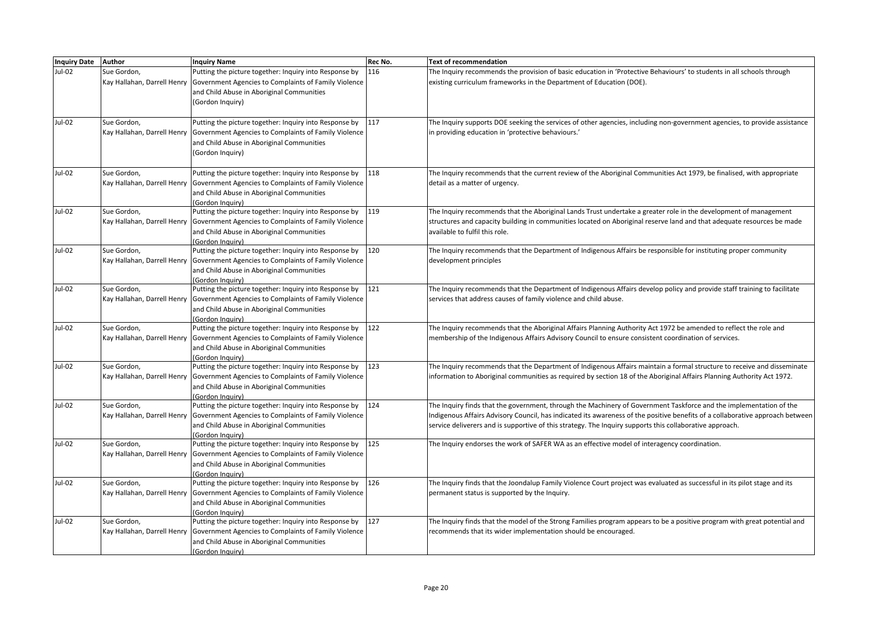| Inquiry Date Author |                             | <b>Inquiry Name</b>                                                                               | Rec No. | <b>Text of recommendation</b>                                                                                                 |
|---------------------|-----------------------------|---------------------------------------------------------------------------------------------------|---------|-------------------------------------------------------------------------------------------------------------------------------|
| Jul-02              | Sue Gordon,                 | Putting the picture together: Inquiry into Response by                                            | 116     | The Inquiry recommends the provision of basic education in 'Protective Behaviours' to students in all schools through         |
|                     |                             | Kay Hallahan, Darrell Henry Government Agencies to Complaints of Family Violence                  |         | existing curriculum frameworks in the Department of Education (DOE).                                                          |
|                     |                             | and Child Abuse in Aboriginal Communities                                                         |         |                                                                                                                               |
|                     |                             | (Gordon Inquiry)                                                                                  |         |                                                                                                                               |
|                     |                             |                                                                                                   |         |                                                                                                                               |
| Jul-02              | Sue Gordon,                 | Putting the picture together: Inquiry into Response by                                            | 117     | The Inquiry supports DOE seeking the services of other agencies, including non-government agencies, to provide assistance     |
|                     |                             | Kay Hallahan, Darrell Henry Government Agencies to Complaints of Family Violence                  |         | in providing education in 'protective behaviours.'                                                                            |
|                     |                             | and Child Abuse in Aboriginal Communities                                                         |         |                                                                                                                               |
|                     |                             | (Gordon Inquiry)                                                                                  |         |                                                                                                                               |
|                     |                             |                                                                                                   |         |                                                                                                                               |
| Jul-02              | Sue Gordon,                 | Putting the picture together: Inquiry into Response by                                            | 118     | The Inquiry recommends that the current review of the Aboriginal Communities Act 1979, be finalised, with appropriate         |
|                     |                             | Kay Hallahan, Darrell Henry Government Agencies to Complaints of Family Violence                  |         | detail as a matter of urgency.                                                                                                |
|                     |                             | and Child Abuse in Aboriginal Communities                                                         |         |                                                                                                                               |
|                     |                             | (Gordon Inquiry)                                                                                  |         |                                                                                                                               |
| Jul-02              | Sue Gordon,                 | Putting the picture together: Inquiry into Response by                                            | 119     | The Inquiry recommends that the Aboriginal Lands Trust undertake a greater role in the development of management              |
|                     | Kay Hallahan, Darrell Henry | Government Agencies to Complaints of Family Violence                                              |         | structures and capacity building in communities located on Aboriginal reserve land and that adequate resources be made        |
|                     |                             | and Child Abuse in Aboriginal Communities                                                         |         | available to fulfil this role.                                                                                                |
|                     |                             | (Gordon Inquiry)                                                                                  |         |                                                                                                                               |
| Jul-02              | Sue Gordon,                 | Putting the picture together: Inquiry into Response by                                            | 120     | The Inquiry recommends that the Department of Indigenous Affairs be responsible for instituting proper community              |
|                     |                             | Kay Hallahan, Darrell Henry   Government Agencies to Complaints of Family Violence                |         | development principles                                                                                                        |
|                     |                             | and Child Abuse in Aboriginal Communities                                                         |         |                                                                                                                               |
| Jul-02              | Sue Gordon,                 | (Gordon Inauiry)<br>Putting the picture together: Inquiry into Response by                        | 121     | The Inquiry recommends that the Department of Indigenous Affairs develop policy and provide staff training to facilitate      |
|                     | Kay Hallahan, Darrell Henry |                                                                                                   |         | services that address causes of family violence and child abuse.                                                              |
|                     |                             | Government Agencies to Complaints of Family Violence<br>and Child Abuse in Aboriginal Communities |         |                                                                                                                               |
|                     |                             | (Gordon Inquiry)                                                                                  |         |                                                                                                                               |
| Jul-02              | Sue Gordon,                 | Putting the picture together: Inquiry into Response by                                            | 122     | The Inquiry recommends that the Aboriginal Affairs Planning Authority Act 1972 be amended to reflect the role and             |
|                     |                             | Kay Hallahan, Darrell Henry Government Agencies to Complaints of Family Violence                  |         | membership of the Indigenous Affairs Advisory Council to ensure consistent coordination of services.                          |
|                     |                             | and Child Abuse in Aboriginal Communities                                                         |         |                                                                                                                               |
|                     |                             | <b>Gordon Inquiry</b> )                                                                           |         |                                                                                                                               |
| Jul-02              | Sue Gordon,                 | Putting the picture together: Inquiry into Response by                                            | 123     | The Inquiry recommends that the Department of Indigenous Affairs maintain a formal structure to receive and disseminate       |
|                     |                             | Kay Hallahan, Darrell Henry Government Agencies to Complaints of Family Violence                  |         | information to Aboriginal communities as required by section 18 of the Aboriginal Affairs Planning Authority Act 1972.        |
|                     |                             | and Child Abuse in Aboriginal Communities                                                         |         |                                                                                                                               |
|                     |                             | (Gordon Inquiry)                                                                                  |         |                                                                                                                               |
| Jul-02              | Sue Gordon,                 | Putting the picture together: Inquiry into Response by                                            | 124     | The Inquiry finds that the government, through the Machinery of Government Taskforce and the implementation of the            |
|                     | Kay Hallahan, Darrell Henry | Government Agencies to Complaints of Family Violence                                              |         | Indigenous Affairs Advisory Council, has indicated its awareness of the positive benefits of a collaborative approach between |
|                     |                             | and Child Abuse in Aboriginal Communities                                                         |         | service deliverers and is supportive of this strategy. The Inquiry supports this collaborative approach.                      |
|                     |                             | (Gordon Inquiry)                                                                                  |         |                                                                                                                               |
| Jul-02              | Sue Gordon,                 | Putting the picture together: Inquiry into Response by                                            | 125     | The Inquiry endorses the work of SAFER WA as an effective model of interagency coordination.                                  |
|                     |                             | Kay Hallahan, Darrell Henry Government Agencies to Complaints of Family Violence                  |         |                                                                                                                               |
|                     |                             | and Child Abuse in Aboriginal Communities                                                         |         |                                                                                                                               |
|                     |                             | (Gordon Inquiry)                                                                                  |         |                                                                                                                               |
| Jul-02              | Sue Gordon,                 | Putting the picture together: Inquiry into Response by                                            | 126     | The Inquiry finds that the Joondalup Family Violence Court project was evaluated as successful in its pilot stage and its     |
|                     |                             | Kay Hallahan, Darrell Henry Government Agencies to Complaints of Family Violence                  |         | permanent status is supported by the Inquiry.                                                                                 |
|                     |                             | and Child Abuse in Aboriginal Communities                                                         |         |                                                                                                                               |
|                     |                             | (Gordon Inauiry)                                                                                  |         |                                                                                                                               |
| Jul-02              | Sue Gordon,                 | Putting the picture together: Inquiry into Response by                                            | 127     | The Inquiry finds that the model of the Strong Families program appears to be a positive program with great potential and     |
|                     |                             | Kay Hallahan, Darrell Henry Government Agencies to Complaints of Family Violence                  |         | recommends that its wider implementation should be encouraged.                                                                |
|                     |                             | and Child Abuse in Aboriginal Communities                                                         |         |                                                                                                                               |
|                     |                             | (Gordon Inquiry)                                                                                  |         |                                                                                                                               |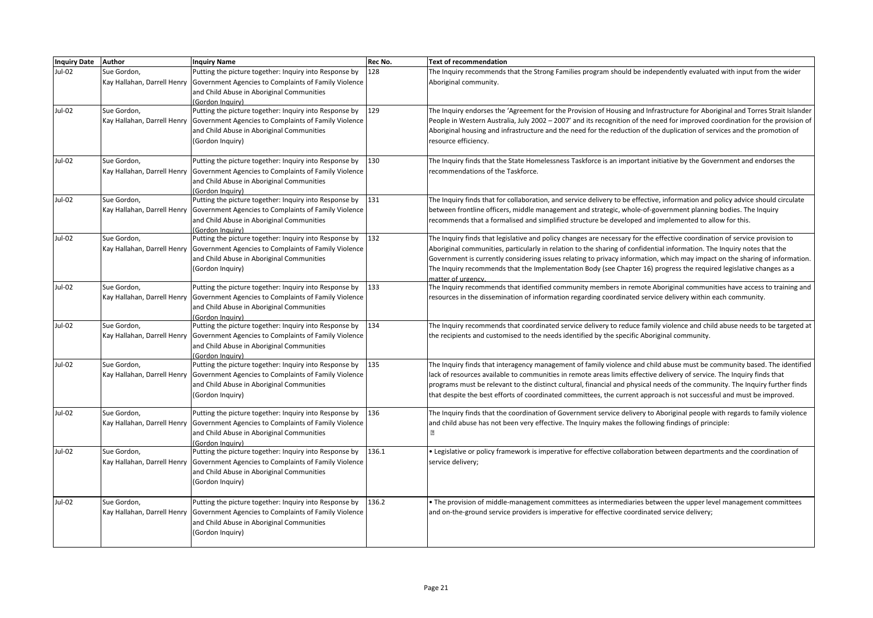| <b>Inquiry Date</b> | Author                                     | <b>Inquiry Name</b>                                                                                                                                                                                           | Rec No. | <b>Text of recommendation</b>                                                                                                                                                                                                                                                                                                                                                                                                                                                                                                     |
|---------------------|--------------------------------------------|---------------------------------------------------------------------------------------------------------------------------------------------------------------------------------------------------------------|---------|-----------------------------------------------------------------------------------------------------------------------------------------------------------------------------------------------------------------------------------------------------------------------------------------------------------------------------------------------------------------------------------------------------------------------------------------------------------------------------------------------------------------------------------|
| Jul-02              | Sue Gordon,                                | Putting the picture together: Inquiry into Response by<br>Kay Hallahan, Darrell Henry Government Agencies to Complaints of Family Violence<br>and Child Abuse in Aboriginal Communities<br>(Gordon Inauirv)   | 128     | The Inquiry recommends that the Strong Families program should be independently evaluated with input from the wider<br>Aboriginal community.                                                                                                                                                                                                                                                                                                                                                                                      |
| Jul-02              | Sue Gordon,                                | Putting the picture together: Inquiry into Response by<br>Kay Hallahan, Darrell Henry Government Agencies to Complaints of Family Violence<br>and Child Abuse in Aboriginal Communities<br>(Gordon Inquiry)   | 129     | The Inquiry endorses the 'Agreement for the Provision of Housing and Infrastructure for Aboriginal and Torres Strait Islander<br>People in Western Australia, July 2002 - 2007' and its recognition of the need for improved coordination for the provision of<br>Aboriginal housing and infrastructure and the need for the reduction of the duplication of services and the promotion of<br>resource efficiency.                                                                                                                |
| <b>Jul-02</b>       | Sue Gordon,                                | Putting the picture together: Inquiry into Response by<br>Kay Hallahan, Darrell Henry Government Agencies to Complaints of Family Violence<br>and Child Abuse in Aboriginal Communities<br>(Gordon Inauiry)   | 130     | The Inquiry finds that the State Homelessness Taskforce is an important initiative by the Government and endorses the<br>recommendations of the Taskforce.                                                                                                                                                                                                                                                                                                                                                                        |
| Jul-02              | Sue Gordon,<br>Kay Hallahan, Darrell Henry | Putting the picture together: Inquiry into Response by<br>Government Agencies to Complaints of Family Violence<br>and Child Abuse in Aboriginal Communities<br>(Gordon Inguiry)                               | 131     | The Inquiry finds that for collaboration, and service delivery to be effective, information and policy advice should circulate<br>between frontline officers, middle management and strategic, whole-of-government planning bodies. The Inquiry<br>recommends that a formalised and simplified structure be developed and implemented to allow for this.                                                                                                                                                                          |
| Jul-02              | Sue Gordon,                                | Putting the picture together: Inquiry into Response by<br>Kay Hallahan, Darrell Henry Government Agencies to Complaints of Family Violence<br>and Child Abuse in Aboriginal Communities<br>(Gordon Inquiry)   | 132     | The Inquiry finds that legislative and policy changes are necessary for the effective coordination of service provision to<br>Aboriginal communities, particularly in relation to the sharing of confidential information. The Inquiry notes that the<br>Government is currently considering issues relating to privacy information, which may impact on the sharing of information.<br>The Inquiry recommends that the Implementation Body (see Chapter 16) progress the required legislative changes as a<br>matter of urgency. |
| Jul-02              | Sue Gordon,                                | Putting the picture together: Inquiry into Response by<br>Kay Hallahan, Darrell Henry Government Agencies to Complaints of Family Violence<br>and Child Abuse in Aboriginal Communities<br>(Gordon Inquiry)   | 133     | The Inquiry recommends that identified community members in remote Aboriginal communities have access to training and<br>resources in the dissemination of information regarding coordinated service delivery within each community.                                                                                                                                                                                                                                                                                              |
| Jul-02              | Sue Gordon,<br>Kay Hallahan, Darrell Henry | Putting the picture together: Inquiry into Response by<br>Government Agencies to Complaints of Family Violence<br>and Child Abuse in Aboriginal Communities<br>(Gordon Inauirv)                               | 134     | The Inquiry recommends that coordinated service delivery to reduce family violence and child abuse needs to be targeted at<br>the recipients and customised to the needs identified by the specific Aboriginal community.                                                                                                                                                                                                                                                                                                         |
| Jul-02              | Sue Gordon,                                | Putting the picture together: Inquiry into Response by<br>Kay Hallahan, Darrell Henry   Government Agencies to Complaints of Family Violence<br>and Child Abuse in Aboriginal Communities<br>(Gordon Inquiry) | 135     | The Inquiry finds that interagency management of family violence and child abuse must be community based. The identified<br>lack of resources available to communities in remote areas limits effective delivery of service. The Inquiry finds that<br>programs must be relevant to the distinct cultural, financial and physical needs of the community. The Inquiry further finds<br>that despite the best efforts of coordinated committees, the current approach is not successful and must be improved.                      |
| Jul-02              | Sue Gordon,                                | Putting the picture together: Inquiry into Response by<br>Kay Hallahan, Darrell Henry Government Agencies to Complaints of Family Violence<br>and Child Abuse in Aboriginal Communities<br>(Gordon Inauiry)   | 136     | The Inquiry finds that the coordination of Government service delivery to Aboriginal people with regards to family violence<br>and child abuse has not been very effective. The Inquiry makes the following findings of principle:<br>$\boxed{2}$                                                                                                                                                                                                                                                                                 |
| Jul-02              | Sue Gordon,                                | Putting the picture together: Inquiry into Response by<br>Kay Hallahan, Darrell Henry Government Agencies to Complaints of Family Violence<br>and Child Abuse in Aboriginal Communities<br>(Gordon Inquiry)   | 136.1   | . Legislative or policy framework is imperative for effective collaboration between departments and the coordination of<br>service delivery;                                                                                                                                                                                                                                                                                                                                                                                      |
| <b>Jul-02</b>       | Sue Gordon,<br>Kay Hallahan, Darrell Henry | Putting the picture together: Inquiry into Response by<br>Government Agencies to Complaints of Family Violence<br>and Child Abuse in Aboriginal Communities<br>(Gordon Inquiry)                               | 136.2   | • The provision of middle-management committees as intermediaries between the upper level management committees<br>and on-the-ground service providers is imperative for effective coordinated service delivery;                                                                                                                                                                                                                                                                                                                  |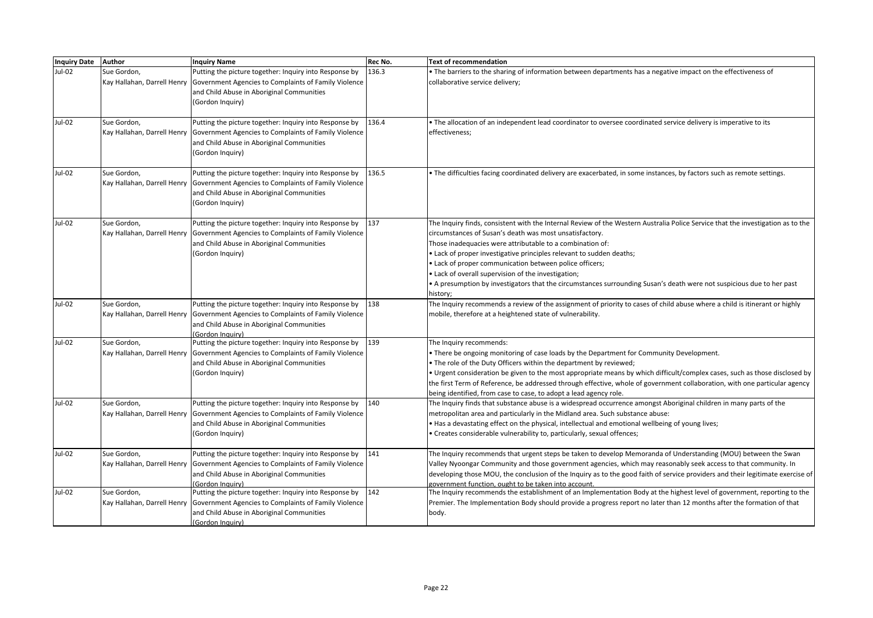| <b>Inquiry Date</b> | Author                                     | <b>Inquiry Name</b>                                                                                                                                                                                           | Rec No. | <b>Text of recommendation</b>                                                                                                                                                                                                                                                                                                                                                                                                                                                                                                                                                          |
|---------------------|--------------------------------------------|---------------------------------------------------------------------------------------------------------------------------------------------------------------------------------------------------------------|---------|----------------------------------------------------------------------------------------------------------------------------------------------------------------------------------------------------------------------------------------------------------------------------------------------------------------------------------------------------------------------------------------------------------------------------------------------------------------------------------------------------------------------------------------------------------------------------------------|
| Jul-02              | Sue Gordon,                                | Putting the picture together: Inquiry into Response by<br>Kay Hallahan, Darrell Henry   Government Agencies to Complaints of Family Violence<br>and Child Abuse in Aboriginal Communities<br>(Gordon Inquiry) | 136.3   | • The barriers to the sharing of information between departments has a negative impact on the effectiveness of<br>collaborative service delivery;                                                                                                                                                                                                                                                                                                                                                                                                                                      |
| Jul-02              | Sue Gordon,                                | Putting the picture together: Inquiry into Response by<br>Kay Hallahan, Darrell Henry   Government Agencies to Complaints of Family Violence<br>and Child Abuse in Aboriginal Communities<br>(Gordon Inquiry) | 136.4   | The allocation of an independent lead coordinator to oversee coordinated service delivery is imperative to its<br>effectiveness;                                                                                                                                                                                                                                                                                                                                                                                                                                                       |
| Jul-02              | Sue Gordon,                                | Putting the picture together: Inquiry into Response by<br>Kay Hallahan, Darrell Henry Government Agencies to Complaints of Family Violence<br>and Child Abuse in Aboriginal Communities<br>(Gordon Inquiry)   | 136.5   | • The difficulties facing coordinated delivery are exacerbated, in some instances, by factors such as remote settings.                                                                                                                                                                                                                                                                                                                                                                                                                                                                 |
| Jul-02              | Sue Gordon,                                | Putting the picture together: Inquiry into Response by<br>Kay Hallahan, Darrell Henry   Government Agencies to Complaints of Family Violence<br>and Child Abuse in Aboriginal Communities<br>(Gordon Inquiry) | 137     | The Inquiry finds, consistent with the Internal Review of the Western Australia Police Service that the investigation as to the<br>circumstances of Susan's death was most unsatisfactory.<br>Those inadequacies were attributable to a combination of:<br>• Lack of proper investigative principles relevant to sudden deaths;<br>• Lack of proper communication between police officers;<br>. Lack of overall supervision of the investigation;<br>• A presumption by investigators that the circumstances surrounding Susan's death were not suspicious due to her past<br>history; |
| Jul-02              | Sue Gordon.                                | Putting the picture together: Inquiry into Response by<br>Kay Hallahan, Darrell Henry   Government Agencies to Complaints of Family Violence<br>and Child Abuse in Aboriginal Communities<br>Gordon Inquiry)  | 138     | The Inquiry recommends a review of the assignment of priority to cases of child abuse where a child is itinerant or highly<br>mobile, therefore at a heightened state of vulnerability.                                                                                                                                                                                                                                                                                                                                                                                                |
| Jul-02              | Sue Gordon,                                | Putting the picture together: Inquiry into Response by<br>Kay Hallahan, Darrell Henry   Government Agencies to Complaints of Family Violence<br>and Child Abuse in Aboriginal Communities<br>(Gordon Inquiry) | 139     | The Inquiry recommends:<br>There be ongoing monitoring of case loads by the Department for Community Development.<br>• The role of the Duty Officers within the department by reviewed;<br>• Urgent consideration be given to the most appropriate means by which difficult/complex cases, such as those disclosed by<br>the first Term of Reference, be addressed through effective, whole of government collaboration, with one particular agency<br>being identified, from case to case, to adopt a lead agency role.                                                               |
| Jul-02              | Sue Gordon,                                | Putting the picture together: Inquiry into Response by<br>Kay Hallahan, Darrell Henry   Government Agencies to Complaints of Family Violence<br>and Child Abuse in Aboriginal Communities<br>(Gordon Inquiry) | 140     | The Inquiry finds that substance abuse is a widespread occurrence amongst Aboriginal children in many parts of the<br>metropolitan area and particularly in the Midland area. Such substance abuse:<br>. Has a devastating effect on the physical, intellectual and emotional wellbeing of young lives;<br>· Creates considerable vulnerability to, particularly, sexual offences;                                                                                                                                                                                                     |
| Jul-02              | Sue Gordon.                                | Putting the picture together: Inquiry into Response by<br>Kay Hallahan, Darrell Henry Government Agencies to Complaints of Family Violence<br>and Child Abuse in Aboriginal Communities<br>Gordon Inauiry)    | 141     | The Inquiry recommends that urgent steps be taken to develop Memoranda of Understanding (MOU) between the Swan<br>Valley Nyoongar Community and those government agencies, which may reasonably seek access to that community. In<br>developing those MOU, the conclusion of the Inquiry as to the good faith of service providers and their legitimate exercise of<br>government function, ought to be taken into account.                                                                                                                                                            |
| Jul-02              | Sue Gordon.<br>Kay Hallahan, Darrell Henry | Putting the picture together: Inquiry into Response by<br>Government Agencies to Complaints of Family Violence<br>and Child Abuse in Aboriginal Communities<br>(Gordon Inquiry)                               | 142     | The Inquiry recommends the establishment of an Implementation Body at the highest level of government, reporting to the<br>Premier. The Implementation Body should provide a progress report no later than 12 months after the formation of that<br>body.                                                                                                                                                                                                                                                                                                                              |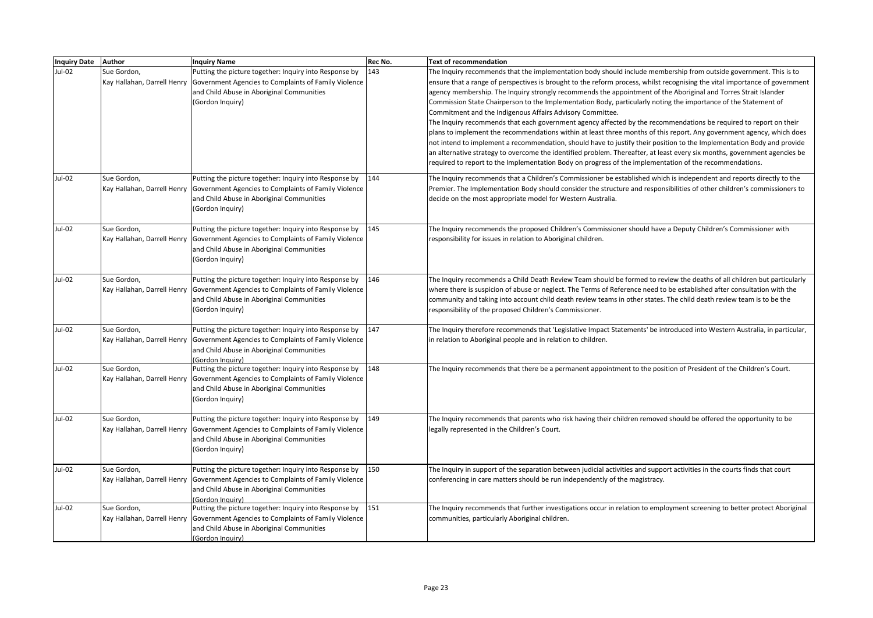| <b>Inquiry Date</b> | Author                                     | <b>Inquiry Name</b>                                                                                                                                                                                           | Rec No. | Text of recommendation                                                                                                                                                                                                                                                                                                                                                                                                                                                                                                                                                                                                                                                                                                                                                                                                                                                                                                                                                                                                                                                                                                                                              |
|---------------------|--------------------------------------------|---------------------------------------------------------------------------------------------------------------------------------------------------------------------------------------------------------------|---------|---------------------------------------------------------------------------------------------------------------------------------------------------------------------------------------------------------------------------------------------------------------------------------------------------------------------------------------------------------------------------------------------------------------------------------------------------------------------------------------------------------------------------------------------------------------------------------------------------------------------------------------------------------------------------------------------------------------------------------------------------------------------------------------------------------------------------------------------------------------------------------------------------------------------------------------------------------------------------------------------------------------------------------------------------------------------------------------------------------------------------------------------------------------------|
| Jul-02              | Sue Gordon,<br>Kay Hallahan, Darrell Henry | Putting the picture together: Inquiry into Response by<br>Government Agencies to Complaints of Family Violence<br>and Child Abuse in Aboriginal Communities<br>(Gordon Inquiry)                               | 143     | The Inquiry recommends that the implementation body should include membership from outside government. This is to<br>ensure that a range of perspectives is brought to the reform process, whilst recognising the vital importance of government<br>agency membership. The Inquiry strongly recommends the appointment of the Aboriginal and Torres Strait Islander<br>Commission State Chairperson to the Implementation Body, particularly noting the importance of the Statement of<br>Commitment and the Indigenous Affairs Advisory Committee.<br>The Inquiry recommends that each government agency affected by the recommendations be required to report on their<br>plans to implement the recommendations within at least three months of this report. Any government agency, which does<br>not intend to implement a recommendation, should have to justify their position to the Implementation Body and provide<br>an alternative strategy to overcome the identified problem. Thereafter, at least every six months, government agencies be<br>required to report to the Implementation Body on progress of the implementation of the recommendations. |
| Jul-02              | Sue Gordon.<br>Kay Hallahan, Darrell Henry | Putting the picture together: Inquiry into Response by<br>Government Agencies to Complaints of Family Violence<br>and Child Abuse in Aboriginal Communities<br>(Gordon Inquiry)                               | 144     | The Inguiry recommends that a Children's Commissioner be established which is independent and reports directly to the<br>Premier. The Implementation Body should consider the structure and responsibilities of other children's commissioners to<br>decide on the most appropriate model for Western Australia.                                                                                                                                                                                                                                                                                                                                                                                                                                                                                                                                                                                                                                                                                                                                                                                                                                                    |
| Jul-02              | Sue Gordon,                                | Putting the picture together: Inquiry into Response by<br>Kay Hallahan, Darrell Henry   Government Agencies to Complaints of Family Violence<br>and Child Abuse in Aboriginal Communities<br>(Gordon Inquiry) | 145     | The Inquiry recommends the proposed Children's Commissioner should have a Deputy Children's Commissioner with<br>responsibility for issues in relation to Aboriginal children.                                                                                                                                                                                                                                                                                                                                                                                                                                                                                                                                                                                                                                                                                                                                                                                                                                                                                                                                                                                      |
| Jul-02              | Sue Gordon,                                | Putting the picture together: Inquiry into Response by<br>Kay Hallahan, Darrell Henry   Government Agencies to Complaints of Family Violence<br>and Child Abuse in Aboriginal Communities<br>(Gordon Inquiry) | 146     | The Inquiry recommends a Child Death Review Team should be formed to review the deaths of all children but particularly<br>where there is suspicion of abuse or neglect. The Terms of Reference need to be established after consultation with the<br>community and taking into account child death review teams in other states. The child death review team is to be the<br>responsibility of the proposed Children's Commissioner.                                                                                                                                                                                                                                                                                                                                                                                                                                                                                                                                                                                                                                                                                                                               |
| Jul-02              | Sue Gordon,                                | Putting the picture together: Inquiry into Response by<br>Kay Hallahan, Darrell Henry   Government Agencies to Complaints of Family Violence<br>and Child Abuse in Aboriginal Communities<br>(Gordon Inquiry) | 147     | The Inquiry therefore recommends that 'Legislative Impact Statements' be introduced into Western Australia, in particular,<br>in relation to Aboriginal people and in relation to children.                                                                                                                                                                                                                                                                                                                                                                                                                                                                                                                                                                                                                                                                                                                                                                                                                                                                                                                                                                         |
| Jul-02              | Sue Gordon,<br>Kay Hallahan, Darrell Henry | Putting the picture together: Inquiry into Response by<br>Government Agencies to Complaints of Family Violence<br>and Child Abuse in Aboriginal Communities<br>(Gordon Inquiry)                               | 148     | The Inquiry recommends that there be a permanent appointment to the position of President of the Children's Court.                                                                                                                                                                                                                                                                                                                                                                                                                                                                                                                                                                                                                                                                                                                                                                                                                                                                                                                                                                                                                                                  |
| Jul-02              | Sue Gordon,<br>Kay Hallahan, Darrell Henry | Putting the picture together: Inquiry into Response by<br>Government Agencies to Complaints of Family Violence<br>and Child Abuse in Aboriginal Communities<br>(Gordon Inquiry)                               | 149     | The Inquiry recommends that parents who risk having their children removed should be offered the opportunity to be<br>legally represented in the Children's Court.                                                                                                                                                                                                                                                                                                                                                                                                                                                                                                                                                                                                                                                                                                                                                                                                                                                                                                                                                                                                  |
| Jul-02              | Sue Gordon,                                | Putting the picture together: Inquiry into Response by<br>Kay Hallahan, Darrell Henry Government Agencies to Complaints of Family Violence<br>and Child Abuse in Aboriginal Communities<br>(Gordon Inquiry)   | 150     | The Inquiry in support of the separation between judicial activities and support activities in the courts finds that court<br>conferencing in care matters should be run independently of the magistracy.                                                                                                                                                                                                                                                                                                                                                                                                                                                                                                                                                                                                                                                                                                                                                                                                                                                                                                                                                           |
| Jul-02              | Sue Gordon,                                | Putting the picture together: Inquiry into Response by<br>Kay Hallahan, Darrell Henry Government Agencies to Complaints of Family Violence<br>and Child Abuse in Aboriginal Communities<br>(Gordon Inquiry)   | 151     | The Inquiry recommends that further investigations occur in relation to employment screening to better protect Aboriginal<br>communities, particularly Aboriginal children.                                                                                                                                                                                                                                                                                                                                                                                                                                                                                                                                                                                                                                                                                                                                                                                                                                                                                                                                                                                         |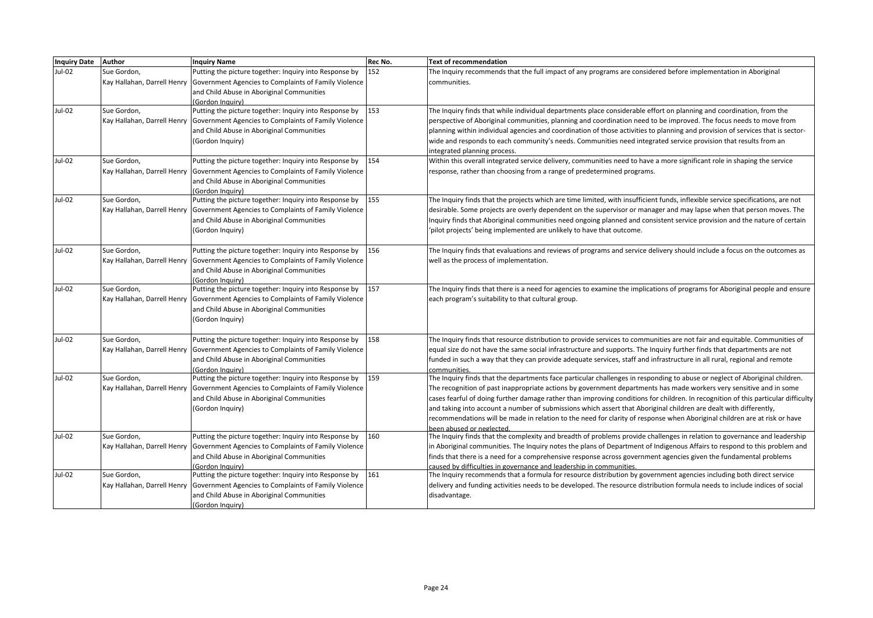| <b>Inquiry Date</b> | Author                      | <b>Inquiry Name</b>                                                                               | Rec No. | <b>Text of recommendation</b>                                                                                                     |
|---------------------|-----------------------------|---------------------------------------------------------------------------------------------------|---------|-----------------------------------------------------------------------------------------------------------------------------------|
| <b>Jul-02</b>       | Sue Gordon,                 | Putting the picture together: Inquiry into Response by                                            | 152     | The Inquiry recommends that the full impact of any programs are considered before implementation in Aboriginal                    |
|                     | Kay Hallahan, Darrell Henry | Government Agencies to Complaints of Family Violence                                              |         | communities.                                                                                                                      |
|                     |                             | and Child Abuse in Aboriginal Communities                                                         |         |                                                                                                                                   |
|                     |                             | (Gordon Inauiry)                                                                                  |         |                                                                                                                                   |
| Jul-02              | Sue Gordon,                 | Putting the picture together: Inquiry into Response by                                            | 153     | The Inquiry finds that while individual departments place considerable effort on planning and coordination, from the              |
|                     | Kay Hallahan, Darrell Henry | Government Agencies to Complaints of Family Violence                                              |         | perspective of Aboriginal communities, planning and coordination need to be improved. The focus needs to move from                |
|                     |                             | and Child Abuse in Aboriginal Communities                                                         |         | planning within individual agencies and coordination of those activities to planning and provision of services that is sector-    |
|                     |                             | (Gordon Inquiry)                                                                                  |         | wide and responds to each community's needs. Communities need integrated service provision that results from an                   |
|                     |                             |                                                                                                   |         | integrated planning process.                                                                                                      |
| Jul-02              | Sue Gordon,                 | Putting the picture together: Inquiry into Response by                                            | 154     | Within this overall integrated service delivery, communities need to have a more significant role in shaping the service          |
|                     |                             | Kay Hallahan, Darrell Henry Government Agencies to Complaints of Family Violence                  |         | response, rather than choosing from a range of predetermined programs.                                                            |
|                     |                             | and Child Abuse in Aboriginal Communities                                                         |         |                                                                                                                                   |
|                     |                             | (Gordon Inauiry)                                                                                  |         |                                                                                                                                   |
| Jul-02              | Sue Gordon,                 | Putting the picture together: Inquiry into Response by                                            | 155     | The Inquiry finds that the projects which are time limited, with insufficient funds, inflexible service specifications, are not   |
|                     | Kay Hallahan, Darrell Henry | Government Agencies to Complaints of Family Violence                                              |         | desirable. Some projects are overly dependent on the supervisor or manager and may lapse when that person moves. The              |
|                     |                             | and Child Abuse in Aboriginal Communities                                                         |         | Inquiry finds that Aboriginal communities need ongoing planned and consistent service provision and the nature of certain         |
|                     |                             | (Gordon Inquiry)                                                                                  |         | 'pilot projects' being implemented are unlikely to have that outcome.                                                             |
|                     |                             |                                                                                                   |         |                                                                                                                                   |
| Jul-02              | Sue Gordon,                 | Putting the picture together: Inquiry into Response by                                            | 156     | The Inguiry finds that evaluations and reviews of programs and service delivery should include a focus on the outcomes as         |
|                     | Kay Hallahan, Darrell Henry | Government Agencies to Complaints of Family Violence                                              |         | well as the process of implementation.                                                                                            |
|                     |                             | and Child Abuse in Aboriginal Communities                                                         |         |                                                                                                                                   |
| Jul-02              | Sue Gordon,                 | (Gordon Inquiry)<br>Putting the picture together: Inquiry into Response by                        | 157     | The Inquiry finds that there is a need for agencies to examine the implications of programs for Aboriginal people and ensure      |
|                     |                             |                                                                                                   |         |                                                                                                                                   |
|                     | Kay Hallahan, Darrell Henry | Government Agencies to Complaints of Family Violence<br>and Child Abuse in Aboriginal Communities |         | each program's suitability to that cultural group.                                                                                |
|                     |                             | (Gordon Inquiry)                                                                                  |         |                                                                                                                                   |
|                     |                             |                                                                                                   |         |                                                                                                                                   |
| Jul-02              | Sue Gordon,                 | Putting the picture together: Inquiry into Response by                                            | 158     | The Inquiry finds that resource distribution to provide services to communities are not fair and equitable. Communities of        |
|                     |                             | Kay Hallahan, Darrell Henry Government Agencies to Complaints of Family Violence                  |         | equal size do not have the same social infrastructure and supports. The Inquiry further finds that departments are not            |
|                     |                             | and Child Abuse in Aboriginal Communities                                                         |         | funded in such a way that they can provide adequate services, staff and infrastructure in all rural, regional and remote          |
|                     |                             | (Gordon Inquiry)                                                                                  |         | communities                                                                                                                       |
| Jul-02              | Sue Gordon,                 | Putting the picture together: Inquiry into Response by                                            | 159     | The Inquiry finds that the departments face particular challenges in responding to abuse or neglect of Aboriginal children.       |
|                     | Kay Hallahan, Darrell Henry | Government Agencies to Complaints of Family Violence                                              |         | The recognition of past inappropriate actions by government departments has made workers very sensitive and in some               |
|                     |                             | and Child Abuse in Aboriginal Communities                                                         |         | cases fearful of doing further damage rather than improving conditions for children. In recognition of this particular difficulty |
|                     |                             | (Gordon Inquiry)                                                                                  |         | and taking into account a number of submissions which assert that Aboriginal children are dealt with differently,                 |
|                     |                             |                                                                                                   |         | recommendations will be made in relation to the need for clarity of response when Aboriginal children are at risk or have         |
|                     |                             |                                                                                                   |         | been abused or neglected                                                                                                          |
| <b>Jul-02</b>       | Sue Gordon,                 | Putting the picture together: Inquiry into Response by                                            | 160     | The Inquiry finds that the complexity and breadth of problems provide challenges in relation to governance and leadership         |
|                     | Kay Hallahan, Darrell Henry | Government Agencies to Complaints of Family Violence                                              |         | in Aboriginal communities. The Inquiry notes the plans of Department of Indigenous Affairs to respond to this problem and         |
|                     |                             | and Child Abuse in Aboriginal Communities                                                         |         | finds that there is a need for a comprehensive response across government agencies given the fundamental problems                 |
|                     |                             | (Gordon Inauirv)                                                                                  |         | caused by difficulties in governance and leadership in communities.                                                               |
| Jul-02              | Sue Gordon,                 | Putting the picture together: Inquiry into Response by                                            | 161     | The Inquiry recommends that a formula for resource distribution by government agencies including both direct service              |
|                     | Kay Hallahan, Darrell Henry | Government Agencies to Complaints of Family Violence                                              |         | delivery and funding activities needs to be developed. The resource distribution formula needs to include indices of social       |
|                     |                             | and Child Abuse in Aboriginal Communities                                                         |         | disadvantage.                                                                                                                     |
|                     |                             | (Gordon Inquiry)                                                                                  |         |                                                                                                                                   |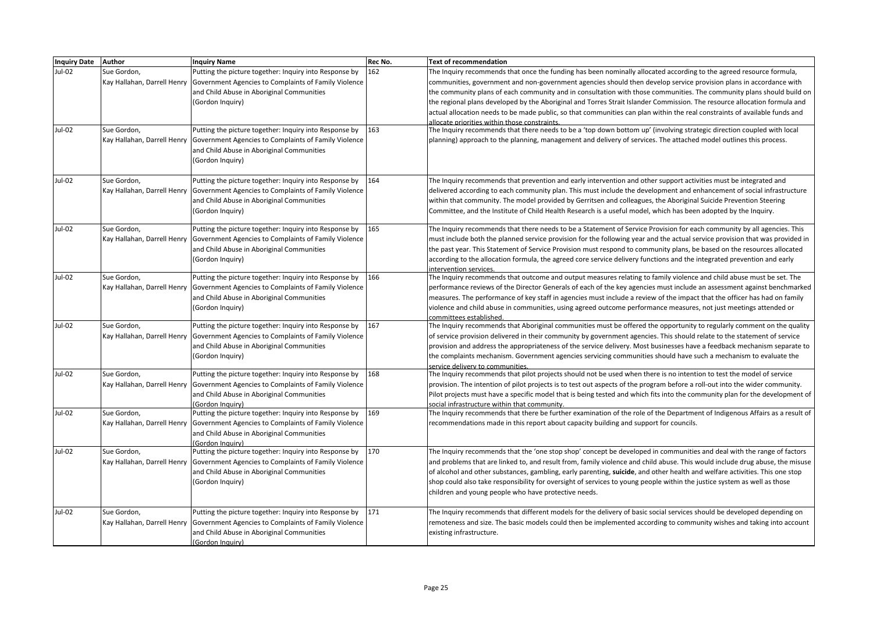| Inquiry Date Author |                                            | <b>Inquiry Name</b>                                                                                                                                                                                                                                                     | Rec No.    | <b>Text of recommendation</b>                                                                                                                                                                                                                                                                                                                                                                                                                                                                                                                                                                                                                                                                                                                                                                            |
|---------------------|--------------------------------------------|-------------------------------------------------------------------------------------------------------------------------------------------------------------------------------------------------------------------------------------------------------------------------|------------|----------------------------------------------------------------------------------------------------------------------------------------------------------------------------------------------------------------------------------------------------------------------------------------------------------------------------------------------------------------------------------------------------------------------------------------------------------------------------------------------------------------------------------------------------------------------------------------------------------------------------------------------------------------------------------------------------------------------------------------------------------------------------------------------------------|
| Jul-02<br>Jul-02    | Sue Gordon,<br>Sue Gordon,                 | Putting the picture together: Inquiry into Response by<br>Kay Hallahan, Darrell Henry   Government Agencies to Complaints of Family Violence<br>and Child Abuse in Aboriginal Communities<br>(Gordon Inquiry)<br>Putting the picture together: Inquiry into Response by | 162<br>163 | The Inquiry recommends that once the funding has been nominally allocated according to the agreed resource formula,<br>communities, government and non-government agencies should then develop service provision plans in accordance with<br>the community plans of each community and in consultation with those communities. The community plans should build on<br>the regional plans developed by the Aboriginal and Torres Strait Islander Commission. The resource allocation formula and<br>actual allocation needs to be made public, so that communities can plan within the real constraints of available funds and<br>allocate priorities within those constraints.<br>The Inquiry recommends that there needs to be a 'top down bottom up' (involving strategic direction coupled with local |
|                     |                                            | Kay Hallahan, Darrell Henry   Government Agencies to Complaints of Family Violence<br>and Child Abuse in Aboriginal Communities<br>(Gordon Inquiry)                                                                                                                     |            | planning) approach to the planning, management and delivery of services. The attached model outlines this process.                                                                                                                                                                                                                                                                                                                                                                                                                                                                                                                                                                                                                                                                                       |
| Jul-02              | Sue Gordon,                                | Putting the picture together: Inquiry into Response by<br>Kay Hallahan, Darrell Henry Government Agencies to Complaints of Family Violence<br>and Child Abuse in Aboriginal Communities<br>(Gordon Inquiry)                                                             | 164        | The Inquiry recommends that prevention and early intervention and other support activities must be integrated and<br>delivered according to each community plan. This must include the development and enhancement of social infrastructure<br>within that community. The model provided by Gerritsen and colleagues, the Aboriginal Suicide Prevention Steering<br>Committee, and the Institute of Child Health Research is a useful model, which has been adopted by the Inquiry.                                                                                                                                                                                                                                                                                                                      |
| $Jul-02$            | Sue Gordon,<br>Kay Hallahan, Darrell Henry | Putting the picture together: Inquiry into Response by<br>Government Agencies to Complaints of Family Violence<br>and Child Abuse in Aboriginal Communities<br>(Gordon Inquiry)                                                                                         | 165        | The Inquiry recommends that there needs to be a Statement of Service Provision for each community by all agencies. This<br>must include both the planned service provision for the following year and the actual service provision that was provided in<br>the past year. This Statement of Service Provision must respond to community plans, be based on the resources allocated<br>according to the allocation formula, the agreed core service delivery functions and the integrated prevention and early<br>intervention services.                                                                                                                                                                                                                                                                  |
| Jul-02              | Sue Gordon,<br>Kay Hallahan, Darrell Henry | Putting the picture together: Inquiry into Response by<br>Government Agencies to Complaints of Family Violence<br>and Child Abuse in Aboriginal Communities<br>(Gordon Inquiry)                                                                                         | 166        | The Inquiry recommends that outcome and output measures relating to family violence and child abuse must be set. The<br>performance reviews of the Director Generals of each of the key agencies must include an assessment against benchmarked<br>measures. The performance of key staff in agencies must include a review of the impact that the officer has had on family<br>violence and child abuse in communities, using agreed outcome performance measures, not just meetings attended or<br>committees established                                                                                                                                                                                                                                                                              |
| Jul-02              | Sue Gordon,                                | Putting the picture together: Inquiry into Response by<br>Kay Hallahan, Darrell Henry Government Agencies to Complaints of Family Violence<br>and Child Abuse in Aboriginal Communities<br>(Gordon Inquiry)                                                             | 167        | The Inquiry recommends that Aboriginal communities must be offered the opportunity to regularly comment on the quality<br>of service provision delivered in their community by government agencies. This should relate to the statement of service<br>provision and address the appropriateness of the service delivery. Most businesses have a feedback mechanism separate to<br>the complaints mechanism. Government agencies servicing communities should have such a mechanism to evaluate the<br>service delivery to communities.                                                                                                                                                                                                                                                                   |
| $Jul-02$            | Sue Gordon,                                | Putting the picture together: Inquiry into Response by<br>Kay Hallahan, Darrell Henry Government Agencies to Complaints of Family Violence<br>and Child Abuse in Aboriginal Communities<br>(Gordon Inauiry)                                                             | 168        | The Inquiry recommends that pilot projects should not be used when there is no intention to test the model of service<br>provision. The intention of pilot projects is to test out aspects of the program before a roll-out into the wider community.<br>Pilot projects must have a specific model that is being tested and which fits into the community plan for the development of<br>social infrastructure within that community.                                                                                                                                                                                                                                                                                                                                                                    |
| Jul-02              | Sue Gordon,                                | Putting the picture together: Inquiry into Response by<br>Kay Hallahan, Darrell Henry Government Agencies to Complaints of Family Violence<br>and Child Abuse in Aboriginal Communities<br>(Gordon Inauiry)                                                             | 169        | The Inquiry recommends that there be further examination of the role of the Department of Indigenous Affairs as a result of<br>recommendations made in this report about capacity building and support for councils.                                                                                                                                                                                                                                                                                                                                                                                                                                                                                                                                                                                     |
| Jul-02              | Sue Gordon,                                | Putting the picture together: Inquiry into Response by<br>Kay Hallahan, Darrell Henry Government Agencies to Complaints of Family Violence<br>and Child Abuse in Aboriginal Communities<br>(Gordon Inquiry)                                                             | 170        | The Inquiry recommends that the 'one stop shop' concept be developed in communities and deal with the range of factors<br>and problems that are linked to, and result from, family violence and child abuse. This would include drug abuse, the misuse<br>of alcohol and other substances, gambling, early parenting, suicide, and other health and welfare activities. This one stop<br>shop could also take responsibility for oversight of services to young people within the justice system as well as those<br>children and young people who have protective needs.                                                                                                                                                                                                                                |
| Jul-02              | Sue Gordon,                                | Putting the picture together: Inquiry into Response by<br>Kay Hallahan, Darrell Henry Government Agencies to Complaints of Family Violence<br>and Child Abuse in Aboriginal Communities<br>(Gordon Inquiry)                                                             | 171        | The Inquiry recommends that different models for the delivery of basic social services should be developed depending on<br>remoteness and size. The basic models could then be implemented according to community wishes and taking into account<br>existing infrastructure.                                                                                                                                                                                                                                                                                                                                                                                                                                                                                                                             |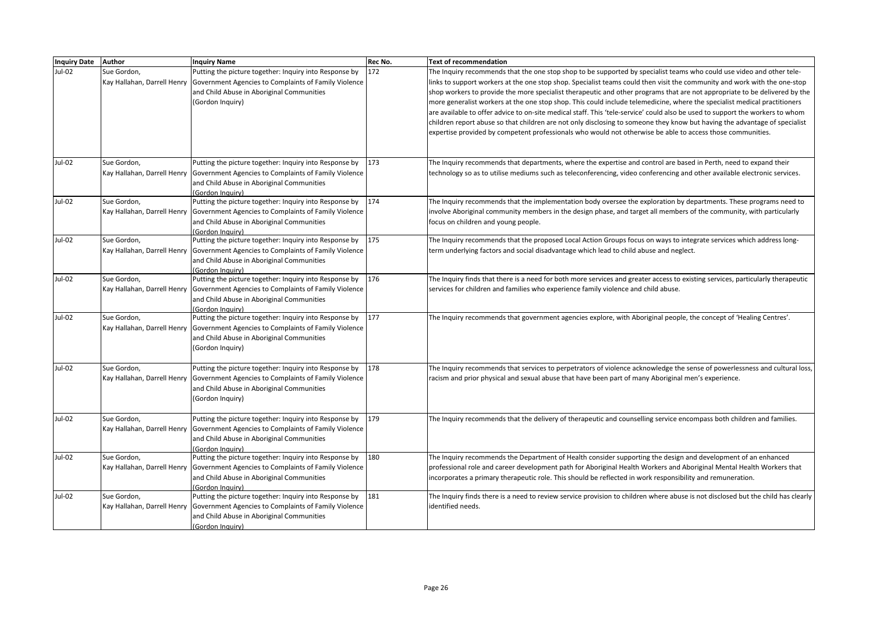| <b>Inquiry Date</b> | Author                                     | <b>Inquiry Name</b>                                                                                                                                                                                           | Rec No. | Text of recommendation                                                                                                                                                                                                                                                                                                                                                                                                                                                                                                                                                                                                                                                                                                                                                                                                                                                                     |
|---------------------|--------------------------------------------|---------------------------------------------------------------------------------------------------------------------------------------------------------------------------------------------------------------|---------|--------------------------------------------------------------------------------------------------------------------------------------------------------------------------------------------------------------------------------------------------------------------------------------------------------------------------------------------------------------------------------------------------------------------------------------------------------------------------------------------------------------------------------------------------------------------------------------------------------------------------------------------------------------------------------------------------------------------------------------------------------------------------------------------------------------------------------------------------------------------------------------------|
| Jul-02              | Sue Gordon,                                | Putting the picture together: Inquiry into Response by<br>Kay Hallahan, Darrell Henry Government Agencies to Complaints of Family Violence<br>and Child Abuse in Aboriginal Communities<br>(Gordon Inquiry)   | 172     | The Inquiry recommends that the one stop shop to be supported by specialist teams who could use video and other tele-<br>links to support workers at the one stop shop. Specialist teams could then visit the community and work with the one-stop<br>shop workers to provide the more specialist therapeutic and other programs that are not appropriate to be delivered by the<br>more generalist workers at the one stop shop. This could include telemedicine, where the specialist medical practitioners<br>are available to offer advice to on-site medical staff. This 'tele-service' could also be used to support the workers to whom<br>children report abuse so that children are not only disclosing to someone they know but having the advantage of specialist<br>expertise provided by competent professionals who would not otherwise be able to access those communities. |
|                     |                                            |                                                                                                                                                                                                               |         |                                                                                                                                                                                                                                                                                                                                                                                                                                                                                                                                                                                                                                                                                                                                                                                                                                                                                            |
| Jul-02              | Sue Gordon,                                | Putting the picture together: Inquiry into Response by<br>Kay Hallahan, Darrell Henry Government Agencies to Complaints of Family Violence<br>and Child Abuse in Aboriginal Communities<br>(Gordon Inquiry)   | 173     | The Inquiry recommends that departments, where the expertise and control are based in Perth, need to expand their<br>technology so as to utilise mediums such as teleconferencing, video conferencing and other available electronic services.                                                                                                                                                                                                                                                                                                                                                                                                                                                                                                                                                                                                                                             |
| Jul-02              | Sue Gordon,                                | Putting the picture together: Inquiry into Response by<br>Kay Hallahan, Darrell Henry   Government Agencies to Complaints of Family Violence<br>and Child Abuse in Aboriginal Communities<br>(Gordon Inquiry) | 174     | The Inquiry recommends that the implementation body oversee the exploration by departments. These programs need to<br>involve Aboriginal community members in the design phase, and target all members of the community, with particularly<br>focus on children and young people.                                                                                                                                                                                                                                                                                                                                                                                                                                                                                                                                                                                                          |
| Jul-02              | Sue Gordon,                                | Putting the picture together: Inquiry into Response by<br>Kay Hallahan, Darrell Henry   Government Agencies to Complaints of Family Violence<br>and Child Abuse in Aboriginal Communities<br>(Gordon Inquiry) | 175     | The Inquiry recommends that the proposed Local Action Groups focus on ways to integrate services which address long-<br>term underlying factors and social disadvantage which lead to child abuse and neglect.                                                                                                                                                                                                                                                                                                                                                                                                                                                                                                                                                                                                                                                                             |
| Jul-02              | Sue Gordon,<br>Kay Hallahan, Darrell Henry | Putting the picture together: Inquiry into Response by<br>Government Agencies to Complaints of Family Violence<br>and Child Abuse in Aboriginal Communities<br>Gordon Inquiry)                                | 176     | The Inquiry finds that there is a need for both more services and greater access to existing services, particularly therapeutic<br>services for children and families who experience family violence and child abuse.                                                                                                                                                                                                                                                                                                                                                                                                                                                                                                                                                                                                                                                                      |
| Jul-02              | Sue Gordon,<br>Kay Hallahan, Darrell Henry | Putting the picture together: Inquiry into Response by<br>Government Agencies to Complaints of Family Violence<br>and Child Abuse in Aboriginal Communities<br>(Gordon Inquiry)                               | 177     | The Inquiry recommends that government agencies explore, with Aboriginal people, the concept of 'Healing Centres'.                                                                                                                                                                                                                                                                                                                                                                                                                                                                                                                                                                                                                                                                                                                                                                         |
| Jul-02              | Sue Gordon,                                | Putting the picture together: Inquiry into Response by<br>Kay Hallahan, Darrell Henry   Government Agencies to Complaints of Family Violence<br>and Child Abuse in Aboriginal Communities<br>(Gordon Inquiry) | 178     | The Inquiry recommends that services to perpetrators of violence acknowledge the sense of powerlessness and cultural loss,<br>racism and prior physical and sexual abuse that have been part of many Aboriginal men's experience.                                                                                                                                                                                                                                                                                                                                                                                                                                                                                                                                                                                                                                                          |
| Jul-02              | Sue Gordon,<br>Kay Hallahan, Darrell Henry | Putting the picture together: Inquiry into Response by<br>Government Agencies to Complaints of Family Violence<br>and Child Abuse in Aboriginal Communities<br>(Gordon Inquiry)                               | 179     | The Inquiry recommends that the delivery of therapeutic and counselling service encompass both children and families.                                                                                                                                                                                                                                                                                                                                                                                                                                                                                                                                                                                                                                                                                                                                                                      |
| Jul-02              | Sue Gordon,                                | Putting the picture together: Inquiry into Response by<br>Kay Hallahan, Darrell Henry   Government Agencies to Complaints of Family Violence<br>and Child Abuse in Aboriginal Communities<br>(Gordon Inauiry) | 180     | The Inquiry recommends the Department of Health consider supporting the design and development of an enhanced<br>professional role and career development path for Aboriginal Health Workers and Aboriginal Mental Health Workers that<br>incorporates a primary therapeutic role. This should be reflected in work responsibility and remuneration.                                                                                                                                                                                                                                                                                                                                                                                                                                                                                                                                       |
| Jul-02              | Sue Gordon,                                | Putting the picture together: Inquiry into Response by<br>Kay Hallahan, Darrell Henry Government Agencies to Complaints of Family Violence<br>and Child Abuse in Aboriginal Communities<br>(Gordon Inquiry)   | 181     | The Inquiry finds there is a need to review service provision to children where abuse is not disclosed but the child has clearly<br>identified needs.                                                                                                                                                                                                                                                                                                                                                                                                                                                                                                                                                                                                                                                                                                                                      |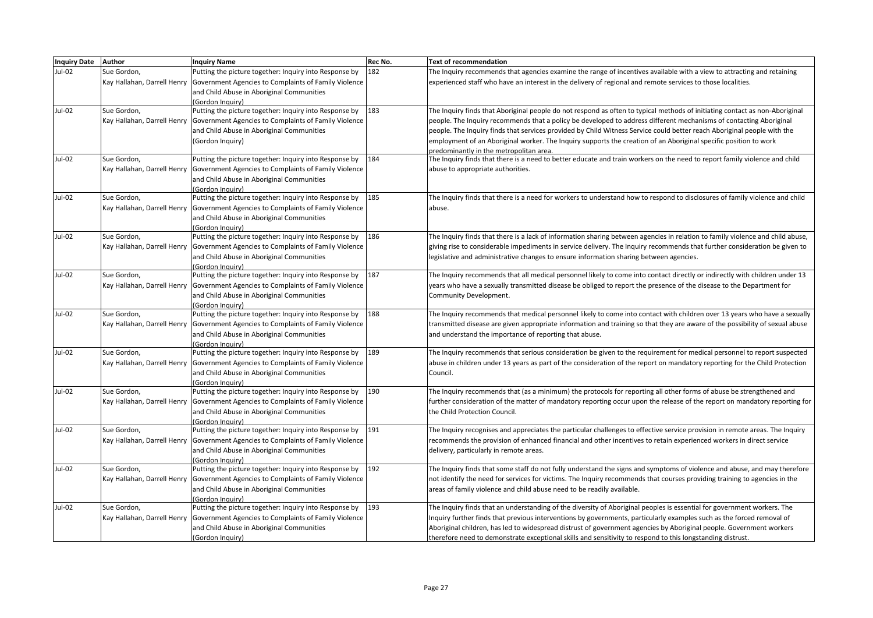| Inquiry Date Author |                             | <b>Inquiry Name</b>                                                                | Rec No. | <b>Text of recommendation</b>                                                                                                  |
|---------------------|-----------------------------|------------------------------------------------------------------------------------|---------|--------------------------------------------------------------------------------------------------------------------------------|
| Jul-02              | Sue Gordon,                 | Putting the picture together: Inquiry into Response by                             | 182     | The Inquiry recommends that agencies examine the range of incentives available with a view to attracting and retaining         |
|                     | Kay Hallahan, Darrell Henry | Government Agencies to Complaints of Family Violence                               |         | experienced staff who have an interest in the delivery of regional and remote services to those localities.                    |
|                     |                             | and Child Abuse in Aboriginal Communities                                          |         |                                                                                                                                |
|                     |                             | (Gordon Inauiry)                                                                   |         |                                                                                                                                |
| Jul-02              | Sue Gordon,                 | Putting the picture together: Inquiry into Response by                             | 183     | The Inquiry finds that Aboriginal people do not respond as often to typical methods of initiating contact as non-Aboriginal    |
|                     | Kay Hallahan, Darrell Henry | Government Agencies to Complaints of Family Violence                               |         | people. The Inquiry recommends that a policy be developed to address different mechanisms of contacting Aboriginal             |
|                     |                             | and Child Abuse in Aboriginal Communities                                          |         | people. The Inquiry finds that services provided by Child Witness Service could better reach Aboriginal people with the        |
|                     |                             | (Gordon Inquiry)                                                                   |         | employment of an Aboriginal worker. The Inquiry supports the creation of an Aboriginal specific position to work               |
|                     |                             |                                                                                    |         | predominantly in the metropolitan area.                                                                                        |
| Jul-02              | Sue Gordon,                 | Putting the picture together: Inquiry into Response by                             | 184     | The Inquiry finds that there is a need to better educate and train workers on the need to report family violence and child     |
|                     | Kay Hallahan, Darrell Henry | Government Agencies to Complaints of Family Violence                               |         | abuse to appropriate authorities.                                                                                              |
|                     |                             | and Child Abuse in Aboriginal Communities                                          |         |                                                                                                                                |
|                     |                             | (Gordon Inquiry)                                                                   |         |                                                                                                                                |
| Jul-02              | Sue Gordon,                 | Putting the picture together: Inquiry into Response by                             | 185     | The Inquiry finds that there is a need for workers to understand how to respond to disclosures of family violence and child    |
|                     | Kay Hallahan, Darrell Henry | Government Agencies to Complaints of Family Violence                               |         | abuse.                                                                                                                         |
|                     |                             | and Child Abuse in Aboriginal Communities                                          |         |                                                                                                                                |
|                     |                             | (Gordon Inauiry)                                                                   |         |                                                                                                                                |
| Jul-02              | Sue Gordon,                 | Putting the picture together: Inquiry into Response by                             | 186     | The Inquiry finds that there is a lack of information sharing between agencies in relation to family violence and child abuse, |
|                     | Kay Hallahan, Darrell Henry | Government Agencies to Complaints of Family Violence                               |         | giving rise to considerable impediments in service delivery. The Inquiry recommends that further consideration be given to     |
|                     |                             | and Child Abuse in Aboriginal Communities                                          |         | legislative and administrative changes to ensure information sharing between agencies.                                         |
|                     |                             | (Gordon Inauiry)                                                                   |         |                                                                                                                                |
| Jul-02              | Sue Gordon,                 | Putting the picture together: Inquiry into Response by                             | 187     | The Inquiry recommends that all medical personnel likely to come into contact directly or indirectly with children under 13    |
|                     | Kay Hallahan, Darrell Henry | Government Agencies to Complaints of Family Violence                               |         | years who have a sexually transmitted disease be obliged to report the presence of the disease to the Department for           |
|                     |                             | and Child Abuse in Aboriginal Communities                                          |         | Community Development.                                                                                                         |
|                     |                             | (Gordon Inquiry)                                                                   |         |                                                                                                                                |
| Jul-02              | Sue Gordon,                 | Putting the picture together: Inquiry into Response by                             | 188     | The Inquiry recommends that medical personnel likely to come into contact with children over 13 years who have a sexually      |
|                     | Kay Hallahan, Darrell Henry | Government Agencies to Complaints of Family Violence                               |         | transmitted disease are given appropriate information and training so that they are aware of the possibility of sexual abuse   |
|                     |                             | and Child Abuse in Aboriginal Communities                                          |         | and understand the importance of reporting that abuse.                                                                         |
|                     |                             | (Gordon Inquiry)                                                                   |         |                                                                                                                                |
| Jul-02              | Sue Gordon,                 | Putting the picture together: Inquiry into Response by                             | 189     | The Inquiry recommends that serious consideration be given to the requirement for medical personnel to report suspected        |
|                     |                             | Kay Hallahan, Darrell Henry Government Agencies to Complaints of Family Violence   |         | abuse in children under 13 years as part of the consideration of the report on mandatory reporting for the Child Protection    |
|                     |                             | and Child Abuse in Aboriginal Communities                                          |         | Council.                                                                                                                       |
|                     |                             | (Gordon Inquiry)                                                                   |         |                                                                                                                                |
| Jul-02              | Sue Gordon,                 | Putting the picture together: Inquiry into Response by                             | 190     | The Inquiry recommends that (as a minimum) the protocols for reporting all other forms of abuse be strengthened and            |
|                     |                             | Kay Hallahan, Darrell Henry Government Agencies to Complaints of Family Violence   |         | further consideration of the matter of mandatory reporting occur upon the release of the report on mandatory reporting for     |
|                     |                             | and Child Abuse in Aboriginal Communities                                          |         | the Child Protection Council.                                                                                                  |
|                     |                             | (Gordon Inquiry)                                                                   |         |                                                                                                                                |
| Jul-02              | Sue Gordon,                 | Putting the picture together: Inquiry into Response by                             | 191     | The Inquiry recognises and appreciates the particular challenges to effective service provision in remote areas. The Inquiry   |
|                     |                             | Kay Hallahan, Darrell Henry Government Agencies to Complaints of Family Violence   |         | recommends the provision of enhanced financial and other incentives to retain experienced workers in direct service            |
|                     |                             | and Child Abuse in Aboriginal Communities                                          |         | delivery, particularly in remote areas.                                                                                        |
|                     |                             | (Gordon Inquiry)                                                                   | 192     |                                                                                                                                |
| Jul-02              | Sue Gordon,                 | Putting the picture together: Inquiry into Response by                             |         | The Inquiry finds that some staff do not fully understand the signs and symptoms of violence and abuse, and may therefore      |
|                     |                             | Kay Hallahan, Darrell Henry   Government Agencies to Complaints of Family Violence |         | not identify the need for services for victims. The Inquiry recommends that courses providing training to agencies in the      |
|                     |                             | and Child Abuse in Aboriginal Communities                                          |         | areas of family violence and child abuse need to be readily available.                                                         |
|                     |                             | (Gordon Inquiry)                                                                   | 193     |                                                                                                                                |
| Jul-02              | Sue Gordon,                 | Putting the picture together: Inquiry into Response by                             |         | The Inquiry finds that an understanding of the diversity of Aboriginal peoples is essential for government workers. The        |
|                     |                             | Kay Hallahan, Darrell Henry   Government Agencies to Complaints of Family Violence |         | Inquiry further finds that previous interventions by governments, particularly examples such as the forced removal of          |
|                     |                             | and Child Abuse in Aboriginal Communities                                          |         | Aboriginal children, has led to widespread distrust of government agencies by Aboriginal people. Government workers            |
|                     |                             | (Gordon Inquiry)                                                                   |         | therefore need to demonstrate exceptional skills and sensitivity to respond to this longstanding distrust.                     |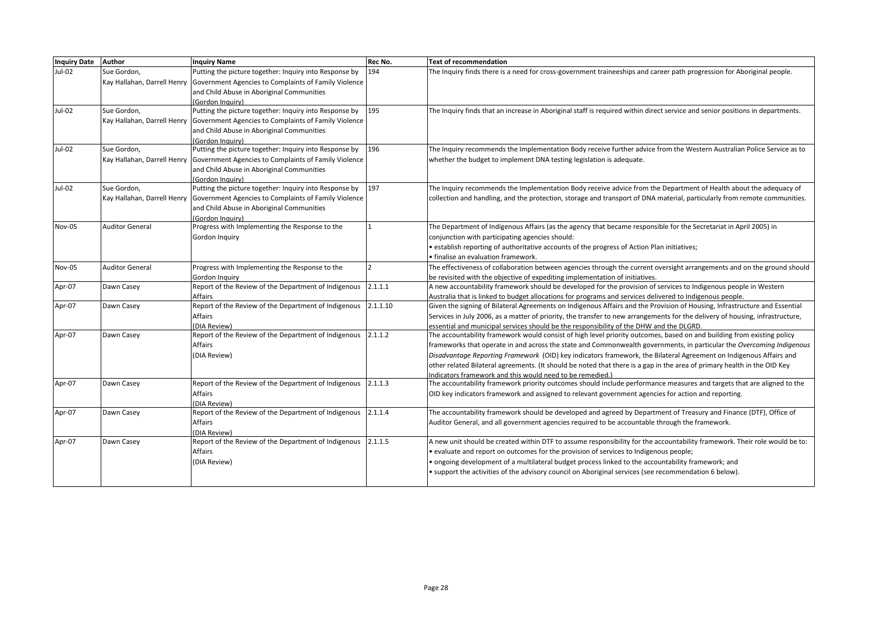| <b>Inquiry Date</b> | Author                 | <b>Inquiry Name</b>                                                                | Rec No.  | <b>Text of recommendation</b>                                                                                                 |
|---------------------|------------------------|------------------------------------------------------------------------------------|----------|-------------------------------------------------------------------------------------------------------------------------------|
| Jul-02              | Sue Gordon.            | Putting the picture together: Inquiry into Response by                             | 194      | The Inguiry finds there is a need for cross-government traineeships and career path progression for Aboriginal people.        |
|                     |                        | Kay Hallahan, Darrell Henry Government Agencies to Complaints of Family Violence   |          |                                                                                                                               |
|                     |                        | and Child Abuse in Aboriginal Communities                                          |          |                                                                                                                               |
|                     |                        | (Gordon Inauiry)                                                                   |          |                                                                                                                               |
| Jul-02              | Sue Gordon,            | Putting the picture together: Inquiry into Response by                             | 195      | The Inquiry finds that an increase in Aboriginal staff is required within direct service and senior positions in departments. |
|                     |                        | Kay Hallahan, Darrell Henry Government Agencies to Complaints of Family Violence   |          |                                                                                                                               |
|                     |                        | and Child Abuse in Aboriginal Communities                                          |          |                                                                                                                               |
|                     |                        | (Gordon Inauiry)                                                                   |          |                                                                                                                               |
| Jul-02              | Sue Gordon,            | Putting the picture together: Inquiry into Response by                             | 196      | The Inquiry recommends the Implementation Body receive further advice from the Western Australian Police Service as to        |
|                     |                        | Kay Hallahan, Darrell Henry   Government Agencies to Complaints of Family Violence |          | whether the budget to implement DNA testing legislation is adequate.                                                          |
|                     |                        | and Child Abuse in Aboriginal Communities                                          |          |                                                                                                                               |
|                     |                        | (Gordon Inauirv)                                                                   |          |                                                                                                                               |
| Jul-02              | Sue Gordon,            | Putting the picture together: Inquiry into Response by                             | 197      | The Inquiry recommends the Implementation Body receive advice from the Department of Health about the adequacy of             |
|                     |                        | Kay Hallahan, Darrell Henry   Government Agencies to Complaints of Family Violence |          | collection and handling, and the protection, storage and transport of DNA material, particularly from remote communities.     |
|                     |                        | and Child Abuse in Aboriginal Communities                                          |          |                                                                                                                               |
|                     |                        | (Gordon Inauiry)                                                                   |          |                                                                                                                               |
| <b>Nov-05</b>       | <b>Auditor General</b> | Progress with Implementing the Response to the                                     |          | The Department of Indigenous Affairs (as the agency that became responsible for the Secretariat in April 2005) in             |
|                     |                        | Gordon Inquiry                                                                     |          | conjunction with participating agencies should:                                                                               |
|                     |                        |                                                                                    |          | • establish reporting of authoritative accounts of the progress of Action Plan initiatives;                                   |
|                     |                        |                                                                                    |          | · finalise an evaluation framework.                                                                                           |
| <b>Nov-05</b>       | <b>Auditor General</b> | Progress with Implementing the Response to the                                     |          | The effectiveness of collaboration between agencies through the current oversight arrangements and on the ground should       |
|                     |                        | Gordon Inquiry                                                                     |          | be revisited with the objective of expediting implementation of initiatives.                                                  |
| Apr-07              | Dawn Casey             | Report of the Review of the Department of Indigenous                               | 2.1.1.1  | A new accountability framework should be developed for the provision of services to Indigenous people in Western              |
|                     |                        | Affairs                                                                            |          | Australia that is linked to budget allocations for programs and services delivered to Indigenous people.                      |
| Apr-07              | Dawn Casey             | Report of the Review of the Department of Indigenous                               | 2.1.1.10 | Given the signing of Bilateral Agreements on Indigenous Affairs and the Provision of Housing, Infrastructure and Essential    |
|                     |                        | Affairs                                                                            |          | Services in July 2006, as a matter of priority, the transfer to new arrangements for the delivery of housing, infrastructure, |
|                     |                        | (DIA Review)                                                                       |          | essential and municipal services should be the responsibility of the DHW and the DLGRD.                                       |
| Apr-07              | Dawn Casey             | Report of the Review of the Department of Indigenous                               | 2.1.1.2  | The accountability framework would consist of high level priority outcomes, based on and building from existing policy        |
|                     |                        | Affairs                                                                            |          | frameworks that operate in and across the state and Commonwealth governments, in particular the Overcoming Indigenous         |
|                     |                        | (DIA Review)                                                                       |          | Disadvantage Reporting Framework (OID) key indicators framework, the Bilateral Agreement on Indigenous Affairs and            |
|                     |                        |                                                                                    |          | other related Bilateral agreements. (It should be noted that there is a gap in the area of primary health in the OID Key      |
|                     |                        |                                                                                    |          | Indicators framework and this would need to be remedied.)                                                                     |
| Apr-07              | Dawn Casey             | Report of the Review of the Department of Indigenous 2.1.1.3                       |          | The accountability framework priority outcomes should include performance measures and targets that are aligned to the        |
|                     |                        | Affairs                                                                            |          | OID key indicators framework and assigned to relevant government agencies for action and reporting.                           |
|                     |                        | (DIA Review)                                                                       |          |                                                                                                                               |
| Apr-07              | Dawn Casey             | Report of the Review of the Department of Indigenous                               | 2.1.1.4  | The accountability framework should be developed and agreed by Department of Treasury and Finance (DTF), Office of            |
|                     |                        | Affairs                                                                            |          | Auditor General, and all government agencies required to be accountable through the framework.                                |
|                     |                        | (DIA Review)                                                                       |          |                                                                                                                               |
| Apr-07              | Dawn Casey             | Report of the Review of the Department of Indigenous                               | 2.1.1.5  | A new unit should be created within DTF to assume responsibility for the accountability framework. Their role would be to:    |
|                     |                        | Affairs                                                                            |          | · evaluate and report on outcomes for the provision of services to Indigenous people;                                         |
|                     |                        | (DIA Review)                                                                       |          | · ongoing development of a multilateral budget process linked to the accountability framework; and                            |
|                     |                        |                                                                                    |          | • support the activities of the advisory council on Aboriginal services (see recommendation 6 below).                         |
|                     |                        |                                                                                    |          |                                                                                                                               |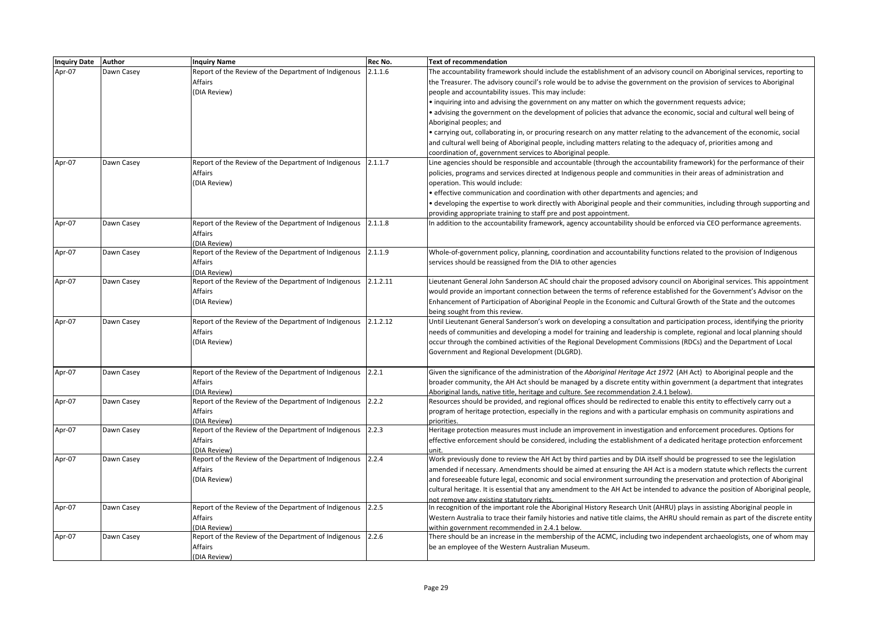| 2.1.1.6<br>Apr-07<br>Dawn Casey<br>Report of the Review of the Department of Indigenous<br>The accountability framework should include the establishment of an advisory council on Aboriginal services, reporting to<br><b>Affairs</b><br>the Treasurer. The advisory council's role would be to advise the government on the provision of services to Aboriginal<br>(DIA Review)<br>people and accountability issues. This may include:<br>• inquiring into and advising the government on any matter on which the government requests advice;<br>• advising the government on the development of policies that advance the economic, social and cultural well being of<br>Aboriginal peoples; and<br>• carrying out, collaborating in, or procuring research on any matter relating to the advancement of the economic, social<br>and cultural well being of Aboriginal people, including matters relating to the adequacy of, priorities among and<br>coordination of, government services to Aboriginal people.<br>Apr-07<br>Report of the Review of the Department of Indigenous<br>Line agencies should be responsible and accountable (through the accountability framework) for the performance of their<br>2.1.1.7<br>Dawn Casey<br>Affairs<br>policies, programs and services directed at Indigenous people and communities in their areas of administration and<br>(DIA Review)<br>operation. This would include:<br>• effective communication and coordination with other departments and agencies; and<br>• developing the expertise to work directly with Aboriginal people and their communities, including through supporting and<br>providing appropriate training to staff pre and post appointment.<br>Report of the Review of the Department of Indigenous 2.1.1.8<br>Apr-07<br>In addition to the accountability framework, agency accountability should be enforced via CEO performance agreements.<br>Dawn Casey<br>Affairs<br>(DIA Review)<br>Report of the Review of the Department of Indigenous 2.1.1.9<br>Apr-07<br>Whole-of-government policy, planning, coordination and accountability functions related to the provision of Indigenous<br>Dawn Casey<br><b>Affairs</b><br>services should be reassigned from the DIA to other agencies<br>(DIA Review)<br>Dawn Casey<br>Report of the Review of the Department of Indigenous<br>2.1.2.11<br>Apr-07<br>Lieutenant General John Sanderson AC should chair the proposed advisory council on Aboriginal services. This appointment<br>Affairs<br>would provide an important connection between the terms of reference established for the Government's Advisor on the<br>(DIA Review)<br>Enhancement of Participation of Aboriginal People in the Economic and Cultural Growth of the State and the outcomes<br>being sought from this review.<br>Apr-07<br>Report of the Review of the Department of Indigenous<br>2.1.2.12<br>Until Lieutenant General Sanderson's work on developing a consultation and participation process, identifying the priority<br>Dawn Casey<br><b>Affairs</b><br>needs of communities and developing a model for training and leadership is complete, regional and local planning should<br>(DIA Review)<br>occur through the combined activities of the Regional Development Commissions (RDCs) and the Department of Local<br>Government and Regional Development (DLGRD).<br>Apr-07<br>Report of the Review of the Department of Indigenous 2.2.1<br>Given the significance of the administration of the Aboriginal Heritage Act 1972 (AH Act) to Aboriginal people and the<br>Dawn Casey<br><b>Affairs</b><br>broader community, the AH Act should be managed by a discrete entity within government (a department that integrates<br>(DIA Review)<br>Aboriginal lands, native title, heritage and culture. See recommendation 2.4.1 below)<br>Report of the Review of the Department of Indigenous<br>2.2.2<br>Apr-07<br>Dawn Casey<br>Resources should be provided, and regional offices should be redirected to enable this entity to effectively carry out a<br><b>Affairs</b><br>program of heritage protection, especially in the regions and with a particular emphasis on community aspirations and<br>(DIA Review)<br>priorities.<br>Report of the Review of the Department of Indigenous<br>2.2.3<br>Apr-07<br>Dawn Casey<br>Heritage protection measures must include an improvement in investigation and enforcement procedures. Options for<br>Affairs<br>effective enforcement should be considered, including the establishment of a dedicated heritage protection enforcement<br>(DIA Review)<br>unit.<br>Apr-07<br>Report of the Review of the Department of Indigenous<br>2.2.4<br>Work previously done to review the AH Act by third parties and by DIA itself should be progressed to see the legislation<br>Dawn Casey<br>Affairs<br>amended if necessary. Amendments should be aimed at ensuring the AH Act is a modern statute which reflects the current<br>(DIA Review)<br>and foreseeable future legal, economic and social environment surrounding the preservation and protection of Aboriginal<br>cultural heritage. It is essential that any amendment to the AH Act be intended to advance the position of Aboriginal people,<br>not remove any existing statutory rights.<br>Apr-07<br>Report of the Review of the Department of Indigenous 2.2.5<br>In recognition of the important role the Aboriginal History Research Unit (AHRU) plays in assisting Aboriginal people in<br>Dawn Casey<br><b>Affairs</b><br>Western Australia to trace their family histories and native title claims, the AHRU should remain as part of the discrete entity<br>(DIA Review)<br>within government recommended in 2.4.1 below.<br>Report of the Review of the Department of Indigenous 2.2.6<br>Apr-07<br>Dawn Casey<br>There should be an increase in the membership of the ACMC, including two independent archaeologists, one of whom may<br>Affairs<br>be an employee of the Western Australian Museum. | Inquiry Date Author | <b>Inquiry Name</b> | Rec No. | <b>Text of recommendation</b> |
|----------------------------------------------------------------------------------------------------------------------------------------------------------------------------------------------------------------------------------------------------------------------------------------------------------------------------------------------------------------------------------------------------------------------------------------------------------------------------------------------------------------------------------------------------------------------------------------------------------------------------------------------------------------------------------------------------------------------------------------------------------------------------------------------------------------------------------------------------------------------------------------------------------------------------------------------------------------------------------------------------------------------------------------------------------------------------------------------------------------------------------------------------------------------------------------------------------------------------------------------------------------------------------------------------------------------------------------------------------------------------------------------------------------------------------------------------------------------------------------------------------------------------------------------------------------------------------------------------------------------------------------------------------------------------------------------------------------------------------------------------------------------------------------------------------------------------------------------------------------------------------------------------------------------------------------------------------------------------------------------------------------------------------------------------------------------------------------------------------------------------------------------------------------------------------------------------------------------------------------------------------------------------------------------------------------------------------------------------------------------------------------------------------------------------------------------------------------------------------------------------------------------------------------------------------------------------------------------------------------------------------------------------------------------------------------------------------------------------------------------------------------------------------------------------------------------------------------------------------------------------------------------------------------------------------------------------------------------------------------------------------------------------------------------------------------------------------------------------------------------------------------------------------------------------------------------------------------------------------------------------------------------------------------------------------------------------------------------------------------------------------------------------------------------------------------------------------------------------------------------------------------------------------------------------------------------------------------------------------------------------------------------------------------------------------------------------------------------------------------------------------------------------------------------------------------------------------------------------------------------------------------------------------------------------------------------------------------------------------------------------------------------------------------------------------------------------------------------------------------------------------------------------------------------------------------------------------------------------------------------------------------------------------------------------------------------------------------------------------------------------------------------------------------------------------------------------------------------------------------------------------------------------------------------------------------------------------------------------------------------------------------------------------------------------------------------------------------------------------------------------------------------------------------------------------------------------------------------------------------------------------------------------------------------------------------------------------------------------------------------------------------------------------------------------------------------------------------------------------------------------------------------------------------------------------------------------------------------------------------------------------------------------------------------------------------------------------------------------------------------------------------------------------------------------------------------------------------------------------------------------------------------------------------------------------------------------------------------------------------------------------------------------------------------------------------------------------------------------------------------------------------------------------------------------------------------------------------------------------------------------------------------------------------------------------------------------------------------------------------------------------------------------------------------|---------------------|---------------------|---------|-------------------------------|
|                                                                                                                                                                                                                                                                                                                                                                                                                                                                                                                                                                                                                                                                                                                                                                                                                                                                                                                                                                                                                                                                                                                                                                                                                                                                                                                                                                                                                                                                                                                                                                                                                                                                                                                                                                                                                                                                                                                                                                                                                                                                                                                                                                                                                                                                                                                                                                                                                                                                                                                                                                                                                                                                                                                                                                                                                                                                                                                                                                                                                                                                                                                                                                                                                                                                                                                                                                                                                                                                                                                                                                                                                                                                                                                                                                                                                                                                                                                                                                                                                                                                                                                                                                                                                                                                                                                                                                                                                                                                                                                                                                                                                                                                                                                                                                                                                                                                                                                                                                                                                                                                                                                                                                                                                                                                                                                                                                                                                                                                                                                                                                                                                                                                                                                                                                                                                                                                                                                                                                                                                                              |                     |                     |         |                               |
|                                                                                                                                                                                                                                                                                                                                                                                                                                                                                                                                                                                                                                                                                                                                                                                                                                                                                                                                                                                                                                                                                                                                                                                                                                                                                                                                                                                                                                                                                                                                                                                                                                                                                                                                                                                                                                                                                                                                                                                                                                                                                                                                                                                                                                                                                                                                                                                                                                                                                                                                                                                                                                                                                                                                                                                                                                                                                                                                                                                                                                                                                                                                                                                                                                                                                                                                                                                                                                                                                                                                                                                                                                                                                                                                                                                                                                                                                                                                                                                                                                                                                                                                                                                                                                                                                                                                                                                                                                                                                                                                                                                                                                                                                                                                                                                                                                                                                                                                                                                                                                                                                                                                                                                                                                                                                                                                                                                                                                                                                                                                                                                                                                                                                                                                                                                                                                                                                                                                                                                                                                              |                     |                     |         |                               |
|                                                                                                                                                                                                                                                                                                                                                                                                                                                                                                                                                                                                                                                                                                                                                                                                                                                                                                                                                                                                                                                                                                                                                                                                                                                                                                                                                                                                                                                                                                                                                                                                                                                                                                                                                                                                                                                                                                                                                                                                                                                                                                                                                                                                                                                                                                                                                                                                                                                                                                                                                                                                                                                                                                                                                                                                                                                                                                                                                                                                                                                                                                                                                                                                                                                                                                                                                                                                                                                                                                                                                                                                                                                                                                                                                                                                                                                                                                                                                                                                                                                                                                                                                                                                                                                                                                                                                                                                                                                                                                                                                                                                                                                                                                                                                                                                                                                                                                                                                                                                                                                                                                                                                                                                                                                                                                                                                                                                                                                                                                                                                                                                                                                                                                                                                                                                                                                                                                                                                                                                                                              |                     |                     |         |                               |
|                                                                                                                                                                                                                                                                                                                                                                                                                                                                                                                                                                                                                                                                                                                                                                                                                                                                                                                                                                                                                                                                                                                                                                                                                                                                                                                                                                                                                                                                                                                                                                                                                                                                                                                                                                                                                                                                                                                                                                                                                                                                                                                                                                                                                                                                                                                                                                                                                                                                                                                                                                                                                                                                                                                                                                                                                                                                                                                                                                                                                                                                                                                                                                                                                                                                                                                                                                                                                                                                                                                                                                                                                                                                                                                                                                                                                                                                                                                                                                                                                                                                                                                                                                                                                                                                                                                                                                                                                                                                                                                                                                                                                                                                                                                                                                                                                                                                                                                                                                                                                                                                                                                                                                                                                                                                                                                                                                                                                                                                                                                                                                                                                                                                                                                                                                                                                                                                                                                                                                                                                                              |                     |                     |         |                               |
|                                                                                                                                                                                                                                                                                                                                                                                                                                                                                                                                                                                                                                                                                                                                                                                                                                                                                                                                                                                                                                                                                                                                                                                                                                                                                                                                                                                                                                                                                                                                                                                                                                                                                                                                                                                                                                                                                                                                                                                                                                                                                                                                                                                                                                                                                                                                                                                                                                                                                                                                                                                                                                                                                                                                                                                                                                                                                                                                                                                                                                                                                                                                                                                                                                                                                                                                                                                                                                                                                                                                                                                                                                                                                                                                                                                                                                                                                                                                                                                                                                                                                                                                                                                                                                                                                                                                                                                                                                                                                                                                                                                                                                                                                                                                                                                                                                                                                                                                                                                                                                                                                                                                                                                                                                                                                                                                                                                                                                                                                                                                                                                                                                                                                                                                                                                                                                                                                                                                                                                                                                              |                     |                     |         |                               |
|                                                                                                                                                                                                                                                                                                                                                                                                                                                                                                                                                                                                                                                                                                                                                                                                                                                                                                                                                                                                                                                                                                                                                                                                                                                                                                                                                                                                                                                                                                                                                                                                                                                                                                                                                                                                                                                                                                                                                                                                                                                                                                                                                                                                                                                                                                                                                                                                                                                                                                                                                                                                                                                                                                                                                                                                                                                                                                                                                                                                                                                                                                                                                                                                                                                                                                                                                                                                                                                                                                                                                                                                                                                                                                                                                                                                                                                                                                                                                                                                                                                                                                                                                                                                                                                                                                                                                                                                                                                                                                                                                                                                                                                                                                                                                                                                                                                                                                                                                                                                                                                                                                                                                                                                                                                                                                                                                                                                                                                                                                                                                                                                                                                                                                                                                                                                                                                                                                                                                                                                                                              |                     |                     |         |                               |
|                                                                                                                                                                                                                                                                                                                                                                                                                                                                                                                                                                                                                                                                                                                                                                                                                                                                                                                                                                                                                                                                                                                                                                                                                                                                                                                                                                                                                                                                                                                                                                                                                                                                                                                                                                                                                                                                                                                                                                                                                                                                                                                                                                                                                                                                                                                                                                                                                                                                                                                                                                                                                                                                                                                                                                                                                                                                                                                                                                                                                                                                                                                                                                                                                                                                                                                                                                                                                                                                                                                                                                                                                                                                                                                                                                                                                                                                                                                                                                                                                                                                                                                                                                                                                                                                                                                                                                                                                                                                                                                                                                                                                                                                                                                                                                                                                                                                                                                                                                                                                                                                                                                                                                                                                                                                                                                                                                                                                                                                                                                                                                                                                                                                                                                                                                                                                                                                                                                                                                                                                                              |                     |                     |         |                               |
|                                                                                                                                                                                                                                                                                                                                                                                                                                                                                                                                                                                                                                                                                                                                                                                                                                                                                                                                                                                                                                                                                                                                                                                                                                                                                                                                                                                                                                                                                                                                                                                                                                                                                                                                                                                                                                                                                                                                                                                                                                                                                                                                                                                                                                                                                                                                                                                                                                                                                                                                                                                                                                                                                                                                                                                                                                                                                                                                                                                                                                                                                                                                                                                                                                                                                                                                                                                                                                                                                                                                                                                                                                                                                                                                                                                                                                                                                                                                                                                                                                                                                                                                                                                                                                                                                                                                                                                                                                                                                                                                                                                                                                                                                                                                                                                                                                                                                                                                                                                                                                                                                                                                                                                                                                                                                                                                                                                                                                                                                                                                                                                                                                                                                                                                                                                                                                                                                                                                                                                                                                              |                     |                     |         |                               |
|                                                                                                                                                                                                                                                                                                                                                                                                                                                                                                                                                                                                                                                                                                                                                                                                                                                                                                                                                                                                                                                                                                                                                                                                                                                                                                                                                                                                                                                                                                                                                                                                                                                                                                                                                                                                                                                                                                                                                                                                                                                                                                                                                                                                                                                                                                                                                                                                                                                                                                                                                                                                                                                                                                                                                                                                                                                                                                                                                                                                                                                                                                                                                                                                                                                                                                                                                                                                                                                                                                                                                                                                                                                                                                                                                                                                                                                                                                                                                                                                                                                                                                                                                                                                                                                                                                                                                                                                                                                                                                                                                                                                                                                                                                                                                                                                                                                                                                                                                                                                                                                                                                                                                                                                                                                                                                                                                                                                                                                                                                                                                                                                                                                                                                                                                                                                                                                                                                                                                                                                                                              |                     |                     |         |                               |
|                                                                                                                                                                                                                                                                                                                                                                                                                                                                                                                                                                                                                                                                                                                                                                                                                                                                                                                                                                                                                                                                                                                                                                                                                                                                                                                                                                                                                                                                                                                                                                                                                                                                                                                                                                                                                                                                                                                                                                                                                                                                                                                                                                                                                                                                                                                                                                                                                                                                                                                                                                                                                                                                                                                                                                                                                                                                                                                                                                                                                                                                                                                                                                                                                                                                                                                                                                                                                                                                                                                                                                                                                                                                                                                                                                                                                                                                                                                                                                                                                                                                                                                                                                                                                                                                                                                                                                                                                                                                                                                                                                                                                                                                                                                                                                                                                                                                                                                                                                                                                                                                                                                                                                                                                                                                                                                                                                                                                                                                                                                                                                                                                                                                                                                                                                                                                                                                                                                                                                                                                                              |                     |                     |         |                               |
|                                                                                                                                                                                                                                                                                                                                                                                                                                                                                                                                                                                                                                                                                                                                                                                                                                                                                                                                                                                                                                                                                                                                                                                                                                                                                                                                                                                                                                                                                                                                                                                                                                                                                                                                                                                                                                                                                                                                                                                                                                                                                                                                                                                                                                                                                                                                                                                                                                                                                                                                                                                                                                                                                                                                                                                                                                                                                                                                                                                                                                                                                                                                                                                                                                                                                                                                                                                                                                                                                                                                                                                                                                                                                                                                                                                                                                                                                                                                                                                                                                                                                                                                                                                                                                                                                                                                                                                                                                                                                                                                                                                                                                                                                                                                                                                                                                                                                                                                                                                                                                                                                                                                                                                                                                                                                                                                                                                                                                                                                                                                                                                                                                                                                                                                                                                                                                                                                                                                                                                                                                              |                     |                     |         |                               |
|                                                                                                                                                                                                                                                                                                                                                                                                                                                                                                                                                                                                                                                                                                                                                                                                                                                                                                                                                                                                                                                                                                                                                                                                                                                                                                                                                                                                                                                                                                                                                                                                                                                                                                                                                                                                                                                                                                                                                                                                                                                                                                                                                                                                                                                                                                                                                                                                                                                                                                                                                                                                                                                                                                                                                                                                                                                                                                                                                                                                                                                                                                                                                                                                                                                                                                                                                                                                                                                                                                                                                                                                                                                                                                                                                                                                                                                                                                                                                                                                                                                                                                                                                                                                                                                                                                                                                                                                                                                                                                                                                                                                                                                                                                                                                                                                                                                                                                                                                                                                                                                                                                                                                                                                                                                                                                                                                                                                                                                                                                                                                                                                                                                                                                                                                                                                                                                                                                                                                                                                                                              |                     |                     |         |                               |
|                                                                                                                                                                                                                                                                                                                                                                                                                                                                                                                                                                                                                                                                                                                                                                                                                                                                                                                                                                                                                                                                                                                                                                                                                                                                                                                                                                                                                                                                                                                                                                                                                                                                                                                                                                                                                                                                                                                                                                                                                                                                                                                                                                                                                                                                                                                                                                                                                                                                                                                                                                                                                                                                                                                                                                                                                                                                                                                                                                                                                                                                                                                                                                                                                                                                                                                                                                                                                                                                                                                                                                                                                                                                                                                                                                                                                                                                                                                                                                                                                                                                                                                                                                                                                                                                                                                                                                                                                                                                                                                                                                                                                                                                                                                                                                                                                                                                                                                                                                                                                                                                                                                                                                                                                                                                                                                                                                                                                                                                                                                                                                                                                                                                                                                                                                                                                                                                                                                                                                                                                                              |                     |                     |         |                               |
|                                                                                                                                                                                                                                                                                                                                                                                                                                                                                                                                                                                                                                                                                                                                                                                                                                                                                                                                                                                                                                                                                                                                                                                                                                                                                                                                                                                                                                                                                                                                                                                                                                                                                                                                                                                                                                                                                                                                                                                                                                                                                                                                                                                                                                                                                                                                                                                                                                                                                                                                                                                                                                                                                                                                                                                                                                                                                                                                                                                                                                                                                                                                                                                                                                                                                                                                                                                                                                                                                                                                                                                                                                                                                                                                                                                                                                                                                                                                                                                                                                                                                                                                                                                                                                                                                                                                                                                                                                                                                                                                                                                                                                                                                                                                                                                                                                                                                                                                                                                                                                                                                                                                                                                                                                                                                                                                                                                                                                                                                                                                                                                                                                                                                                                                                                                                                                                                                                                                                                                                                                              |                     |                     |         |                               |
|                                                                                                                                                                                                                                                                                                                                                                                                                                                                                                                                                                                                                                                                                                                                                                                                                                                                                                                                                                                                                                                                                                                                                                                                                                                                                                                                                                                                                                                                                                                                                                                                                                                                                                                                                                                                                                                                                                                                                                                                                                                                                                                                                                                                                                                                                                                                                                                                                                                                                                                                                                                                                                                                                                                                                                                                                                                                                                                                                                                                                                                                                                                                                                                                                                                                                                                                                                                                                                                                                                                                                                                                                                                                                                                                                                                                                                                                                                                                                                                                                                                                                                                                                                                                                                                                                                                                                                                                                                                                                                                                                                                                                                                                                                                                                                                                                                                                                                                                                                                                                                                                                                                                                                                                                                                                                                                                                                                                                                                                                                                                                                                                                                                                                                                                                                                                                                                                                                                                                                                                                                              |                     |                     |         |                               |
|                                                                                                                                                                                                                                                                                                                                                                                                                                                                                                                                                                                                                                                                                                                                                                                                                                                                                                                                                                                                                                                                                                                                                                                                                                                                                                                                                                                                                                                                                                                                                                                                                                                                                                                                                                                                                                                                                                                                                                                                                                                                                                                                                                                                                                                                                                                                                                                                                                                                                                                                                                                                                                                                                                                                                                                                                                                                                                                                                                                                                                                                                                                                                                                                                                                                                                                                                                                                                                                                                                                                                                                                                                                                                                                                                                                                                                                                                                                                                                                                                                                                                                                                                                                                                                                                                                                                                                                                                                                                                                                                                                                                                                                                                                                                                                                                                                                                                                                                                                                                                                                                                                                                                                                                                                                                                                                                                                                                                                                                                                                                                                                                                                                                                                                                                                                                                                                                                                                                                                                                                                              |                     |                     |         |                               |
|                                                                                                                                                                                                                                                                                                                                                                                                                                                                                                                                                                                                                                                                                                                                                                                                                                                                                                                                                                                                                                                                                                                                                                                                                                                                                                                                                                                                                                                                                                                                                                                                                                                                                                                                                                                                                                                                                                                                                                                                                                                                                                                                                                                                                                                                                                                                                                                                                                                                                                                                                                                                                                                                                                                                                                                                                                                                                                                                                                                                                                                                                                                                                                                                                                                                                                                                                                                                                                                                                                                                                                                                                                                                                                                                                                                                                                                                                                                                                                                                                                                                                                                                                                                                                                                                                                                                                                                                                                                                                                                                                                                                                                                                                                                                                                                                                                                                                                                                                                                                                                                                                                                                                                                                                                                                                                                                                                                                                                                                                                                                                                                                                                                                                                                                                                                                                                                                                                                                                                                                                                              |                     |                     |         |                               |
|                                                                                                                                                                                                                                                                                                                                                                                                                                                                                                                                                                                                                                                                                                                                                                                                                                                                                                                                                                                                                                                                                                                                                                                                                                                                                                                                                                                                                                                                                                                                                                                                                                                                                                                                                                                                                                                                                                                                                                                                                                                                                                                                                                                                                                                                                                                                                                                                                                                                                                                                                                                                                                                                                                                                                                                                                                                                                                                                                                                                                                                                                                                                                                                                                                                                                                                                                                                                                                                                                                                                                                                                                                                                                                                                                                                                                                                                                                                                                                                                                                                                                                                                                                                                                                                                                                                                                                                                                                                                                                                                                                                                                                                                                                                                                                                                                                                                                                                                                                                                                                                                                                                                                                                                                                                                                                                                                                                                                                                                                                                                                                                                                                                                                                                                                                                                                                                                                                                                                                                                                                              |                     |                     |         |                               |
|                                                                                                                                                                                                                                                                                                                                                                                                                                                                                                                                                                                                                                                                                                                                                                                                                                                                                                                                                                                                                                                                                                                                                                                                                                                                                                                                                                                                                                                                                                                                                                                                                                                                                                                                                                                                                                                                                                                                                                                                                                                                                                                                                                                                                                                                                                                                                                                                                                                                                                                                                                                                                                                                                                                                                                                                                                                                                                                                                                                                                                                                                                                                                                                                                                                                                                                                                                                                                                                                                                                                                                                                                                                                                                                                                                                                                                                                                                                                                                                                                                                                                                                                                                                                                                                                                                                                                                                                                                                                                                                                                                                                                                                                                                                                                                                                                                                                                                                                                                                                                                                                                                                                                                                                                                                                                                                                                                                                                                                                                                                                                                                                                                                                                                                                                                                                                                                                                                                                                                                                                                              |                     |                     |         |                               |
|                                                                                                                                                                                                                                                                                                                                                                                                                                                                                                                                                                                                                                                                                                                                                                                                                                                                                                                                                                                                                                                                                                                                                                                                                                                                                                                                                                                                                                                                                                                                                                                                                                                                                                                                                                                                                                                                                                                                                                                                                                                                                                                                                                                                                                                                                                                                                                                                                                                                                                                                                                                                                                                                                                                                                                                                                                                                                                                                                                                                                                                                                                                                                                                                                                                                                                                                                                                                                                                                                                                                                                                                                                                                                                                                                                                                                                                                                                                                                                                                                                                                                                                                                                                                                                                                                                                                                                                                                                                                                                                                                                                                                                                                                                                                                                                                                                                                                                                                                                                                                                                                                                                                                                                                                                                                                                                                                                                                                                                                                                                                                                                                                                                                                                                                                                                                                                                                                                                                                                                                                                              |                     |                     |         |                               |
|                                                                                                                                                                                                                                                                                                                                                                                                                                                                                                                                                                                                                                                                                                                                                                                                                                                                                                                                                                                                                                                                                                                                                                                                                                                                                                                                                                                                                                                                                                                                                                                                                                                                                                                                                                                                                                                                                                                                                                                                                                                                                                                                                                                                                                                                                                                                                                                                                                                                                                                                                                                                                                                                                                                                                                                                                                                                                                                                                                                                                                                                                                                                                                                                                                                                                                                                                                                                                                                                                                                                                                                                                                                                                                                                                                                                                                                                                                                                                                                                                                                                                                                                                                                                                                                                                                                                                                                                                                                                                                                                                                                                                                                                                                                                                                                                                                                                                                                                                                                                                                                                                                                                                                                                                                                                                                                                                                                                                                                                                                                                                                                                                                                                                                                                                                                                                                                                                                                                                                                                                                              |                     |                     |         |                               |
|                                                                                                                                                                                                                                                                                                                                                                                                                                                                                                                                                                                                                                                                                                                                                                                                                                                                                                                                                                                                                                                                                                                                                                                                                                                                                                                                                                                                                                                                                                                                                                                                                                                                                                                                                                                                                                                                                                                                                                                                                                                                                                                                                                                                                                                                                                                                                                                                                                                                                                                                                                                                                                                                                                                                                                                                                                                                                                                                                                                                                                                                                                                                                                                                                                                                                                                                                                                                                                                                                                                                                                                                                                                                                                                                                                                                                                                                                                                                                                                                                                                                                                                                                                                                                                                                                                                                                                                                                                                                                                                                                                                                                                                                                                                                                                                                                                                                                                                                                                                                                                                                                                                                                                                                                                                                                                                                                                                                                                                                                                                                                                                                                                                                                                                                                                                                                                                                                                                                                                                                                                              |                     |                     |         |                               |
|                                                                                                                                                                                                                                                                                                                                                                                                                                                                                                                                                                                                                                                                                                                                                                                                                                                                                                                                                                                                                                                                                                                                                                                                                                                                                                                                                                                                                                                                                                                                                                                                                                                                                                                                                                                                                                                                                                                                                                                                                                                                                                                                                                                                                                                                                                                                                                                                                                                                                                                                                                                                                                                                                                                                                                                                                                                                                                                                                                                                                                                                                                                                                                                                                                                                                                                                                                                                                                                                                                                                                                                                                                                                                                                                                                                                                                                                                                                                                                                                                                                                                                                                                                                                                                                                                                                                                                                                                                                                                                                                                                                                                                                                                                                                                                                                                                                                                                                                                                                                                                                                                                                                                                                                                                                                                                                                                                                                                                                                                                                                                                                                                                                                                                                                                                                                                                                                                                                                                                                                                                              |                     |                     |         |                               |
|                                                                                                                                                                                                                                                                                                                                                                                                                                                                                                                                                                                                                                                                                                                                                                                                                                                                                                                                                                                                                                                                                                                                                                                                                                                                                                                                                                                                                                                                                                                                                                                                                                                                                                                                                                                                                                                                                                                                                                                                                                                                                                                                                                                                                                                                                                                                                                                                                                                                                                                                                                                                                                                                                                                                                                                                                                                                                                                                                                                                                                                                                                                                                                                                                                                                                                                                                                                                                                                                                                                                                                                                                                                                                                                                                                                                                                                                                                                                                                                                                                                                                                                                                                                                                                                                                                                                                                                                                                                                                                                                                                                                                                                                                                                                                                                                                                                                                                                                                                                                                                                                                                                                                                                                                                                                                                                                                                                                                                                                                                                                                                                                                                                                                                                                                                                                                                                                                                                                                                                                                                              |                     |                     |         |                               |
|                                                                                                                                                                                                                                                                                                                                                                                                                                                                                                                                                                                                                                                                                                                                                                                                                                                                                                                                                                                                                                                                                                                                                                                                                                                                                                                                                                                                                                                                                                                                                                                                                                                                                                                                                                                                                                                                                                                                                                                                                                                                                                                                                                                                                                                                                                                                                                                                                                                                                                                                                                                                                                                                                                                                                                                                                                                                                                                                                                                                                                                                                                                                                                                                                                                                                                                                                                                                                                                                                                                                                                                                                                                                                                                                                                                                                                                                                                                                                                                                                                                                                                                                                                                                                                                                                                                                                                                                                                                                                                                                                                                                                                                                                                                                                                                                                                                                                                                                                                                                                                                                                                                                                                                                                                                                                                                                                                                                                                                                                                                                                                                                                                                                                                                                                                                                                                                                                                                                                                                                                                              |                     |                     |         |                               |
|                                                                                                                                                                                                                                                                                                                                                                                                                                                                                                                                                                                                                                                                                                                                                                                                                                                                                                                                                                                                                                                                                                                                                                                                                                                                                                                                                                                                                                                                                                                                                                                                                                                                                                                                                                                                                                                                                                                                                                                                                                                                                                                                                                                                                                                                                                                                                                                                                                                                                                                                                                                                                                                                                                                                                                                                                                                                                                                                                                                                                                                                                                                                                                                                                                                                                                                                                                                                                                                                                                                                                                                                                                                                                                                                                                                                                                                                                                                                                                                                                                                                                                                                                                                                                                                                                                                                                                                                                                                                                                                                                                                                                                                                                                                                                                                                                                                                                                                                                                                                                                                                                                                                                                                                                                                                                                                                                                                                                                                                                                                                                                                                                                                                                                                                                                                                                                                                                                                                                                                                                                              |                     |                     |         |                               |
|                                                                                                                                                                                                                                                                                                                                                                                                                                                                                                                                                                                                                                                                                                                                                                                                                                                                                                                                                                                                                                                                                                                                                                                                                                                                                                                                                                                                                                                                                                                                                                                                                                                                                                                                                                                                                                                                                                                                                                                                                                                                                                                                                                                                                                                                                                                                                                                                                                                                                                                                                                                                                                                                                                                                                                                                                                                                                                                                                                                                                                                                                                                                                                                                                                                                                                                                                                                                                                                                                                                                                                                                                                                                                                                                                                                                                                                                                                                                                                                                                                                                                                                                                                                                                                                                                                                                                                                                                                                                                                                                                                                                                                                                                                                                                                                                                                                                                                                                                                                                                                                                                                                                                                                                                                                                                                                                                                                                                                                                                                                                                                                                                                                                                                                                                                                                                                                                                                                                                                                                                                              |                     |                     |         |                               |
|                                                                                                                                                                                                                                                                                                                                                                                                                                                                                                                                                                                                                                                                                                                                                                                                                                                                                                                                                                                                                                                                                                                                                                                                                                                                                                                                                                                                                                                                                                                                                                                                                                                                                                                                                                                                                                                                                                                                                                                                                                                                                                                                                                                                                                                                                                                                                                                                                                                                                                                                                                                                                                                                                                                                                                                                                                                                                                                                                                                                                                                                                                                                                                                                                                                                                                                                                                                                                                                                                                                                                                                                                                                                                                                                                                                                                                                                                                                                                                                                                                                                                                                                                                                                                                                                                                                                                                                                                                                                                                                                                                                                                                                                                                                                                                                                                                                                                                                                                                                                                                                                                                                                                                                                                                                                                                                                                                                                                                                                                                                                                                                                                                                                                                                                                                                                                                                                                                                                                                                                                                              |                     |                     |         |                               |
|                                                                                                                                                                                                                                                                                                                                                                                                                                                                                                                                                                                                                                                                                                                                                                                                                                                                                                                                                                                                                                                                                                                                                                                                                                                                                                                                                                                                                                                                                                                                                                                                                                                                                                                                                                                                                                                                                                                                                                                                                                                                                                                                                                                                                                                                                                                                                                                                                                                                                                                                                                                                                                                                                                                                                                                                                                                                                                                                                                                                                                                                                                                                                                                                                                                                                                                                                                                                                                                                                                                                                                                                                                                                                                                                                                                                                                                                                                                                                                                                                                                                                                                                                                                                                                                                                                                                                                                                                                                                                                                                                                                                                                                                                                                                                                                                                                                                                                                                                                                                                                                                                                                                                                                                                                                                                                                                                                                                                                                                                                                                                                                                                                                                                                                                                                                                                                                                                                                                                                                                                                              |                     |                     |         |                               |
|                                                                                                                                                                                                                                                                                                                                                                                                                                                                                                                                                                                                                                                                                                                                                                                                                                                                                                                                                                                                                                                                                                                                                                                                                                                                                                                                                                                                                                                                                                                                                                                                                                                                                                                                                                                                                                                                                                                                                                                                                                                                                                                                                                                                                                                                                                                                                                                                                                                                                                                                                                                                                                                                                                                                                                                                                                                                                                                                                                                                                                                                                                                                                                                                                                                                                                                                                                                                                                                                                                                                                                                                                                                                                                                                                                                                                                                                                                                                                                                                                                                                                                                                                                                                                                                                                                                                                                                                                                                                                                                                                                                                                                                                                                                                                                                                                                                                                                                                                                                                                                                                                                                                                                                                                                                                                                                                                                                                                                                                                                                                                                                                                                                                                                                                                                                                                                                                                                                                                                                                                                              |                     |                     |         |                               |
|                                                                                                                                                                                                                                                                                                                                                                                                                                                                                                                                                                                                                                                                                                                                                                                                                                                                                                                                                                                                                                                                                                                                                                                                                                                                                                                                                                                                                                                                                                                                                                                                                                                                                                                                                                                                                                                                                                                                                                                                                                                                                                                                                                                                                                                                                                                                                                                                                                                                                                                                                                                                                                                                                                                                                                                                                                                                                                                                                                                                                                                                                                                                                                                                                                                                                                                                                                                                                                                                                                                                                                                                                                                                                                                                                                                                                                                                                                                                                                                                                                                                                                                                                                                                                                                                                                                                                                                                                                                                                                                                                                                                                                                                                                                                                                                                                                                                                                                                                                                                                                                                                                                                                                                                                                                                                                                                                                                                                                                                                                                                                                                                                                                                                                                                                                                                                                                                                                                                                                                                                                              |                     |                     |         |                               |
|                                                                                                                                                                                                                                                                                                                                                                                                                                                                                                                                                                                                                                                                                                                                                                                                                                                                                                                                                                                                                                                                                                                                                                                                                                                                                                                                                                                                                                                                                                                                                                                                                                                                                                                                                                                                                                                                                                                                                                                                                                                                                                                                                                                                                                                                                                                                                                                                                                                                                                                                                                                                                                                                                                                                                                                                                                                                                                                                                                                                                                                                                                                                                                                                                                                                                                                                                                                                                                                                                                                                                                                                                                                                                                                                                                                                                                                                                                                                                                                                                                                                                                                                                                                                                                                                                                                                                                                                                                                                                                                                                                                                                                                                                                                                                                                                                                                                                                                                                                                                                                                                                                                                                                                                                                                                                                                                                                                                                                                                                                                                                                                                                                                                                                                                                                                                                                                                                                                                                                                                                                              |                     |                     |         |                               |
|                                                                                                                                                                                                                                                                                                                                                                                                                                                                                                                                                                                                                                                                                                                                                                                                                                                                                                                                                                                                                                                                                                                                                                                                                                                                                                                                                                                                                                                                                                                                                                                                                                                                                                                                                                                                                                                                                                                                                                                                                                                                                                                                                                                                                                                                                                                                                                                                                                                                                                                                                                                                                                                                                                                                                                                                                                                                                                                                                                                                                                                                                                                                                                                                                                                                                                                                                                                                                                                                                                                                                                                                                                                                                                                                                                                                                                                                                                                                                                                                                                                                                                                                                                                                                                                                                                                                                                                                                                                                                                                                                                                                                                                                                                                                                                                                                                                                                                                                                                                                                                                                                                                                                                                                                                                                                                                                                                                                                                                                                                                                                                                                                                                                                                                                                                                                                                                                                                                                                                                                                                              |                     |                     |         |                               |
|                                                                                                                                                                                                                                                                                                                                                                                                                                                                                                                                                                                                                                                                                                                                                                                                                                                                                                                                                                                                                                                                                                                                                                                                                                                                                                                                                                                                                                                                                                                                                                                                                                                                                                                                                                                                                                                                                                                                                                                                                                                                                                                                                                                                                                                                                                                                                                                                                                                                                                                                                                                                                                                                                                                                                                                                                                                                                                                                                                                                                                                                                                                                                                                                                                                                                                                                                                                                                                                                                                                                                                                                                                                                                                                                                                                                                                                                                                                                                                                                                                                                                                                                                                                                                                                                                                                                                                                                                                                                                                                                                                                                                                                                                                                                                                                                                                                                                                                                                                                                                                                                                                                                                                                                                                                                                                                                                                                                                                                                                                                                                                                                                                                                                                                                                                                                                                                                                                                                                                                                                                              |                     |                     |         |                               |
|                                                                                                                                                                                                                                                                                                                                                                                                                                                                                                                                                                                                                                                                                                                                                                                                                                                                                                                                                                                                                                                                                                                                                                                                                                                                                                                                                                                                                                                                                                                                                                                                                                                                                                                                                                                                                                                                                                                                                                                                                                                                                                                                                                                                                                                                                                                                                                                                                                                                                                                                                                                                                                                                                                                                                                                                                                                                                                                                                                                                                                                                                                                                                                                                                                                                                                                                                                                                                                                                                                                                                                                                                                                                                                                                                                                                                                                                                                                                                                                                                                                                                                                                                                                                                                                                                                                                                                                                                                                                                                                                                                                                                                                                                                                                                                                                                                                                                                                                                                                                                                                                                                                                                                                                                                                                                                                                                                                                                                                                                                                                                                                                                                                                                                                                                                                                                                                                                                                                                                                                                                              |                     |                     |         |                               |
|                                                                                                                                                                                                                                                                                                                                                                                                                                                                                                                                                                                                                                                                                                                                                                                                                                                                                                                                                                                                                                                                                                                                                                                                                                                                                                                                                                                                                                                                                                                                                                                                                                                                                                                                                                                                                                                                                                                                                                                                                                                                                                                                                                                                                                                                                                                                                                                                                                                                                                                                                                                                                                                                                                                                                                                                                                                                                                                                                                                                                                                                                                                                                                                                                                                                                                                                                                                                                                                                                                                                                                                                                                                                                                                                                                                                                                                                                                                                                                                                                                                                                                                                                                                                                                                                                                                                                                                                                                                                                                                                                                                                                                                                                                                                                                                                                                                                                                                                                                                                                                                                                                                                                                                                                                                                                                                                                                                                                                                                                                                                                                                                                                                                                                                                                                                                                                                                                                                                                                                                                                              |                     |                     |         |                               |
|                                                                                                                                                                                                                                                                                                                                                                                                                                                                                                                                                                                                                                                                                                                                                                                                                                                                                                                                                                                                                                                                                                                                                                                                                                                                                                                                                                                                                                                                                                                                                                                                                                                                                                                                                                                                                                                                                                                                                                                                                                                                                                                                                                                                                                                                                                                                                                                                                                                                                                                                                                                                                                                                                                                                                                                                                                                                                                                                                                                                                                                                                                                                                                                                                                                                                                                                                                                                                                                                                                                                                                                                                                                                                                                                                                                                                                                                                                                                                                                                                                                                                                                                                                                                                                                                                                                                                                                                                                                                                                                                                                                                                                                                                                                                                                                                                                                                                                                                                                                                                                                                                                                                                                                                                                                                                                                                                                                                                                                                                                                                                                                                                                                                                                                                                                                                                                                                                                                                                                                                                                              |                     |                     |         |                               |
|                                                                                                                                                                                                                                                                                                                                                                                                                                                                                                                                                                                                                                                                                                                                                                                                                                                                                                                                                                                                                                                                                                                                                                                                                                                                                                                                                                                                                                                                                                                                                                                                                                                                                                                                                                                                                                                                                                                                                                                                                                                                                                                                                                                                                                                                                                                                                                                                                                                                                                                                                                                                                                                                                                                                                                                                                                                                                                                                                                                                                                                                                                                                                                                                                                                                                                                                                                                                                                                                                                                                                                                                                                                                                                                                                                                                                                                                                                                                                                                                                                                                                                                                                                                                                                                                                                                                                                                                                                                                                                                                                                                                                                                                                                                                                                                                                                                                                                                                                                                                                                                                                                                                                                                                                                                                                                                                                                                                                                                                                                                                                                                                                                                                                                                                                                                                                                                                                                                                                                                                                                              |                     |                     |         |                               |
|                                                                                                                                                                                                                                                                                                                                                                                                                                                                                                                                                                                                                                                                                                                                                                                                                                                                                                                                                                                                                                                                                                                                                                                                                                                                                                                                                                                                                                                                                                                                                                                                                                                                                                                                                                                                                                                                                                                                                                                                                                                                                                                                                                                                                                                                                                                                                                                                                                                                                                                                                                                                                                                                                                                                                                                                                                                                                                                                                                                                                                                                                                                                                                                                                                                                                                                                                                                                                                                                                                                                                                                                                                                                                                                                                                                                                                                                                                                                                                                                                                                                                                                                                                                                                                                                                                                                                                                                                                                                                                                                                                                                                                                                                                                                                                                                                                                                                                                                                                                                                                                                                                                                                                                                                                                                                                                                                                                                                                                                                                                                                                                                                                                                                                                                                                                                                                                                                                                                                                                                                                              |                     |                     |         |                               |
|                                                                                                                                                                                                                                                                                                                                                                                                                                                                                                                                                                                                                                                                                                                                                                                                                                                                                                                                                                                                                                                                                                                                                                                                                                                                                                                                                                                                                                                                                                                                                                                                                                                                                                                                                                                                                                                                                                                                                                                                                                                                                                                                                                                                                                                                                                                                                                                                                                                                                                                                                                                                                                                                                                                                                                                                                                                                                                                                                                                                                                                                                                                                                                                                                                                                                                                                                                                                                                                                                                                                                                                                                                                                                                                                                                                                                                                                                                                                                                                                                                                                                                                                                                                                                                                                                                                                                                                                                                                                                                                                                                                                                                                                                                                                                                                                                                                                                                                                                                                                                                                                                                                                                                                                                                                                                                                                                                                                                                                                                                                                                                                                                                                                                                                                                                                                                                                                                                                                                                                                                                              |                     |                     |         |                               |
|                                                                                                                                                                                                                                                                                                                                                                                                                                                                                                                                                                                                                                                                                                                                                                                                                                                                                                                                                                                                                                                                                                                                                                                                                                                                                                                                                                                                                                                                                                                                                                                                                                                                                                                                                                                                                                                                                                                                                                                                                                                                                                                                                                                                                                                                                                                                                                                                                                                                                                                                                                                                                                                                                                                                                                                                                                                                                                                                                                                                                                                                                                                                                                                                                                                                                                                                                                                                                                                                                                                                                                                                                                                                                                                                                                                                                                                                                                                                                                                                                                                                                                                                                                                                                                                                                                                                                                                                                                                                                                                                                                                                                                                                                                                                                                                                                                                                                                                                                                                                                                                                                                                                                                                                                                                                                                                                                                                                                                                                                                                                                                                                                                                                                                                                                                                                                                                                                                                                                                                                                                              |                     |                     |         |                               |
|                                                                                                                                                                                                                                                                                                                                                                                                                                                                                                                                                                                                                                                                                                                                                                                                                                                                                                                                                                                                                                                                                                                                                                                                                                                                                                                                                                                                                                                                                                                                                                                                                                                                                                                                                                                                                                                                                                                                                                                                                                                                                                                                                                                                                                                                                                                                                                                                                                                                                                                                                                                                                                                                                                                                                                                                                                                                                                                                                                                                                                                                                                                                                                                                                                                                                                                                                                                                                                                                                                                                                                                                                                                                                                                                                                                                                                                                                                                                                                                                                                                                                                                                                                                                                                                                                                                                                                                                                                                                                                                                                                                                                                                                                                                                                                                                                                                                                                                                                                                                                                                                                                                                                                                                                                                                                                                                                                                                                                                                                                                                                                                                                                                                                                                                                                                                                                                                                                                                                                                                                                              |                     |                     |         |                               |
|                                                                                                                                                                                                                                                                                                                                                                                                                                                                                                                                                                                                                                                                                                                                                                                                                                                                                                                                                                                                                                                                                                                                                                                                                                                                                                                                                                                                                                                                                                                                                                                                                                                                                                                                                                                                                                                                                                                                                                                                                                                                                                                                                                                                                                                                                                                                                                                                                                                                                                                                                                                                                                                                                                                                                                                                                                                                                                                                                                                                                                                                                                                                                                                                                                                                                                                                                                                                                                                                                                                                                                                                                                                                                                                                                                                                                                                                                                                                                                                                                                                                                                                                                                                                                                                                                                                                                                                                                                                                                                                                                                                                                                                                                                                                                                                                                                                                                                                                                                                                                                                                                                                                                                                                                                                                                                                                                                                                                                                                                                                                                                                                                                                                                                                                                                                                                                                                                                                                                                                                                                              |                     |                     |         |                               |
|                                                                                                                                                                                                                                                                                                                                                                                                                                                                                                                                                                                                                                                                                                                                                                                                                                                                                                                                                                                                                                                                                                                                                                                                                                                                                                                                                                                                                                                                                                                                                                                                                                                                                                                                                                                                                                                                                                                                                                                                                                                                                                                                                                                                                                                                                                                                                                                                                                                                                                                                                                                                                                                                                                                                                                                                                                                                                                                                                                                                                                                                                                                                                                                                                                                                                                                                                                                                                                                                                                                                                                                                                                                                                                                                                                                                                                                                                                                                                                                                                                                                                                                                                                                                                                                                                                                                                                                                                                                                                                                                                                                                                                                                                                                                                                                                                                                                                                                                                                                                                                                                                                                                                                                                                                                                                                                                                                                                                                                                                                                                                                                                                                                                                                                                                                                                                                                                                                                                                                                                                                              |                     |                     |         |                               |
|                                                                                                                                                                                                                                                                                                                                                                                                                                                                                                                                                                                                                                                                                                                                                                                                                                                                                                                                                                                                                                                                                                                                                                                                                                                                                                                                                                                                                                                                                                                                                                                                                                                                                                                                                                                                                                                                                                                                                                                                                                                                                                                                                                                                                                                                                                                                                                                                                                                                                                                                                                                                                                                                                                                                                                                                                                                                                                                                                                                                                                                                                                                                                                                                                                                                                                                                                                                                                                                                                                                                                                                                                                                                                                                                                                                                                                                                                                                                                                                                                                                                                                                                                                                                                                                                                                                                                                                                                                                                                                                                                                                                                                                                                                                                                                                                                                                                                                                                                                                                                                                                                                                                                                                                                                                                                                                                                                                                                                                                                                                                                                                                                                                                                                                                                                                                                                                                                                                                                                                                                                              |                     |                     |         |                               |
|                                                                                                                                                                                                                                                                                                                                                                                                                                                                                                                                                                                                                                                                                                                                                                                                                                                                                                                                                                                                                                                                                                                                                                                                                                                                                                                                                                                                                                                                                                                                                                                                                                                                                                                                                                                                                                                                                                                                                                                                                                                                                                                                                                                                                                                                                                                                                                                                                                                                                                                                                                                                                                                                                                                                                                                                                                                                                                                                                                                                                                                                                                                                                                                                                                                                                                                                                                                                                                                                                                                                                                                                                                                                                                                                                                                                                                                                                                                                                                                                                                                                                                                                                                                                                                                                                                                                                                                                                                                                                                                                                                                                                                                                                                                                                                                                                                                                                                                                                                                                                                                                                                                                                                                                                                                                                                                                                                                                                                                                                                                                                                                                                                                                                                                                                                                                                                                                                                                                                                                                                                              |                     |                     |         |                               |
|                                                                                                                                                                                                                                                                                                                                                                                                                                                                                                                                                                                                                                                                                                                                                                                                                                                                                                                                                                                                                                                                                                                                                                                                                                                                                                                                                                                                                                                                                                                                                                                                                                                                                                                                                                                                                                                                                                                                                                                                                                                                                                                                                                                                                                                                                                                                                                                                                                                                                                                                                                                                                                                                                                                                                                                                                                                                                                                                                                                                                                                                                                                                                                                                                                                                                                                                                                                                                                                                                                                                                                                                                                                                                                                                                                                                                                                                                                                                                                                                                                                                                                                                                                                                                                                                                                                                                                                                                                                                                                                                                                                                                                                                                                                                                                                                                                                                                                                                                                                                                                                                                                                                                                                                                                                                                                                                                                                                                                                                                                                                                                                                                                                                                                                                                                                                                                                                                                                                                                                                                                              |                     |                     |         |                               |
|                                                                                                                                                                                                                                                                                                                                                                                                                                                                                                                                                                                                                                                                                                                                                                                                                                                                                                                                                                                                                                                                                                                                                                                                                                                                                                                                                                                                                                                                                                                                                                                                                                                                                                                                                                                                                                                                                                                                                                                                                                                                                                                                                                                                                                                                                                                                                                                                                                                                                                                                                                                                                                                                                                                                                                                                                                                                                                                                                                                                                                                                                                                                                                                                                                                                                                                                                                                                                                                                                                                                                                                                                                                                                                                                                                                                                                                                                                                                                                                                                                                                                                                                                                                                                                                                                                                                                                                                                                                                                                                                                                                                                                                                                                                                                                                                                                                                                                                                                                                                                                                                                                                                                                                                                                                                                                                                                                                                                                                                                                                                                                                                                                                                                                                                                                                                                                                                                                                                                                                                                                              |                     | (DIA Review)        |         |                               |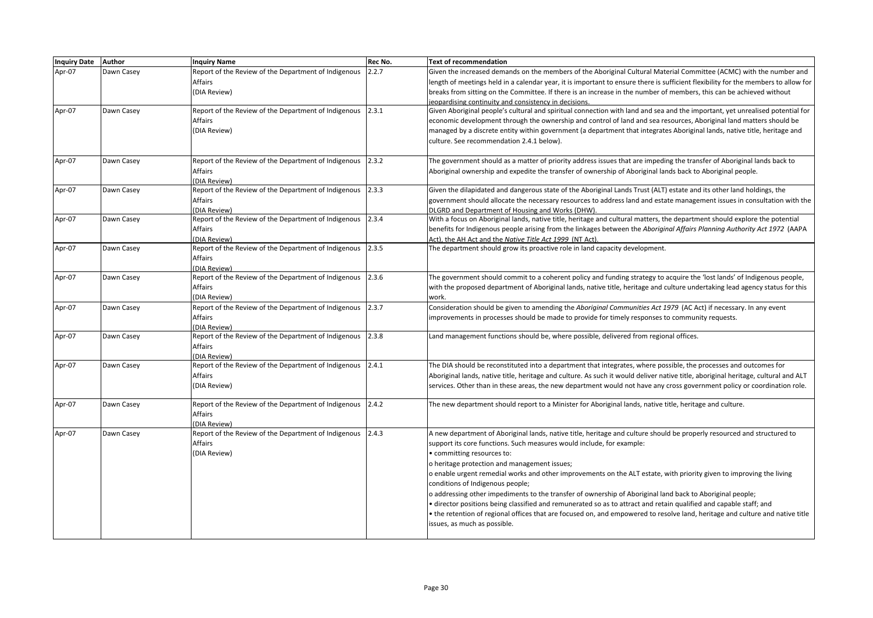| Inquiry Date Author |            | <b>Inquiry Name</b>                                        | Rec No. | <b>Text of recommendation</b>                                                                                                      |
|---------------------|------------|------------------------------------------------------------|---------|------------------------------------------------------------------------------------------------------------------------------------|
| Apr-07              | Dawn Casey | Report of the Review of the Department of Indigenous       | 2.2.7   | Given the increased demands on the members of the Aboriginal Cultural Material Committee (ACMC) with the number and                |
|                     |            | Affairs                                                    |         | length of meetings held in a calendar year, it is important to ensure there is sufficient flexibility for the members to allow for |
|                     |            | (DIA Review)                                               |         | breaks from sitting on the Committee. If there is an increase in the number of members, this can be achieved without               |
|                     |            |                                                            |         | jeopardising continuity and consistency in decisions.                                                                              |
| Apr-07              | Dawn Casey | Report of the Review of the Department of Indigenous       | 2.3.1   | Given Aboriginal people's cultural and spiritual connection with land and sea and the important, yet unrealised potential for      |
|                     |            | Affairs                                                    |         | economic development through the ownership and control of land and sea resources, Aboriginal land matters should be                |
|                     |            | (DIA Review)                                               |         | managed by a discrete entity within government (a department that integrates Aboriginal lands, native title, heritage and          |
|                     |            |                                                            |         | culture. See recommendation 2.4.1 below).                                                                                          |
| Apr-07              | Dawn Casey | Report of the Review of the Department of Indigenous       | 2.3.2   | The government should as a matter of priority address issues that are impeding the transfer of Aboriginal lands back to            |
|                     |            | Affairs                                                    |         | Aboriginal ownership and expedite the transfer of ownership of Aboriginal lands back to Aboriginal people.                         |
|                     |            | (DIA Review)                                               |         |                                                                                                                                    |
| Apr-07              | Dawn Casey | Report of the Review of the Department of Indigenous       | 2.3.3   | Given the dilapidated and dangerous state of the Aboriginal Lands Trust (ALT) estate and its other land holdings, the              |
|                     |            | <b>Affairs</b>                                             |         | government should allocate the necessary resources to address land and estate management issues in consultation with the           |
|                     |            | (DIA Review)                                               |         | DLGRD and Department of Housing and Works (DHW).                                                                                   |
| Apr-07              | Dawn Casey | Report of the Review of the Department of Indigenous       | 2.3.4   | With a focus on Aboriginal lands, native title, heritage and cultural matters, the department should explore the potential         |
|                     |            | <b>Affairs</b>                                             |         | benefits for Indigenous people arising from the linkages between the Aboriginal Affairs Planning Authority Act 1972 (AAPA          |
|                     |            | (DIA Review)                                               |         | Act), the AH Act and the Native Title Act 1999 (NT Act).                                                                           |
| Apr-07              | Dawn Casey | Report of the Review of the Department of Indigenous       | 2.3.5   | The department should grow its proactive role in land capacity development.                                                        |
|                     |            | Affairs                                                    |         |                                                                                                                                    |
|                     |            | (DIA Review)                                               |         |                                                                                                                                    |
| Apr-07              | Dawn Casey | Report of the Review of the Department of Indigenous       | 2.3.6   | The government should commit to a coherent policy and funding strategy to acquire the 'lost lands' of Indigenous people,           |
|                     |            | Affairs                                                    |         | with the proposed department of Aboriginal lands, native title, heritage and culture undertaking lead agency status for this       |
|                     |            | (DIA Review)                                               |         | work.                                                                                                                              |
| Apr-07              | Dawn Casey | Report of the Review of the Department of Indigenous 2.3.7 |         | Consideration should be given to amending the Aboriginal Communities Act 1979 (AC Act) if necessary. In any event                  |
|                     |            | Affairs                                                    |         | improvements in processes should be made to provide for timely responses to community requests.                                    |
|                     |            | (DIA Review)                                               |         |                                                                                                                                    |
| Apr-07              | Dawn Casey | Report of the Review of the Department of Indigenous       | 2.3.8   | Land management functions should be, where possible, delivered from regional offices.                                              |
|                     |            | <b>Affairs</b>                                             |         |                                                                                                                                    |
|                     |            | (DIA Review)                                               |         |                                                                                                                                    |
| Apr-07              | Dawn Casey | Report of the Review of the Department of Indigenous       | 2.4.1   | The DIA should be reconstituted into a department that integrates, where possible, the processes and outcomes for                  |
|                     |            | Affairs                                                    |         | Aboriginal lands, native title, heritage and culture. As such it would deliver native title, aboriginal heritage, cultural and ALT |
|                     |            | (DIA Review)                                               |         | services. Other than in these areas, the new department would not have any cross government policy or coordination role.           |
|                     |            |                                                            |         |                                                                                                                                    |
| Apr-07              | Dawn Casey | Report of the Review of the Department of Indigenous       | 2.4.2   | The new department should report to a Minister for Aboriginal lands, native title, heritage and culture.                           |
|                     |            | <b>Affairs</b>                                             |         |                                                                                                                                    |
|                     |            | (DIA Review)                                               |         |                                                                                                                                    |
| Apr-07              | Dawn Casey | Report of the Review of the Department of Indigenous       | 2.4.3   | A new department of Aboriginal lands, native title, heritage and culture should be properly resourced and structured to            |
|                     |            | <b>Affairs</b>                                             |         | support its core functions. Such measures would include, for example:                                                              |
|                     |            | (DIA Review)                                               |         | • committing resources to:                                                                                                         |
|                     |            |                                                            |         | o heritage protection and management issues;                                                                                       |
|                     |            |                                                            |         | o enable urgent remedial works and other improvements on the ALT estate, with priority given to improving the living               |
|                     |            |                                                            |         | conditions of Indigenous people;                                                                                                   |
|                     |            |                                                            |         | o addressing other impediments to the transfer of ownership of Aboriginal land back to Aboriginal people;                          |
|                     |            |                                                            |         | • director positions being classified and remunerated so as to attract and retain qualified and capable staff; and                 |
|                     |            |                                                            |         | • the retention of regional offices that are focused on, and empowered to resolve land, heritage and culture and native title      |
|                     |            |                                                            |         | issues, as much as possible.                                                                                                       |
|                     |            |                                                            |         |                                                                                                                                    |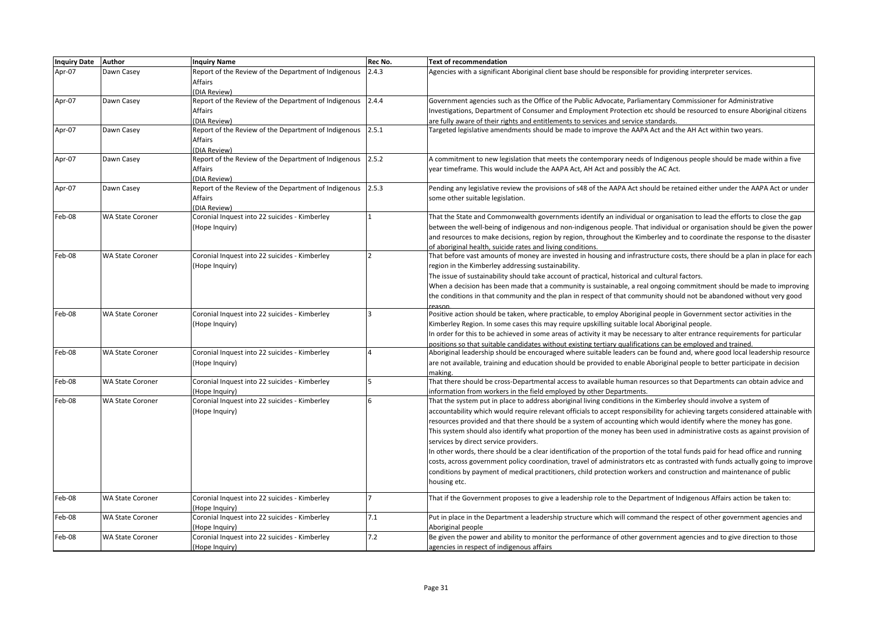| Inquiry Date Author |                         | <b>Inquiry Name</b>                                                                                   | Rec No. | <b>Text of recommendation</b>                                                                                                                                                                                                                                                                                                                                                                                                                                                                                                                                                                                                                                                                                                                                                                                                                                                                                                                            |
|---------------------|-------------------------|-------------------------------------------------------------------------------------------------------|---------|----------------------------------------------------------------------------------------------------------------------------------------------------------------------------------------------------------------------------------------------------------------------------------------------------------------------------------------------------------------------------------------------------------------------------------------------------------------------------------------------------------------------------------------------------------------------------------------------------------------------------------------------------------------------------------------------------------------------------------------------------------------------------------------------------------------------------------------------------------------------------------------------------------------------------------------------------------|
| Apr-07              | Dawn Casey              | Report of the Review of the Department of Indigenous<br>Affairs                                       | 2.4.3   | Agencies with a significant Aboriginal client base should be responsible for providing interpreter services.                                                                                                                                                                                                                                                                                                                                                                                                                                                                                                                                                                                                                                                                                                                                                                                                                                             |
| Apr-07              | Dawn Casey              | (DIA Review)<br>Report of the Review of the Department of Indigenous 2.4.4<br>Affairs<br>(DIA Review) |         | Government agencies such as the Office of the Public Advocate, Parliamentary Commissioner for Administrative<br>Investigations, Department of Consumer and Employment Protection etc should be resourced to ensure Aboriginal citizens<br>are fully aware of their rights and entitlements to services and service standards.                                                                                                                                                                                                                                                                                                                                                                                                                                                                                                                                                                                                                            |
| Apr-07              | Dawn Casey              | Report of the Review of the Department of Indigenous<br>Affairs<br>(DIA Review)                       | 2.5.1   | Targeted legislative amendments should be made to improve the AAPA Act and the AH Act within two years.                                                                                                                                                                                                                                                                                                                                                                                                                                                                                                                                                                                                                                                                                                                                                                                                                                                  |
| Apr-07              | Dawn Casey              | Report of the Review of the Department of Indigenous<br>Affairs<br>(DIA Review)                       | 2.5.2   | A commitment to new legislation that meets the contemporary needs of Indigenous people should be made within a five<br>year timeframe. This would include the AAPA Act, AH Act and possibly the AC Act.                                                                                                                                                                                                                                                                                                                                                                                                                                                                                                                                                                                                                                                                                                                                                  |
| Apr-07              | Dawn Casey              | Report of the Review of the Department of Indigenous<br>Affairs<br>(DIA Review)                       | 2.5.3   | Pending any legislative review the provisions of s48 of the AAPA Act should be retained either under the AAPA Act or under<br>some other suitable legislation.                                                                                                                                                                                                                                                                                                                                                                                                                                                                                                                                                                                                                                                                                                                                                                                           |
| Feb-08              | <b>WA State Coroner</b> | Coronial Inquest into 22 suicides - Kimberley<br>(Hope Inquiry)                                       |         | That the State and Commonwealth governments identify an individual or organisation to lead the efforts to close the gap<br>between the well-being of indigenous and non-indigenous people. That individual or organisation should be given the power<br>and resources to make decisions, region by region, throughout the Kimberley and to coordinate the response to the disaster<br>of aboriginal health, suicide rates and living conditions.                                                                                                                                                                                                                                                                                                                                                                                                                                                                                                         |
| Feb-08              | <b>WA State Coroner</b> | Coronial Inquest into 22 suicides - Kimberley<br>(Hope Inquiry)                                       |         | That before vast amounts of money are invested in housing and infrastructure costs, there should be a plan in place for each<br>region in the Kimberley addressing sustainability.<br>The issue of sustainability should take account of practical, historical and cultural factors.<br>When a decision has been made that a community is sustainable, a real ongoing commitment should be made to improving<br>the conditions in that community and the plan in respect of that community should not be abandoned without very good                                                                                                                                                                                                                                                                                                                                                                                                                     |
| Feb-08              | <b>WA State Coroner</b> | Coronial Inquest into 22 suicides - Kimberley<br>(Hope Inquiry)                                       |         | Positive action should be taken, where practicable, to employ Aboriginal people in Government sector activities in the<br>Kimberley Region. In some cases this may require upskilling suitable local Aboriginal people.<br>In order for this to be achieved in some areas of activity it may be necessary to alter entrance requirements for particular<br>positions so that suitable candidates without existing tertiary qualifications can be employed and trained.                                                                                                                                                                                                                                                                                                                                                                                                                                                                                   |
| Feb-08              | <b>WA State Coroner</b> | Coronial Inquest into 22 suicides - Kimberley<br>(Hope Inquiry)                                       |         | Aboriginal leadership should be encouraged where suitable leaders can be found and, where good local leadership resource<br>are not available, training and education should be provided to enable Aboriginal people to better participate in decision<br>making.                                                                                                                                                                                                                                                                                                                                                                                                                                                                                                                                                                                                                                                                                        |
| Feb-08              | <b>WA State Coroner</b> | Coronial Inquest into 22 suicides - Kimberley<br>(Hope Inquiry)                                       |         | That there should be cross-Departmental access to available human resources so that Departments can obtain advice and<br>information from workers in the field employed by other Departments.                                                                                                                                                                                                                                                                                                                                                                                                                                                                                                                                                                                                                                                                                                                                                            |
| Feb-08              | <b>WA State Coroner</b> | Coronial Inquest into 22 suicides - Kimberley<br>(Hope Inquiry)                                       |         | That the system put in place to address aboriginal living conditions in the Kimberley should involve a system of<br>accountability which would require relevant officials to accept responsibility for achieving targets considered attainable with<br>resources provided and that there should be a system of accounting which would identify where the money has gone.<br>This system should also identify what proportion of the money has been used in administrative costs as against provision of<br>services by direct service providers.<br>In other words, there should be a clear identification of the proportion of the total funds paid for head office and running<br>costs, across government policy coordination, travel of administrators etc as contrasted with funds actually going to improve<br>conditions by payment of medical practitioners, child protection workers and construction and maintenance of public<br>housing etc. |
| Feb-08              | <b>WA State Coroner</b> | Coronial Inquest into 22 suicides - Kimberley<br>(Hope Inquiry)                                       |         | That if the Government proposes to give a leadership role to the Department of Indigenous Affairs action be taken to:                                                                                                                                                                                                                                                                                                                                                                                                                                                                                                                                                                                                                                                                                                                                                                                                                                    |
| Feb-08              | <b>WA State Coroner</b> | Coronial Inquest into 22 suicides - Kimberley<br>(Hope Inauirv)                                       | 7.1     | Put in place in the Department a leadership structure which will command the respect of other government agencies and<br>Aboriginal people                                                                                                                                                                                                                                                                                                                                                                                                                                                                                                                                                                                                                                                                                                                                                                                                               |
| Feb-08              | <b>WA State Coroner</b> | Coronial Inquest into 22 suicides - Kimberley<br>(Hope Inquiry)                                       | 7.2     | Be given the power and ability to monitor the performance of other government agencies and to give direction to those<br>agencies in respect of indigenous affairs                                                                                                                                                                                                                                                                                                                                                                                                                                                                                                                                                                                                                                                                                                                                                                                       |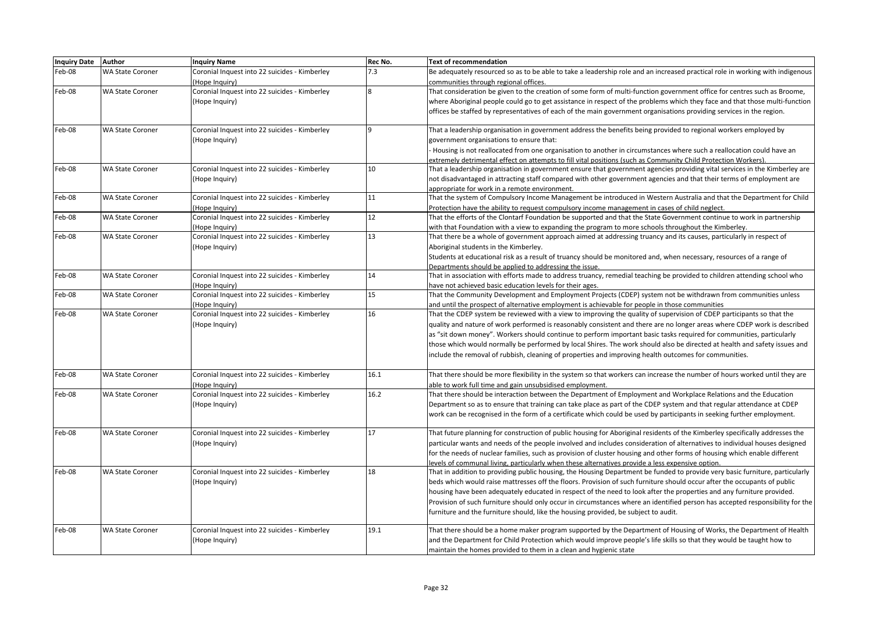| Inquiry Date Author |                         | <b>Inquiry Name</b>                           | Rec No.     | <b>Text of recommendation</b>                                                                                                 |
|---------------------|-------------------------|-----------------------------------------------|-------------|-------------------------------------------------------------------------------------------------------------------------------|
| Feb-08              | <b>WA State Coroner</b> | Coronial Inquest into 22 suicides - Kimberley | 7.3         | Be adequately resourced so as to be able to take a leadership role and an increased practical role in working with indigenous |
|                     |                         | Hope Inquiry)                                 |             | communities through regional offices.                                                                                         |
| Feb-08              | <b>WA State Coroner</b> | Coronial Inquest into 22 suicides - Kimberley | 8           | That consideration be given to the creation of some form of multi-function government office for centres such as Broome,      |
|                     |                         | (Hope Inquiry)                                |             | where Aboriginal people could go to get assistance in respect of the problems which they face and that those multi-function   |
|                     |                         |                                               |             | offices be staffed by representatives of each of the main government organisations providing services in the region.          |
|                     |                         |                                               |             |                                                                                                                               |
| Feb-08              | <b>WA State Coroner</b> | Coronial Inquest into 22 suicides - Kimberley | $\mathsf q$ | That a leadership organisation in government address the benefits being provided to regional workers employed by              |
|                     |                         | Hope Inquiry)                                 |             | government organisations to ensure that:                                                                                      |
|                     |                         |                                               |             | Housing is not reallocated from one organisation to another in circumstances where such a reallocation could have an          |
|                     |                         |                                               |             | extremely detrimental effect on attempts to fill vital positions (such as Community Child Protection Workers).                |
| Feb-08              | <b>WA State Coroner</b> | Coronial Inquest into 22 suicides - Kimberley | 10          | That a leadership organisation in government ensure that government agencies providing vital services in the Kimberley are    |
|                     |                         | (Hope Inquiry)                                |             | not disadvantaged in attracting staff compared with other government agencies and that their terms of employment are          |
|                     |                         |                                               |             | appropriate for work in a remote environment.                                                                                 |
| Feb-08              | <b>WA State Coroner</b> | Coronial Inquest into 22 suicides - Kimberley | 11          | That the system of Compulsory Income Management be introduced in Western Australia and that the Department for Child          |
|                     |                         | (Hope Inquiry)                                |             | Protection have the ability to request compulsory income management in cases of child neglect.                                |
| Feb-08              | <b>WA State Coroner</b> | Coronial Inquest into 22 suicides - Kimberley | 12          | That the efforts of the Clontarf Foundation be supported and that the State Government continue to work in partnership        |
|                     |                         | (Hope Inquiry)                                |             | with that Foundation with a view to expanding the program to more schools throughout the Kimberley.                           |
| Feb-08              | <b>WA State Coroner</b> | Coronial Inquest into 22 suicides - Kimberley | 13          | That there be a whole of government approach aimed at addressing truancy and its causes, particularly in respect of           |
|                     |                         | Hope Inquiry)                                 |             | Aboriginal students in the Kimberley.                                                                                         |
|                     |                         |                                               |             | Students at educational risk as a result of truancy should be monitored and, when necessary, resources of a range of          |
|                     |                         |                                               |             | Departments should be applied to addressing the issue.                                                                        |
| Feb-08              | <b>WA State Coroner</b> | Coronial Inquest into 22 suicides - Kimberley | 14          | That in association with efforts made to address truancy, remedial teaching be provided to children attending school who      |
|                     |                         | (Hope Inquiry)                                |             | have not achieved basic education levels for their ages.                                                                      |
| Feb-08              | <b>WA State Coroner</b> | Coronial Inquest into 22 suicides - Kimberley | 15          | That the Community Development and Employment Projects (CDEP) system not be withdrawn from communities unless                 |
|                     |                         | (Hope Inauiry)                                |             | and until the prospect of alternative employment is achievable for people in those communities                                |
| Feb-08              | <b>WA State Coroner</b> | Coronial Inquest into 22 suicides - Kimberley | 16          | That the CDEP system be reviewed with a view to improving the quality of supervision of CDEP participants so that the         |
|                     |                         | (Hope Inquiry)                                |             | quality and nature of work performed is reasonably consistent and there are no longer areas where CDEP work is described      |
|                     |                         |                                               |             | as "sit down money". Workers should continue to perform important basic tasks required for communities, particularly          |
|                     |                         |                                               |             |                                                                                                                               |
|                     |                         |                                               |             | those which would normally be performed by local Shires. The work should also be directed at health and safety issues and     |
|                     |                         |                                               |             | include the removal of rubbish, cleaning of properties and improving health outcomes for communities.                         |
| Feb-08              | <b>WA State Coroner</b> | Coronial Inquest into 22 suicides - Kimberley | 16.1        | That there should be more flexibility in the system so that workers can increase the number of hours worked until they are    |
|                     |                         | (Hope Inquiry)                                |             | able to work full time and gain unsubsidised employment.                                                                      |
| Feb-08              | <b>WA State Coroner</b> | Coronial Inquest into 22 suicides - Kimberley | 16.2        | That there should be interaction between the Department of Employment and Workplace Relations and the Education               |
|                     |                         | (Hope Inquiry)                                |             | Department so as to ensure that training can take place as part of the CDEP system and that regular attendance at CDEP        |
|                     |                         |                                               |             | work can be recognised in the form of a certificate which could be used by participants in seeking further employment.        |
|                     |                         |                                               |             |                                                                                                                               |
| Feb-08              | <b>WA State Coroner</b> | Coronial Inquest into 22 suicides - Kimberley | 17          | That future planning for construction of public housing for Aboriginal residents of the Kimberley specifically addresses the  |
|                     |                         | Hope Inquiry)                                 |             | particular wants and needs of the people involved and includes consideration of alternatives to individual houses designed    |
|                     |                         |                                               |             | for the needs of nuclear families, such as provision of cluster housing and other forms of housing which enable different     |
|                     |                         |                                               |             | levels of communal living, particularly when these alternatives provide a less expensive option.                              |
| Feb-08              | <b>WA State Coroner</b> | Coronial Inquest into 22 suicides - Kimberley | 18          | That in addition to providing public housing, the Housing Department be funded to provide very basic furniture, particularly  |
|                     |                         | (Hope Inquiry)                                |             | beds which would raise mattresses off the floors. Provision of such furniture should occur after the occupants of public      |
|                     |                         |                                               |             | housing have been adequately educated in respect of the need to look after the properties and any furniture provided.         |
|                     |                         |                                               |             | Provision of such furniture should only occur in circumstances where an identified person has accepted responsibility for the |
|                     |                         |                                               |             | furniture and the furniture should, like the housing provided, be subject to audit.                                           |
|                     |                         |                                               |             |                                                                                                                               |
| Feb-08              | <b>WA State Coroner</b> | Coronial Inquest into 22 suicides - Kimberley | 19.1        | That there should be a home maker program supported by the Department of Housing of Works, the Department of Health           |
|                     |                         | (Hope Inquiry)                                |             | and the Department for Child Protection which would improve people's life skills so that they would be taught how to          |
|                     |                         |                                               |             | maintain the homes provided to them in a clean and hygienic state                                                             |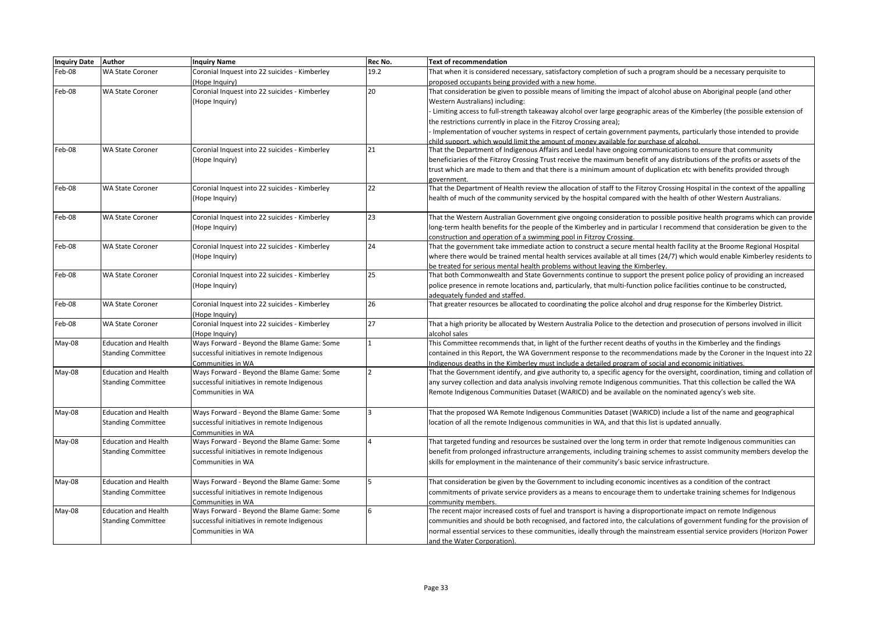| Inquiry Date Author |                             | <b>Inquiry Name</b>                                             | Rec No. | <b>Text of recommendation</b>                                                                                                   |
|---------------------|-----------------------------|-----------------------------------------------------------------|---------|---------------------------------------------------------------------------------------------------------------------------------|
| Feb-08              | <b>WA State Coroner</b>     | Coronial Inquest into 22 suicides - Kimberley                   | 19.2    | That when it is considered necessary, satisfactory completion of such a program should be a necessary perquisite to             |
|                     |                             | (Hope Inquiry)                                                  |         | proposed occupants being provided with a new home.                                                                              |
| Feb-08              | <b>WA State Coroner</b>     | Coronial Inquest into 22 suicides - Kimberley                   | 20      | That consideration be given to possible means of limiting the impact of alcohol abuse on Aboriginal people (and other           |
|                     |                             | (Hope Inquiry)                                                  |         | Western Australians) including:                                                                                                 |
|                     |                             |                                                                 |         | - Limiting access to full-strength takeaway alcohol over large geographic areas of the Kimberley (the possible extension of     |
|                     |                             |                                                                 |         | the restrictions currently in place in the Fitzroy Crossing area);                                                              |
|                     |                             |                                                                 |         | Implementation of voucher systems in respect of certain government payments, particularly those intended to provide             |
|                     |                             |                                                                 |         | child support, which would limit the amount of money available for purchase of alcohol.                                         |
| Feb-08              | <b>WA State Coroner</b>     | Coronial Inquest into 22 suicides - Kimberley                   | 21      | That the Department of Indigenous Affairs and Leedal have ongoing communications to ensure that community                       |
|                     |                             | (Hope Inquiry)                                                  |         | beneficiaries of the Fitzroy Crossing Trust receive the maximum benefit of any distributions of the profits or assets of the    |
|                     |                             |                                                                 |         | trust which are made to them and that there is a minimum amount of duplication etc with benefits provided through               |
|                     |                             |                                                                 |         | government.                                                                                                                     |
| Feb-08              | <b>WA State Coroner</b>     | Coronial Inquest into 22 suicides - Kimberley                   | 22      | That the Department of Health review the allocation of staff to the Fitzroy Crossing Hospital in the context of the appalling   |
|                     |                             | (Hope Inquiry)                                                  |         | health of much of the community serviced by the hospital compared with the health of other Western Australians.                 |
|                     |                             |                                                                 |         |                                                                                                                                 |
| Feb-08              | <b>WA State Coroner</b>     | Coronial Inquest into 22 suicides - Kimberley                   | 23      | That the Western Australian Government give ongoing consideration to possible positive health programs which can provide        |
|                     |                             | (Hope Inquiry)                                                  |         | long-term health benefits for the people of the Kimberley and in particular I recommend that consideration be given to the      |
|                     |                             |                                                                 |         | construction and operation of a swimming pool in Fitzroy Crossing.                                                              |
| Feb-08              | <b>WA State Coroner</b>     | Coronial Inquest into 22 suicides - Kimberley                   | 24      | That the government take immediate action to construct a secure mental health facility at the Broome Regional Hospital          |
|                     |                             | (Hope Inquiry)                                                  |         | where there would be trained mental health services available at all times (24/7) which would enable Kimberley residents to     |
|                     |                             |                                                                 |         | be treated for serious mental health problems without leaving the Kimberley.                                                    |
| Feb-08              | <b>WA State Coroner</b>     | Coronial Inquest into 22 suicides - Kimberley                   | 25      | That both Commonwealth and State Governments continue to support the present police policy of providing an increased            |
|                     |                             | (Hope Inquiry)                                                  |         | police presence in remote locations and, particularly, that multi-function police facilities continue to be constructed,        |
|                     |                             |                                                                 |         | adequately funded and staffed.                                                                                                  |
| Feb-08              | <b>WA State Coroner</b>     | Coronial Inquest into 22 suicides - Kimberley                   | 26      | That greater resources be allocated to coordinating the police alcohol and drug response for the Kimberley District.            |
|                     |                             | (Hope Inquiry)                                                  |         |                                                                                                                                 |
| Feb-08              | <b>WA State Coroner</b>     | Coronial Inquest into 22 suicides - Kimberley                   | 27      | That a high priority be allocated by Western Australia Police to the detection and prosecution of persons involved in illicit   |
|                     |                             | (Hope Inquiry)                                                  |         | alcohol sales                                                                                                                   |
| May-08              | <b>Education and Health</b> | Ways Forward - Beyond the Blame Game: Some                      |         | This Committee recommends that, in light of the further recent deaths of youths in the Kimberley and the findings               |
|                     | <b>Standing Committee</b>   | successful initiatives in remote Indigenous                     |         | contained in this Report, the WA Government response to the recommendations made by the Coroner in the Inquest into 22          |
|                     |                             | Communities in WA                                               |         | Indigenous deaths in the Kimberley must include a detailed program of social and economic initiatives.                          |
| May-08              | <b>Education and Health</b> | Ways Forward - Beyond the Blame Game: Some                      |         | That the Government identify, and give authority to, a specific agency for the oversight, coordination, timing and collation of |
|                     | <b>Standing Committee</b>   | successful initiatives in remote Indigenous                     |         | any survey collection and data analysis involving remote Indigenous communities. That this collection be called the WA          |
|                     |                             | Communities in WA                                               |         | Remote Indigenous Communities Dataset (WARICD) and be available on the nominated agency's web site.                             |
|                     |                             |                                                                 |         |                                                                                                                                 |
| May-08              | <b>Education and Health</b> | Ways Forward - Beyond the Blame Game: Some                      |         | That the proposed WA Remote Indigenous Communities Dataset (WARICD) include a list of the name and geographical                 |
|                     | <b>Standing Committee</b>   | successful initiatives in remote Indigenous                     |         | location of all the remote Indigenous communities in WA, and that this list is updated annually.                                |
|                     |                             |                                                                 |         |                                                                                                                                 |
| May-08              | <b>Education and Health</b> | Communities in WA<br>Ways Forward - Beyond the Blame Game: Some |         | That targeted funding and resources be sustained over the long term in order that remote Indigenous communities can             |
|                     |                             |                                                                 |         |                                                                                                                                 |
|                     | <b>Standing Committee</b>   | successful initiatives in remote Indigenous                     |         | benefit from prolonged infrastructure arrangements, including training schemes to assist community members develop the          |
|                     |                             | Communities in WA                                               |         | skills for employment in the maintenance of their community's basic service infrastructure.                                     |
|                     | <b>Education and Health</b> |                                                                 |         |                                                                                                                                 |
| May-08              |                             | Ways Forward - Beyond the Blame Game: Some                      |         | That consideration be given by the Government to including economic incentives as a condition of the contract                   |
|                     | <b>Standing Committee</b>   | successful initiatives in remote Indigenous                     |         | commitments of private service providers as a means to encourage them to undertake training schemes for Indigenous              |
|                     |                             | Communities in WA                                               |         | community members.                                                                                                              |
| May-08              | <b>Education and Health</b> | Ways Forward - Beyond the Blame Game: Some                      |         | The recent major increased costs of fuel and transport is having a disproportionate impact on remote Indigenous                 |
|                     | <b>Standing Committee</b>   | successful initiatives in remote Indigenous                     |         | communities and should be both recognised, and factored into, the calculations of government funding for the provision of       |
|                     |                             | Communities in WA                                               |         | normal essential services to these communities, ideally through the mainstream essential service providers (Horizon Power       |
|                     |                             |                                                                 |         | and the Water Corporation).                                                                                                     |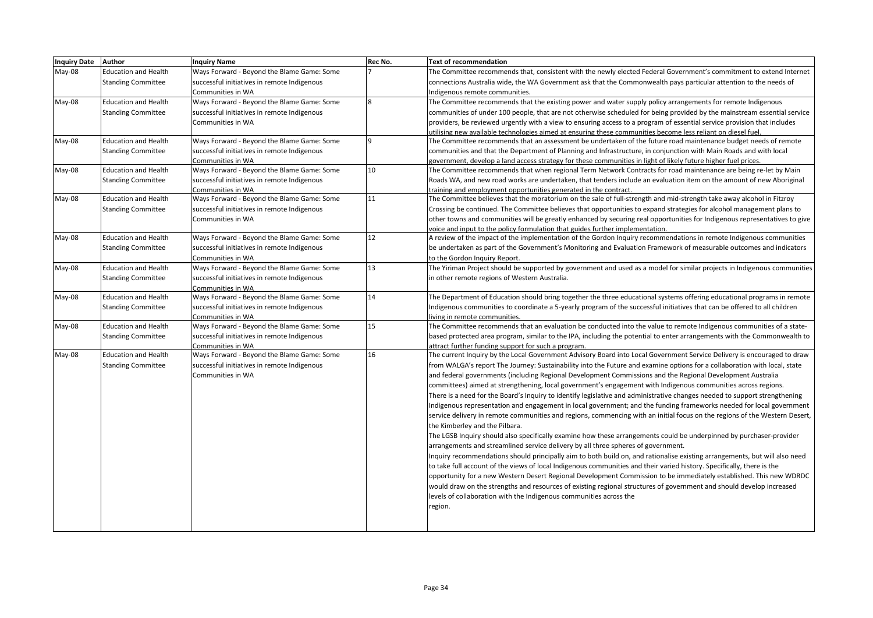| <b>Inquiry Date</b> | Author                      | <b>Inquiry Name</b>                         | Rec No.      | <b>Text of recommendation</b>                                                                                              |
|---------------------|-----------------------------|---------------------------------------------|--------------|----------------------------------------------------------------------------------------------------------------------------|
| $May-08$            | <b>Education and Health</b> | Ways Forward - Beyond the Blame Game: Some  |              | The Committee recommends that, consistent with the newly elected Federal Government's commitment to extend Internet        |
|                     | <b>Standing Committee</b>   | successful initiatives in remote Indigenous |              | connections Australia wide, the WA Government ask that the Commonwealth pays particular attention to the needs of          |
|                     |                             | Communities in WA                           |              | Indigenous remote communities.                                                                                             |
| May-08              | <b>Education and Health</b> | Ways Forward - Beyond the Blame Game: Some  | $\mathbf{R}$ | The Committee recommends that the existing power and water supply policy arrangements for remote Indigenous                |
|                     | <b>Standing Committee</b>   | successful initiatives in remote Indigenous |              | communities of under 100 people, that are not otherwise scheduled for being provided by the mainstream essential service   |
|                     |                             | Communities in WA                           |              | providers, be reviewed urgently with a view to ensuring access to a program of essential service provision that includes   |
|                     |                             |                                             |              | utilising new available technologies aimed at ensuring these communities become less reliant on diesel fuel.               |
| $May-08$            | <b>Education and Health</b> | Ways Forward - Beyond the Blame Game: Some  |              | The Committee recommends that an assessment be undertaken of the future road maintenance budget needs of remote            |
|                     | <b>Standing Committee</b>   | successful initiatives in remote Indigenous |              | communities and that the Department of Planning and Infrastructure, in conjunction with Main Roads and with local          |
|                     |                             | Communities in WA                           |              | government, develop a land access strategy for these communities in light of likely future higher fuel prices,             |
| May-08              | <b>Education and Health</b> | Ways Forward - Beyond the Blame Game: Some  | 10           | The Committee recommends that when regional Term Network Contracts for road maintenance are being re-let by Main           |
|                     | <b>Standing Committee</b>   | successful initiatives in remote Indigenous |              | Roads WA, and new road works are undertaken, that tenders include an evaluation item on the amount of new Aboriginal       |
|                     |                             | Communities in WA                           |              | training and employment opportunities generated in the contract.                                                           |
| May-08              | <b>Education and Health</b> | Ways Forward - Beyond the Blame Game: Some  | 11           | The Committee believes that the moratorium on the sale of full-strength and mid-strength take away alcohol in Fitzroy      |
|                     | <b>Standing Committee</b>   | successful initiatives in remote Indigenous |              | Crossing be continued. The Committee believes that opportunities to expand strategies for alcohol management plans to      |
|                     |                             | Communities in WA                           |              | other towns and communities will be greatly enhanced by securing real opportunities for Indigenous representatives to give |
|                     |                             |                                             |              | voice and input to the policy formulation that guides further implementation.                                              |
| May-08              | <b>Education and Health</b> | Ways Forward - Beyond the Blame Game: Some  | 12           | A review of the impact of the implementation of the Gordon Inquiry recommendations in remote Indigenous communities        |
|                     | <b>Standing Committee</b>   | successful initiatives in remote Indigenous |              | be undertaken as part of the Government's Monitoring and Evaluation Framework of measurable outcomes and indicators        |
|                     |                             | Communities in WA                           |              | to the Gordon Inquiry Report.                                                                                              |
| May-08              | <b>Education and Health</b> | Ways Forward - Beyond the Blame Game: Some  | 13           | The Yiriman Project should be supported by government and used as a model for similar projects in Indigenous communities   |
|                     | <b>Standing Committee</b>   | successful initiatives in remote Indigenous |              | in other remote regions of Western Australia.                                                                              |
|                     |                             | Communities in WA                           |              |                                                                                                                            |
| May-08              | <b>Education and Health</b> | Ways Forward - Beyond the Blame Game: Some  | 14           | The Department of Education should bring together the three educational systems offering educational programs in remote    |
|                     | <b>Standing Committee</b>   | successful initiatives in remote Indigenous |              | Indigenous communities to coordinate a 5-yearly program of the successful initiatives that can be offered to all children  |
|                     |                             | Communities in WA                           |              | living in remote communities.                                                                                              |
| $May-08$            | <b>Education and Health</b> | Ways Forward - Beyond the Blame Game: Some  | 15           | The Committee recommends that an evaluation be conducted into the value to remote Indigenous communities of a state-       |
|                     | <b>Standing Committee</b>   | successful initiatives in remote Indigenous |              | based protected area program, similar to the IPA, including the potential to enter arrangements with the Commonwealth to   |
|                     |                             | Communities in WA                           |              | attract further funding support for such a program.                                                                        |
| May-08              | <b>Education and Health</b> | Ways Forward - Beyond the Blame Game: Some  | 16           | The current Inquiry by the Local Government Advisory Board into Local Government Service Delivery is encouraged to draw    |
|                     | <b>Standing Committee</b>   | successful initiatives in remote Indigenous |              | from WALGA's report The Journey: Sustainability into the Future and examine options for a collaboration with local, state  |
|                     |                             | Communities in WA                           |              | and federal governments (including Regional Development Commissions and the Regional Development Australia                 |
|                     |                             |                                             |              | committees) aimed at strengthening, local government's engagement with Indigenous communities across regions.              |
|                     |                             |                                             |              | There is a need for the Board's Inquiry to identify legislative and administrative changes needed to support strengthening |
|                     |                             |                                             |              | Indigenous representation and engagement in local government; and the funding frameworks needed for local government       |
|                     |                             |                                             |              | service delivery in remote communities and regions, commencing with an initial focus on the regions of the Western Desert, |
|                     |                             |                                             |              | the Kimberley and the Pilbara.                                                                                             |
|                     |                             |                                             |              | The LGSB Inquiry should also specifically examine how these arrangements could be underpinned by purchaser-provider        |
|                     |                             |                                             |              | arrangements and streamlined service delivery by all three spheres of government.                                          |
|                     |                             |                                             |              | Inquiry recommendations should principally aim to both build on, and rationalise existing arrangements, but will also need |
|                     |                             |                                             |              | to take full account of the views of local Indigenous communities and their varied history. Specifically, there is the     |
|                     |                             |                                             |              | opportunity for a new Western Desert Regional Development Commission to be immediately established. This new WDRDC         |
|                     |                             |                                             |              | would draw on the strengths and resources of existing regional structures of government and should develop increased       |
|                     |                             |                                             |              | levels of collaboration with the Indigenous communities across the                                                         |
|                     |                             |                                             |              | region.                                                                                                                    |
|                     |                             |                                             |              |                                                                                                                            |
|                     |                             |                                             |              |                                                                                                                            |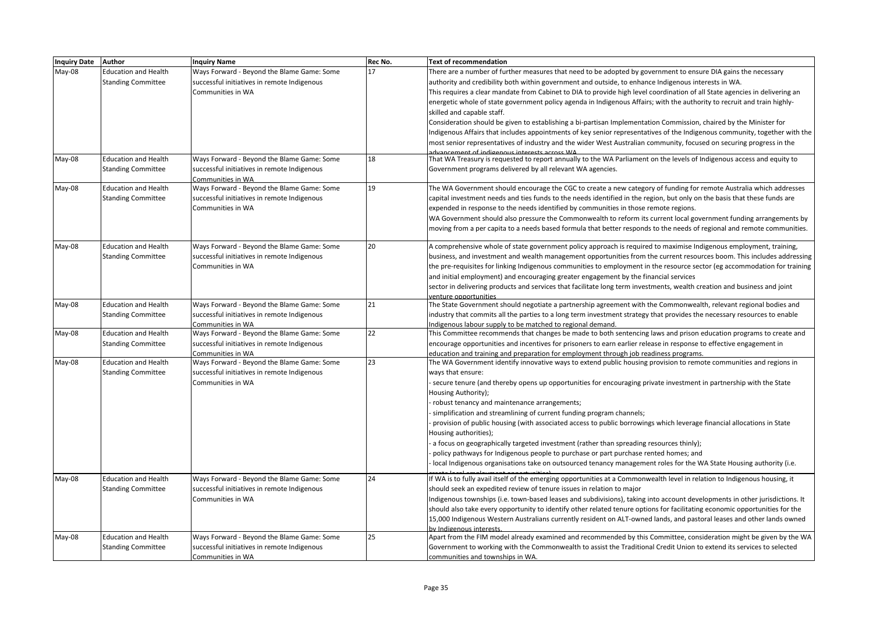| Inquiry Date Author |                             | <b>Inquiry Name</b>                         | Rec No. | <b>Text of recommendation</b>                                                                                               |
|---------------------|-----------------------------|---------------------------------------------|---------|-----------------------------------------------------------------------------------------------------------------------------|
| May-08              | <b>Education and Health</b> | Ways Forward - Beyond the Blame Game: Some  | 17      | There are a number of further measures that need to be adopted by government to ensure DIA gains the necessary              |
|                     | <b>Standing Committee</b>   | successful initiatives in remote Indigenous |         | authority and credibility both within government and outside, to enhance Indigenous interests in WA.                        |
|                     |                             | Communities in WA                           |         | This requires a clear mandate from Cabinet to DIA to provide high level coordination of all State agencies in delivering an |
|                     |                             |                                             |         | energetic whole of state government policy agenda in Indigenous Affairs; with the authority to recruit and train highly-    |
|                     |                             |                                             |         | skilled and capable staff.                                                                                                  |
|                     |                             |                                             |         | Consideration should be given to establishing a bi-partisan Implementation Commission, chaired by the Minister for          |
|                     |                             |                                             |         | Indigenous Affairs that includes appointments of key senior representatives of the Indigenous community, together with the  |
|                     |                             |                                             |         | most senior representatives of industry and the wider West Australian community, focused on securing progress in the        |
|                     |                             |                                             |         |                                                                                                                             |
| May-08              | <b>Education and Health</b> | Ways Forward - Beyond the Blame Game: Some  | 18      | That WA Treasury is requested to report annually to the WA Parliament on the levels of Indigenous access and equity to      |
|                     | <b>Standing Committee</b>   | successful initiatives in remote Indigenous |         | Government programs delivered by all relevant WA agencies.                                                                  |
|                     |                             | Communities in WA                           |         |                                                                                                                             |
| May-08              | <b>Education and Health</b> | Ways Forward - Beyond the Blame Game: Some  | 19      | The WA Government should encourage the CGC to create a new category of funding for remote Australia which addresses         |
|                     | <b>Standing Committee</b>   | successful initiatives in remote Indigenous |         | capital investment needs and ties funds to the needs identified in the region, but only on the basis that these funds are   |
|                     |                             | Communities in WA                           |         | expended in response to the needs identified by communities in those remote regions.                                        |
|                     |                             |                                             |         | WA Government should also pressure the Commonwealth to reform its current local government funding arrangements by          |
|                     |                             |                                             |         | moving from a per capita to a needs based formula that better responds to the needs of regional and remote communities.     |
| May-08              | <b>Education and Health</b> | Ways Forward - Beyond the Blame Game: Some  | 20      | A comprehensive whole of state government policy approach is required to maximise Indigenous employment, training,          |
|                     | <b>Standing Committee</b>   | successful initiatives in remote Indigenous |         | business, and investment and wealth management opportunities from the current resources boom. This includes addressing      |
|                     |                             | Communities in WA                           |         | the pre-requisites for linking Indigenous communities to employment in the resource sector (eg accommodation for training   |
|                     |                             |                                             |         | and initial employment) and encouraging greater engagement by the financial services                                        |
|                     |                             |                                             |         | sector in delivering products and services that facilitate long term investments, wealth creation and business and joint    |
|                     |                             |                                             |         | venture opportunities                                                                                                       |
| May-08              | <b>Education and Health</b> | Ways Forward - Beyond the Blame Game: Some  | 21      | The State Government should negotiate a partnership agreement with the Commonwealth, relevant regional bodies and           |
|                     | <b>Standing Committee</b>   | successful initiatives in remote Indigenous |         | industry that commits all the parties to a long term investment strategy that provides the necessary resources to enable    |
|                     |                             | Communities in WA                           |         | Indigenous labour supply to be matched to regional demand.                                                                  |
| May-08              | <b>Education and Health</b> | Ways Forward - Beyond the Blame Game: Some  | 22      | This Committee recommends that changes be made to both sentencing laws and prison education programs to create and          |
|                     | <b>Standing Committee</b>   | successful initiatives in remote Indigenous |         | encourage opportunities and incentives for prisoners to earn earlier release in response to effective engagement in         |
|                     |                             | Communities in WA                           |         | education and training and preparation for employment through job readiness programs.                                       |
| May-08              | <b>Education and Health</b> | Ways Forward - Beyond the Blame Game: Some  | 23      | The WA Government identify innovative ways to extend public housing provision to remote communities and regions in          |
|                     | <b>Standing Committee</b>   | successful initiatives in remote Indigenous |         | ways that ensure:                                                                                                           |
|                     |                             | Communities in WA                           |         | secure tenure (and thereby opens up opportunities for encouraging private investment in partnership with the State          |
|                     |                             |                                             |         | Housing Authority);                                                                                                         |
|                     |                             |                                             |         | robust tenancy and maintenance arrangements;                                                                                |
|                     |                             |                                             |         | simplification and streamlining of current funding program channels;                                                        |
|                     |                             |                                             |         | provision of public housing (with associated access to public borrowings which leverage financial allocations in State      |
|                     |                             |                                             |         | Housing authorities);                                                                                                       |
|                     |                             |                                             |         | a focus on geographically targeted investment (rather than spreading resources thinly);                                     |
|                     |                             |                                             |         | policy pathways for Indigenous people to purchase or part purchase rented homes; and                                        |
|                     |                             |                                             |         | local Indigenous organisations take on outsourced tenancy management roles for the WA State Housing authority (i.e.         |
| May-08              | <b>Education and Health</b> | Ways Forward - Beyond the Blame Game: Some  | 24      | If WA is to fully avail itself of the emerging opportunities at a Commonwealth level in relation to Indigenous housing, it  |
|                     | <b>Standing Committee</b>   | successful initiatives in remote Indigenous |         | should seek an expedited review of tenure issues in relation to major                                                       |
|                     |                             | Communities in WA                           |         | Indigenous townships (i.e. town-based leases and subdivisions), taking into account developments in other jurisdictions. It |
|                     |                             |                                             |         | should also take every opportunity to identify other related tenure options for facilitating economic opportunities for the |
|                     |                             |                                             |         | 15,000 Indigenous Western Australians currently resident on ALT-owned lands, and pastoral leases and other lands owned      |
|                     |                             |                                             |         | by Indigenous interests                                                                                                     |
| May-08              | <b>Education and Health</b> | Ways Forward - Beyond the Blame Game: Some  | 25      | Apart from the FIM model already examined and recommended by this Committee, consideration might be given by the WA         |
|                     | <b>Standing Committee</b>   | successful initiatives in remote Indigenous |         | Government to working with the Commonwealth to assist the Traditional Credit Union to extend its services to selected       |
|                     |                             | Communities in WA                           |         | communities and townships in WA.                                                                                            |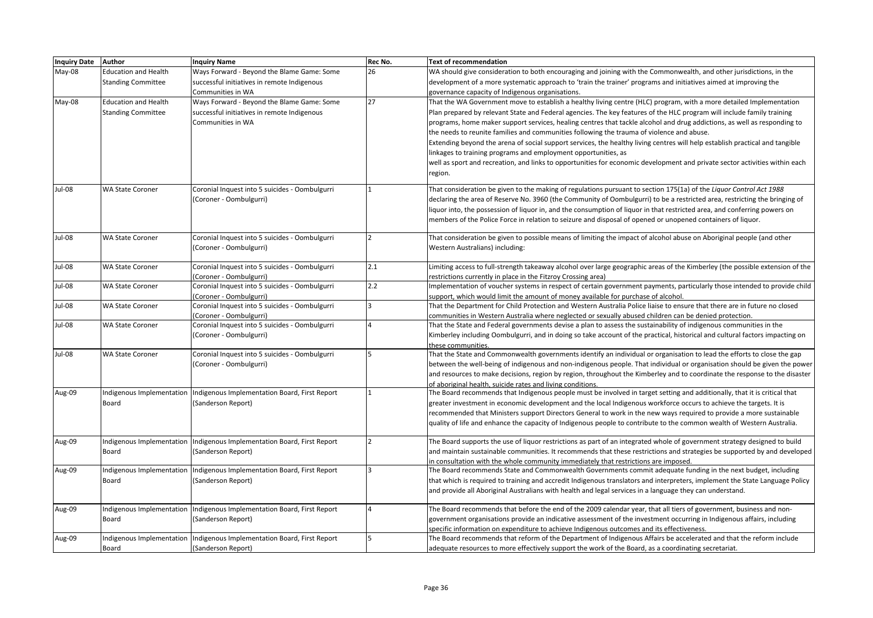| <b>Inquiry Date</b> | <b>Author</b>               | <b>Inquiry Name</b>                                                      | Rec No.      | <b>Text of recommendation</b>                                                                                                                 |
|---------------------|-----------------------------|--------------------------------------------------------------------------|--------------|-----------------------------------------------------------------------------------------------------------------------------------------------|
| May-08              | <b>Education and Health</b> | Ways Forward - Beyond the Blame Game: Some                               | 26           | WA should give consideration to both encouraging and joining with the Commonwealth, and other jurisdictions, in the                           |
|                     | <b>Standing Committee</b>   | successful initiatives in remote Indigenous                              |              | development of a more systematic approach to 'train the trainer' programs and initiatives aimed at improving the                              |
|                     |                             | Communities in WA                                                        |              | governance capacity of Indigenous organisations.                                                                                              |
| May-08              | <b>Education and Health</b> | Ways Forward - Beyond the Blame Game: Some                               | 27           | That the WA Government move to establish a healthy living centre (HLC) program, with a more detailed Implementation                           |
|                     | <b>Standing Committee</b>   | successful initiatives in remote Indigenous                              |              | Plan prepared by relevant State and Federal agencies. The key features of the HLC program will include family training                        |
|                     |                             | Communities in WA                                                        |              | programs, home maker support services, healing centres that tackle alcohol and drug addictions, as well as responding to                      |
|                     |                             |                                                                          |              | the needs to reunite families and communities following the trauma of violence and abuse.                                                     |
|                     |                             |                                                                          |              | Extending beyond the arena of social support services, the healthy living centres will help establish practical and tangible                  |
|                     |                             |                                                                          |              | linkages to training programs and employment opportunities, as                                                                                |
|                     |                             |                                                                          |              | well as sport and recreation, and links to opportunities for economic development and private sector activities within each                   |
|                     |                             |                                                                          |              | egion.                                                                                                                                        |
| Jul-08              | <b>WA State Coroner</b>     | Coronial Inquest into 5 suicides - Oombulgurri                           |              | That consideration be given to the making of regulations pursuant to section 175(1a) of the Liquor Control Act 1988                           |
|                     |                             | (Coroner - Oombulgurri)                                                  |              | declaring the area of Reserve No. 3960 (the Community of Oombulgurri) to be a restricted area, restricting the bringing of                    |
|                     |                             |                                                                          |              | iquor into, the possession of liquor in, and the consumption of liquor in that restricted area, and conferring powers on                      |
|                     |                             |                                                                          |              | members of the Police Force in relation to seizure and disposal of opened or unopened containers of liquor.                                   |
| Jul-08              | <b>WA State Coroner</b>     | Coronial Inquest into 5 suicides - Oombulgurri                           | <sup>2</sup> | That consideration be given to possible means of limiting the impact of alcohol abuse on Aboriginal people (and other                         |
|                     |                             | (Coroner - Oombulgurri)                                                  |              | Western Australians) including:                                                                                                               |
|                     |                             |                                                                          |              |                                                                                                                                               |
| Jul-08              | <b>WA State Coroner</b>     | Coronial Inquest into 5 suicides - Oombulgurri                           | 2.1          | Limiting access to full-strength takeaway alcohol over large geographic areas of the Kimberley (the possible extension of the                 |
|                     |                             | (Coroner - Oombulgurri)                                                  |              | estrictions currently in place in the Fitzroy Crossing area)                                                                                  |
| Jul-08              | <b>WA State Coroner</b>     | Coronial Inquest into 5 suicides - Oombulgurri                           | 2.2          | mplementation of voucher systems in respect of certain government payments, particularly those intended to provide child                      |
|                     |                             | (Coroner - Oombulgurri)                                                  |              | upport, which would limit the amount of money available for purchase of alcohol.                                                              |
| Jul-08              | <b>WA State Coroner</b>     | Coronial Inquest into 5 suicides - Oombulgurri                           | <sup>3</sup> | That the Department for Child Protection and Western Australia Police liaise to ensure that there are in future no closed                     |
|                     |                             | (Coroner - Oombulgurri)                                                  |              | communities in Western Australia where neglected or sexually abused children can be denied protection.                                        |
| Jul-08              | <b>WA State Coroner</b>     | Coronial Inquest into 5 suicides - Oombulgurri                           | $\Delta$     | That the State and Federal governments devise a plan to assess the sustainability of indigenous communities in the                            |
|                     |                             | (Coroner - Oombulgurri)                                                  |              | Kimberley including Oombulgurri, and in doing so take account of the practical, historical and cultural factors impacting on                  |
| Jul-08              | <b>WA State Coroner</b>     | Coronial Inquest into 5 suicides - Oombulgurri                           | 15           | these communities.<br>That the State and Commonwealth governments identify an individual or organisation to lead the efforts to close the gap |
|                     |                             | (Coroner - Oombulgurri)                                                  |              | between the well-being of indigenous and non-indigenous people. That individual or organisation should be given the power                     |
|                     |                             |                                                                          |              | and resources to make decisions, region by region, throughout the Kimberley and to coordinate the response to the disaster                    |
|                     |                             |                                                                          |              | of aboriginal health, suicide rates and living conditions.                                                                                    |
| Aug-09              |                             | ndigenous Implementation   Indigenous Implementation Board, First Report |              | The Board recommends that Indigenous people must be involved in target setting and additionally, that it is critical that                     |
|                     | Board                       | (Sanderson Report)                                                       |              | greater investment in economic development and the local Indigenous workforce occurs to achieve the targets. It is                            |
|                     |                             |                                                                          |              | ecommended that Ministers support Directors General to work in the new ways required to provide a more sustainable                            |
|                     |                             |                                                                          |              | quality of life and enhance the capacity of Indigenous people to contribute to the common wealth of Western Australia.                        |
| Aug-09              |                             | ndigenous Implementation   Indigenous Implementation Board, First Report | 12           | The Board supports the use of liquor restrictions as part of an integrated whole of government strategy designed to build                     |
|                     | Board                       | (Sanderson Report)                                                       |              | and maintain sustainable communities. It recommends that these restrictions and strategies be supported by and developed                      |
|                     |                             |                                                                          |              | n consultation with the whole community immediately that restrictions are imposed.                                                            |
| Aug-09              |                             | ndigenous Implementation   Indigenous Implementation Board, First Report | <sup>3</sup> | The Board recommends State and Commonwealth Governments commit adequate funding in the next budget, including                                 |
|                     | Board                       | (Sanderson Report)                                                       |              | that which is required to training and accredit Indigenous translators and interpreters, implement the State Language Policy                  |
|                     |                             |                                                                          |              | and provide all Aboriginal Australians with health and legal services in a language they can understand.                                      |
| Aug-09              |                             | ndigenous Implementation Indigenous Implementation Board, First Report   |              | The Board recommends that before the end of the 2009 calendar year, that all tiers of government, business and non-                           |
|                     | Board                       | (Sanderson Report)                                                       |              | government organisations provide an indicative assessment of the investment occurring in Indigenous affairs, including                        |
|                     |                             |                                                                          |              | pecific information on expenditure to achieve Indigenous outcomes and its effectiveness.                                                      |
| Aug-09              |                             | ndigenous Implementation   Indigenous Implementation Board, First Report | 5            | The Board recommends that reform of the Department of Indigenous Affairs be accelerated and that the reform include                           |
|                     | Board                       | (Sanderson Report)                                                       |              | adequate resources to more effectively support the work of the Board, as a coordinating secretariat.                                          |
|                     |                             |                                                                          |              |                                                                                                                                               |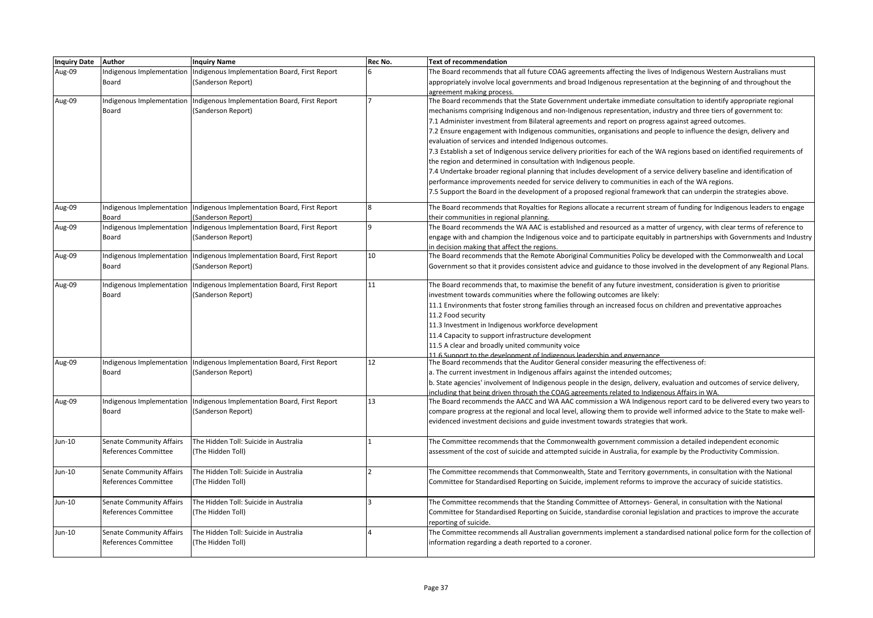| Inquiry Date Author |                                 | <b>Inquiry Name</b>                                                       | Rec No.  | <b>Text of recommendation</b>                                                                                                |
|---------------------|---------------------------------|---------------------------------------------------------------------------|----------|------------------------------------------------------------------------------------------------------------------------------|
| Aug-09              | Indigenous Implementation       | Indigenous Implementation Board, First Report                             |          | The Board recommends that all future COAG agreements affecting the lives of Indigenous Western Australians must              |
|                     | Board                           | (Sanderson Report)                                                        |          | appropriately involve local governments and broad Indigenous representation at the beginning of and throughout the           |
|                     |                                 |                                                                           |          | agreement making process.                                                                                                    |
| Aug-09              |                                 | Indigenous Implementation Indigenous Implementation Board, First Report   |          | The Board recommends that the State Government undertake immediate consultation to identify appropriate regional             |
|                     | Board                           | (Sanderson Report)                                                        |          | mechanisms comprising Indigenous and non-Indigenous representation, industry and three tiers of government to:               |
|                     |                                 |                                                                           |          | 7.1 Administer investment from Bilateral agreements and report on progress against agreed outcomes.                          |
|                     |                                 |                                                                           |          | 7.2 Ensure engagement with Indigenous communities, organisations and people to influence the design, delivery and            |
|                     |                                 |                                                                           |          | evaluation of services and intended Indigenous outcomes.                                                                     |
|                     |                                 |                                                                           |          | 7.3 Establish a set of Indigenous service delivery priorities for each of the WA regions based on identified requirements of |
|                     |                                 |                                                                           |          | the region and determined in consultation with Indigenous people.                                                            |
|                     |                                 |                                                                           |          | 7.4 Undertake broader regional planning that includes development of a service delivery baseline and identification of       |
|                     |                                 |                                                                           |          | performance improvements needed for service delivery to communities in each of the WA regions.                               |
|                     |                                 |                                                                           |          | 7.5 Support the Board in the development of a proposed regional framework that can underpin the strategies above.            |
| Aug-09              |                                 | Indigenous Implementation Indigenous Implementation Board, First Report   |          | The Board recommends that Royalties for Regions allocate a recurrent stream of funding for Indigenous leaders to engage      |
|                     | Board                           | (Sanderson Report)                                                        |          | their communities in regional planning.                                                                                      |
| Aug-09              | Indigenous Implementation       | Indigenous Implementation Board, First Report                             | $\alpha$ | The Board recommends the WA AAC is established and resourced as a matter of urgency, with clear terms of reference to        |
|                     | Board                           | (Sanderson Report)                                                        |          | engage with and champion the Indigenous voice and to participate equitably in partnerships with Governments and Industry     |
|                     |                                 |                                                                           |          | n decision making that affect the regions.                                                                                   |
| Aug-09              |                                 | Indigenous Implementation Indigenous Implementation Board, First Report   | 10       | The Board recommends that the Remote Aboriginal Communities Policy be developed with the Commonwealth and Local              |
|                     | Board                           | (Sanderson Report)                                                        |          | Government so that it provides consistent advice and guidance to those involved in the development of any Regional Plans.    |
| Aug-09              |                                 | Indigenous Implementation   Indigenous Implementation Board, First Report | 11       | The Board recommends that, to maximise the benefit of any future investment, consideration is given to prioritise            |
|                     | Board                           | (Sanderson Report)                                                        |          | investment towards communities where the following outcomes are likely:                                                      |
|                     |                                 |                                                                           |          | 11.1 Environments that foster strong families through an increased focus on children and preventative approaches             |
|                     |                                 |                                                                           |          | 11.2 Food security                                                                                                           |
|                     |                                 |                                                                           |          | 11.3 Investment in Indigenous workforce development                                                                          |
|                     |                                 |                                                                           |          | 11.4 Capacity to support infrastructure development                                                                          |
|                     |                                 |                                                                           |          | 11.5 A clear and broadly united community voice                                                                              |
|                     |                                 |                                                                           |          | 11 6 Sunnort to the development of Indigenous leadership and governance                                                      |
| Aug-09              |                                 | Indigenous Implementation Indigenous Implementation Board, First Report   | 12       | The Board recommends that the Auditor General consider measuring the effectiveness of:                                       |
|                     | Board                           | (Sanderson Report)                                                        |          | a. The current investment in Indigenous affairs against the intended outcomes;                                               |
|                     |                                 |                                                                           |          | b. State agencies' involvement of Indigenous people in the design, delivery, evaluation and outcomes of service delivery,    |
|                     |                                 |                                                                           |          | including that being driven through the COAG agreements related to Indigenous Affairs in WA                                  |
| Aug-09              |                                 | Indigenous Implementation   Indigenous Implementation Board, First Report | 13       | The Board recommends the AACC and WA AAC commission a WA Indigenous report card to be delivered every two years to           |
|                     | Board                           | (Sanderson Report)                                                        |          | compare progress at the regional and local level, allowing them to provide well informed advice to the State to make well-   |
|                     |                                 |                                                                           |          | evidenced investment decisions and guide investment towards strategies that work.                                            |
| Jun-10              | <b>Senate Community Affairs</b> | The Hidden Toll: Suicide in Australia                                     |          | The Committee recommends that the Commonwealth government commission a detailed independent economic                         |
|                     | References Committee            | (The Hidden Toll)                                                         |          | assessment of the cost of suicide and attempted suicide in Australia, for example by the Productivity Commission.            |
|                     |                                 |                                                                           |          |                                                                                                                              |
| Jun-10              | <b>Senate Community Affairs</b> | The Hidden Toll: Suicide in Australia                                     |          | The Committee recommends that Commonwealth, State and Territory governments, in consultation with the National               |
|                     | References Committee            | (The Hidden Toll)                                                         |          | Committee for Standardised Reporting on Suicide, implement reforms to improve the accuracy of suicide statistics.            |
|                     |                                 |                                                                           |          |                                                                                                                              |
| Jun-10              | <b>Senate Community Affairs</b> | The Hidden Toll: Suicide in Australia                                     |          | The Committee recommends that the Standing Committee of Attorneys- General, in consultation with the National                |
|                     | References Committee            | (The Hidden Toll)                                                         |          | Committee for Standardised Reporting on Suicide, standardise coronial legislation and practices to improve the accurate      |
|                     |                                 |                                                                           |          | reporting of suicide.                                                                                                        |
| Jun-10              | <b>Senate Community Affairs</b> | The Hidden Toll: Suicide in Australia                                     |          | The Committee recommends all Australian governments implement a standardised national police form for the collection of      |
|                     | References Committee            | (The Hidden Toll)                                                         |          | information regarding a death reported to a coroner.                                                                         |
|                     |                                 |                                                                           |          |                                                                                                                              |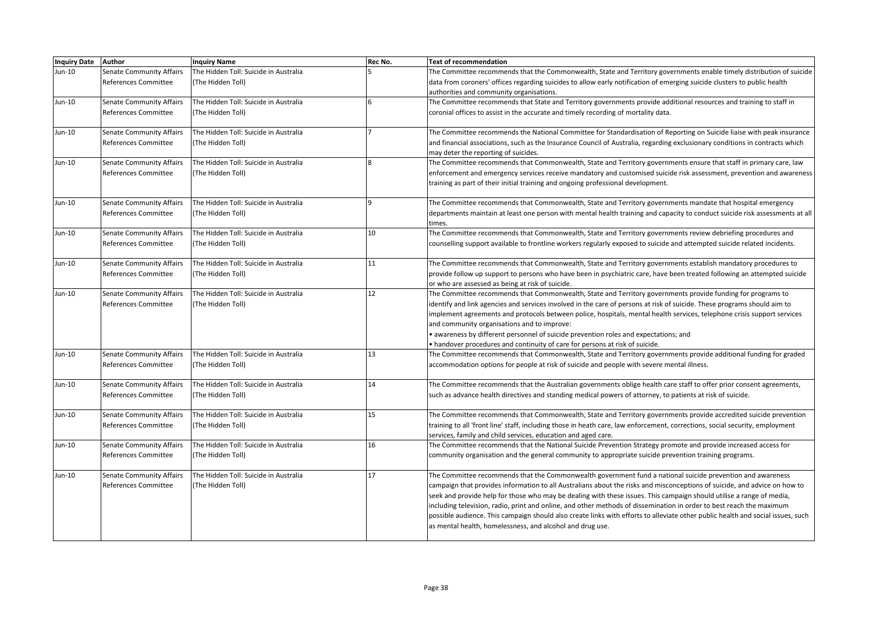| <b>Inquiry Date Author</b> |                                 | <b>Inquiry Name</b>                   | Rec No.      | <b>Text of recommendation</b>                                                                                                   |
|----------------------------|---------------------------------|---------------------------------------|--------------|---------------------------------------------------------------------------------------------------------------------------------|
| Jun-10                     | <b>Senate Community Affairs</b> | The Hidden Toll: Suicide in Australia |              | The Committee recommends that the Commonwealth, State and Territory governments enable timely distribution of suicide           |
|                            | References Committee            | (The Hidden Toll)                     |              | data from coroners' offices regarding suicides to allow early notification of emerging suicide clusters to public health        |
|                            |                                 |                                       |              | authorities and community organisations.                                                                                        |
| Jun-10                     | <b>Senate Community Affairs</b> | The Hidden Toll: Suicide in Australia |              | The Committee recommends that State and Territory governments provide additional resources and training to staff in             |
|                            | References Committee            | (The Hidden Toll)                     |              | coronial offices to assist in the accurate and timely recording of mortality data.                                              |
|                            |                                 |                                       |              |                                                                                                                                 |
| Jun-10                     | Senate Community Affairs        | The Hidden Toll: Suicide in Australia |              | The Committee recommends the National Committee for Standardisation of Reporting on Suicide liaise with peak insurance          |
|                            | References Committee            | (The Hidden Toll)                     |              | and financial associations, such as the Insurance Council of Australia, regarding exclusionary conditions in contracts which    |
|                            |                                 |                                       |              | may deter the reporting of suicides.                                                                                            |
| Jun-10                     | <b>Senate Community Affairs</b> | The Hidden Toll: Suicide in Australia |              | The Committee recommends that Commonwealth, State and Territory governments ensure that staff in primary care, law              |
|                            | References Committee            | (The Hidden Toll)                     |              | enforcement and emergency services receive mandatory and customised suicide risk assessment, prevention and awareness           |
|                            |                                 |                                       |              | training as part of their initial training and ongoing professional development.                                                |
|                            |                                 |                                       |              |                                                                                                                                 |
| Jun-10                     | <b>Senate Community Affairs</b> | The Hidden Toll: Suicide in Australia | $\mathbf{q}$ | The Committee recommends that Commonwealth, State and Territory governments mandate that hospital emergency                     |
|                            | References Committee            | (The Hidden Toll)                     |              | departments maintain at least one person with mental health training and capacity to conduct suicide risk assessments at all    |
|                            |                                 |                                       |              | times.                                                                                                                          |
| Jun-10                     | <b>Senate Community Affairs</b> | The Hidden Toll: Suicide in Australia | 10           | The Committee recommends that Commonwealth, State and Territory governments review debriefing procedures and                    |
|                            | References Committee            | (The Hidden Toll)                     |              | counselling support available to frontline workers regularly exposed to suicide and attempted suicide related incidents.        |
|                            |                                 |                                       |              |                                                                                                                                 |
| Jun-10                     | <b>Senate Community Affairs</b> | The Hidden Toll: Suicide in Australia | 11           | The Committee recommends that Commonwealth, State and Territory governments establish mandatory procedures to                   |
|                            | References Committee            | (The Hidden Toll)                     |              | provide follow up support to persons who have been in psychiatric care, have been treated following an attempted suicide        |
|                            |                                 |                                       |              | or who are assessed as being at risk of suicide.                                                                                |
| Jun-10                     | Senate Community Affairs        | The Hidden Toll: Suicide in Australia | 12           | The Committee recommends that Commonwealth, State and Territory governments provide funding for programs to                     |
|                            | References Committee            | (The Hidden Toll)                     |              | identify and link agencies and services involved in the care of persons at risk of suicide. These programs should aim to        |
|                            |                                 |                                       |              | implement agreements and protocols between police, hospitals, mental health services, telephone crisis support services         |
|                            |                                 |                                       |              | and community organisations and to improve:                                                                                     |
|                            |                                 |                                       |              | • awareness by different personnel of suicide prevention roles and expectations; and                                            |
|                            |                                 |                                       |              | • handover procedures and continuity of care for persons at risk of suicide.                                                    |
| Jun-10                     | <b>Senate Community Affairs</b> | The Hidden Toll: Suicide in Australia | 13           | The Committee recommends that Commonwealth, State and Territory governments provide additional funding for graded               |
|                            | References Committee            | (The Hidden Toll)                     |              | accommodation options for people at risk of suicide and people with severe mental illness.                                      |
|                            |                                 |                                       |              |                                                                                                                                 |
| Jun-10                     | Senate Community Affairs        | The Hidden Toll: Suicide in Australia | 14           | The Committee recommends that the Australian governments oblige health care staff to offer prior consent agreements,            |
|                            | References Committee            | (The Hidden Toll)                     |              | such as advance health directives and standing medical powers of attorney, to patients at risk of suicide.                      |
|                            |                                 |                                       |              |                                                                                                                                 |
| Jun-10                     | <b>Senate Community Affairs</b> | The Hidden Toll: Suicide in Australia | 15           | The Committee recommends that Commonwealth, State and Territory governments provide accredited suicide prevention               |
|                            | References Committee            | (The Hidden Toll)                     |              | training to all 'front line' staff, including those in heath care, law enforcement, corrections, social security, employment    |
|                            |                                 |                                       |              | services, family and child services, education and aged care.                                                                   |
| Jun-10                     | <b>Senate Community Affairs</b> | The Hidden Toll: Suicide in Australia | 16           | The Committee recommends that the National Suicide Prevention Strategy promote and provide increased access for                 |
|                            | References Committee            | (The Hidden Toll)                     |              | community organisation and the general community to appropriate suicide prevention training programs.                           |
|                            |                                 |                                       |              |                                                                                                                                 |
| Jun-10                     | <b>Senate Community Affairs</b> | The Hidden Toll: Suicide in Australia | 17           | The Committee recommends that the Commonwealth government fund a national suicide prevention and awareness                      |
|                            | References Committee            | (The Hidden Toll)                     |              | campaign that provides information to all Australians about the risks and misconceptions of suicide, and advice on how to       |
|                            |                                 |                                       |              | seek and provide help for those who may be dealing with these issues. This campaign should utilise a range of media,            |
|                            |                                 |                                       |              | including television, radio, print and online, and other methods of dissemination in order to best reach the maximum            |
|                            |                                 |                                       |              | possible audience. This campaign should also create links with efforts to alleviate other public health and social issues, such |
|                            |                                 |                                       |              | as mental health, homelessness, and alcohol and drug use.                                                                       |
|                            |                                 |                                       |              |                                                                                                                                 |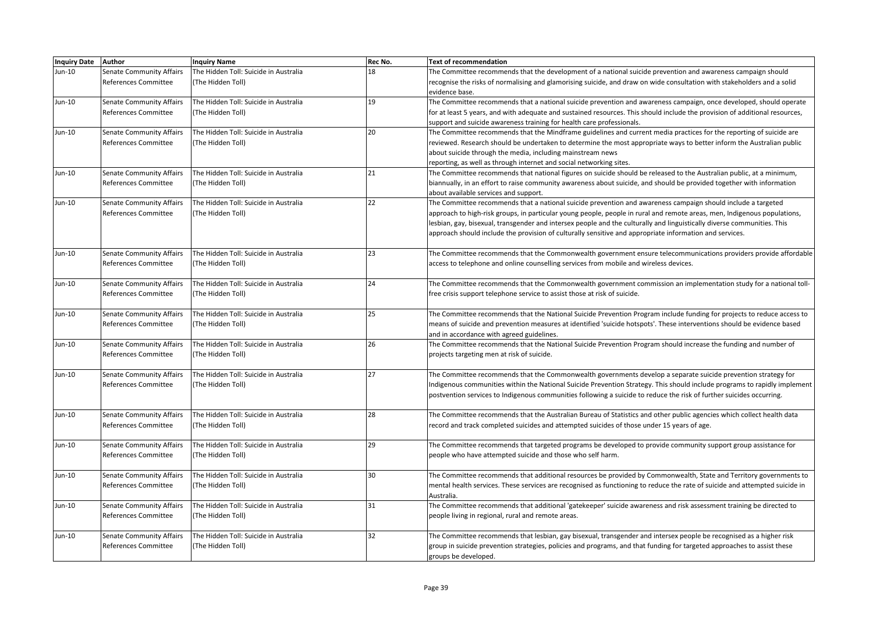| <b>Inquiry Date</b> | <b>Author</b>                   | <b>Inquiry Name</b>                   | Rec No. | <b>Text of recommendation</b>                                                                                               |
|---------------------|---------------------------------|---------------------------------------|---------|-----------------------------------------------------------------------------------------------------------------------------|
| Jun-10              | <b>Senate Community Affairs</b> | The Hidden Toll: Suicide in Australia | 18      | The Committee recommends that the development of a national suicide prevention and awareness campaign should                |
|                     | References Committee            | (The Hidden Toll)                     |         | recognise the risks of normalising and glamorising suicide, and draw on wide consultation with stakeholders and a solid     |
|                     |                                 |                                       |         | evidence base.                                                                                                              |
| Jun-10              | <b>Senate Community Affairs</b> | The Hidden Toll: Suicide in Australia | 19      | The Committee recommends that a national suicide prevention and awareness campaign, once developed, should operate          |
|                     | References Committee            | (The Hidden Toll)                     |         | for at least 5 years, and with adequate and sustained resources. This should include the provision of additional resources, |
|                     |                                 |                                       |         | support and suicide awareness training for health care professionals.                                                       |
| Jun-10              | Senate Community Affairs        | The Hidden Toll: Suicide in Australia | 20      | The Committee recommends that the Mindframe guidelines and current media practices for the reporting of suicide are         |
|                     | <b>References Committee</b>     | (The Hidden Toll)                     |         | reviewed. Research should be undertaken to determine the most appropriate ways to better inform the Australian public       |
|                     |                                 |                                       |         | about suicide through the media, including mainstream news                                                                  |
|                     |                                 |                                       |         | reporting, as well as through internet and social networking sites.                                                         |
| Jun-10              | <b>Senate Community Affairs</b> | The Hidden Toll: Suicide in Australia | 21      | The Committee recommends that national figures on suicide should be released to the Australian public, at a minimum,        |
|                     | <b>References Committee</b>     | (The Hidden Toll)                     |         | biannually, in an effort to raise community awareness about suicide, and should be provided together with information       |
|                     |                                 |                                       |         | about available services and support.                                                                                       |
| Jun-10              | <b>Senate Community Affairs</b> | The Hidden Toll: Suicide in Australia | 22      | The Committee recommends that a national suicide prevention and awareness campaign should include a targeted                |
|                     | References Committee            | (The Hidden Toll)                     |         | approach to high-risk groups, in particular young people, people in rural and remote areas, men, Indigenous populations,    |
|                     |                                 |                                       |         | lesbian, gay, bisexual, transgender and intersex people and the culturally and linguistically diverse communities. This     |
|                     |                                 |                                       |         | approach should include the provision of culturally sensitive and appropriate information and services.                     |
|                     |                                 |                                       |         |                                                                                                                             |
| Jun-10              | <b>Senate Community Affairs</b> | The Hidden Toll: Suicide in Australia | 23      | The Committee recommends that the Commonwealth government ensure telecommunications providers provide affordable            |
|                     | References Committee            | (The Hidden Toll)                     |         | access to telephone and online counselling services from mobile and wireless devices.                                       |
|                     |                                 |                                       |         |                                                                                                                             |
| Jun-10              | <b>Senate Community Affairs</b> | The Hidden Toll: Suicide in Australia | 24      | The Committee recommends that the Commonwealth government commission an implementation study for a national toll-           |
|                     | <b>References Committee</b>     | (The Hidden Toll)                     |         | free crisis support telephone service to assist those at risk of suicide.                                                   |
|                     |                                 |                                       |         |                                                                                                                             |
| Jun-10              | <b>Senate Community Affairs</b> | The Hidden Toll: Suicide in Australia | 25      | The Committee recommends that the National Suicide Prevention Program include funding for projects to reduce access to      |
|                     | References Committee            | (The Hidden Toll)                     |         | means of suicide and prevention measures at identified 'suicide hotspots'. These interventions should be evidence based     |
|                     |                                 |                                       |         | and in accordance with agreed guidelines.                                                                                   |
| Jun-10              | Senate Community Affairs        | The Hidden Toll: Suicide in Australia | 26      | The Committee recommends that the National Suicide Prevention Program should increase the funding and number of             |
|                     | <b>References Committee</b>     | (The Hidden Toll)                     |         | projects targeting men at risk of suicide.                                                                                  |
|                     |                                 |                                       |         |                                                                                                                             |
| Jun-10              | <b>Senate Community Affairs</b> | The Hidden Toll: Suicide in Australia | 27      | The Committee recommends that the Commonwealth governments develop a separate suicide prevention strategy for               |
|                     | References Committee            | (The Hidden Toll)                     |         | Indigenous communities within the National Suicide Prevention Strategy. This should include programs to rapidly implement   |
|                     |                                 |                                       |         | postvention services to Indigenous communities following a suicide to reduce the risk of further suicides occurring.        |
|                     |                                 |                                       |         |                                                                                                                             |
| Jun-10              | Senate Community Affairs        | The Hidden Toll: Suicide in Australia | 28      | The Committee recommends that the Australian Bureau of Statistics and other public agencies which collect health data       |
|                     | References Committee            | (The Hidden Toll)                     |         | record and track completed suicides and attempted suicides of those under 15 years of age.                                  |
|                     |                                 |                                       |         |                                                                                                                             |
| Jun-10              | <b>Senate Community Affairs</b> | The Hidden Toll: Suicide in Australia | 29      | The Committee recommends that targeted programs be developed to provide community support group assistance for              |
|                     | References Committee            | (The Hidden Toll)                     |         | people who have attempted suicide and those who self harm.                                                                  |
|                     |                                 |                                       |         |                                                                                                                             |
| Jun-10              | <b>Senate Community Affairs</b> | The Hidden Toll: Suicide in Australia | 30      | The Committee recommends that additional resources be provided by Commonwealth, State and Territory governments to          |
|                     | <b>References Committee</b>     | (The Hidden Toll)                     |         | mental health services. These services are recognised as functioning to reduce the rate of suicide and attempted suicide in |
|                     |                                 |                                       |         | Australia.                                                                                                                  |
| Jun-10              | <b>Senate Community Affairs</b> | The Hidden Toll: Suicide in Australia | 31      | The Committee recommends that additional 'gatekeeper' suicide awareness and risk assessment training be directed to         |
|                     | References Committee            | (The Hidden Toll)                     |         | people living in regional, rural and remote areas.                                                                          |
|                     |                                 |                                       |         |                                                                                                                             |
| Jun-10              | <b>Senate Community Affairs</b> | The Hidden Toll: Suicide in Australia | 32      | The Committee recommends that lesbian, gay bisexual, transgender and intersex people be recognised as a higher risk         |
|                     | <b>References Committee</b>     | (The Hidden Toll)                     |         | group in suicide prevention strategies, policies and programs, and that funding for targeted approaches to assist these     |
|                     |                                 |                                       |         | groups be developed.                                                                                                        |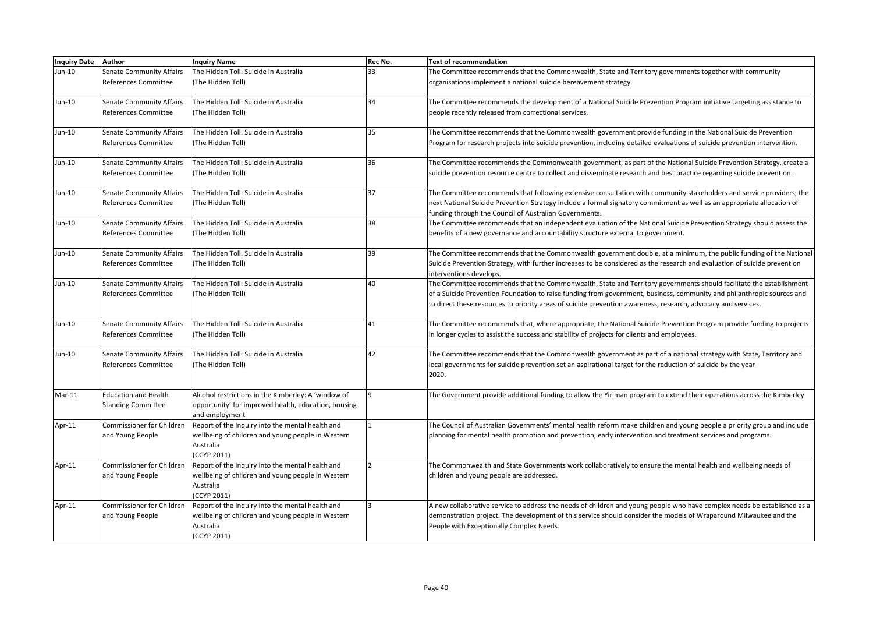| <b>Inquiry Date</b> | <b>Author</b>                    | <b>Inquiry Name</b>                                  | Rec No. | <b>Text of recommendation</b>                                                                                                                        |
|---------------------|----------------------------------|------------------------------------------------------|---------|------------------------------------------------------------------------------------------------------------------------------------------------------|
| Jun-10              | <b>Senate Community Affairs</b>  | The Hidden Toll: Suicide in Australia                | 33      | The Committee recommends that the Commonwealth, State and Territory governments together with community                                              |
|                     | References Committee             | (The Hidden Toll)                                    |         | organisations implement a national suicide bereavement strategy.                                                                                     |
|                     |                                  |                                                      |         |                                                                                                                                                      |
| Jun-10              | <b>Senate Community Affairs</b>  | The Hidden Toll: Suicide in Australia                | 34      | The Committee recommends the development of a National Suicide Prevention Program initiative targeting assistance to                                 |
|                     | References Committee             | (The Hidden Toll)                                    |         | people recently released from correctional services.                                                                                                 |
|                     |                                  |                                                      |         |                                                                                                                                                      |
| Jun-10              | Senate Community Affairs         | The Hidden Toll: Suicide in Australia                | 35      | The Committee recommends that the Commonwealth government provide funding in the National Suicide Prevention                                         |
|                     | References Committee             | (The Hidden Toll)                                    |         | Program for research projects into suicide prevention, including detailed evaluations of suicide prevention intervention.                            |
|                     |                                  |                                                      |         |                                                                                                                                                      |
| Jun-10              | <b>Senate Community Affairs</b>  | The Hidden Toll: Suicide in Australia                | 36      | The Committee recommends the Commonwealth government, as part of the National Suicide Prevention Strategy, create a                                  |
|                     | References Committee             | (The Hidden Toll)                                    |         | suicide prevention resource centre to collect and disseminate research and best practice regarding suicide prevention.                               |
|                     |                                  |                                                      |         |                                                                                                                                                      |
| Jun-10              | <b>Senate Community Affairs</b>  | The Hidden Toll: Suicide in Australia                | 37      | The Committee recommends that following extensive consultation with community stakeholders and service providers, the                                |
|                     | References Committee             | (The Hidden Toll)                                    |         | next National Suicide Prevention Strategy include a formal signatory commitment as well as an appropriate allocation of                              |
|                     |                                  |                                                      |         | funding through the Council of Australian Governments.                                                                                               |
| Jun-10              | Senate Community Affairs         | The Hidden Toll: Suicide in Australia                | 38      | The Committee recommends that an independent evaluation of the National Suicide Prevention Strategy should assess the                                |
|                     | <b>References Committee</b>      | (The Hidden Toll)                                    |         | benefits of a new governance and accountability structure external to government.                                                                    |
|                     |                                  |                                                      | 39      |                                                                                                                                                      |
| Jun-10              | <b>Senate Community Affairs</b>  | The Hidden Toll: Suicide in Australia                |         | The Committee recommends that the Commonwealth government double, at a minimum, the public funding of the National                                   |
|                     | References Committee             | (The Hidden Toll)                                    |         | Suicide Prevention Strategy, with further increases to be considered as the research and evaluation of suicide prevention<br>interventions develops. |
| Jun-10              | <b>Senate Community Affairs</b>  | The Hidden Toll: Suicide in Australia                | 40      | The Committee recommends that the Commonwealth, State and Territory governments should facilitate the establishment                                  |
|                     | <b>References Committee</b>      | (The Hidden Toll)                                    |         | of a Suicide Prevention Foundation to raise funding from government, business, community and philanthropic sources and                               |
|                     |                                  |                                                      |         | to direct these resources to priority areas of suicide prevention awareness, research, advocacy and services.                                        |
|                     |                                  |                                                      |         |                                                                                                                                                      |
| Jun-10              | <b>Senate Community Affairs</b>  | The Hidden Toll: Suicide in Australia                | 41      | The Committee recommends that, where appropriate, the National Suicide Prevention Program provide funding to projects                                |
|                     | References Committee             | (The Hidden Toll)                                    |         | in longer cycles to assist the success and stability of projects for clients and employees.                                                          |
|                     |                                  |                                                      |         |                                                                                                                                                      |
| Jun-10              | <b>Senate Community Affairs</b>  | The Hidden Toll: Suicide in Australia                | 42      | The Committee recommends that the Commonwealth government as part of a national strategy with State, Territory and                                   |
|                     | References Committee             | (The Hidden Toll)                                    |         | local governments for suicide prevention set an aspirational target for the reduction of suicide by the year                                         |
|                     |                                  |                                                      |         | 2020.                                                                                                                                                |
|                     |                                  |                                                      |         |                                                                                                                                                      |
| $Mar-11$            | <b>Education and Health</b>      | Alcohol restrictions in the Kimberley: A 'window of  | q       | The Government provide additional funding to allow the Yiriman program to extend their operations across the Kimberley                               |
|                     | <b>Standing Committee</b>        | opportunity' for improved health, education, housing |         |                                                                                                                                                      |
|                     |                                  | and employment                                       |         |                                                                                                                                                      |
| Apr-11              | Commissioner for Children        | Report of the Inquiry into the mental health and     |         | The Council of Australian Governments' mental health reform make children and young people a priority group and include                              |
|                     | and Young People                 | wellbeing of children and young people in Western    |         | planning for mental health promotion and prevention, early intervention and treatment services and programs.                                         |
|                     |                                  | Australia                                            |         |                                                                                                                                                      |
|                     |                                  | (CCYP 2011)                                          |         |                                                                                                                                                      |
| Apr-11              | <b>Commissioner for Children</b> | Report of the Inquiry into the mental health and     |         | The Commonwealth and State Governments work collaboratively to ensure the mental health and wellbeing needs of                                       |
|                     | and Young People                 | wellbeing of children and young people in Western    |         | children and young people are addressed.                                                                                                             |
|                     |                                  | Australia                                            |         |                                                                                                                                                      |
|                     |                                  | (CCYP 2011)                                          |         |                                                                                                                                                      |
| Apr-11              | <b>Commissioner for Children</b> | Report of the Inquiry into the mental health and     |         | A new collaborative service to address the needs of children and young people who have complex needs be established as a                             |
|                     | and Young People                 | wellbeing of children and young people in Western    |         | demonstration project. The development of this service should consider the models of Wraparound Milwaukee and the                                    |
|                     |                                  | Australia                                            |         | People with Exceptionally Complex Needs.                                                                                                             |
|                     |                                  | (CCYP 2011)                                          |         |                                                                                                                                                      |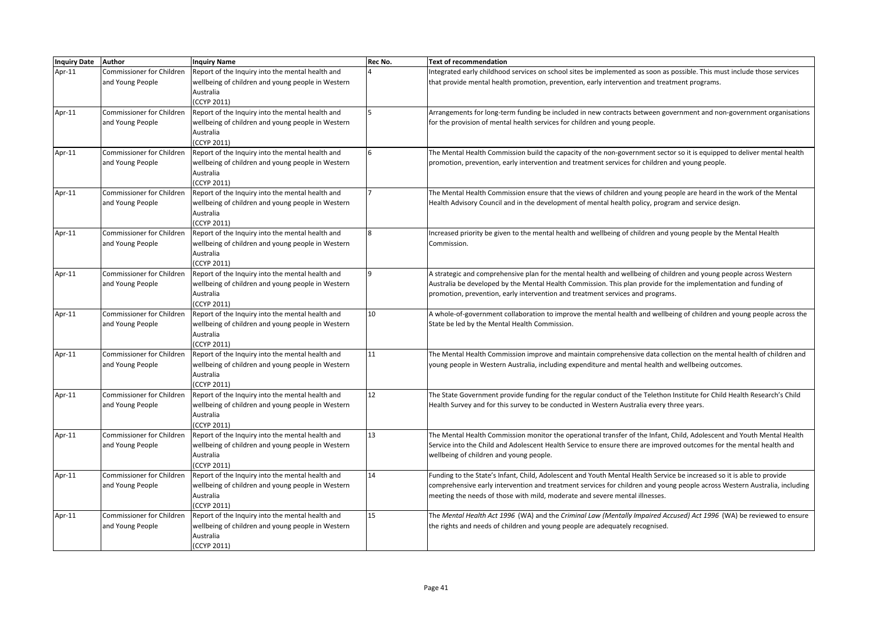| Inquiry Date Author |                                  | <b>Inquiry Name</b>                               | Rec No. | <b>Text of recommendation</b>                                                                                             |
|---------------------|----------------------------------|---------------------------------------------------|---------|---------------------------------------------------------------------------------------------------------------------------|
| Apr-11              | Commissioner for Children        | Report of the Inquiry into the mental health and  |         | Integrated early childhood services on school sites be implemented as soon as possible. This must include those services  |
|                     | and Young People                 | wellbeing of children and young people in Western |         | that provide mental health promotion, prevention, early intervention and treatment programs.                              |
|                     |                                  | Australia                                         |         |                                                                                                                           |
|                     |                                  | (CCYP 2011)                                       |         |                                                                                                                           |
| Apr-11              | Commissioner for Children        | Report of the Inquiry into the mental health and  |         | Arrangements for long-term funding be included in new contracts between government and non-government organisations       |
|                     | and Young People                 | wellbeing of children and young people in Western |         | for the provision of mental health services for children and young people.                                                |
|                     |                                  | Australia                                         |         |                                                                                                                           |
|                     |                                  | (CCYP 2011)                                       |         |                                                                                                                           |
| Apr-11              | <b>Commissioner for Children</b> | Report of the Inquiry into the mental health and  |         | The Mental Health Commission build the capacity of the non-government sector so it is equipped to deliver mental health   |
|                     | and Young People                 | wellbeing of children and young people in Western |         | promotion, prevention, early intervention and treatment services for children and young people.                           |
|                     |                                  | Australia                                         |         |                                                                                                                           |
|                     |                                  | (CCYP 2011)                                       |         |                                                                                                                           |
| Apr-11              | Commissioner for Children        | Report of the Inquiry into the mental health and  |         | The Mental Health Commission ensure that the views of children and young people are heard in the work of the Mental       |
|                     | and Young People                 | wellbeing of children and young people in Western |         | Health Advisory Council and in the development of mental health policy, program and service design.                       |
|                     |                                  | Australia                                         |         |                                                                                                                           |
|                     |                                  | (CCYP 2011)                                       |         |                                                                                                                           |
| Apr-11              | Commissioner for Children        | Report of the Inquiry into the mental health and  |         | Increased priority be given to the mental health and wellbeing of children and young people by the Mental Health          |
|                     | and Young People                 | wellbeing of children and young people in Western |         | Commission.                                                                                                               |
|                     |                                  | Australia                                         |         |                                                                                                                           |
|                     |                                  | (CCYP 2011)                                       |         |                                                                                                                           |
| Apr-11              | Commissioner for Children        | Report of the Inquiry into the mental health and  |         | A strategic and comprehensive plan for the mental health and wellbeing of children and young people across Western        |
|                     | and Young People                 | wellbeing of children and young people in Western |         | Australia be developed by the Mental Health Commission. This plan provide for the implementation and funding of           |
|                     |                                  | Australia                                         |         | promotion, prevention, early intervention and treatment services and programs.                                            |
|                     |                                  | (CCYP 2011)                                       |         |                                                                                                                           |
| Apr-11              | Commissioner for Children        | Report of the Inquiry into the mental health and  | 10      | A whole-of-government collaboration to improve the mental health and wellbeing of children and young people across the    |
|                     | and Young People                 | wellbeing of children and young people in Western |         | State be led by the Mental Health Commission.                                                                             |
|                     |                                  | Australia                                         |         |                                                                                                                           |
|                     |                                  | (CCYP 2011)                                       |         |                                                                                                                           |
| Apr-11              | Commissioner for Children        | Report of the Inquiry into the mental health and  | 11      | The Mental Health Commission improve and maintain comprehensive data collection on the mental health of children and      |
|                     | and Young People                 | wellbeing of children and young people in Western |         | young people in Western Australia, including expenditure and mental health and wellbeing outcomes.                        |
|                     |                                  | Australia                                         |         |                                                                                                                           |
|                     |                                  | (CCYP 2011)                                       |         |                                                                                                                           |
| Apr-11              | Commissioner for Children        | Report of the Inquiry into the mental health and  | 12      | The State Government provide funding for the regular conduct of the Telethon Institute for Child Health Research's Child  |
|                     | and Young People                 | wellbeing of children and young people in Western |         | Health Survey and for this survey to be conducted in Western Australia every three years.                                 |
|                     |                                  | Australia                                         |         |                                                                                                                           |
|                     |                                  | (CCYP 2011)                                       |         |                                                                                                                           |
| Apr-11              | Commissioner for Children        | Report of the Inquiry into the mental health and  | 13      | The Mental Health Commission monitor the operational transfer of the Infant, Child, Adolescent and Youth Mental Health    |
|                     | and Young People                 | wellbeing of children and young people in Western |         | Service into the Child and Adolescent Health Service to ensure there are improved outcomes for the mental health and      |
|                     |                                  | Australia                                         |         | wellbeing of children and young people.                                                                                   |
|                     |                                  | (CCYP 2011)                                       |         |                                                                                                                           |
| Apr-11              | Commissioner for Children        | Report of the Inquiry into the mental health and  | 14      | Funding to the State's Infant, Child, Adolescent and Youth Mental Health Service be increased so it is able to provide    |
|                     | and Young People                 | wellbeing of children and young people in Western |         | comprehensive early intervention and treatment services for children and young people across Western Australia, including |
|                     |                                  | Australia                                         |         | meeting the needs of those with mild, moderate and severe mental illnesses.                                               |
|                     |                                  | (CCYP 2011)                                       |         |                                                                                                                           |
| Apr-11              | Commissioner for Children        | Report of the Inquiry into the mental health and  | 15      | The Mental Health Act 1996 (WA) and the Criminal Law (Mentally Impaired Accused) Act 1996 (WA) be reviewed to ensure      |
|                     | and Young People                 | wellbeing of children and young people in Western |         | the rights and needs of children and young people are adequately recognised.                                              |
|                     |                                  | Australia                                         |         |                                                                                                                           |
|                     |                                  | (CCYP 2011)                                       |         |                                                                                                                           |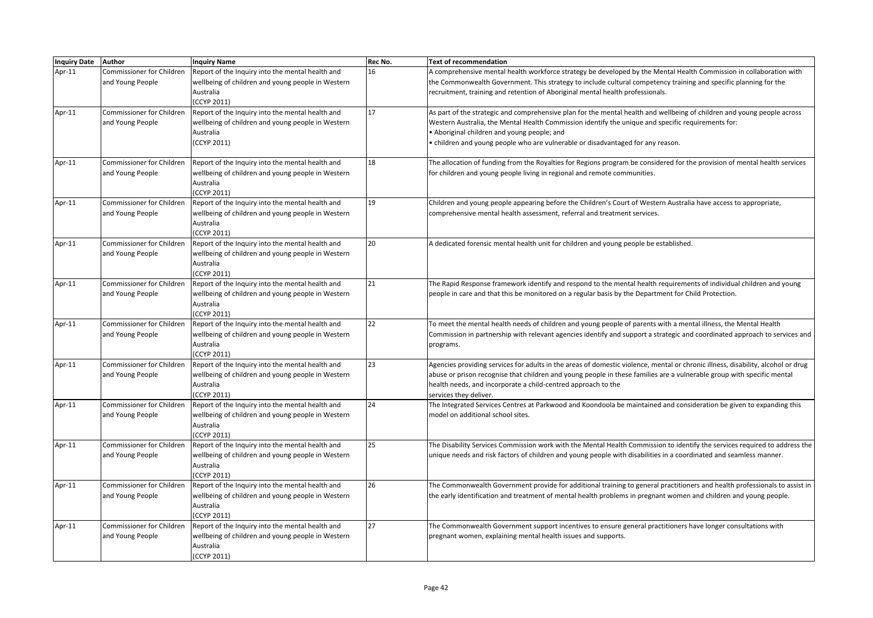| Inquiry Date Author |                                  | <b>Inquiry Name</b>                               | Rec No. | Text of recommendation                                                                                                           |
|---------------------|----------------------------------|---------------------------------------------------|---------|----------------------------------------------------------------------------------------------------------------------------------|
| Apr- $11$           | Commissioner for Children        | Report of the Inquiry into the mental health and  | 16      | A comprehensive mental health workforce strategy be developed by the Mental Health Commission in collaboration with              |
|                     | and Young People                 | wellbeing of children and young people in Western |         | the Commonwealth Government. This strategy to include cultural competency training and specific planning for the                 |
|                     |                                  | Australia                                         |         | recruitment, training and retention of Aboriginal mental health professionals.                                                   |
|                     |                                  | (CCYP 2011)                                       |         |                                                                                                                                  |
| Apr- $11$           | Commissioner for Children        | Report of the Inquiry into the mental health and  | 17      | As part of the strategic and comprehensive plan for the mental health and wellbeing of children and young people across          |
|                     | and Young People                 | wellbeing of children and young people in Western |         | Western Australia, the Mental Health Commission identify the unique and specific requirements for:                               |
|                     |                                  | Australia                                         |         | • Aboriginal children and young people; and                                                                                      |
|                     |                                  | (CCYP 2011)                                       |         | • children and young people who are vulnerable or disadvantaged for any reason.                                                  |
|                     |                                  |                                                   |         |                                                                                                                                  |
| Apr-11              | Commissioner for Children        | Report of the Inquiry into the mental health and  | 18      | The allocation of funding from the Royalties for Regions program be considered for the provision of mental health services       |
|                     | and Young People                 | wellbeing of children and young people in Western |         | for children and young people living in regional and remote communities.                                                         |
|                     |                                  | Australia                                         |         |                                                                                                                                  |
|                     |                                  | (CCYP 2011)                                       |         |                                                                                                                                  |
| Apr-11              | <b>Commissioner for Children</b> | Report of the Inquiry into the mental health and  | 19      | Children and young people appearing before the Children's Court of Western Australia have access to appropriate,                 |
|                     | and Young People                 | wellbeing of children and young people in Western |         | comprehensive mental health assessment, referral and treatment services.                                                         |
|                     |                                  | Australia                                         |         |                                                                                                                                  |
|                     |                                  | (CCYP 2011)                                       |         |                                                                                                                                  |
| Apr-11              | Commissioner for Children        | Report of the Inquiry into the mental health and  | 20      | A dedicated forensic mental health unit for children and young people be established.                                            |
|                     | and Young People                 | wellbeing of children and young people in Western |         |                                                                                                                                  |
|                     |                                  | Australia                                         |         |                                                                                                                                  |
|                     |                                  | (CCYP 2011)                                       |         |                                                                                                                                  |
| Apr-11              | Commissioner for Children        | Report of the Inquiry into the mental health and  | 21      | The Rapid Response framework identify and respond to the mental health requirements of individual children and young             |
|                     | and Young People                 | wellbeing of children and young people in Western |         | people in care and that this be monitored on a regular basis by the Department for Child Protection.                             |
|                     |                                  | Australia                                         |         |                                                                                                                                  |
|                     |                                  | (CCYP 2011)                                       |         |                                                                                                                                  |
| Apr-11              | Commissioner for Children        | Report of the Inquiry into the mental health and  | 22      | To meet the mental health needs of children and young people of parents with a mental illness, the Mental Health                 |
|                     | and Young People                 | wellbeing of children and young people in Western |         | Commission in partnership with relevant agencies identify and support a strategic and coordinated approach to services and       |
|                     |                                  | Australia                                         |         | programs.                                                                                                                        |
|                     |                                  | (CCYP 2011)                                       |         |                                                                                                                                  |
| Apr-11              | Commissioner for Children        | Report of the Inquiry into the mental health and  | 23      | Agencies providing services for adults in the areas of domestic violence, mental or chronic illness, disability, alcohol or drug |
|                     | and Young People                 | wellbeing of children and young people in Western |         | abuse or prison recognise that children and young people in these families are a vulnerable group with specific mental           |
|                     |                                  | Australia                                         |         | health needs, and incorporate a child-centred approach to the                                                                    |
|                     |                                  | (CCYP 2011)                                       |         | services they deliver.                                                                                                           |
| Apr-11              | Commissioner for Children        | Report of the Inquiry into the mental health and  | 24      | The Integrated Services Centres at Parkwood and Koondoola be maintained and consideration be given to expanding this             |
|                     | and Young People                 | wellbeing of children and young people in Western |         | model on additional school sites.                                                                                                |
|                     |                                  | Australia                                         |         |                                                                                                                                  |
|                     |                                  | (CCYP 2011)                                       |         |                                                                                                                                  |
| Apr-11              | Commissioner for Children        | Report of the Inquiry into the mental health and  | 25      | The Disability Services Commission work with the Mental Health Commission to identify the services required to address the       |
|                     | and Young People                 | wellbeing of children and young people in Western |         | unique needs and risk factors of children and young people with disabilities in a coordinated and seamless manner.               |
|                     |                                  | Australia                                         |         |                                                                                                                                  |
|                     |                                  | (CCYP 2011)                                       |         |                                                                                                                                  |
| Apr-11              | Commissioner for Children        | Report of the Inquiry into the mental health and  | 26      | The Commonwealth Government provide for additional training to general practitioners and health professionals to assist in       |
|                     | and Young People                 | wellbeing of children and young people in Western |         | the early identification and treatment of mental health problems in pregnant women and children and young people.                |
|                     |                                  | Australia                                         |         |                                                                                                                                  |
|                     |                                  | (CCYP 2011)                                       |         |                                                                                                                                  |
| Apr-11              | Commissioner for Children        | Report of the Inquiry into the mental health and  | 27      | The Commonwealth Government support incentives to ensure general practitioners have longer consultations with                    |
|                     | and Young People                 | wellbeing of children and young people in Western |         | pregnant women, explaining mental health issues and supports.                                                                    |
|                     |                                  | Australia                                         |         |                                                                                                                                  |
|                     |                                  | (CCYP 2011)                                       |         |                                                                                                                                  |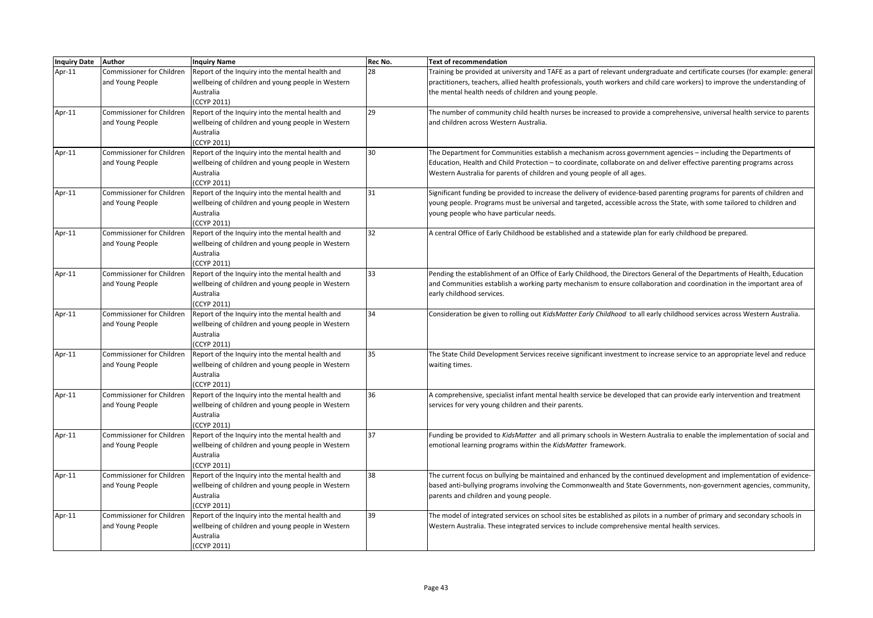| <b>Inquiry Date</b> | Author                    | <b>Inquiry Name</b>                               | Rec No. | <b>Text of recommendation</b>                                                                                                 |
|---------------------|---------------------------|---------------------------------------------------|---------|-------------------------------------------------------------------------------------------------------------------------------|
| Apr-11              | Commissioner for Children | Report of the Inquiry into the mental health and  | 28      | Training be provided at university and TAFE as a part of relevant undergraduate and certificate courses (for example: general |
|                     | and Young People          | wellbeing of children and young people in Western |         | practitioners, teachers, allied health professionals, youth workers and child care workers) to improve the understanding of   |
|                     |                           | Australia                                         |         | the mental health needs of children and young people.                                                                         |
|                     |                           | (CCYP 2011)                                       |         |                                                                                                                               |
| Apr-11              | Commissioner for Children | Report of the Inquiry into the mental health and  | 29      | The number of community child health nurses be increased to provide a comprehensive, universal health service to parents      |
|                     | and Young People          | wellbeing of children and young people in Western |         | and children across Western Australia.                                                                                        |
|                     |                           | Australia                                         |         |                                                                                                                               |
|                     |                           | (CCYP 2011)                                       |         |                                                                                                                               |
| Apr-11              | Commissioner for Children | Report of the Inquiry into the mental health and  | 30      | The Department for Communities establish a mechanism across government agencies - including the Departments of                |
|                     | and Young People          | wellbeing of children and young people in Western |         | Education, Health and Child Protection - to coordinate, collaborate on and deliver effective parenting programs across        |
|                     |                           | Australia                                         |         | Western Australia for parents of children and young people of all ages.                                                       |
|                     |                           | (CCYP 2011)                                       |         |                                                                                                                               |
| Apr- $11$           | Commissioner for Children | Report of the Inquiry into the mental health and  | 31      | Significant funding be provided to increase the delivery of evidence-based parenting programs for parents of children and     |
|                     | and Young People          | wellbeing of children and young people in Western |         | young people. Programs must be universal and targeted, accessible across the State, with some tailored to children and        |
|                     |                           | Australia                                         |         | young people who have particular needs.                                                                                       |
|                     |                           | (CCYP 2011)                                       |         |                                                                                                                               |
| Apr-11              | Commissioner for Children | Report of the Inquiry into the mental health and  | 32      | A central Office of Early Childhood be established and a statewide plan for early childhood be prepared.                      |
|                     | and Young People          | wellbeing of children and young people in Western |         |                                                                                                                               |
|                     |                           | Australia                                         |         |                                                                                                                               |
|                     |                           | (CCYP 2011)                                       |         |                                                                                                                               |
| Apr-11              | Commissioner for Children | Report of the Inquiry into the mental health and  | 33      | Pending the establishment of an Office of Early Childhood, the Directors General of the Departments of Health, Education      |
|                     | and Young People          | wellbeing of children and young people in Western |         | and Communities establish a working party mechanism to ensure collaboration and coordination in the important area of         |
|                     |                           | Australia                                         |         | early childhood services.                                                                                                     |
|                     |                           | (CCYP 2011)                                       |         |                                                                                                                               |
| Apr-11              | Commissioner for Children | Report of the Inquiry into the mental health and  | 34      | Consideration be given to rolling out KidsMatter Early Childhood to all early childhood services across Western Australia.    |
|                     | and Young People          | wellbeing of children and young people in Western |         |                                                                                                                               |
|                     |                           | Australia                                         |         |                                                                                                                               |
|                     |                           | (CCYP 2011)                                       |         |                                                                                                                               |
| Apr-11              | Commissioner for Children | Report of the Inquiry into the mental health and  | 35      | The State Child Development Services receive significant investment to increase service to an appropriate level and reduce    |
|                     | and Young People          | wellbeing of children and young people in Western |         | waiting times.                                                                                                                |
|                     |                           | Australia                                         |         |                                                                                                                               |
|                     |                           | (CCYP 2011)                                       |         |                                                                                                                               |
| Apr-11              | Commissioner for Children | Report of the Inquiry into the mental health and  | 36      | A comprehensive, specialist infant mental health service be developed that can provide early intervention and treatment       |
|                     | and Young People          | wellbeing of children and young people in Western |         | services for very young children and their parents.                                                                           |
|                     |                           | Australia                                         |         |                                                                                                                               |
|                     |                           | (CCYP 2011)                                       |         |                                                                                                                               |
| Apr-11              | Commissioner for Children | Report of the Inquiry into the mental health and  | 37      | Funding be provided to KidsMatter and all primary schools in Western Australia to enable the implementation of social and     |
|                     | and Young People          | wellbeing of children and young people in Western |         | emotional learning programs within the KidsMatter framework.                                                                  |
|                     |                           | Australia                                         |         |                                                                                                                               |
|                     |                           | (CCYP 2011)                                       |         |                                                                                                                               |
| Apr-11              | Commissioner for Children | Report of the Inquiry into the mental health and  | 38      | The current focus on bullying be maintained and enhanced by the continued development and implementation of evidence-         |
|                     | and Young People          | wellbeing of children and young people in Western |         | based anti-bullying programs involving the Commonwealth and State Governments, non-government agencies, community,            |
|                     |                           | Australia                                         |         | parents and children and young people.                                                                                        |
|                     |                           | (CCYP 2011)                                       |         |                                                                                                                               |
| Apr-11              | Commissioner for Children | Report of the Inquiry into the mental health and  | 39      | The model of integrated services on school sites be established as pilots in a number of primary and secondary schools in     |
|                     | and Young People          | wellbeing of children and young people in Western |         | Western Australia. These integrated services to include comprehensive mental health services.                                 |
|                     |                           | Australia                                         |         |                                                                                                                               |
|                     |                           | (CCYP 2011)                                       |         |                                                                                                                               |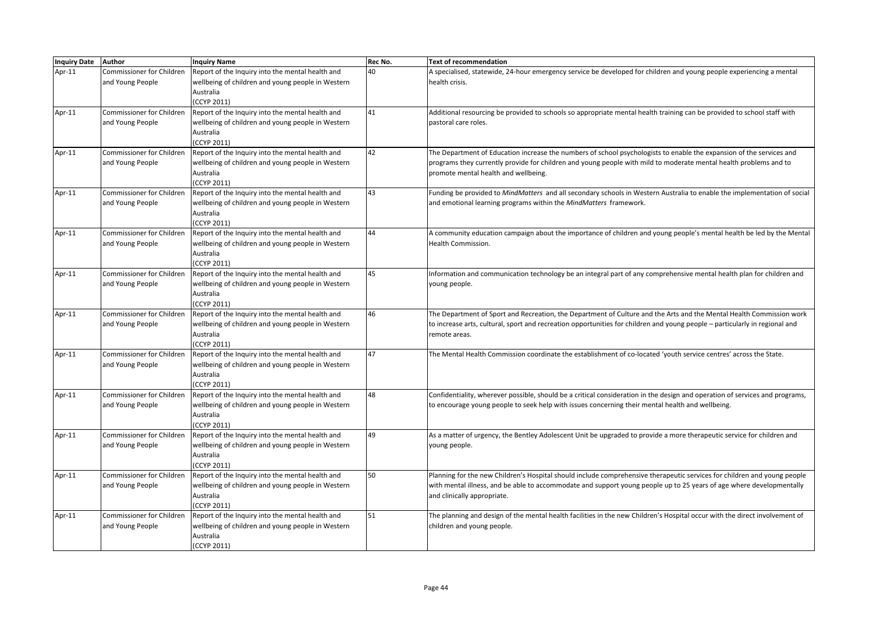| <b>Inquiry Date</b> | <b>Author</b>                    | <b>Inquiry Name</b>                               | Rec No. | Text of recommendation                                                                                                       |
|---------------------|----------------------------------|---------------------------------------------------|---------|------------------------------------------------------------------------------------------------------------------------------|
| Apr-11              | Commissioner for Children        | Report of the Inquiry into the mental health and  | 40      | A specialised, statewide, 24-hour emergency service be developed for children and young people experiencing a mental         |
|                     | and Young People                 | wellbeing of children and young people in Western |         | health crisis.                                                                                                               |
|                     |                                  | Australia                                         |         |                                                                                                                              |
|                     |                                  | (CCYP 2011)                                       |         |                                                                                                                              |
| Apr-11              | Commissioner for Children        | Report of the Inquiry into the mental health and  | 41      | Additional resourcing be provided to schools so appropriate mental health training can be provided to school staff with      |
|                     | and Young People                 | wellbeing of children and young people in Western |         | pastoral care roles.                                                                                                         |
|                     |                                  | Australia                                         |         |                                                                                                                              |
|                     |                                  | (CCYP 2011)                                       |         |                                                                                                                              |
| Apr-11              | <b>Commissioner for Children</b> | Report of the Inquiry into the mental health and  | 42      | The Department of Education increase the numbers of school psychologists to enable the expansion of the services and         |
|                     | and Young People                 | wellbeing of children and young people in Western |         | programs they currently provide for children and young people with mild to moderate mental health problems and to            |
|                     |                                  | Australia                                         |         | promote mental health and wellbeing.                                                                                         |
|                     |                                  | (CCYP 2011)                                       |         |                                                                                                                              |
| Apr-11              | Commissioner for Children        | Report of the Inquiry into the mental health and  | 43      | Funding be provided to MindMatters and all secondary schools in Western Australia to enable the implementation of social     |
|                     | and Young People                 | wellbeing of children and young people in Western |         | and emotional learning programs within the MindMatters framework.                                                            |
|                     |                                  | Australia                                         |         |                                                                                                                              |
|                     |                                  | (CCYP 2011)                                       |         |                                                                                                                              |
| Apr-11              | <b>Commissioner for Children</b> | Report of the Inquiry into the mental health and  | 44      | A community education campaign about the importance of children and young people's mental health be led by the Mental        |
|                     | and Young People                 | wellbeing of children and young people in Western |         | Health Commission.                                                                                                           |
|                     |                                  | Australia                                         |         |                                                                                                                              |
|                     |                                  | (CCYP 2011)                                       |         |                                                                                                                              |
| Apr-11              | <b>Commissioner for Children</b> | Report of the Inquiry into the mental health and  | 45      | Information and communication technology be an integral part of any comprehensive mental health plan for children and        |
|                     | and Young People                 | wellbeing of children and young people in Western |         | young people.                                                                                                                |
|                     |                                  | Australia                                         |         |                                                                                                                              |
|                     |                                  | (CCYP 2011)                                       |         |                                                                                                                              |
| Apr-11              | <b>Commissioner for Children</b> | Report of the Inquiry into the mental health and  | 46      | The Department of Sport and Recreation, the Department of Culture and the Arts and the Mental Health Commission work         |
|                     | and Young People                 | wellbeing of children and young people in Western |         | to increase arts, cultural, sport and recreation opportunities for children and young people – particularly in regional and  |
|                     |                                  | Australia                                         |         | remote areas.                                                                                                                |
|                     |                                  | (CCYP 2011)                                       |         |                                                                                                                              |
| Apr-11              | <b>Commissioner for Children</b> | Report of the Inquiry into the mental health and  | 47      | The Mental Health Commission coordinate the establishment of co-located 'youth service centres' across the State.            |
|                     | and Young People                 | wellbeing of children and young people in Western |         |                                                                                                                              |
|                     |                                  | Australia                                         |         |                                                                                                                              |
|                     |                                  | (CCYP 2011)                                       |         |                                                                                                                              |
| Apr-11              | <b>Commissioner for Children</b> | Report of the Inquiry into the mental health and  | 48      | Confidentiality, wherever possible, should be a critical consideration in the design and operation of services and programs, |
|                     | and Young People                 | wellbeing of children and young people in Western |         | to encourage young people to seek help with issues concerning their mental health and wellbeing.                             |
|                     |                                  | Australia                                         |         |                                                                                                                              |
|                     |                                  | (CCYP 2011)                                       |         |                                                                                                                              |
| Apr-11              | <b>Commissioner for Children</b> | Report of the Inquiry into the mental health and  | 49      | As a matter of urgency, the Bentley Adolescent Unit be upgraded to provide a more therapeutic service for children and       |
|                     | and Young People                 | wellbeing of children and young people in Western |         | young people.                                                                                                                |
|                     |                                  | Australia                                         |         |                                                                                                                              |
|                     |                                  | (CCYP 2011)                                       |         |                                                                                                                              |
| Apr-11              | Commissioner for Children        | Report of the Inquiry into the mental health and  | 50      | Planning for the new Children's Hospital should include comprehensive therapeutic services for children and young people     |
|                     | and Young People                 | wellbeing of children and young people in Western |         | with mental illness, and be able to accommodate and support young people up to 25 years of age where developmentally         |
|                     |                                  | Australia                                         |         | and clinically appropriate.                                                                                                  |
|                     |                                  | (CCYP 2011)                                       |         |                                                                                                                              |
| Apr-11              | Commissioner for Children        | Report of the Inquiry into the mental health and  | 51      | The planning and design of the mental health facilities in the new Children's Hospital occur with the direct involvement of  |
|                     | and Young People                 | wellbeing of children and young people in Western |         | children and young people.                                                                                                   |
|                     |                                  | Australia                                         |         |                                                                                                                              |
|                     |                                  | (CCYP 2011)                                       |         |                                                                                                                              |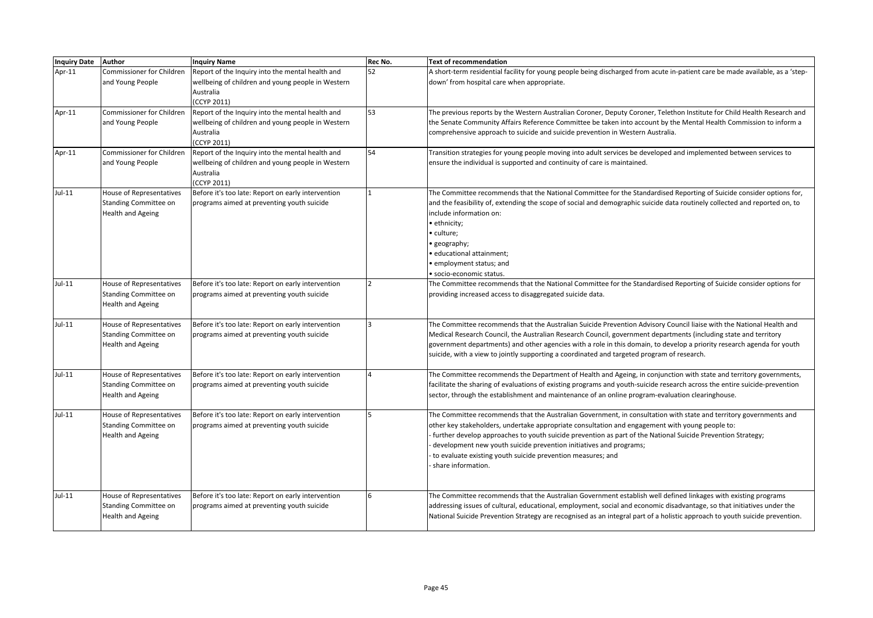| Inquiry Date Author |                                  | <b>Inquiry Name</b>                                            | Rec No. | <b>Text of recommendation</b>                                                                                                 |
|---------------------|----------------------------------|----------------------------------------------------------------|---------|-------------------------------------------------------------------------------------------------------------------------------|
| Apr-11              | Commissioner for Children        | Report of the Inquiry into the mental health and               | 52      | A short-term residential facility for young people being discharged from acute in-patient care be made available, as a 'step- |
|                     | and Young People                 | wellbeing of children and young people in Western              |         | down' from hospital care when appropriate.                                                                                    |
|                     |                                  | Australia                                                      |         |                                                                                                                               |
|                     | <b>Commissioner for Children</b> | (CCYP 2011)                                                    | 53      |                                                                                                                               |
| Apr-11              |                                  | Report of the Inquiry into the mental health and               |         | The previous reports by the Western Australian Coroner, Deputy Coroner, Telethon Institute for Child Health Research and      |
|                     | and Young People                 | wellbeing of children and young people in Western<br>Australia |         | the Senate Community Affairs Reference Committee be taken into account by the Mental Health Commission to inform a            |
|                     |                                  | (CCYP 2011)                                                    |         | comprehensive approach to suicide and suicide prevention in Western Australia.                                                |
| Apr-11              | Commissioner for Children        | Report of the Inquiry into the mental health and               | 54      | Transition strategies for young people moving into adult services be developed and implemented between services to            |
|                     | and Young People                 | wellbeing of children and young people in Western              |         | ensure the individual is supported and continuity of care is maintained.                                                      |
|                     |                                  | Australia                                                      |         |                                                                                                                               |
|                     |                                  | (CCYP 2011)                                                    |         |                                                                                                                               |
| $Jul-11$            | House of Representatives         | Before it's too late: Report on early intervention             |         | The Committee recommends that the National Committee for the Standardised Reporting of Suicide consider options for,          |
|                     | Standing Committee on            | programs aimed at preventing youth suicide                     |         | and the feasibility of, extending the scope of social and demographic suicide data routinely collected and reported on, to    |
|                     | <b>Health and Ageing</b>         |                                                                |         | include information on:                                                                                                       |
|                     |                                  |                                                                |         | · ethnicity;                                                                                                                  |
|                     |                                  |                                                                |         | • culture;                                                                                                                    |
|                     |                                  |                                                                |         | • geography;                                                                                                                  |
|                     |                                  |                                                                |         | · educational attainment;                                                                                                     |
|                     |                                  |                                                                |         | · employment status; and                                                                                                      |
|                     |                                  |                                                                |         | · socio-economic status.                                                                                                      |
| Jul-11              | <b>House of Representatives</b>  | Before it's too late: Report on early intervention             |         | The Committee recommends that the National Committee for the Standardised Reporting of Suicide consider options for           |
|                     | Standing Committee on            | programs aimed at preventing youth suicide                     |         | providing increased access to disaggregated suicide data.                                                                     |
|                     | <b>Health and Ageing</b>         |                                                                |         |                                                                                                                               |
|                     |                                  |                                                                |         |                                                                                                                               |
| $Jul-11$            | <b>House of Representatives</b>  | Before it's too late: Report on early intervention             |         | The Committee recommends that the Australian Suicide Prevention Advisory Council liaise with the National Health and          |
|                     | Standing Committee on            | programs aimed at preventing youth suicide                     |         | Medical Research Council, the Australian Research Council, government departments (including state and territory              |
|                     | <b>Health and Ageing</b>         |                                                                |         | government departments) and other agencies with a role in this domain, to develop a priority research agenda for youth        |
|                     |                                  |                                                                |         | suicide, with a view to jointly supporting a coordinated and targeted program of research.                                    |
|                     |                                  |                                                                |         |                                                                                                                               |
| $Jul-11$            | <b>House of Representatives</b>  | Before it's too late: Report on early intervention             |         | The Committee recommends the Department of Health and Ageing, in conjunction with state and territory governments,            |
|                     | Standing Committee on            | programs aimed at preventing youth suicide                     |         | facilitate the sharing of evaluations of existing programs and youth-suicide research across the entire suicide-prevention    |
|                     | <b>Health and Ageing</b>         |                                                                |         | sector, through the establishment and maintenance of an online program-evaluation clearinghouse.                              |
| $Jul-11$            | <b>House of Representatives</b>  | Before it's too late: Report on early intervention             |         | The Committee recommends that the Australian Government, in consultation with state and territory governments and             |
|                     | Standing Committee on            | programs aimed at preventing youth suicide                     |         | other key stakeholders, undertake appropriate consultation and engagement with young people to:                               |
|                     | Health and Ageing                |                                                                |         | further develop approaches to youth suicide prevention as part of the National Suicide Prevention Strategy;                   |
|                     |                                  |                                                                |         | development new youth suicide prevention initiatives and programs;                                                            |
|                     |                                  |                                                                |         | to evaluate existing youth suicide prevention measures; and                                                                   |
|                     |                                  |                                                                |         | share information.                                                                                                            |
|                     |                                  |                                                                |         |                                                                                                                               |
|                     |                                  |                                                                |         |                                                                                                                               |
| $Jul-11$            | <b>House of Representatives</b>  | Before it's too late: Report on early intervention             |         | The Committee recommends that the Australian Government establish well defined linkages with existing programs                |
|                     | Standing Committee on            | programs aimed at preventing youth suicide                     |         | addressing issues of cultural, educational, employment, social and economic disadvantage, so that initiatives under the       |
|                     | <b>Health and Ageing</b>         |                                                                |         | National Suicide Prevention Strategy are recognised as an integral part of a holistic approach to youth suicide prevention.   |
|                     |                                  |                                                                |         |                                                                                                                               |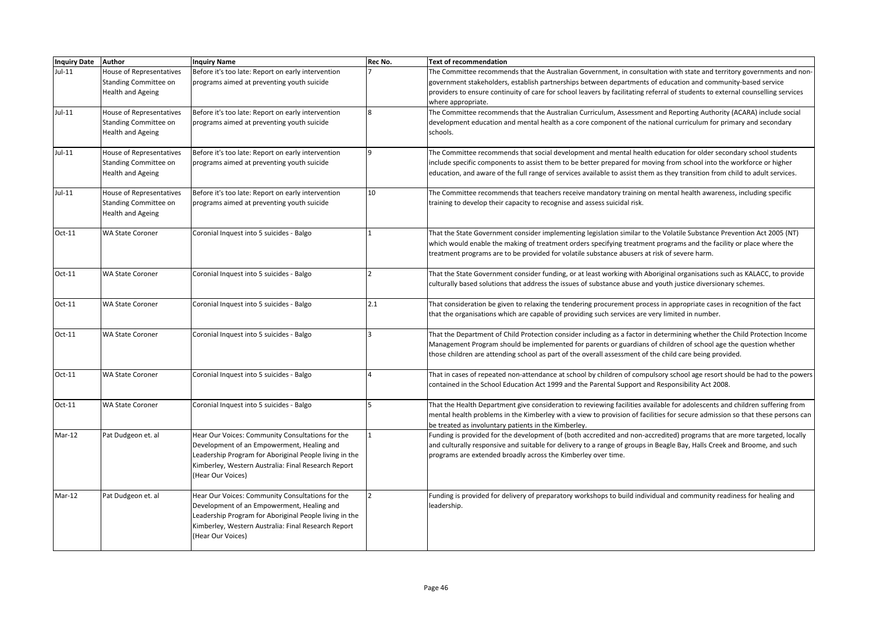| <b>Inquiry Date</b> | <b>Author</b>                   | <b>Inquiry Name</b>                                    | Rec No. | <b>Text of recommendation</b>                                                                                                                                                                                                |
|---------------------|---------------------------------|--------------------------------------------------------|---------|------------------------------------------------------------------------------------------------------------------------------------------------------------------------------------------------------------------------------|
| $Jul-11$            | House of Representatives        | Before it's too late: Report on early intervention     |         | The Committee recommends that the Australian Government, in consultation with state and territory governments and non-                                                                                                       |
|                     | Standing Committee on           | programs aimed at preventing youth suicide             |         | government stakeholders, establish partnerships between departments of education and community-based service                                                                                                                 |
|                     | <b>Health and Ageing</b>        |                                                        |         | providers to ensure continuity of care for school leavers by facilitating referral of students to external counselling services                                                                                              |
|                     |                                 |                                                        |         | where appropriate.                                                                                                                                                                                                           |
| $Jul-11$            | <b>House of Representatives</b> | Before it's too late: Report on early intervention     |         | The Committee recommends that the Australian Curriculum, Assessment and Reporting Authority (ACARA) include social                                                                                                           |
|                     | Standing Committee on           | programs aimed at preventing youth suicide             |         | development education and mental health as a core component of the national curriculum for primary and secondary                                                                                                             |
|                     | <b>Health and Ageing</b>        |                                                        |         | schools.                                                                                                                                                                                                                     |
|                     |                                 |                                                        |         |                                                                                                                                                                                                                              |
| $Jul-11$            | <b>House of Representatives</b> | Before it's too late: Report on early intervention     |         | The Committee recommends that social development and mental health education for older secondary school students                                                                                                             |
|                     | Standing Committee on           | programs aimed at preventing youth suicide             |         | include specific components to assist them to be better prepared for moving from school into the workforce or higher                                                                                                         |
|                     | Health and Ageing               |                                                        |         | education, and aware of the full range of services available to assist them as they transition from child to adult services.                                                                                                 |
|                     |                                 |                                                        |         |                                                                                                                                                                                                                              |
| $Jul-11$            | House of Representatives        | Before it's too late: Report on early intervention     | 10      | The Committee recommends that teachers receive mandatory training on mental health awareness, including specific                                                                                                             |
|                     | Standing Committee on           | programs aimed at preventing youth suicide             |         | training to develop their capacity to recognise and assess suicidal risk.                                                                                                                                                    |
|                     | <b>Health and Ageing</b>        |                                                        |         |                                                                                                                                                                                                                              |
|                     |                                 |                                                        |         |                                                                                                                                                                                                                              |
| $Oct-11$            | <b>WA State Coroner</b>         | Coronial Inquest into 5 suicides - Balgo               |         | That the State Government consider implementing legislation similar to the Volatile Substance Prevention Act 2005 (NT)                                                                                                       |
|                     |                                 |                                                        |         | which would enable the making of treatment orders specifying treatment programs and the facility or place where the                                                                                                          |
|                     |                                 |                                                        |         | treatment programs are to be provided for volatile substance abusers at risk of severe harm.                                                                                                                                 |
|                     |                                 |                                                        |         |                                                                                                                                                                                                                              |
| $Oct-11$            | <b>WA State Coroner</b>         | Coronial Inquest into 5 suicides - Balgo               |         | That the State Government consider funding, or at least working with Aboriginal organisations such as KALACC, to provide                                                                                                     |
|                     |                                 |                                                        |         | culturally based solutions that address the issues of substance abuse and youth justice diversionary schemes.                                                                                                                |
|                     |                                 |                                                        | 2.1     |                                                                                                                                                                                                                              |
| $Oct-11$            | <b>WA State Coroner</b>         | Coronial Inquest into 5 suicides - Balgo               |         | That consideration be given to relaxing the tendering procurement process in appropriate cases in recognition of the fact<br>that the organisations which are capable of providing such services are very limited in number. |
|                     |                                 |                                                        |         |                                                                                                                                                                                                                              |
| $Oct-11$            | <b>WA State Coroner</b>         | Coronial Inquest into 5 suicides - Balgo               |         | That the Department of Child Protection consider including as a factor in determining whether the Child Protection Income                                                                                                    |
|                     |                                 |                                                        |         | Management Program should be implemented for parents or guardians of children of school age the question whether                                                                                                             |
|                     |                                 |                                                        |         | those children are attending school as part of the overall assessment of the child care being provided.                                                                                                                      |
|                     |                                 |                                                        |         |                                                                                                                                                                                                                              |
| $Oct-11$            | <b>WA State Coroner</b>         | Coronial Inquest into 5 suicides - Balgo               |         | That in cases of repeated non-attendance at school by children of compulsory school age resort should be had to the powers                                                                                                   |
|                     |                                 |                                                        |         | contained in the School Education Act 1999 and the Parental Support and Responsibility Act 2008.                                                                                                                             |
|                     |                                 |                                                        |         |                                                                                                                                                                                                                              |
| $Oct-11$            | <b>WA State Coroner</b>         | Coronial Inquest into 5 suicides - Balgo               |         | That the Health Department give consideration to reviewing facilities available for adolescents and children suffering from                                                                                                  |
|                     |                                 |                                                        |         | mental health problems in the Kimberley with a view to provision of facilities for secure admission so that these persons can                                                                                                |
|                     |                                 |                                                        |         | be treated as involuntary patients in the Kimberley.                                                                                                                                                                         |
| $Mar-12$            | Pat Dudgeon et. al              | Hear Our Voices: Community Consultations for the       |         | Funding is provided for the development of (both accredited and non-accredited) programs that are more targeted, locally                                                                                                     |
|                     |                                 | Development of an Empowerment, Healing and             |         | and culturally responsive and suitable for delivery to a range of groups in Beagle Bay, Halls Creek and Broome, and such                                                                                                     |
|                     |                                 | Leadership Program for Aboriginal People living in the |         | programs are extended broadly across the Kimberley over time.                                                                                                                                                                |
|                     |                                 | Kimberley, Western Australia: Final Research Report    |         |                                                                                                                                                                                                                              |
|                     |                                 | (Hear Our Voices)                                      |         |                                                                                                                                                                                                                              |
|                     |                                 |                                                        |         |                                                                                                                                                                                                                              |
| $Mar-12$            | Pat Dudgeon et. al              | Hear Our Voices: Community Consultations for the       |         | Funding is provided for delivery of preparatory workshops to build individual and community readiness for healing and                                                                                                        |
|                     |                                 | Development of an Empowerment, Healing and             |         | leadership.                                                                                                                                                                                                                  |
|                     |                                 | Leadership Program for Aboriginal People living in the |         |                                                                                                                                                                                                                              |
|                     |                                 | Kimberley, Western Australia: Final Research Report    |         |                                                                                                                                                                                                                              |
|                     |                                 | (Hear Our Voices)                                      |         |                                                                                                                                                                                                                              |
|                     |                                 |                                                        |         |                                                                                                                                                                                                                              |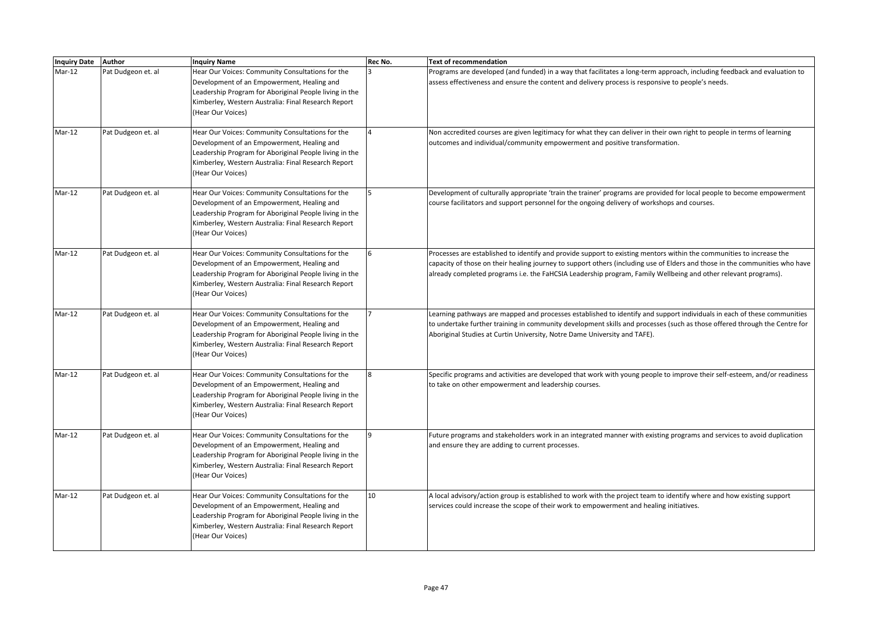| Inquiry Date Author |                    | <b>Inquiry Name</b>                                                                                                                                                                                                                  | Rec No.        | <b>Text of recommendation</b>                                                                                                                                                                                                                                                                                                                                         |
|---------------------|--------------------|--------------------------------------------------------------------------------------------------------------------------------------------------------------------------------------------------------------------------------------|----------------|-----------------------------------------------------------------------------------------------------------------------------------------------------------------------------------------------------------------------------------------------------------------------------------------------------------------------------------------------------------------------|
| $Mar-12$            | Pat Dudgeon et. al | Hear Our Voices: Community Consultations for the<br>Development of an Empowerment, Healing and<br>Leadership Program for Aboriginal People living in the<br>Kimberley, Western Australia: Final Research Report<br>(Hear Our Voices) |                | Programs are developed (and funded) in a way that facilitates a long-term approach, including feedback and evaluation to<br>assess effectiveness and ensure the content and delivery process is responsive to people's needs.                                                                                                                                         |
| $Mar-12$            | Pat Dudgeon et. al | Hear Our Voices: Community Consultations for the<br>Development of an Empowerment, Healing and<br>Leadership Program for Aboriginal People living in the<br>Kimberley, Western Australia: Final Research Report<br>(Hear Our Voices) |                | Non accredited courses are given legitimacy for what they can deliver in their own right to people in terms of learning<br>outcomes and individual/community empowerment and positive transformation.                                                                                                                                                                 |
| $Mar-12$            | Pat Dudgeon et. al | Hear Our Voices: Community Consultations for the<br>Development of an Empowerment, Healing and<br>Leadership Program for Aboriginal People living in the<br>Kimberley, Western Australia: Final Research Report<br>(Hear Our Voices) |                | Development of culturally appropriate 'train the trainer' programs are provided for local people to become empowerment<br>course facilitators and support personnel for the ongoing delivery of workshops and courses.                                                                                                                                                |
| $Mar-12$            | Pat Dudgeon et. al | Hear Our Voices: Community Consultations for the<br>Development of an Empowerment, Healing and<br>Leadership Program for Aboriginal People living in the<br>Kimberley, Western Australia: Final Research Report<br>(Hear Our Voices) |                | Processes are established to identify and provide support to existing mentors within the communities to increase the<br>capacity of those on their healing journey to support others (including use of Elders and those in the communities who have<br>already completed programs i.e. the FaHCSIA Leadership program, Family Wellbeing and other relevant programs). |
| $Mar-12$            | Pat Dudgeon et. al | Hear Our Voices: Community Consultations for the<br>Development of an Empowerment, Healing and<br>Leadership Program for Aboriginal People living in the<br>Kimberley, Western Australia: Final Research Report<br>(Hear Our Voices) |                | Learning pathways are mapped and processes established to identify and support individuals in each of these communities<br>to undertake further training in community development skills and processes (such as those offered through the Centre for<br>Aboriginal Studies at Curtin University, Notre Dame University and TAFE).                                     |
| $Mar-12$            | Pat Dudgeon et. al | Hear Our Voices: Community Consultations for the<br>Development of an Empowerment, Healing and<br>Leadership Program for Aboriginal People living in the<br>Kimberley, Western Australia: Final Research Report<br>(Hear Our Voices) | $\overline{8}$ | Specific programs and activities are developed that work with young people to improve their self-esteem, and/or readiness<br>to take on other empowerment and leadership courses.                                                                                                                                                                                     |
| $Mar-12$            | Pat Dudgeon et. al | Hear Our Voices: Community Consultations for the<br>Development of an Empowerment, Healing and<br>Leadership Program for Aboriginal People living in the<br>Kimberley, Western Australia: Final Research Report<br>(Hear Our Voices) |                | Future programs and stakeholders work in an integrated manner with existing programs and services to avoid duplication<br>and ensure they are adding to current processes.                                                                                                                                                                                            |
| $Mar-12$            | Pat Dudgeon et. al | Hear Our Voices: Community Consultations for the<br>Development of an Empowerment, Healing and<br>Leadership Program for Aboriginal People living in the<br>Kimberley, Western Australia: Final Research Report<br>(Hear Our Voices) | 10             | A local advisory/action group is established to work with the project team to identify where and how existing support<br>services could increase the scope of their work to empowerment and healing initiatives.                                                                                                                                                      |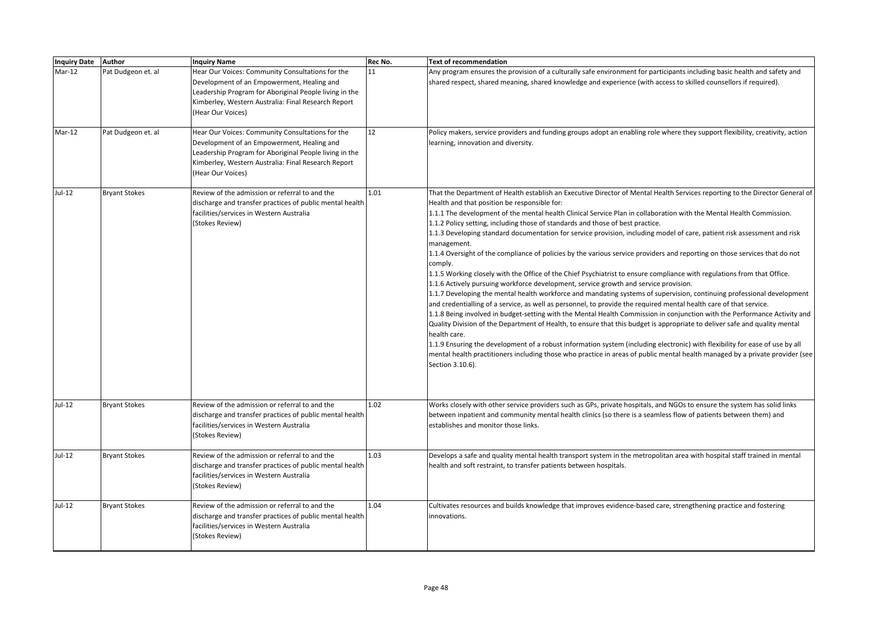| Inquiry Date Author |                      | <b>Inquiry Name</b>                                                                                                                                                                                                                  | Rec No. | <b>Text of recommendation</b>                                                                                                                                                                                                                                                                                                                                                                                                                                                                                                                                                                                                                                                                                                                                                                                                                                                                                                                                                                                                                                                                                                                                                                                                                                                                                                                                                                                                                                                                                                                                                                                                                                                                                |
|---------------------|----------------------|--------------------------------------------------------------------------------------------------------------------------------------------------------------------------------------------------------------------------------------|---------|--------------------------------------------------------------------------------------------------------------------------------------------------------------------------------------------------------------------------------------------------------------------------------------------------------------------------------------------------------------------------------------------------------------------------------------------------------------------------------------------------------------------------------------------------------------------------------------------------------------------------------------------------------------------------------------------------------------------------------------------------------------------------------------------------------------------------------------------------------------------------------------------------------------------------------------------------------------------------------------------------------------------------------------------------------------------------------------------------------------------------------------------------------------------------------------------------------------------------------------------------------------------------------------------------------------------------------------------------------------------------------------------------------------------------------------------------------------------------------------------------------------------------------------------------------------------------------------------------------------------------------------------------------------------------------------------------------------|
| $Mar-12$            | Pat Dudgeon et. al   | Hear Our Voices: Community Consultations for the<br>Development of an Empowerment, Healing and<br>Leadership Program for Aboriginal People living in the<br>Kimberley, Western Australia: Final Research Report<br>(Hear Our Voices) | 11      | Any program ensures the provision of a culturally safe environment for participants including basic health and safety and<br>shared respect, shared meaning, shared knowledge and experience (with access to skilled counsellors if required).                                                                                                                                                                                                                                                                                                                                                                                                                                                                                                                                                                                                                                                                                                                                                                                                                                                                                                                                                                                                                                                                                                                                                                                                                                                                                                                                                                                                                                                               |
| $Mar-12$            | Pat Dudgeon et. al   | Hear Our Voices: Community Consultations for the<br>Development of an Empowerment, Healing and<br>Leadership Program for Aboriginal People living in the<br>Kimberley, Western Australia: Final Research Report<br>(Hear Our Voices) | 12      | Policy makers, service providers and funding groups adopt an enabling role where they support flexibility, creativity, action<br>learning, innovation and diversity.                                                                                                                                                                                                                                                                                                                                                                                                                                                                                                                                                                                                                                                                                                                                                                                                                                                                                                                                                                                                                                                                                                                                                                                                                                                                                                                                                                                                                                                                                                                                         |
| Jul-12              | <b>Bryant Stokes</b> | Review of the admission or referral to and the<br>discharge and transfer practices of public mental health<br>facilities/services in Western Australia<br>(Stokes Review)                                                            | 1.01    | That the Department of Health establish an Executive Director of Mental Health Services reporting to the Director General of<br>Health and that position be responsible for:<br>1.1.1 The development of the mental health Clinical Service Plan in collaboration with the Mental Health Commission.<br>1.1.2 Policy setting, including those of standards and those of best practice.<br>1.1.3 Developing standard documentation for service provision, including model of care, patient risk assessment and risk<br>management.<br>1.1.4 Oversight of the compliance of policies by the various service providers and reporting on those services that do not<br>comply.<br>1.1.5 Working closely with the Office of the Chief Psychiatrist to ensure compliance with regulations from that Office.<br>1.1.6 Actively pursuing workforce development, service growth and service provision.<br>1.1.7 Developing the mental health workforce and mandating systems of supervision, continuing professional development<br>and credentialling of a service, as well as personnel, to provide the required mental health care of that service.<br>1.1.8 Being involved in budget-setting with the Mental Health Commission in conjunction with the Performance Activity and<br>Quality Division of the Department of Health, to ensure that this budget is appropriate to deliver safe and quality mental<br>health care.<br>1.1.9 Ensuring the development of a robust information system (including electronic) with flexibility for ease of use by all<br>mental health practitioners including those who practice in areas of public mental health managed by a private provider (see<br>Section 3.10.6). |
| Jul-12              | <b>Bryant Stokes</b> | Review of the admission or referral to and the<br>discharge and transfer practices of public mental health<br>facilities/services in Western Australia<br>(Stokes Review)                                                            | 1.02    | Works closely with other service providers such as GPs, private hospitals, and NGOs to ensure the system has solid links<br>between inpatient and community mental health clinics (so there is a seamless flow of patients between them) and<br>establishes and monitor those links.                                                                                                                                                                                                                                                                                                                                                                                                                                                                                                                                                                                                                                                                                                                                                                                                                                                                                                                                                                                                                                                                                                                                                                                                                                                                                                                                                                                                                         |
| Jul-12              | <b>Bryant Stokes</b> | Review of the admission or referral to and the<br>discharge and transfer practices of public mental health<br>facilities/services in Western Australia<br>(Stokes Review)                                                            | 1.03    | Develops a safe and quality mental health transport system in the metropolitan area with hospital staff trained in mental<br>health and soft restraint, to transfer patients between hospitals.                                                                                                                                                                                                                                                                                                                                                                                                                                                                                                                                                                                                                                                                                                                                                                                                                                                                                                                                                                                                                                                                                                                                                                                                                                                                                                                                                                                                                                                                                                              |
| Jul-12              | <b>Bryant Stokes</b> | Review of the admission or referral to and the<br>discharge and transfer practices of public mental health<br>facilities/services in Western Australia<br>(Stokes Review)                                                            | 1.04    | Cultivates resources and builds knowledge that improves evidence-based care, strengthening practice and fostering<br>innovations.                                                                                                                                                                                                                                                                                                                                                                                                                                                                                                                                                                                                                                                                                                                                                                                                                                                                                                                                                                                                                                                                                                                                                                                                                                                                                                                                                                                                                                                                                                                                                                            |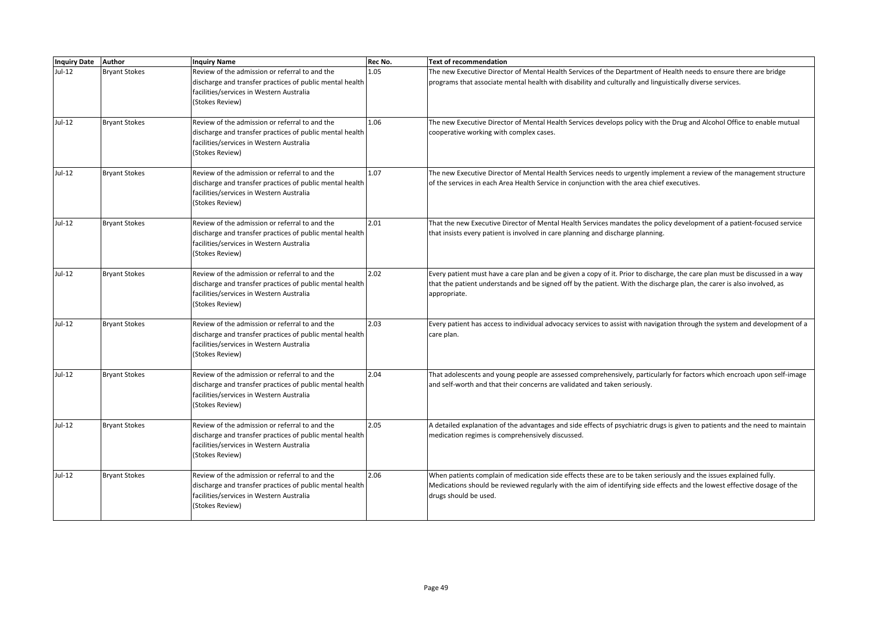| Inquiry Date Author |                      | <b>Inquiry Name</b>                                                                                                                                                       | Rec No. | <b>Text of recommendation</b>                                                                                                                                                                                                                                          |
|---------------------|----------------------|---------------------------------------------------------------------------------------------------------------------------------------------------------------------------|---------|------------------------------------------------------------------------------------------------------------------------------------------------------------------------------------------------------------------------------------------------------------------------|
| Jul-12              | <b>Bryant Stokes</b> | Review of the admission or referral to and the<br>discharge and transfer practices of public mental health<br>facilities/services in Western Australia<br>(Stokes Review) | 1.05    | The new Executive Director of Mental Health Services of the Department of Health needs to ensure there are bridge<br>programs that associate mental health with disability and culturally and linguistically diverse services.                                         |
| Jul-12              | <b>Bryant Stokes</b> | Review of the admission or referral to and the<br>discharge and transfer practices of public mental health<br>facilities/services in Western Australia<br>(Stokes Review) | 1.06    | The new Executive Director of Mental Health Services develops policy with the Drug and Alcohol Office to enable mutual<br>cooperative working with complex cases.                                                                                                      |
| Jul-12              | <b>Bryant Stokes</b> | Review of the admission or referral to and the<br>discharge and transfer practices of public mental health<br>facilities/services in Western Australia<br>(Stokes Review) | 1.07    | The new Executive Director of Mental Health Services needs to urgently implement a review of the management structure<br>of the services in each Area Health Service in conjunction with the area chief executives.                                                    |
| Jul-12              | <b>Bryant Stokes</b> | Review of the admission or referral to and the<br>discharge and transfer practices of public mental health<br>facilities/services in Western Australia<br>(Stokes Review) | 2.01    | That the new Executive Director of Mental Health Services mandates the policy development of a patient-focused service<br>that insists every patient is involved in care planning and discharge planning.                                                              |
| Jul-12              | <b>Bryant Stokes</b> | Review of the admission or referral to and the<br>discharge and transfer practices of public mental health<br>facilities/services in Western Australia<br>(Stokes Review) | 2.02    | Every patient must have a care plan and be given a copy of it. Prior to discharge, the care plan must be discussed in a way<br>that the patient understands and be signed off by the patient. With the discharge plan, the carer is also involved, as<br>appropriate.  |
| Jul-12              | <b>Bryant Stokes</b> | Review of the admission or referral to and the<br>discharge and transfer practices of public mental health<br>facilities/services in Western Australia<br>(Stokes Review) | 2.03    | Every patient has access to individual advocacy services to assist with navigation through the system and development of a<br>care plan.                                                                                                                               |
| $Jul-12$            | <b>Bryant Stokes</b> | Review of the admission or referral to and the<br>discharge and transfer practices of public mental health<br>facilities/services in Western Australia<br>(Stokes Review) | 2.04    | That adolescents and young people are assessed comprehensively, particularly for factors which encroach upon self-image<br>and self-worth and that their concerns are validated and taken seriously.                                                                   |
| Jul-12              | <b>Bryant Stokes</b> | Review of the admission or referral to and the<br>discharge and transfer practices of public mental health<br>facilities/services in Western Australia<br>(Stokes Review) | 2.05    | A detailed explanation of the advantages and side effects of psychiatric drugs is given to patients and the need to maintain<br>medication regimes is comprehensively discussed.                                                                                       |
| Jul-12              | <b>Bryant Stokes</b> | Review of the admission or referral to and the<br>discharge and transfer practices of public mental health<br>facilities/services in Western Australia<br>(Stokes Review) | 2.06    | When patients complain of medication side effects these are to be taken seriously and the issues explained fully.<br>Medications should be reviewed regularly with the aim of identifying side effects and the lowest effective dosage of the<br>drugs should be used. |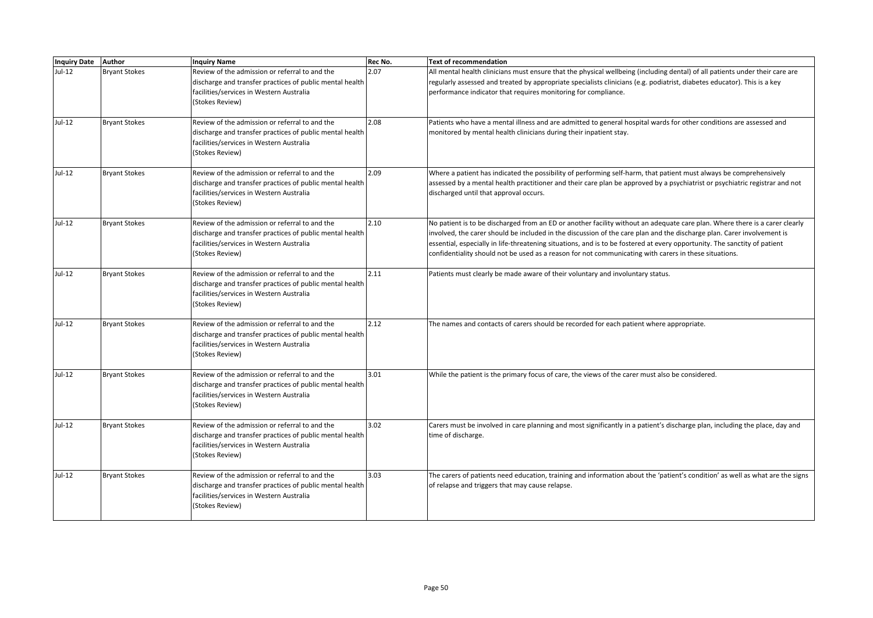| Inquiry Date Author |                      | <b>Inquiry Name</b>                                                                                                                                                       | Rec No. | <b>Text of recommendation</b>                                                                                                                                                                                                                                                                                                                                                                                                                                                               |
|---------------------|----------------------|---------------------------------------------------------------------------------------------------------------------------------------------------------------------------|---------|---------------------------------------------------------------------------------------------------------------------------------------------------------------------------------------------------------------------------------------------------------------------------------------------------------------------------------------------------------------------------------------------------------------------------------------------------------------------------------------------|
| Jul-12              | <b>Bryant Stokes</b> | Review of the admission or referral to and the<br>discharge and transfer practices of public mental health<br>facilities/services in Western Australia<br>(Stokes Review) | 2.07    | All mental health clinicians must ensure that the physical wellbeing (including dental) of all patients under their care are<br>regularly assessed and treated by appropriate specialists clinicians (e.g. podiatrist, diabetes educator). This is a key<br>performance indicator that requires monitoring for compliance.                                                                                                                                                                  |
| Jul-12              | <b>Bryant Stokes</b> | Review of the admission or referral to and the<br>discharge and transfer practices of public mental health<br>facilities/services in Western Australia<br>(Stokes Review) | 2.08    | Patients who have a mental illness and are admitted to general hospital wards for other conditions are assessed and<br>monitored by mental health clinicians during their inpatient stay.                                                                                                                                                                                                                                                                                                   |
| Jul-12              | <b>Bryant Stokes</b> | Review of the admission or referral to and the<br>discharge and transfer practices of public mental health<br>facilities/services in Western Australia<br>(Stokes Review) | 2.09    | Where a patient has indicated the possibility of performing self-harm, that patient must always be comprehensively<br>assessed by a mental health practitioner and their care plan be approved by a psychiatrist or psychiatric registrar and not<br>discharged until that approval occurs.                                                                                                                                                                                                 |
| Jul-12              | <b>Bryant Stokes</b> | Review of the admission or referral to and the<br>discharge and transfer practices of public mental health<br>facilities/services in Western Australia<br>(Stokes Review) | 2.10    | No patient is to be discharged from an ED or another facility without an adequate care plan. Where there is a carer clearly<br>involved, the carer should be included in the discussion of the care plan and the discharge plan. Carer involvement is<br>essential, especially in life-threatening situations, and is to be fostered at every opportunity. The sanctity of patient<br>confidentiality should not be used as a reason for not communicating with carers in these situations. |
| Jul-12              | <b>Bryant Stokes</b> | Review of the admission or referral to and the<br>discharge and transfer practices of public mental health<br>facilities/services in Western Australia<br>(Stokes Review) | 2.11    | Patients must clearly be made aware of their voluntary and involuntary status.                                                                                                                                                                                                                                                                                                                                                                                                              |
| Jul-12              | <b>Bryant Stokes</b> | Review of the admission or referral to and the<br>discharge and transfer practices of public mental health<br>facilities/services in Western Australia<br>(Stokes Review) | 2.12    | The names and contacts of carers should be recorded for each patient where appropriate.                                                                                                                                                                                                                                                                                                                                                                                                     |
| Jul-12              | <b>Bryant Stokes</b> | Review of the admission or referral to and the<br>discharge and transfer practices of public mental health<br>facilities/services in Western Australia<br>(Stokes Review) | 3.01    | While the patient is the primary focus of care, the views of the carer must also be considered.                                                                                                                                                                                                                                                                                                                                                                                             |
| Jul-12              | <b>Bryant Stokes</b> | Review of the admission or referral to and the<br>discharge and transfer practices of public mental health<br>facilities/services in Western Australia<br>(Stokes Review) | 3.02    | Carers must be involved in care planning and most significantly in a patient's discharge plan, including the place, day and<br>time of discharge.                                                                                                                                                                                                                                                                                                                                           |
| Jul-12              | <b>Bryant Stokes</b> | Review of the admission or referral to and the<br>discharge and transfer practices of public mental health<br>facilities/services in Western Australia<br>(Stokes Review) | 3.03    | The carers of patients need education, training and information about the 'patient's condition' as well as what are the signs<br>of relapse and triggers that may cause relapse.                                                                                                                                                                                                                                                                                                            |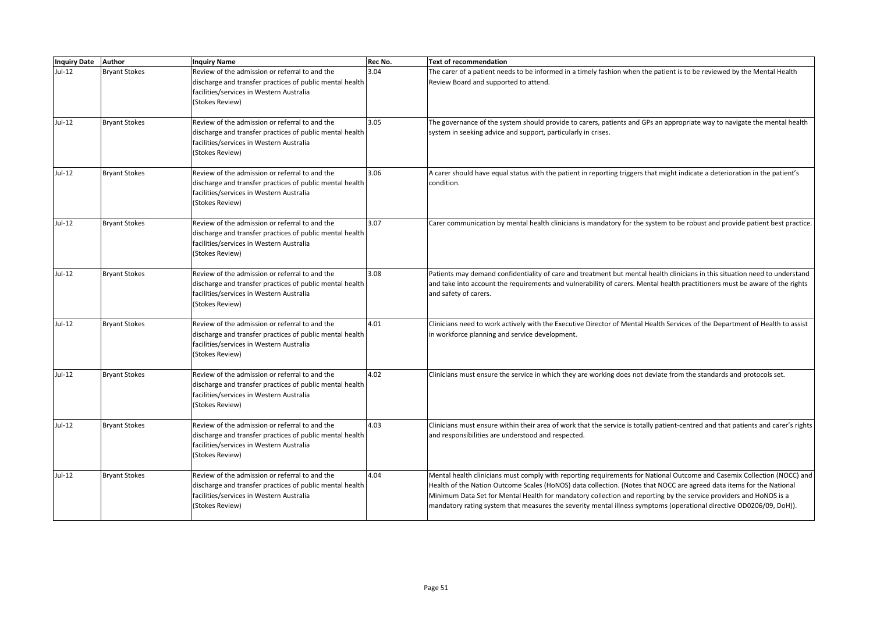| Inquiry Date Author |                      | <b>Inquiry Name</b>                                                                                                                                                       | Rec No. | Text of recommendation                                                                                                                                                                                                                                                                                                                                                                                                                                                                      |
|---------------------|----------------------|---------------------------------------------------------------------------------------------------------------------------------------------------------------------------|---------|---------------------------------------------------------------------------------------------------------------------------------------------------------------------------------------------------------------------------------------------------------------------------------------------------------------------------------------------------------------------------------------------------------------------------------------------------------------------------------------------|
| Jul-12              | <b>Bryant Stokes</b> | Review of the admission or referral to and the<br>discharge and transfer practices of public mental health<br>facilities/services in Western Australia<br>(Stokes Review) | 3.04    | The carer of a patient needs to be informed in a timely fashion when the patient is to be reviewed by the Mental Health<br>Review Board and supported to attend.                                                                                                                                                                                                                                                                                                                            |
| Jul-12              | <b>Bryant Stokes</b> | Review of the admission or referral to and the<br>discharge and transfer practices of public mental health<br>facilities/services in Western Australia<br>(Stokes Review) | 3.05    | The governance of the system should provide to carers, patients and GPs an appropriate way to navigate the mental health<br>system in seeking advice and support, particularly in crises.                                                                                                                                                                                                                                                                                                   |
| Jul-12              | <b>Bryant Stokes</b> | Review of the admission or referral to and the<br>discharge and transfer practices of public mental health<br>facilities/services in Western Australia<br>(Stokes Review) | 3.06    | A carer should have equal status with the patient in reporting triggers that might indicate a deterioration in the patient's<br>condition.                                                                                                                                                                                                                                                                                                                                                  |
| Jul-12              | <b>Bryant Stokes</b> | Review of the admission or referral to and the<br>discharge and transfer practices of public mental health<br>facilities/services in Western Australia<br>(Stokes Review) | 3.07    | Carer communication by mental health clinicians is mandatory for the system to be robust and provide patient best practice.                                                                                                                                                                                                                                                                                                                                                                 |
| Jul-12              | <b>Bryant Stokes</b> | Review of the admission or referral to and the<br>discharge and transfer practices of public mental health<br>facilities/services in Western Australia<br>(Stokes Review) | 3.08    | Patients may demand confidentiality of care and treatment but mental health clinicians in this situation need to understand<br>and take into account the requirements and vulnerability of carers. Mental health practitioners must be aware of the rights<br>and safety of carers.                                                                                                                                                                                                         |
| Jul-12              | <b>Bryant Stokes</b> | Review of the admission or referral to and the<br>discharge and transfer practices of public mental health<br>facilities/services in Western Australia<br>(Stokes Review) | 4.01    | Clinicians need to work actively with the Executive Director of Mental Health Services of the Department of Health to assist<br>in workforce planning and service development.                                                                                                                                                                                                                                                                                                              |
| $Jul-12$            | <b>Bryant Stokes</b> | Review of the admission or referral to and the<br>discharge and transfer practices of public mental health<br>facilities/services in Western Australia<br>(Stokes Review) | 4.02    | Clinicians must ensure the service in which they are working does not deviate from the standards and protocols set.                                                                                                                                                                                                                                                                                                                                                                         |
| Jul-12              | <b>Bryant Stokes</b> | Review of the admission or referral to and the<br>discharge and transfer practices of public mental health<br>facilities/services in Western Australia<br>(Stokes Review) | 4.03    | Clinicians must ensure within their area of work that the service is totally patient-centred and that patients and carer's rights<br>and responsibilities are understood and respected.                                                                                                                                                                                                                                                                                                     |
| Jul-12              | <b>Bryant Stokes</b> | Review of the admission or referral to and the<br>discharge and transfer practices of public mental health<br>facilities/services in Western Australia<br>(Stokes Review) | 4.04    | Mental health clinicians must comply with reporting requirements for National Outcome and Casemix Collection (NOCC) and<br>Health of the Nation Outcome Scales (HoNOS) data collection. (Notes that NOCC are agreed data items for the National<br>Minimum Data Set for Mental Health for mandatory collection and reporting by the service providers and HoNOS is a<br>mandatory rating system that measures the severity mental illness symptoms (operational directive OD0206/09, DoH)). |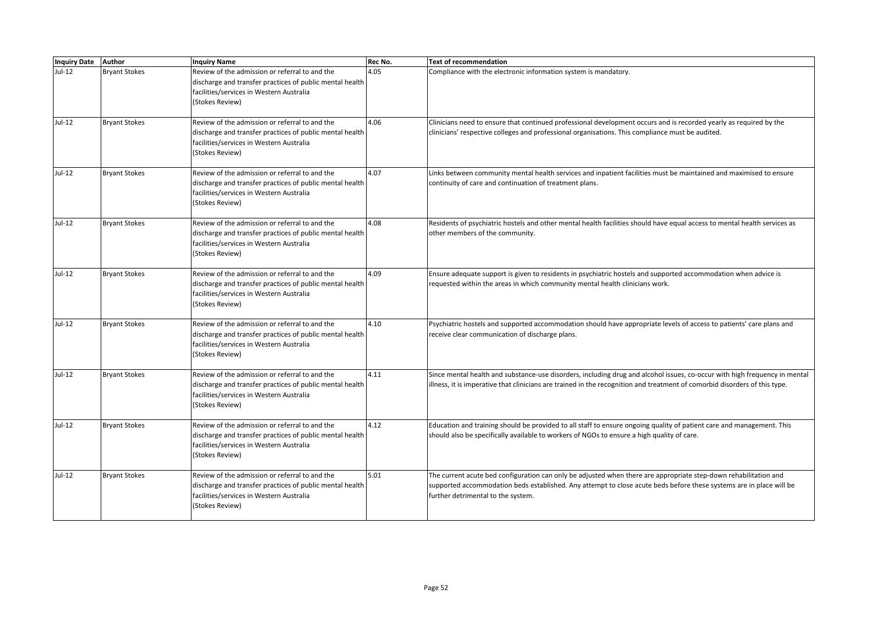| <b>Inquiry Date</b> | Author               | <b>Inquiry Name</b>                                                                                                                                                       | Rec No. | <b>Text of recommendation</b>                                                                                                                                                                                                                                                 |
|---------------------|----------------------|---------------------------------------------------------------------------------------------------------------------------------------------------------------------------|---------|-------------------------------------------------------------------------------------------------------------------------------------------------------------------------------------------------------------------------------------------------------------------------------|
| Jul-12              | <b>Bryant Stokes</b> | Review of the admission or referral to and the<br>discharge and transfer practices of public mental health<br>facilities/services in Western Australia<br>(Stokes Review) | 4.05    | Compliance with the electronic information system is mandatory.                                                                                                                                                                                                               |
| Jul-12              | <b>Bryant Stokes</b> | Review of the admission or referral to and the<br>discharge and transfer practices of public mental health<br>facilities/services in Western Australia<br>(Stokes Review) | 4.06    | Clinicians need to ensure that continued professional development occurs and is recorded yearly as required by the<br>clinicians' respective colleges and professional organisations. This compliance must be audited.                                                        |
| Jul-12              | <b>Bryant Stokes</b> | Review of the admission or referral to and the<br>discharge and transfer practices of public mental health<br>facilities/services in Western Australia<br>(Stokes Review) | 4.07    | Links between community mental health services and inpatient facilities must be maintained and maximised to ensure<br>continuity of care and continuation of treatment plans.                                                                                                 |
| Jul-12              | <b>Bryant Stokes</b> | Review of the admission or referral to and the<br>discharge and transfer practices of public mental health<br>facilities/services in Western Australia<br>(Stokes Review) | 4.08    | Residents of psychiatric hostels and other mental health facilities should have equal access to mental health services as<br>other members of the community.                                                                                                                  |
| Jul-12              | <b>Bryant Stokes</b> | Review of the admission or referral to and the<br>discharge and transfer practices of public mental health<br>facilities/services in Western Australia<br>(Stokes Review) | 4.09    | Ensure adequate support is given to residents in psychiatric hostels and supported accommodation when advice is<br>requested within the areas in which community mental health clinicians work.                                                                               |
| $Jul-12$            | <b>Bryant Stokes</b> | Review of the admission or referral to and the<br>discharge and transfer practices of public mental health<br>facilities/services in Western Australia<br>(Stokes Review) | 4.10    | Psychiatric hostels and supported accommodation should have appropriate levels of access to patients' care plans and<br>receive clear communication of discharge plans.                                                                                                       |
| Jul-12              | <b>Bryant Stokes</b> | Review of the admission or referral to and the<br>discharge and transfer practices of public mental health<br>facilities/services in Western Australia<br>(Stokes Review) | 4.11    | Since mental health and substance-use disorders, including drug and alcohol issues, co-occur with high frequency in mental<br>illness, it is imperative that clinicians are trained in the recognition and treatment of comorbid disorders of this type.                      |
| $Jul-12$            | <b>Bryant Stokes</b> | Review of the admission or referral to and the<br>discharge and transfer practices of public mental health<br>facilities/services in Western Australia<br>(Stokes Review) | 4.12    | Education and training should be provided to all staff to ensure ongoing quality of patient care and management. This<br>should also be specifically available to workers of NGOs to ensure a high quality of care.                                                           |
| Jul-12              | <b>Bryant Stokes</b> | Review of the admission or referral to and the<br>discharge and transfer practices of public mental health<br>facilities/services in Western Australia<br>(Stokes Review) | 5.01    | The current acute bed configuration can only be adjusted when there are appropriate step-down rehabilitation and<br>supported accommodation beds established. Any attempt to close acute beds before these systems are in place will be<br>further detrimental to the system. |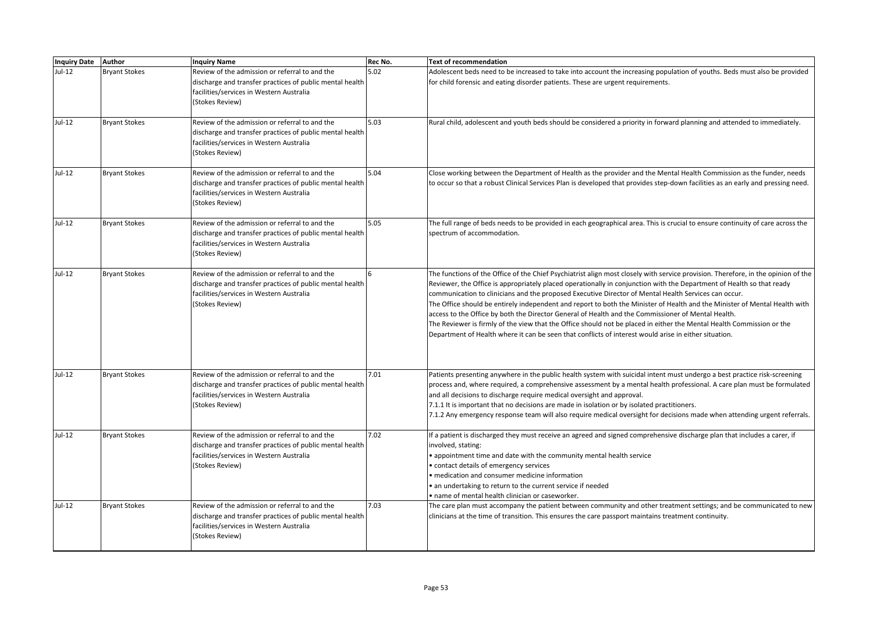| <b>Inquiry Date Author</b> |                      | <b>Inquiry Name</b>                                                                                                                                                       | Rec No. | <b>Text of recommendation</b>                                                                                                                                                                                                                                                                                                                                                                                                                                                                                                                                                                                                                                                                                                                                                                                                            |
|----------------------------|----------------------|---------------------------------------------------------------------------------------------------------------------------------------------------------------------------|---------|------------------------------------------------------------------------------------------------------------------------------------------------------------------------------------------------------------------------------------------------------------------------------------------------------------------------------------------------------------------------------------------------------------------------------------------------------------------------------------------------------------------------------------------------------------------------------------------------------------------------------------------------------------------------------------------------------------------------------------------------------------------------------------------------------------------------------------------|
| $Jul-12$                   | <b>Bryant Stokes</b> | Review of the admission or referral to and the<br>discharge and transfer practices of public mental health<br>facilities/services in Western Australia<br>(Stokes Review) | 5.02    | Adolescent beds need to be increased to take into account the increasing population of youths. Beds must also be provided<br>for child forensic and eating disorder patients. These are urgent requirements.                                                                                                                                                                                                                                                                                                                                                                                                                                                                                                                                                                                                                             |
| $Jul-12$                   | <b>Bryant Stokes</b> | Review of the admission or referral to and the<br>discharge and transfer practices of public mental health<br>facilities/services in Western Australia<br>(Stokes Review) | 5.03    | Rural child, adolescent and youth beds should be considered a priority in forward planning and attended to immediately.                                                                                                                                                                                                                                                                                                                                                                                                                                                                                                                                                                                                                                                                                                                  |
| Jul-12                     | <b>Bryant Stokes</b> | Review of the admission or referral to and the<br>discharge and transfer practices of public mental health<br>facilities/services in Western Australia<br>(Stokes Review) | 5.04    | Close working between the Department of Health as the provider and the Mental Health Commission as the funder, needs<br>to occur so that a robust Clinical Services Plan is developed that provides step-down facilities as an early and pressing need.                                                                                                                                                                                                                                                                                                                                                                                                                                                                                                                                                                                  |
| $Jul-12$                   | <b>Bryant Stokes</b> | Review of the admission or referral to and the<br>discharge and transfer practices of public mental health<br>facilities/services in Western Australia<br>(Stokes Review) | 5.05    | The full range of beds needs to be provided in each geographical area. This is crucial to ensure continuity of care across the<br>spectrum of accommodation.                                                                                                                                                                                                                                                                                                                                                                                                                                                                                                                                                                                                                                                                             |
| Jul-12                     | <b>Bryant Stokes</b> | Review of the admission or referral to and the<br>discharge and transfer practices of public mental health<br>facilities/services in Western Australia<br>(Stokes Review) | 6       | The functions of the Office of the Chief Psychiatrist align most closely with service provision. Therefore, in the opinion of the<br>Reviewer, the Office is appropriately placed operationally in conjunction with the Department of Health so that ready<br>communication to clinicians and the proposed Executive Director of Mental Health Services can occur.<br>The Office should be entirely independent and report to both the Minister of Health and the Minister of Mental Health with<br>access to the Office by both the Director General of Health and the Commissioner of Mental Health.<br>The Reviewer is firmly of the view that the Office should not be placed in either the Mental Health Commission or the<br>Department of Health where it can be seen that conflicts of interest would arise in either situation. |
| $Jul-12$                   | <b>Bryant Stokes</b> | Review of the admission or referral to and the<br>discharge and transfer practices of public mental health<br>facilities/services in Western Australia<br>(Stokes Review) | 7.01    | Patients presenting anywhere in the public health system with suicidal intent must undergo a best practice risk-screening<br>process and, where required, a comprehensive assessment by a mental health professional. A care plan must be formulated<br>and all decisions to discharge require medical oversight and approval.<br>7.1.1 It is important that no decisions are made in isolation or by isolated practitioners.<br>7.1.2 Any emergency response team will also require medical oversight for decisions made when attending urgent referrals.                                                                                                                                                                                                                                                                               |
| Jul-12                     | <b>Bryant Stokes</b> | Review of the admission or referral to and the<br>discharge and transfer practices of public mental health<br>facilities/services in Western Australia<br>(Stokes Review) | 7.02    | If a patient is discharged they must receive an agreed and signed comprehensive discharge plan that includes a carer, if<br>involved, stating:<br>• appointment time and date with the community mental health service<br>• contact details of emergency services<br>• medication and consumer medicine information<br>• an undertaking to return to the current service if needed<br>• name of mental health clinician or caseworker.                                                                                                                                                                                                                                                                                                                                                                                                   |
| Jul-12                     | <b>Bryant Stokes</b> | Review of the admission or referral to and the<br>discharge and transfer practices of public mental health<br>facilities/services in Western Australia<br>(Stokes Review) | 7.03    | The care plan must accompany the patient between community and other treatment settings; and be communicated to new<br>clinicians at the time of transition. This ensures the care passport maintains treatment continuity.                                                                                                                                                                                                                                                                                                                                                                                                                                                                                                                                                                                                              |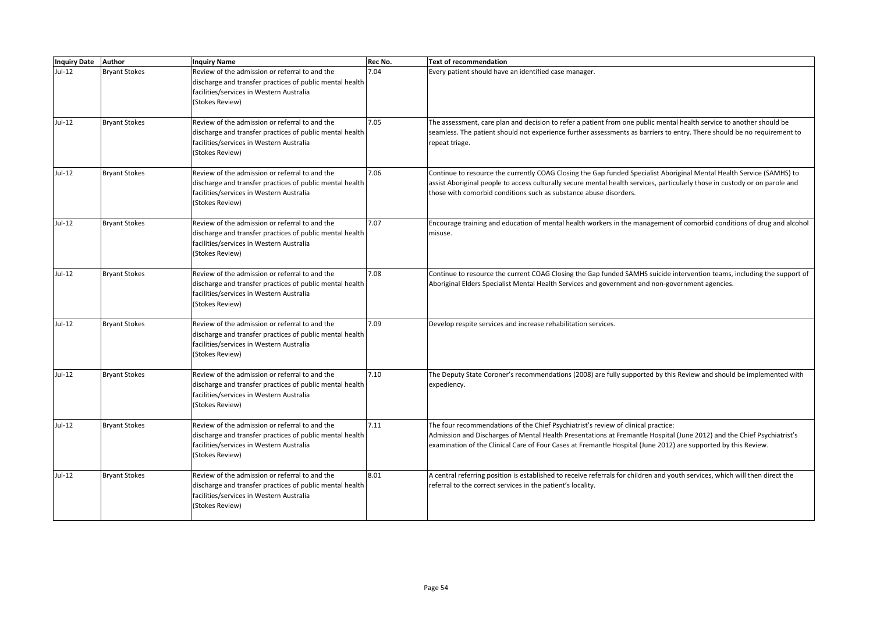| <b>Inquiry Date</b> | <b>Author</b>        | <b>Inquiry Name</b>                                                                                                                                                       | Rec No. | <b>Text of recommendation</b>                                                                                                                                                                                                                                                                                                 |
|---------------------|----------------------|---------------------------------------------------------------------------------------------------------------------------------------------------------------------------|---------|-------------------------------------------------------------------------------------------------------------------------------------------------------------------------------------------------------------------------------------------------------------------------------------------------------------------------------|
| Jul-12              | <b>Bryant Stokes</b> | Review of the admission or referral to and the<br>discharge and transfer practices of public mental health<br>facilities/services in Western Australia<br>(Stokes Review) | 7.04    | Every patient should have an identified case manager.                                                                                                                                                                                                                                                                         |
| $Jul-12$            | <b>Bryant Stokes</b> | Review of the admission or referral to and the<br>discharge and transfer practices of public mental health<br>facilities/services in Western Australia<br>(Stokes Review) | 7.05    | The assessment, care plan and decision to refer a patient from one public mental health service to another should be<br>seamless. The patient should not experience further assessments as barriers to entry. There should be no requirement to<br>repeat triage.                                                             |
| Jul-12              | <b>Bryant Stokes</b> | Review of the admission or referral to and the<br>discharge and transfer practices of public mental health<br>facilities/services in Western Australia<br>(Stokes Review) | 7.06    | Continue to resource the currently COAG Closing the Gap funded Specialist Aboriginal Mental Health Service (SAMHS) to<br>assist Aboriginal people to access culturally secure mental health services, particularly those in custody or on parole and<br>those with comorbid conditions such as substance abuse disorders.     |
| Jul-12              | <b>Bryant Stokes</b> | Review of the admission or referral to and the<br>discharge and transfer practices of public mental health<br>facilities/services in Western Australia<br>(Stokes Review) | 7.07    | Encourage training and education of mental health workers in the management of comorbid conditions of drug and alcohol<br>misuse.                                                                                                                                                                                             |
| Jul-12              | <b>Bryant Stokes</b> | Review of the admission or referral to and the<br>discharge and transfer practices of public mental health<br>facilities/services in Western Australia<br>(Stokes Review) | 7.08    | Continue to resource the current COAG Closing the Gap funded SAMHS suicide intervention teams, including the support of<br>Aboriginal Elders Specialist Mental Health Services and government and non-government agencies.                                                                                                    |
| $Jul-12$            | <b>Bryant Stokes</b> | Review of the admission or referral to and the<br>discharge and transfer practices of public mental health<br>facilities/services in Western Australia<br>(Stokes Review) | 7.09    | Develop respite services and increase rehabilitation services.                                                                                                                                                                                                                                                                |
| Jul-12              | <b>Bryant Stokes</b> | Review of the admission or referral to and the<br>discharge and transfer practices of public mental health<br>facilities/services in Western Australia<br>(Stokes Review) | 7.10    | The Deputy State Coroner's recommendations (2008) are fully supported by this Review and should be implemented with<br>expediency.                                                                                                                                                                                            |
| Jul-12              | <b>Bryant Stokes</b> | Review of the admission or referral to and the<br>discharge and transfer practices of public mental health<br>facilities/services in Western Australia<br>(Stokes Review) | 7.11    | The four recommendations of the Chief Psychiatrist's review of clinical practice:<br>Admission and Discharges of Mental Health Presentations at Fremantle Hospital (June 2012) and the Chief Psychiatrist's<br>examination of the Clinical Care of Four Cases at Fremantle Hospital (June 2012) are supported by this Review. |
| Jul-12              | <b>Bryant Stokes</b> | Review of the admission or referral to and the<br>discharge and transfer practices of public mental health<br>facilities/services in Western Australia<br>(Stokes Review) | 8.01    | A central referring position is established to receive referrals for children and youth services, which will then direct the<br>referral to the correct services in the patient's locality.                                                                                                                                   |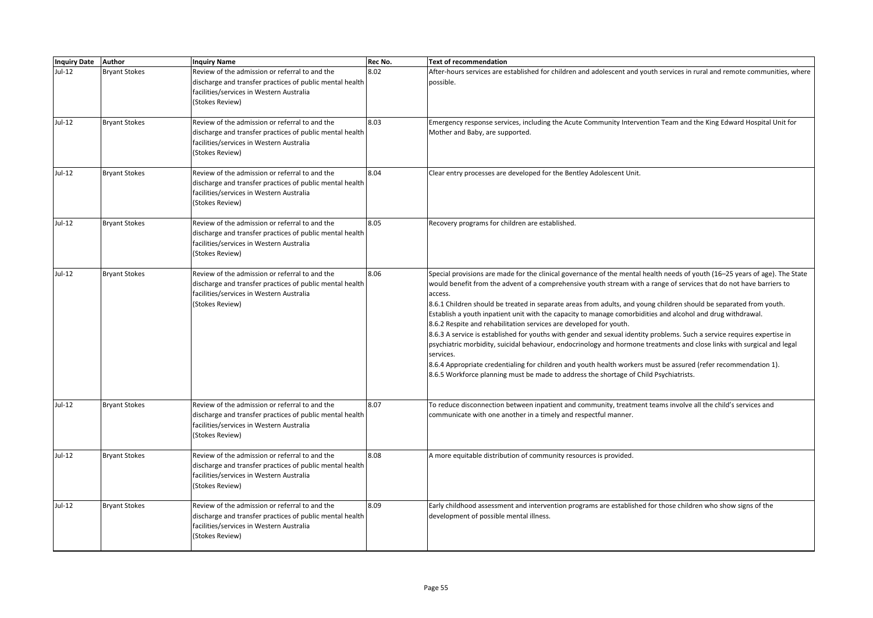| Inquiry Date Author |                      | <b>Inquiry Name</b>                                                                                                                                                       | Rec No. | <b>Text of recommendation</b>                                                                                                                                                                                                                                                                                                                                                                                                                                                                                                                                                                                                                                                                                                                                                                                                                                                                                                                                                                                                                            |
|---------------------|----------------------|---------------------------------------------------------------------------------------------------------------------------------------------------------------------------|---------|----------------------------------------------------------------------------------------------------------------------------------------------------------------------------------------------------------------------------------------------------------------------------------------------------------------------------------------------------------------------------------------------------------------------------------------------------------------------------------------------------------------------------------------------------------------------------------------------------------------------------------------------------------------------------------------------------------------------------------------------------------------------------------------------------------------------------------------------------------------------------------------------------------------------------------------------------------------------------------------------------------------------------------------------------------|
| $Jul-12$            | <b>Bryant Stokes</b> | Review of the admission or referral to and the<br>discharge and transfer practices of public mental health<br>facilities/services in Western Australia<br>(Stokes Review) | 8.02    | After-hours services are established for children and adolescent and youth services in rural and remote communities, where<br>possible.                                                                                                                                                                                                                                                                                                                                                                                                                                                                                                                                                                                                                                                                                                                                                                                                                                                                                                                  |
| $Jul-12$            | <b>Bryant Stokes</b> | Review of the admission or referral to and the<br>discharge and transfer practices of public mental health<br>facilities/services in Western Australia<br>(Stokes Review) | 8.03    | Emergency response services, including the Acute Community Intervention Team and the King Edward Hospital Unit for<br>Mother and Baby, are supported.                                                                                                                                                                                                                                                                                                                                                                                                                                                                                                                                                                                                                                                                                                                                                                                                                                                                                                    |
| Jul-12              | <b>Bryant Stokes</b> | Review of the admission or referral to and the<br>discharge and transfer practices of public mental health<br>facilities/services in Western Australia<br>(Stokes Review) | 8.04    | Clear entry processes are developed for the Bentley Adolescent Unit.                                                                                                                                                                                                                                                                                                                                                                                                                                                                                                                                                                                                                                                                                                                                                                                                                                                                                                                                                                                     |
| $Jul-12$            | <b>Bryant Stokes</b> | Review of the admission or referral to and the<br>discharge and transfer practices of public mental health<br>facilities/services in Western Australia<br>(Stokes Review) | 8.05    | Recovery programs for children are established.                                                                                                                                                                                                                                                                                                                                                                                                                                                                                                                                                                                                                                                                                                                                                                                                                                                                                                                                                                                                          |
| Jul-12              | <b>Bryant Stokes</b> | Review of the admission or referral to and the<br>discharge and transfer practices of public mental health<br>facilities/services in Western Australia<br>(Stokes Review) | 8.06    | Special provisions are made for the clinical governance of the mental health needs of youth (16-25 years of age). The State<br>would benefit from the advent of a comprehensive youth stream with a range of services that do not have barriers to<br>access.<br>8.6.1 Children should be treated in separate areas from adults, and young children should be separated from youth.<br>Establish a youth inpatient unit with the capacity to manage comorbidities and alcohol and drug withdrawal.<br>8.6.2 Respite and rehabilitation services are developed for youth.<br>8.6.3 A service is established for youths with gender and sexual identity problems. Such a service requires expertise in<br>psychiatric morbidity, suicidal behaviour, endocrinology and hormone treatments and close links with surgical and legal<br>services.<br>8.6.4 Appropriate credentialing for children and youth health workers must be assured (refer recommendation 1).<br>8.6.5 Workforce planning must be made to address the shortage of Child Psychiatrists. |
| $Jul-12$            | <b>Bryant Stokes</b> | Review of the admission or referral to and the<br>discharge and transfer practices of public mental health<br>facilities/services in Western Australia<br>(Stokes Review) | 8.07    | To reduce disconnection between inpatient and community, treatment teams involve all the child's services and<br>communicate with one another in a timely and respectful manner.                                                                                                                                                                                                                                                                                                                                                                                                                                                                                                                                                                                                                                                                                                                                                                                                                                                                         |
| $Jul-12$            | <b>Bryant Stokes</b> | Review of the admission or referral to and the<br>discharge and transfer practices of public mental health<br>facilities/services in Western Australia<br>(Stokes Review) | 8.08    | A more equitable distribution of community resources is provided.                                                                                                                                                                                                                                                                                                                                                                                                                                                                                                                                                                                                                                                                                                                                                                                                                                                                                                                                                                                        |
| $Jul-12$            | <b>Bryant Stokes</b> | Review of the admission or referral to and the<br>discharge and transfer practices of public mental health<br>facilities/services in Western Australia<br>(Stokes Review) | 8.09    | Early childhood assessment and intervention programs are established for those children who show signs of the<br>development of possible mental illness.                                                                                                                                                                                                                                                                                                                                                                                                                                                                                                                                                                                                                                                                                                                                                                                                                                                                                                 |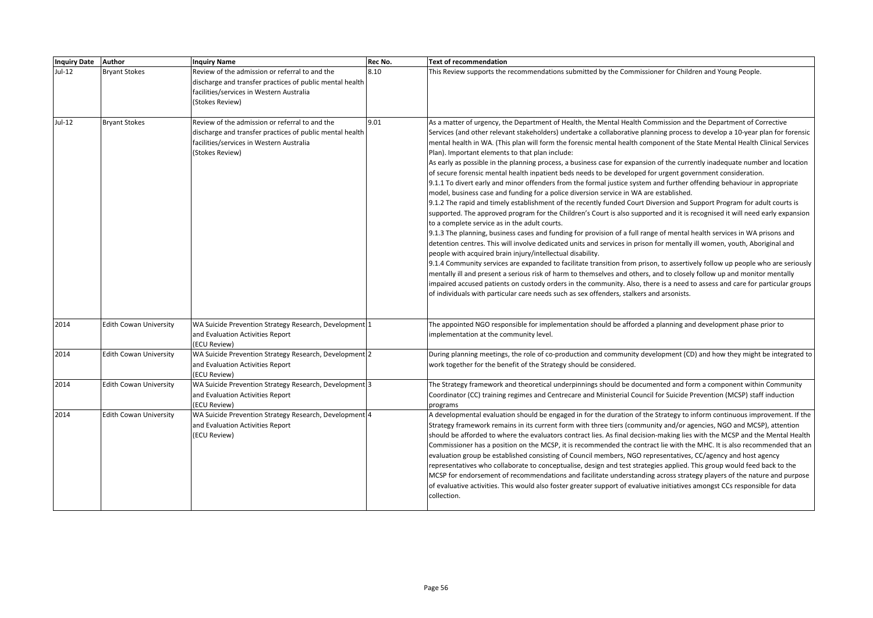| <b>Inquiry Date</b> | <b>Author</b>                 | <b>Inquiry Name</b>                                                                                                                                                       | Rec No. | <b>Text of recommendation</b>                                                                                                                                                                                                                                                                                                                                                                                                                                                                                                                                                                                                                                                                                                                                                                                                                                                                                                                                                                                                                                                                                                                                                                                                                                                                                                                                                                                                                                                                                                                                                                                                                                                                                                                                                                                                                                                                                                                                                                                                  |
|---------------------|-------------------------------|---------------------------------------------------------------------------------------------------------------------------------------------------------------------------|---------|--------------------------------------------------------------------------------------------------------------------------------------------------------------------------------------------------------------------------------------------------------------------------------------------------------------------------------------------------------------------------------------------------------------------------------------------------------------------------------------------------------------------------------------------------------------------------------------------------------------------------------------------------------------------------------------------------------------------------------------------------------------------------------------------------------------------------------------------------------------------------------------------------------------------------------------------------------------------------------------------------------------------------------------------------------------------------------------------------------------------------------------------------------------------------------------------------------------------------------------------------------------------------------------------------------------------------------------------------------------------------------------------------------------------------------------------------------------------------------------------------------------------------------------------------------------------------------------------------------------------------------------------------------------------------------------------------------------------------------------------------------------------------------------------------------------------------------------------------------------------------------------------------------------------------------------------------------------------------------------------------------------------------------|
| $Jul-12$            | <b>Bryant Stokes</b>          | Review of the admission or referral to and the<br>discharge and transfer practices of public mental health<br>facilities/services in Western Australia<br>(Stokes Review) | 8.10    | This Review supports the recommendations submitted by the Commissioner for Children and Young People.                                                                                                                                                                                                                                                                                                                                                                                                                                                                                                                                                                                                                                                                                                                                                                                                                                                                                                                                                                                                                                                                                                                                                                                                                                                                                                                                                                                                                                                                                                                                                                                                                                                                                                                                                                                                                                                                                                                          |
| Jul-12              | <b>Bryant Stokes</b>          | Review of the admission or referral to and the<br>discharge and transfer practices of public mental health<br>facilities/services in Western Australia<br>(Stokes Review) | 9.01    | As a matter of urgency, the Department of Health, the Mental Health Commission and the Department of Corrective<br>Services (and other relevant stakeholders) undertake a collaborative planning process to develop a 10-year plan for forensic<br>mental health in WA. (This plan will form the forensic mental health component of the State Mental Health Clinical Services<br>Plan). Important elements to that plan include:<br>As early as possible in the planning process, a business case for expansion of the currently inadequate number and location<br>of secure forensic mental health inpatient beds needs to be developed for urgent government consideration.<br>9.1.1 To divert early and minor offenders from the formal justice system and further offending behaviour in appropriate<br>model, business case and funding for a police diversion service in WA are established.<br>9.1.2 The rapid and timely establishment of the recently funded Court Diversion and Support Program for adult courts is<br>supported. The approved program for the Children's Court is also supported and it is recognised it will need early expansion<br>to a complete service as in the adult courts.<br>9.1.3 The planning, business cases and funding for provision of a full range of mental health services in WA prisons and<br>detention centres. This will involve dedicated units and services in prison for mentally ill women, youth, Aboriginal and<br>people with acquired brain injury/intellectual disability.<br>9.1.4 Community services are expanded to facilitate transition from prison, to assertively follow up people who are seriously<br>mentally ill and present a serious risk of harm to themselves and others, and to closely follow up and monitor mentally<br>impaired accused patients on custody orders in the community. Also, there is a need to assess and care for particular groups<br>of individuals with particular care needs such as sex offenders, stalkers and arsonists. |
| 2014                | <b>Edith Cowan University</b> | WA Suicide Prevention Strategy Research, Development 1<br>and Evaluation Activities Report<br>(ECU Review)                                                                |         | The appointed NGO responsible for implementation should be afforded a planning and development phase prior to<br>implementation at the community level.                                                                                                                                                                                                                                                                                                                                                                                                                                                                                                                                                                                                                                                                                                                                                                                                                                                                                                                                                                                                                                                                                                                                                                                                                                                                                                                                                                                                                                                                                                                                                                                                                                                                                                                                                                                                                                                                        |
| 2014                | <b>Edith Cowan University</b> | WA Suicide Prevention Strategy Research, Development 2<br>and Evaluation Activities Report<br>(ECU Review)                                                                |         | During planning meetings, the role of co-production and community development (CD) and how they might be integrated to<br>work together for the benefit of the Strategy should be considered.                                                                                                                                                                                                                                                                                                                                                                                                                                                                                                                                                                                                                                                                                                                                                                                                                                                                                                                                                                                                                                                                                                                                                                                                                                                                                                                                                                                                                                                                                                                                                                                                                                                                                                                                                                                                                                  |
| 2014                | <b>Edith Cowan University</b> | WA Suicide Prevention Strategy Research, Development 3<br>and Evaluation Activities Report<br>(ECU Review)                                                                |         | The Strategy framework and theoretical underpinnings should be documented and form a component within Community<br>Coordinator (CC) training regimes and Centrecare and Ministerial Council for Suicide Prevention (MCSP) staff induction<br>programs                                                                                                                                                                                                                                                                                                                                                                                                                                                                                                                                                                                                                                                                                                                                                                                                                                                                                                                                                                                                                                                                                                                                                                                                                                                                                                                                                                                                                                                                                                                                                                                                                                                                                                                                                                          |
| 2014                | <b>Edith Cowan University</b> | WA Suicide Prevention Strategy Research, Development 4<br>and Evaluation Activities Report<br>(ECU Review)                                                                |         | A developmental evaluation should be engaged in for the duration of the Strategy to inform continuous improvement. If the<br>Strategy framework remains in its current form with three tiers (community and/or agencies, NGO and MCSP), attention<br>should be afforded to where the evaluators contract lies. As final decision-making lies with the MCSP and the Mental Health<br>Commissioner has a position on the MCSP, it is recommended the contract lie with the MHC. It is also recommended that an<br>evaluation group be established consisting of Council members, NGO representatives, CC/agency and host agency<br>representatives who collaborate to conceptualise, design and test strategies applied. This group would feed back to the<br>MCSP for endorsement of recommendations and facilitate understanding across strategy players of the nature and purpose<br>of evaluative activities. This would also foster greater support of evaluative initiatives amongst CCs responsible for data<br>collection.                                                                                                                                                                                                                                                                                                                                                                                                                                                                                                                                                                                                                                                                                                                                                                                                                                                                                                                                                                                               |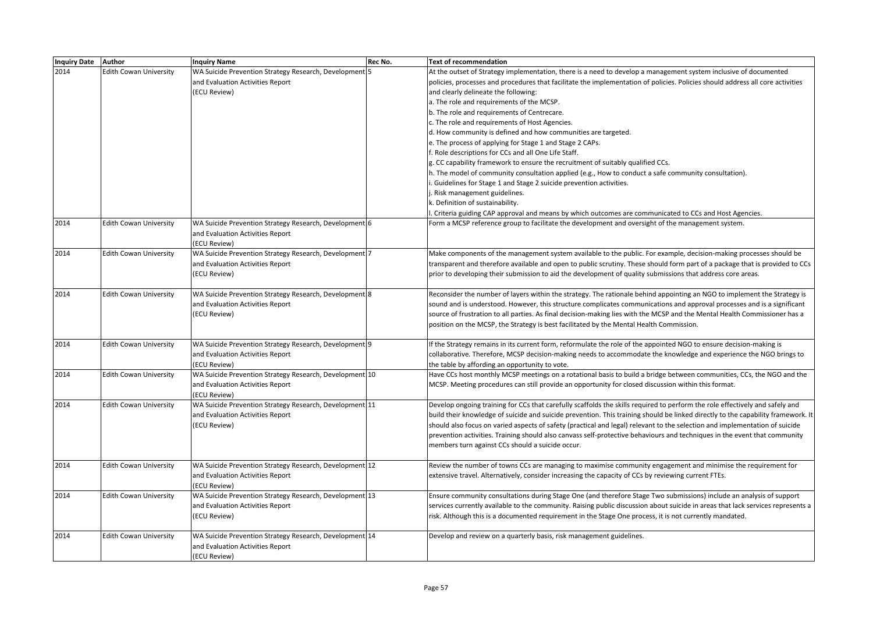| Inquiry Date Author |                               | <b>Inquiry Name</b>                                     | Rec No. | <b>Text of recommendation</b>                                                                                                    |
|---------------------|-------------------------------|---------------------------------------------------------|---------|----------------------------------------------------------------------------------------------------------------------------------|
| 2014                | <b>Edith Cowan University</b> | WA Suicide Prevention Strategy Research, Development 5  |         | At the outset of Strategy implementation, there is a need to develop a management system inclusive of documented                 |
|                     |                               | and Evaluation Activities Report                        |         | policies, processes and procedures that facilitate the implementation of policies. Policies should address all core activities   |
|                     |                               | (ECU Review)                                            |         | and clearly delineate the following:                                                                                             |
|                     |                               |                                                         |         | a. The role and requirements of the MCSP.                                                                                        |
|                     |                               |                                                         |         | b. The role and requirements of Centrecare.                                                                                      |
|                     |                               |                                                         |         | c. The role and requirements of Host Agencies.                                                                                   |
|                     |                               |                                                         |         | d. How community is defined and how communities are targeted.                                                                    |
|                     |                               |                                                         |         | e. The process of applying for Stage 1 and Stage 2 CAPs.                                                                         |
|                     |                               |                                                         |         | f. Role descriptions for CCs and all One Life Staff.                                                                             |
|                     |                               |                                                         |         | g. CC capability framework to ensure the recruitment of suitably qualified CCs.                                                  |
|                     |                               |                                                         |         | h. The model of community consultation applied (e.g., How to conduct a safe community consultation).                             |
|                     |                               |                                                         |         | . Guidelines for Stage 1 and Stage 2 suicide prevention activities.                                                              |
|                     |                               |                                                         |         | . Risk management guidelines.                                                                                                    |
|                     |                               |                                                         |         | k. Definition of sustainability.                                                                                                 |
|                     |                               |                                                         |         | . Criteria guiding CAP approval and means by which outcomes are communicated to CCs and Host Agencies.                           |
| 2014                | <b>Edith Cowan University</b> | WA Suicide Prevention Strategy Research, Development 6  |         | Form a MCSP reference group to facilitate the development and oversight of the management system.                                |
|                     |                               | and Evaluation Activities Report                        |         |                                                                                                                                  |
|                     |                               | (ECU Review)                                            |         |                                                                                                                                  |
| 2014                | <b>Edith Cowan University</b> | WA Suicide Prevention Strategy Research, Development 7  |         | Make components of the management system available to the public. For example, decision-making processes should be               |
|                     |                               | and Evaluation Activities Report                        |         | transparent and therefore available and open to public scrutiny. These should form part of a package that is provided to CCs     |
|                     |                               | (ECU Review)                                            |         | prior to developing their submission to aid the development of quality submissions that address core areas.                      |
|                     |                               |                                                         |         |                                                                                                                                  |
| 2014                | <b>Edith Cowan University</b> | WA Suicide Prevention Strategy Research, Development 8  |         | Reconsider the number of layers within the strategy. The rationale behind appointing an NGO to implement the Strategy is         |
|                     |                               | and Evaluation Activities Report                        |         | sound and is understood. However, this structure complicates communications and approval processes and is a significant          |
|                     |                               | (ECU Review)                                            |         | source of frustration to all parties. As final decision-making lies with the MCSP and the Mental Health Commissioner has a       |
|                     |                               |                                                         |         | position on the MCSP, the Strategy is best facilitated by the Mental Health Commission.                                          |
| 2014                | <b>Edith Cowan University</b> | WA Suicide Prevention Strategy Research, Development 9  |         | If the Strategy remains in its current form, reformulate the role of the appointed NGO to ensure decision-making is              |
|                     |                               | and Evaluation Activities Report                        |         | collaborative. Therefore, MCSP decision-making needs to accommodate the knowledge and experience the NGO brings to               |
|                     |                               | (ECU Review)                                            |         | the table by affording an opportunity to vote.                                                                                   |
| 2014                | <b>Edith Cowan University</b> | WA Suicide Prevention Strategy Research, Development 10 |         | Have CCs host monthly MCSP meetings on a rotational basis to build a bridge between communities, CCs, the NGO and the            |
|                     |                               | and Evaluation Activities Report                        |         | MCSP. Meeting procedures can still provide an opportunity for closed discussion within this format.                              |
|                     |                               | (ECU Review)                                            |         |                                                                                                                                  |
| 2014                | <b>Edith Cowan University</b> | WA Suicide Prevention Strategy Research, Development 11 |         | Develop ongoing training for CCs that carefully scaffolds the skills required to perform the role effectively and safely and     |
|                     |                               | and Evaluation Activities Report                        |         | build their knowledge of suicide and suicide prevention. This training should be linked directly to the capability framework. It |
|                     |                               | (ECU Review)                                            |         | should also focus on varied aspects of safety (practical and legal) relevant to the selection and implementation of suicide      |
|                     |                               |                                                         |         | prevention activities. Training should also canvass self-protective behaviours and techniques in the event that community        |
|                     |                               |                                                         |         | members turn against CCs should a suicide occur.                                                                                 |
|                     |                               |                                                         |         |                                                                                                                                  |
| 2014                | <b>Edith Cowan University</b> | WA Suicide Prevention Strategy Research, Development 12 |         | Review the number of towns CCs are managing to maximise community engagement and minimise the requirement for                    |
|                     |                               | and Evaluation Activities Report                        |         | extensive travel. Alternatively, consider increasing the capacity of CCs by reviewing current FTEs.                              |
|                     |                               | (ECU Review)                                            |         |                                                                                                                                  |
| 2014                | <b>Edith Cowan University</b> | WA Suicide Prevention Strategy Research, Development 13 |         | Ensure community consultations during Stage One (and therefore Stage Two submissions) include an analysis of support             |
|                     |                               | and Evaluation Activities Report                        |         | services currently available to the community. Raising public discussion about suicide in areas that lack services represents a  |
|                     |                               | (ECU Review)                                            |         | risk. Although this is a documented requirement in the Stage One process, it is not currently mandated.                          |
|                     |                               |                                                         |         |                                                                                                                                  |
| 2014                | <b>Edith Cowan University</b> | WA Suicide Prevention Strategy Research, Development 14 |         | Develop and review on a quarterly basis, risk management guidelines.                                                             |
|                     |                               | and Evaluation Activities Report                        |         |                                                                                                                                  |
|                     |                               | (ECU Review)                                            |         |                                                                                                                                  |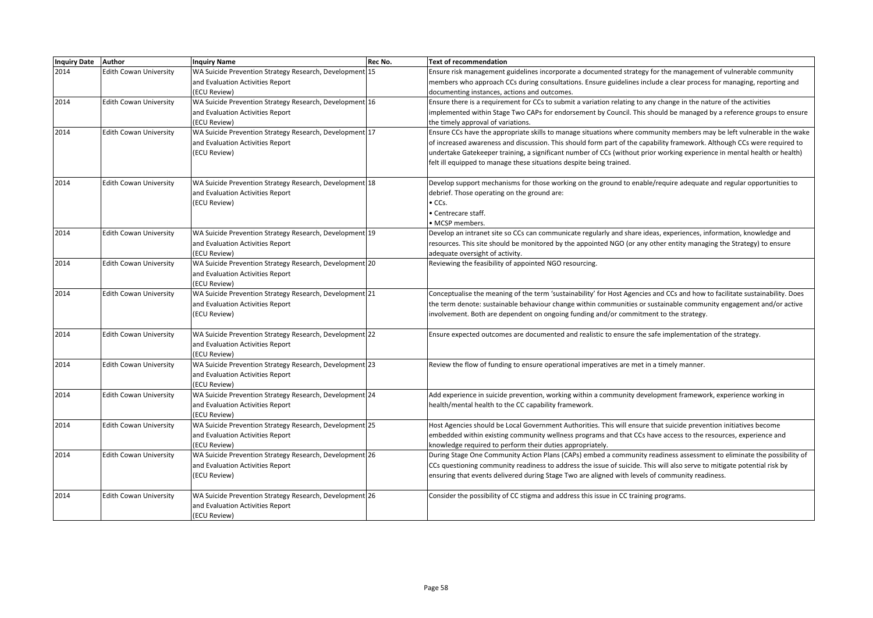| <b>Inquiry Date</b> | <b>Author</b>                 | <b>Inquiry Name</b>                                     | Rec No. | <b>Text of recommendation</b>                                                                                               |
|---------------------|-------------------------------|---------------------------------------------------------|---------|-----------------------------------------------------------------------------------------------------------------------------|
| 2014                | <b>Edith Cowan University</b> | WA Suicide Prevention Strategy Research, Development 15 |         | Ensure risk management guidelines incorporate a documented strategy for the management of vulnerable community              |
|                     |                               | and Evaluation Activities Report                        |         | members who approach CCs during consultations. Ensure guidelines include a clear process for managing, reporting and        |
|                     |                               | (ECU Review)                                            |         | documenting instances, actions and outcomes.                                                                                |
| 2014                | <b>Edith Cowan University</b> | WA Suicide Prevention Strategy Research, Development 16 |         | Ensure there is a requirement for CCs to submit a variation relating to any change in the nature of the activities          |
|                     |                               | and Evaluation Activities Report                        |         | implemented within Stage Two CAPs for endorsement by Council. This should be managed by a reference groups to ensure        |
|                     |                               | (ECU Review)                                            |         | the timely approval of variations.                                                                                          |
| 2014                | <b>Edith Cowan University</b> | WA Suicide Prevention Strategy Research, Development 17 |         | Ensure CCs have the appropriate skills to manage situations where community members may be left vulnerable in the wake      |
|                     |                               | and Evaluation Activities Report                        |         | of increased awareness and discussion. This should form part of the capability framework. Although CCs were required to     |
|                     |                               | (ECU Review)                                            |         | undertake Gatekeeper training, a significant number of CCs (without prior working experience in mental health or health)    |
|                     |                               |                                                         |         | felt ill equipped to manage these situations despite being trained.                                                         |
| 2014                | <b>Edith Cowan University</b> | WA Suicide Prevention Strategy Research, Development 18 |         | Develop support mechanisms for those working on the ground to enable/require adequate and regular opportunities to          |
|                     |                               | and Evaluation Activities Report                        |         | debrief. Those operating on the ground are:                                                                                 |
|                     |                               | (ECU Review)                                            |         | $\bullet$ CCs.                                                                                                              |
|                     |                               |                                                         |         | • Centrecare staff.                                                                                                         |
|                     |                               |                                                         |         | · MCSP members.                                                                                                             |
| 2014                | <b>Edith Cowan University</b> | WA Suicide Prevention Strategy Research, Development 19 |         | Develop an intranet site so CCs can communicate regularly and share ideas, experiences, information, knowledge and          |
|                     |                               | and Evaluation Activities Report                        |         | resources. This site should be monitored by the appointed NGO (or any other entity managing the Strategy) to ensure         |
|                     |                               | (ECU Review)                                            |         | adequate oversight of activity.                                                                                             |
| 2014                | <b>Edith Cowan University</b> | WA Suicide Prevention Strategy Research, Development 20 |         | Reviewing the feasibility of appointed NGO resourcing.                                                                      |
|                     |                               | and Evaluation Activities Report                        |         |                                                                                                                             |
|                     |                               | (ECU Review)                                            |         |                                                                                                                             |
| 2014                | <b>Edith Cowan University</b> | WA Suicide Prevention Strategy Research, Development 21 |         | Conceptualise the meaning of the term 'sustainability' for Host Agencies and CCs and how to facilitate sustainability. Does |
|                     |                               | and Evaluation Activities Report<br>(ECU Review)        |         | the term denote: sustainable behaviour change within communities or sustainable community engagement and/or active          |
|                     |                               |                                                         |         | involvement. Both are dependent on ongoing funding and/or commitment to the strategy.                                       |
| 2014                | <b>Edith Cowan University</b> | WA Suicide Prevention Strategy Research, Development 22 |         | Ensure expected outcomes are documented and realistic to ensure the safe implementation of the strategy.                    |
|                     |                               | and Evaluation Activities Report                        |         |                                                                                                                             |
|                     |                               | (ECU Review)                                            |         |                                                                                                                             |
| 2014                | <b>Edith Cowan University</b> | WA Suicide Prevention Strategy Research, Development 23 |         | Review the flow of funding to ensure operational imperatives are met in a timely manner.                                    |
|                     |                               | and Evaluation Activities Report<br>(ECU Review)        |         |                                                                                                                             |
| 2014                | <b>Edith Cowan University</b> | WA Suicide Prevention Strategy Research, Development 24 |         | Add experience in suicide prevention, working within a community development framework, experience working in               |
|                     |                               | and Evaluation Activities Report                        |         | health/mental health to the CC capability framework.                                                                        |
|                     |                               | (ECU Review)                                            |         |                                                                                                                             |
| 2014                | <b>Edith Cowan University</b> | WA Suicide Prevention Strategy Research, Development 25 |         | Host Agencies should be Local Government Authorities. This will ensure that suicide prevention initiatives become           |
|                     |                               | and Evaluation Activities Report                        |         | embedded within existing community wellness programs and that CCs have access to the resources, experience and              |
|                     |                               | (ECU Review)                                            |         | knowledge required to perform their duties appropriately.                                                                   |
| 2014                | <b>Edith Cowan University</b> | WA Suicide Prevention Strategy Research, Development 26 |         | During Stage One Community Action Plans (CAPs) embed a community readiness assessment to eliminate the possibility of       |
|                     |                               | and Evaluation Activities Report                        |         | CCs questioning community readiness to address the issue of suicide. This will also serve to mitigate potential risk by     |
|                     |                               | (ECU Review)                                            |         | ensuring that events delivered during Stage Two are aligned with levels of community readiness.                             |
| 2014                | <b>Edith Cowan University</b> | WA Suicide Prevention Strategy Research, Development 26 |         | Consider the possibility of CC stigma and address this issue in CC training programs.                                       |
|                     |                               | and Evaluation Activities Report                        |         |                                                                                                                             |
|                     |                               | (ECU Review)                                            |         |                                                                                                                             |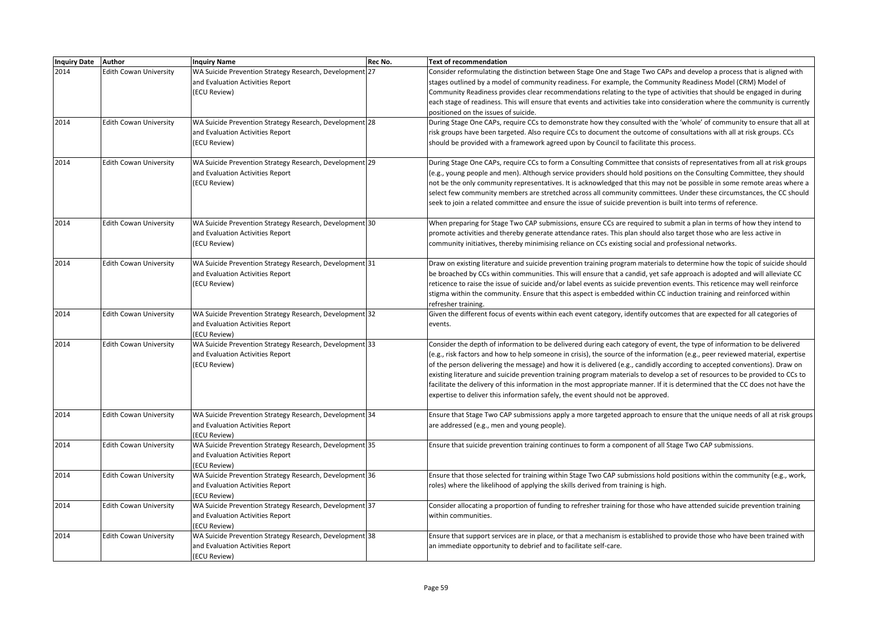| Inquiry Date Author |                               | <b>Inquiry Name</b>                                                                                         | Rec No. | <b>Text of recommendation</b>                                                                                                                                                                                                                                                                                                                                                                                                                                                                                                                                                                                                                                                                                                               |
|---------------------|-------------------------------|-------------------------------------------------------------------------------------------------------------|---------|---------------------------------------------------------------------------------------------------------------------------------------------------------------------------------------------------------------------------------------------------------------------------------------------------------------------------------------------------------------------------------------------------------------------------------------------------------------------------------------------------------------------------------------------------------------------------------------------------------------------------------------------------------------------------------------------------------------------------------------------|
| 2014                | <b>Edith Cowan University</b> | WA Suicide Prevention Strategy Research, Development 27<br>and Evaluation Activities Report<br>(ECU Review) |         | Consider reformulating the distinction between Stage One and Stage Two CAPs and develop a process that is aligned with<br>stages outlined by a model of community readiness. For example, the Community Readiness Model (CRM) Model of<br>Community Readiness provides clear recommendations relating to the type of activities that should be engaged in during<br>each stage of readiness. This will ensure that events and activities take into consideration where the community is currently<br>positioned on the issues of suicide.                                                                                                                                                                                                   |
| 2014                | <b>Edith Cowan University</b> | WA Suicide Prevention Strategy Research, Development 28<br>and Evaluation Activities Report<br>(ECU Review) |         | During Stage One CAPs, require CCs to demonstrate how they consulted with the 'whole' of community to ensure that all at<br>risk groups have been targeted. Also require CCs to document the outcome of consultations with all at risk groups. CCs<br>should be provided with a framework agreed upon by Council to facilitate this process.                                                                                                                                                                                                                                                                                                                                                                                                |
| 2014                | <b>Edith Cowan University</b> | WA Suicide Prevention Strategy Research, Development 29<br>and Evaluation Activities Report<br>(ECU Review) |         | During Stage One CAPs, require CCs to form a Consulting Committee that consists of representatives from all at risk groups<br>(e.g., young people and men). Although service providers should hold positions on the Consulting Committee, they should<br>not be the only community representatives. It is acknowledged that this may not be possible in some remote areas where a<br>select few community members are stretched across all community committees. Under these circumstances, the CC should<br>seek to join a related committee and ensure the issue of suicide prevention is built into terms of reference.                                                                                                                  |
| 2014                | <b>Edith Cowan University</b> | WA Suicide Prevention Strategy Research, Development 30<br>and Evaluation Activities Report<br>(ECU Review) |         | When preparing for Stage Two CAP submissions, ensure CCs are required to submit a plan in terms of how they intend to<br>promote activities and thereby generate attendance rates. This plan should also target those who are less active in<br>community initiatives, thereby minimising reliance on CCs existing social and professional networks.                                                                                                                                                                                                                                                                                                                                                                                        |
| 2014                | <b>Edith Cowan University</b> | WA Suicide Prevention Strategy Research, Development 31<br>and Evaluation Activities Report<br>(ECU Review) |         | Draw on existing literature and suicide prevention training program materials to determine how the topic of suicide should<br>be broached by CCs within communities. This will ensure that a candid, yet safe approach is adopted and will alleviate CC<br>reticence to raise the issue of suicide and/or label events as suicide prevention events. This reticence may well reinforce<br>stigma within the community. Ensure that this aspect is embedded within CC induction training and reinforced within<br>refresher training.                                                                                                                                                                                                        |
| 2014                | <b>Edith Cowan University</b> | WA Suicide Prevention Strategy Research, Development 32<br>and Evaluation Activities Report<br>(ECU Review) |         | Given the different focus of events within each event category, identify outcomes that are expected for all categories of<br>events.                                                                                                                                                                                                                                                                                                                                                                                                                                                                                                                                                                                                        |
| 2014                | <b>Edith Cowan University</b> | WA Suicide Prevention Strategy Research, Development 33<br>and Evaluation Activities Report<br>(ECU Review) |         | Consider the depth of information to be delivered during each category of event, the type of information to be delivered<br>(e.g., risk factors and how to help someone in crisis), the source of the information (e.g., peer reviewed material, expertise<br>of the person delivering the message) and how it is delivered (e.g., candidly according to accepted conventions). Draw on<br>existing literature and suicide prevention training program materials to develop a set of resources to be provided to CCs to<br>facilitate the delivery of this information in the most appropriate manner. If it is determined that the CC does not have the<br>expertise to deliver this information safely, the event should not be approved. |
| 2014                | <b>Edith Cowan University</b> | WA Suicide Prevention Strategy Research, Development 34<br>and Evaluation Activities Report<br>(ECU Review) |         | Ensure that Stage Two CAP submissions apply a more targeted approach to ensure that the unique needs of all at risk groups<br>are addressed (e.g., men and young people).                                                                                                                                                                                                                                                                                                                                                                                                                                                                                                                                                                   |
| 2014                | <b>Edith Cowan University</b> | WA Suicide Prevention Strategy Research, Development 35<br>and Evaluation Activities Report<br>(ECU Review) |         | Ensure that suicide prevention training continues to form a component of all Stage Two CAP submissions.                                                                                                                                                                                                                                                                                                                                                                                                                                                                                                                                                                                                                                     |
| 2014                | <b>Edith Cowan University</b> | WA Suicide Prevention Strategy Research, Development 36<br>and Evaluation Activities Report<br>(ECU Review) |         | Ensure that those selected for training within Stage Two CAP submissions hold positions within the community (e.g., work,<br>roles) where the likelihood of applying the skills derived from training is high.                                                                                                                                                                                                                                                                                                                                                                                                                                                                                                                              |
| 2014                | <b>Edith Cowan University</b> | WA Suicide Prevention Strategy Research, Development 37<br>and Evaluation Activities Report<br>(ECU Review) |         | Consider allocating a proportion of funding to refresher training for those who have attended suicide prevention training<br>within communities.                                                                                                                                                                                                                                                                                                                                                                                                                                                                                                                                                                                            |
| 2014                | <b>Edith Cowan University</b> | WA Suicide Prevention Strategy Research, Development 38<br>and Evaluation Activities Report<br>(ECU Review) |         | Ensure that support services are in place, or that a mechanism is established to provide those who have been trained with<br>an immediate opportunity to debrief and to facilitate self-care.                                                                                                                                                                                                                                                                                                                                                                                                                                                                                                                                               |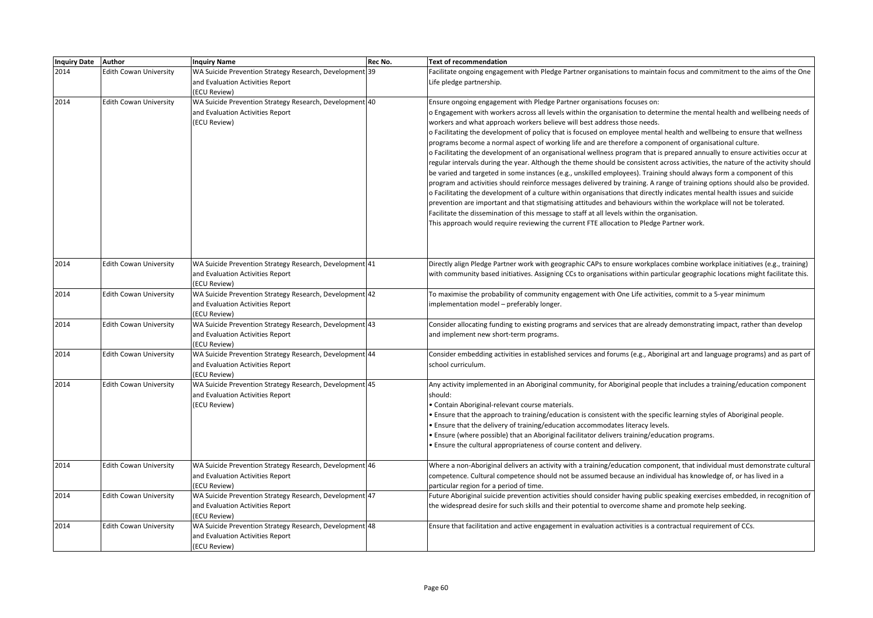| Inquiry Date Author |                               | <b>Inquiry Name</b>                                     | Rec No. | <b>Text of recommendation</b>                                                                                                                                                                                                                            |
|---------------------|-------------------------------|---------------------------------------------------------|---------|----------------------------------------------------------------------------------------------------------------------------------------------------------------------------------------------------------------------------------------------------------|
| 2014                | <b>Edith Cowan University</b> | WA Suicide Prevention Strategy Research, Development 39 |         | Facilitate ongoing engagement with Pledge Partner organisations to maintain focus and commitment to the aims of the One                                                                                                                                  |
|                     |                               | and Evaluation Activities Report                        |         | Life pledge partnership.                                                                                                                                                                                                                                 |
|                     |                               | (ECU Review)                                            |         |                                                                                                                                                                                                                                                          |
| 2014                | <b>Edith Cowan University</b> | WA Suicide Prevention Strategy Research, Development 40 |         | Ensure ongoing engagement with Pledge Partner organisations focuses on:                                                                                                                                                                                  |
|                     |                               | and Evaluation Activities Report                        |         | o Engagement with workers across all levels within the organisation to determine the mental health and wellbeing needs of                                                                                                                                |
|                     |                               | (ECU Review)                                            |         | workers and what approach workers believe will best address those needs.                                                                                                                                                                                 |
|                     |                               |                                                         |         | o Facilitating the development of policy that is focused on employee mental health and wellbeing to ensure that wellness                                                                                                                                 |
|                     |                               |                                                         |         | programs become a normal aspect of working life and are therefore a component of organisational culture.                                                                                                                                                 |
|                     |                               |                                                         |         | o Facilitating the development of an organisational wellness program that is prepared annually to ensure activities occur at                                                                                                                             |
|                     |                               |                                                         |         | regular intervals during the year. Although the theme should be consistent across activities, the nature of the activity should<br>be varied and targeted in some instances (e.g., unskilled employees). Training should always form a component of this |
|                     |                               |                                                         |         | program and activities should reinforce messages delivered by training. A range of training options should also be provided.                                                                                                                             |
|                     |                               |                                                         |         | o Facilitating the development of a culture within organisations that directly indicates mental health issues and suicide                                                                                                                                |
|                     |                               |                                                         |         | prevention are important and that stigmatising attitudes and behaviours within the workplace will not be tolerated.                                                                                                                                      |
|                     |                               |                                                         |         | Facilitate the dissemination of this message to staff at all levels within the organisation.                                                                                                                                                             |
|                     |                               |                                                         |         | This approach would require reviewing the current FTE allocation to Pledge Partner work.                                                                                                                                                                 |
|                     |                               |                                                         |         |                                                                                                                                                                                                                                                          |
|                     |                               |                                                         |         |                                                                                                                                                                                                                                                          |
|                     |                               |                                                         |         |                                                                                                                                                                                                                                                          |
| 2014                | <b>Edith Cowan University</b> | WA Suicide Prevention Strategy Research, Development 41 |         | Directly align Pledge Partner work with geographic CAPs to ensure workplaces combine workplace initiatives (e.g., training)                                                                                                                              |
|                     |                               | and Evaluation Activities Report                        |         | with community based initiatives. Assigning CCs to organisations within particular geographic locations might facilitate this.                                                                                                                           |
|                     |                               | (ECU Review)                                            |         |                                                                                                                                                                                                                                                          |
| 2014                | <b>Edith Cowan University</b> | WA Suicide Prevention Strategy Research, Development 42 |         | To maximise the probability of community engagement with One Life activities, commit to a 5-year minimum                                                                                                                                                 |
|                     |                               | and Evaluation Activities Report<br>(ECU Review)        |         | implementation model - preferably longer.                                                                                                                                                                                                                |
| 2014                | <b>Edith Cowan University</b> | WA Suicide Prevention Strategy Research, Development 43 |         | Consider allocating funding to existing programs and services that are already demonstrating impact, rather than develop                                                                                                                                 |
|                     |                               | and Evaluation Activities Report                        |         | and implement new short-term programs.                                                                                                                                                                                                                   |
|                     |                               | (ECU Review)                                            |         |                                                                                                                                                                                                                                                          |
| 2014                | <b>Edith Cowan University</b> | WA Suicide Prevention Strategy Research, Development 44 |         | Consider embedding activities in established services and forums (e.g., Aboriginal art and language programs) and as part of                                                                                                                             |
|                     |                               | and Evaluation Activities Report                        |         | school curriculum.                                                                                                                                                                                                                                       |
|                     |                               | (ECU Review)                                            |         |                                                                                                                                                                                                                                                          |
| 2014                | <b>Edith Cowan University</b> | WA Suicide Prevention Strategy Research, Development 45 |         | Any activity implemented in an Aboriginal community, for Aboriginal people that includes a training/education component                                                                                                                                  |
|                     |                               | and Evaluation Activities Report                        |         | should:                                                                                                                                                                                                                                                  |
|                     |                               | (ECU Review)                                            |         | · Contain Aboriginal-relevant course materials.                                                                                                                                                                                                          |
|                     |                               |                                                         |         | . Ensure that the approach to training/education is consistent with the specific learning styles of Aboriginal people.                                                                                                                                   |
|                     |                               |                                                         |         | . Ensure that the delivery of training/education accommodates literacy levels.<br>. Ensure (where possible) that an Aboriginal facilitator delivers training/education programs.                                                                         |
|                     |                               |                                                         |         | . Ensure the cultural appropriateness of course content and delivery.                                                                                                                                                                                    |
|                     |                               |                                                         |         |                                                                                                                                                                                                                                                          |
| 2014                | <b>Edith Cowan University</b> | WA Suicide Prevention Strategy Research, Development 46 |         | Where a non-Aboriginal delivers an activity with a training/education component, that individual must demonstrate cultural                                                                                                                               |
|                     |                               | and Evaluation Activities Report                        |         | competence. Cultural competence should not be assumed because an individual has knowledge of, or has lived in a                                                                                                                                          |
|                     |                               | (ECU Review)                                            |         | particular region for a period of time.                                                                                                                                                                                                                  |
| 2014                | <b>Edith Cowan University</b> | WA Suicide Prevention Strategy Research, Development 47 |         | Future Aboriginal suicide prevention activities should consider having public speaking exercises embedded, in recognition of                                                                                                                             |
|                     |                               | and Evaluation Activities Report                        |         | the widespread desire for such skills and their potential to overcome shame and promote help seeking.                                                                                                                                                    |
|                     |                               | (ECU Review)                                            |         |                                                                                                                                                                                                                                                          |
| 2014                | <b>Edith Cowan University</b> | WA Suicide Prevention Strategy Research, Development 48 |         | Ensure that facilitation and active engagement in evaluation activities is a contractual requirement of CCs.                                                                                                                                             |
|                     |                               | and Evaluation Activities Report                        |         |                                                                                                                                                                                                                                                          |
|                     |                               | (ECU Review)                                            |         |                                                                                                                                                                                                                                                          |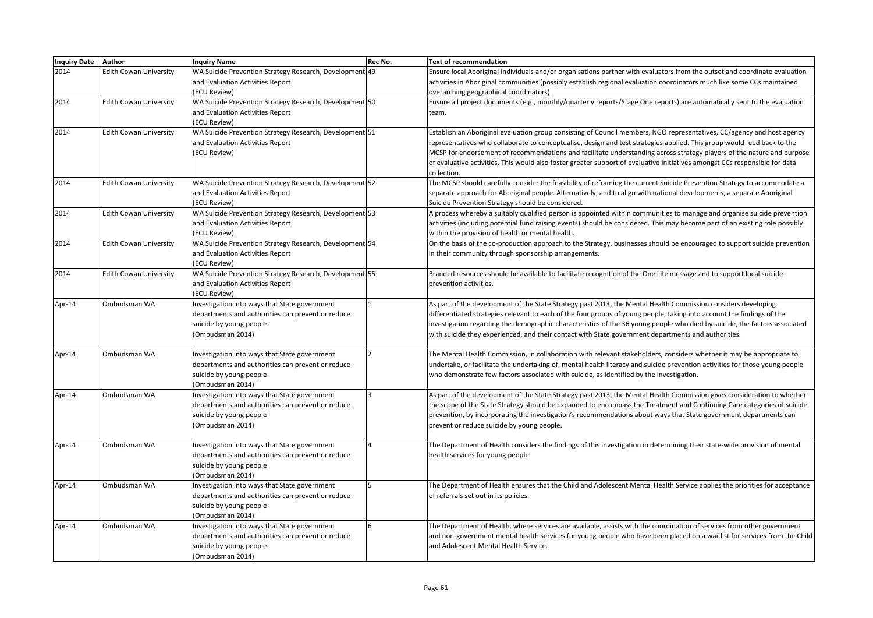| Inquiry Date Author |                               | <b>Inquiry Name</b>                                     | Rec No. | <b>Text of recommendation</b>                                                                                                |
|---------------------|-------------------------------|---------------------------------------------------------|---------|------------------------------------------------------------------------------------------------------------------------------|
| 2014                | <b>Edith Cowan University</b> | WA Suicide Prevention Strategy Research, Development 49 |         | Ensure local Aboriginal individuals and/or organisations partner with evaluators from the outset and coordinate evaluation   |
|                     |                               | and Evaluation Activities Report                        |         | activities in Aboriginal communities (possibly establish regional evaluation coordinators much like some CCs maintained      |
|                     |                               | (ECU Review)                                            |         | overarching geographical coordinators).                                                                                      |
| 2014                | <b>Edith Cowan University</b> | WA Suicide Prevention Strategy Research, Development 50 |         | Ensure all project documents (e.g., monthly/quarterly reports/Stage One reports) are automatically sent to the evaluation    |
|                     |                               | and Evaluation Activities Report                        |         | team.                                                                                                                        |
|                     |                               | (ECU Review)                                            |         |                                                                                                                              |
| 2014                | <b>Edith Cowan University</b> | WA Suicide Prevention Strategy Research, Development 51 |         | Establish an Aboriginal evaluation group consisting of Council members, NGO representatives, CC/agency and host agency       |
|                     |                               | and Evaluation Activities Report                        |         | representatives who collaborate to conceptualise, design and test strategies applied. This group would feed back to the      |
|                     |                               | (ECU Review)                                            |         | MCSP for endorsement of recommendations and facilitate understanding across strategy players of the nature and purpose       |
|                     |                               |                                                         |         | of evaluative activities. This would also foster greater support of evaluative initiatives amongst CCs responsible for data  |
|                     |                               |                                                         |         | collection.                                                                                                                  |
| 2014                | <b>Edith Cowan University</b> | WA Suicide Prevention Strategy Research, Development 52 |         | The MCSP should carefully consider the feasibility of reframing the current Suicide Prevention Strategy to accommodate a     |
|                     |                               | and Evaluation Activities Report                        |         | separate approach for Aboriginal people. Alternatively, and to align with national developments, a separate Aboriginal       |
|                     |                               | (ECU Review)                                            |         | Suicide Prevention Strategy should be considered.                                                                            |
| 2014                | <b>Edith Cowan University</b> | WA Suicide Prevention Strategy Research, Development 53 |         | A process whereby a suitably qualified person is appointed within communities to manage and organise suicide prevention      |
|                     |                               | and Evaluation Activities Report                        |         | activities (including potential fund raising events) should be considered. This may become part of an existing role possibly |
|                     |                               | (ECU Review)                                            |         | within the provision of health or mental health.                                                                             |
| 2014                | <b>Edith Cowan University</b> | WA Suicide Prevention Strategy Research, Development 54 |         | On the basis of the co-production approach to the Strategy, businesses should be encouraged to support suicide prevention    |
|                     |                               | and Evaluation Activities Report                        |         | in their community through sponsorship arrangements.                                                                         |
|                     |                               | (ECU Review)                                            |         |                                                                                                                              |
| 2014                | <b>Edith Cowan University</b> | WA Suicide Prevention Strategy Research, Development 55 |         | Branded resources should be available to facilitate recognition of the One Life message and to support local suicide         |
|                     |                               | and Evaluation Activities Report                        |         | prevention activities.                                                                                                       |
|                     |                               | (ECU Review)                                            |         |                                                                                                                              |
| Apr-14              | Ombudsman WA                  | Investigation into ways that State government           |         | As part of the development of the State Strategy past 2013, the Mental Health Commission considers developing                |
|                     |                               | departments and authorities can prevent or reduce       |         | differentiated strategies relevant to each of the four groups of young people, taking into account the findings of the       |
|                     |                               | suicide by young people                                 |         | investigation regarding the demographic characteristics of the 36 young people who died by suicide, the factors associated   |
|                     |                               | (Ombudsman 2014)                                        |         | with suicide they experienced, and their contact with State government departments and authorities.                          |
| Apr-14              | Ombudsman WA                  | Investigation into ways that State government           |         | The Mental Health Commission, in collaboration with relevant stakeholders, considers whether it may be appropriate to        |
|                     |                               | departments and authorities can prevent or reduce       |         | undertake, or facilitate the undertaking of, mental health literacy and suicide prevention activities for those young people |
|                     |                               | suicide by young people                                 |         | who demonstrate few factors associated with suicide, as identified by the investigation.                                     |
|                     |                               | (Ombudsman 2014)                                        |         |                                                                                                                              |
| Apr-14              | Ombudsman WA                  | Investigation into ways that State government           |         | As part of the development of the State Strategy past 2013, the Mental Health Commission gives consideration to whether      |
|                     |                               | departments and authorities can prevent or reduce       |         | the scope of the State Strategy should be expanded to encompass the Treatment and Continuing Care categories of suicide      |
|                     |                               | suicide by young people                                 |         | prevention, by incorporating the investigation's recommendations about ways that State government departments can            |
|                     |                               | (Ombudsman 2014)                                        |         | prevent or reduce suicide by young people.                                                                                   |
|                     |                               |                                                         |         |                                                                                                                              |
| Apr-14              | Ombudsman WA                  | Investigation into ways that State government           |         | The Department of Health considers the findings of this investigation in determining their state-wide provision of mental    |
|                     |                               | departments and authorities can prevent or reduce       |         | health services for young people.                                                                                            |
|                     |                               | suicide by young people                                 |         |                                                                                                                              |
|                     |                               | (Ombudsman 2014)                                        |         |                                                                                                                              |
| Apr-14              | Ombudsman WA                  | Investigation into ways that State government           |         | The Department of Health ensures that the Child and Adolescent Mental Health Service applies the priorities for acceptance   |
|                     |                               | departments and authorities can prevent or reduce       |         | of referrals set out in its policies.                                                                                        |
|                     |                               | suicide by young people                                 |         |                                                                                                                              |
|                     |                               | (Ombudsman 2014)                                        |         |                                                                                                                              |
| Apr-14              | Ombudsman WA                  | Investigation into ways that State government           |         | The Department of Health, where services are available, assists with the coordination of services from other government      |
|                     |                               | departments and authorities can prevent or reduce       |         | and non-government mental health services for young people who have been placed on a waitlist for services from the Child    |
|                     |                               | suicide by young people                                 |         | and Adolescent Mental Health Service.                                                                                        |
|                     |                               | (Ombudsman 2014)                                        |         |                                                                                                                              |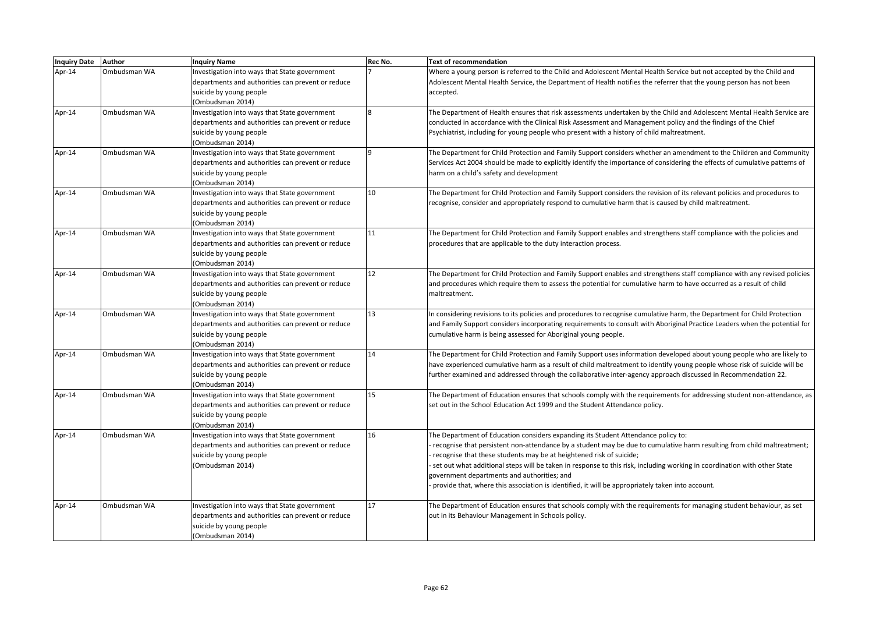| <b>Inquiry Date</b> | <b>Author</b> | <b>Inquiry Name</b>                               | Rec No. | <b>Text of recommendation</b>                                                                                               |
|---------------------|---------------|---------------------------------------------------|---------|-----------------------------------------------------------------------------------------------------------------------------|
| Apr-14              | Ombudsman WA  | Investigation into ways that State government     |         | Where a young person is referred to the Child and Adolescent Mental Health Service but not accepted by the Child and        |
|                     |               | departments and authorities can prevent or reduce |         | Adolescent Mental Health Service, the Department of Health notifies the referrer that the young person has not been         |
|                     |               | suicide by young people                           |         | accepted.                                                                                                                   |
|                     |               | (Ombudsman 2014)                                  |         |                                                                                                                             |
| Apr-14              | Ombudsman WA  | Investigation into ways that State government     |         | The Department of Health ensures that risk assessments undertaken by the Child and Adolescent Mental Health Service are     |
|                     |               | departments and authorities can prevent or reduce |         | conducted in accordance with the Clinical Risk Assessment and Management policy and the findings of the Chief               |
|                     |               | suicide by young people                           |         | Psychiatrist, including for young people who present with a history of child maltreatment.                                  |
|                     |               | (Ombudsman 2014)                                  |         |                                                                                                                             |
| Apr-14              | Ombudsman WA  | Investigation into ways that State government     | q       | The Department for Child Protection and Family Support considers whether an amendment to the Children and Community         |
|                     |               | departments and authorities can prevent or reduce |         | Services Act 2004 should be made to explicitly identify the importance of considering the effects of cumulative patterns of |
|                     |               | suicide by young people                           |         | harm on a child's safety and development                                                                                    |
|                     |               | (Ombudsman 2014)                                  |         |                                                                                                                             |
| Apr-14              | Ombudsman WA  | Investigation into ways that State government     | 10      | The Department for Child Protection and Family Support considers the revision of its relevant policies and procedures to    |
|                     |               | departments and authorities can prevent or reduce |         | recognise, consider and appropriately respond to cumulative harm that is caused by child maltreatment.                      |
|                     |               | suicide by young people                           |         |                                                                                                                             |
|                     |               | (Ombudsman 2014)                                  |         |                                                                                                                             |
| Apr-14              | Ombudsman WA  | Investigation into ways that State government     | 11      | The Department for Child Protection and Family Support enables and strengthens staff compliance with the policies and       |
|                     |               | departments and authorities can prevent or reduce |         | procedures that are applicable to the duty interaction process.                                                             |
|                     |               | suicide by young people                           |         |                                                                                                                             |
|                     |               | (Ombudsman 2014)                                  |         |                                                                                                                             |
| Apr-14              | Ombudsman WA  | Investigation into ways that State government     | 12      | The Department for Child Protection and Family Support enables and strengthens staff compliance with any revised policies   |
|                     |               | departments and authorities can prevent or reduce |         | and procedures which require them to assess the potential for cumulative harm to have occurred as a result of child         |
|                     |               | suicide by young people                           |         | maltreatment.                                                                                                               |
|                     |               | (Ombudsman 2014)                                  |         |                                                                                                                             |
| Apr-14              | Ombudsman WA  | Investigation into ways that State government     | 13      | In considering revisions to its policies and procedures to recognise cumulative harm, the Department for Child Protection   |
|                     |               | departments and authorities can prevent or reduce |         | and Family Support considers incorporating requirements to consult with Aboriginal Practice Leaders when the potential for  |
|                     |               | suicide by young people                           |         | cumulative harm is being assessed for Aboriginal young people.                                                              |
|                     |               | (Ombudsman 2014)                                  |         |                                                                                                                             |
| Apr-14              | Ombudsman WA  | Investigation into ways that State government     | 14      | The Department for Child Protection and Family Support uses information developed about young people who are likely to      |
|                     |               | departments and authorities can prevent or reduce |         | have experienced cumulative harm as a result of child maltreatment to identify young people whose risk of suicide will be   |
|                     |               | suicide by young people                           |         | further examined and addressed through the collaborative inter-agency approach discussed in Recommendation 22.              |
|                     |               | (Ombudsman 2014)                                  |         |                                                                                                                             |
| Apr-14              | Ombudsman WA  | Investigation into ways that State government     | 15      | The Department of Education ensures that schools comply with the requirements for addressing student non-attendance, as     |
|                     |               | departments and authorities can prevent or reduce |         | set out in the School Education Act 1999 and the Student Attendance policy.                                                 |
|                     |               | suicide by young people                           |         |                                                                                                                             |
|                     |               | (Ombudsman 2014)                                  |         |                                                                                                                             |
| Apr-14              | Ombudsman WA  | Investigation into ways that State government     | 16      | The Department of Education considers expanding its Student Attendance policy to:                                           |
|                     |               | departments and authorities can prevent or reduce |         | recognise that persistent non-attendance by a student may be due to cumulative harm resulting from child maltreatment;      |
|                     |               | suicide by young people                           |         | recognise that these students may be at heightened risk of suicide;                                                         |
|                     |               | (Ombudsman 2014)                                  |         | set out what additional steps will be taken in response to this risk, including working in coordination with other State    |
|                     |               |                                                   |         | government departments and authorities; and                                                                                 |
|                     |               |                                                   |         | provide that, where this association is identified, it will be appropriately taken into account.                            |
|                     |               |                                                   |         |                                                                                                                             |
| Apr-14              | Ombudsman WA  | Investigation into ways that State government     | 17      | The Department of Education ensures that schools comply with the requirements for managing student behaviour, as set        |
|                     |               | departments and authorities can prevent or reduce |         | out in its Behaviour Management in Schools policy.                                                                          |
|                     |               | suicide by young people                           |         |                                                                                                                             |
|                     |               | (Ombudsman 2014)                                  |         |                                                                                                                             |
|                     |               |                                                   |         |                                                                                                                             |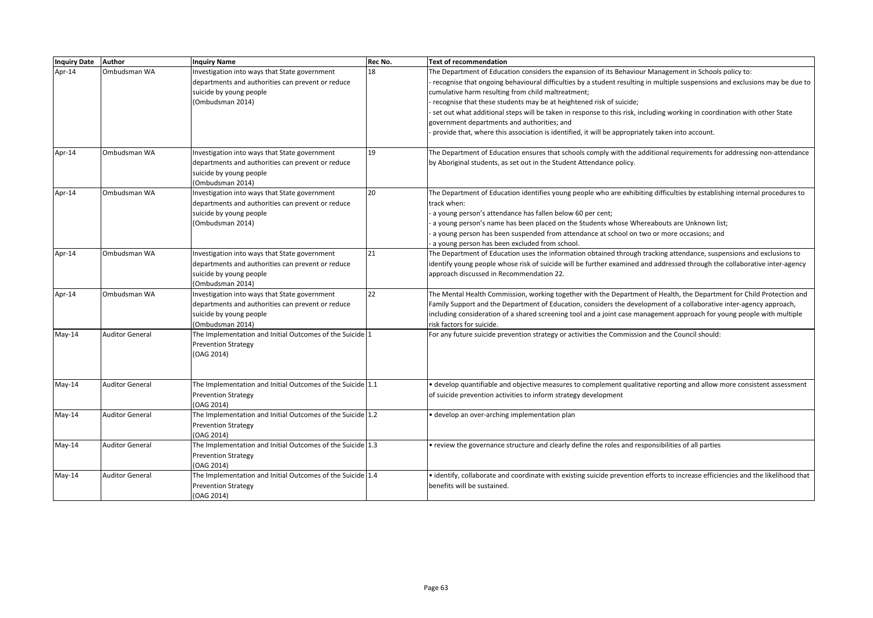| Inquiry Date Author |                        | <b>Inquiry Name</b>                                        | Rec No. | <b>Text of recommendation</b>                                                                                                    |
|---------------------|------------------------|------------------------------------------------------------|---------|----------------------------------------------------------------------------------------------------------------------------------|
| Apr-14              | Ombudsman WA           | Investigation into ways that State government              | 18      | The Department of Education considers the expansion of its Behaviour Management in Schools policy to:                            |
|                     |                        | departments and authorities can prevent or reduce          |         | recognise that ongoing behavioural difficulties by a student resulting in multiple suspensions and exclusions may be due to      |
|                     |                        | suicide by young people                                    |         | cumulative harm resulting from child maltreatment;                                                                               |
|                     |                        | (Ombudsman 2014)                                           |         | recognise that these students may be at heightened risk of suicide;                                                              |
|                     |                        |                                                            |         | set out what additional steps will be taken in response to this risk, including working in coordination with other State         |
|                     |                        |                                                            |         | government departments and authorities; and                                                                                      |
|                     |                        |                                                            |         | provide that, where this association is identified, it will be appropriately taken into account.                                 |
| Apr-14              | Ombudsman WA           | nvestigation into ways that State government               | 19      | The Department of Education ensures that schools comply with the additional requirements for addressing non-attendance           |
|                     |                        | departments and authorities can prevent or reduce          |         | by Aboriginal students, as set out in the Student Attendance policy.                                                             |
|                     |                        | suicide by young people                                    |         |                                                                                                                                  |
|                     |                        | (Ombudsman 2014)                                           |         |                                                                                                                                  |
| Apr-14              | Ombudsman WA           | Investigation into ways that State government              | 20      | The Department of Education identifies young people who are exhibiting difficulties by establishing internal procedures to       |
|                     |                        | departments and authorities can prevent or reduce          |         | track when:                                                                                                                      |
|                     |                        | suicide by young people                                    |         | a young person's attendance has fallen below 60 per cent;                                                                        |
|                     |                        | (Ombudsman 2014)                                           |         | a young person's name has been placed on the Students whose Whereabouts are Unknown list;                                        |
|                     |                        |                                                            |         | a young person has been suspended from attendance at school on two or more occasions; and                                        |
|                     |                        |                                                            |         | a young person has been excluded from school.                                                                                    |
| Apr-14              | Ombudsman WA           | Investigation into ways that State government              | 21      | The Department of Education uses the information obtained through tracking attendance, suspensions and exclusions to             |
|                     |                        | departments and authorities can prevent or reduce          |         | identify young people whose risk of suicide will be further examined and addressed through the collaborative inter-agency        |
|                     |                        | suicide by young people                                    |         | approach discussed in Recommendation 22.                                                                                         |
|                     |                        | (Ombudsman 2014)                                           |         |                                                                                                                                  |
| Apr-14              | Ombudsman WA           | Investigation into ways that State government              | 22      | The Mental Health Commission, working together with the Department of Health, the Department for Child Protection and            |
|                     |                        | departments and authorities can prevent or reduce          |         | Family Support and the Department of Education, considers the development of a collaborative inter-agency approach,              |
|                     |                        | suicide by young people                                    |         | including consideration of a shared screening tool and a joint case management approach for young people with multiple           |
|                     |                        | (Ombudsman 2014)                                           |         | risk factors for suicide.                                                                                                        |
| $May-14$            | <b>Auditor General</b> | The Implementation and Initial Outcomes of the Suicide 1   |         | For any future suicide prevention strategy or activities the Commission and the Council should:                                  |
|                     |                        | <b>Prevention Strategy</b>                                 |         |                                                                                                                                  |
|                     |                        | (OAG 2014)                                                 |         |                                                                                                                                  |
|                     |                        |                                                            |         |                                                                                                                                  |
| May-14              | <b>Auditor General</b> | The Implementation and Initial Outcomes of the Suicide 1.1 |         | · develop quantifiable and objective measures to complement qualitative reporting and allow more consistent assessment           |
|                     |                        | <b>Prevention Strategy</b>                                 |         | of suicide prevention activities to inform strategy development                                                                  |
|                     |                        | (OAG 2014)                                                 |         |                                                                                                                                  |
| $May-14$            | <b>Auditor General</b> | The Implementation and Initial Outcomes of the Suicide 1.2 |         | · develop an over-arching implementation plan                                                                                    |
|                     |                        | <b>Prevention Strategy</b>                                 |         |                                                                                                                                  |
|                     |                        | (OAG 2014)                                                 |         |                                                                                                                                  |
| $May-14$            | <b>Auditor General</b> | The Implementation and Initial Outcomes of the Suicide 1.3 |         | • review the governance structure and clearly define the roles and responsibilities of all parties                               |
|                     |                        | <b>Prevention Strategy</b>                                 |         |                                                                                                                                  |
|                     |                        | (OAG 2014)                                                 |         |                                                                                                                                  |
| $May-14$            | <b>Auditor General</b> | The Implementation and Initial Outcomes of the Suicide 1.4 |         | · identify, collaborate and coordinate with existing suicide prevention efforts to increase efficiencies and the likelihood that |
|                     |                        | <b>Prevention Strategy</b>                                 |         | benefits will be sustained.                                                                                                      |
|                     |                        | (OAG 2014)                                                 |         |                                                                                                                                  |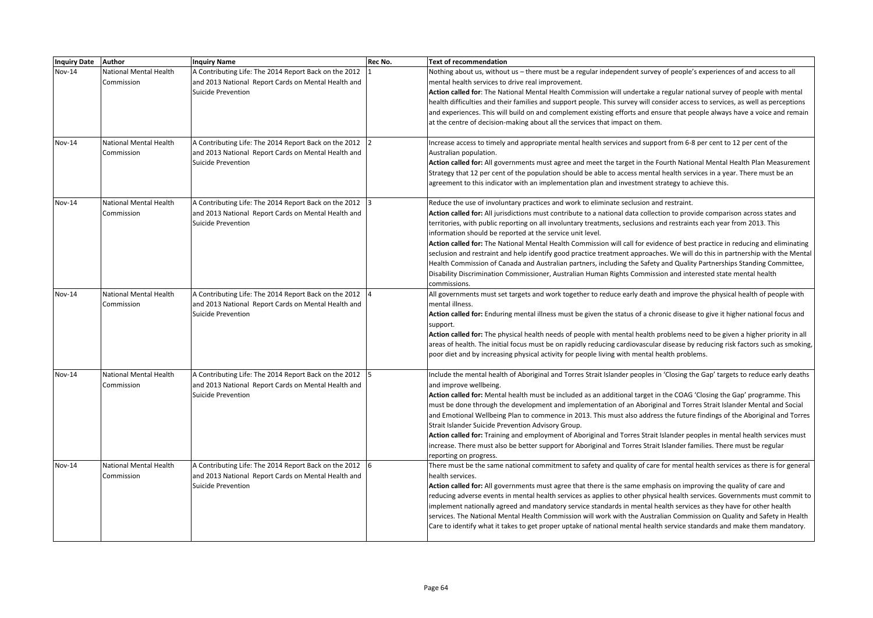| <b>Inquiry Date</b> | Author                                      | <b>Inquiry Name</b>                                                                                                                         | Rec No. | <b>Text of recommendation</b>                                                                                                                                                                                                                                                                                                                                                                                                                                                                                                                                                                                                                                                                                                                                                                                                                                                                                                         |
|---------------------|---------------------------------------------|---------------------------------------------------------------------------------------------------------------------------------------------|---------|---------------------------------------------------------------------------------------------------------------------------------------------------------------------------------------------------------------------------------------------------------------------------------------------------------------------------------------------------------------------------------------------------------------------------------------------------------------------------------------------------------------------------------------------------------------------------------------------------------------------------------------------------------------------------------------------------------------------------------------------------------------------------------------------------------------------------------------------------------------------------------------------------------------------------------------|
| Nov-14              | National Mental Health<br>Commission        | A Contributing Life: The 2014 Report Back on the 2012<br>and 2013 National Report Cards on Mental Health and<br>Suicide Prevention          |         | Nothing about us, without us - there must be a regular independent survey of people's experiences of and access to all<br>mental health services to drive real improvement.<br>Action called for: The National Mental Health Commission will undertake a regular national survey of people with mental<br>health difficulties and their families and support people. This survey will consider access to services, as well as perceptions<br>and experiences. This will build on and complement existing efforts and ensure that people always have a voice and remain<br>at the centre of decision-making about all the services that impact on them.                                                                                                                                                                                                                                                                                |
| Nov-14              | <b>National Mental Health</b><br>Commission | A Contributing Life: The 2014 Report Back on the 2012 2<br>and 2013 National Report Cards on Mental Health and<br><b>Suicide Prevention</b> |         | Increase access to timely and appropriate mental health services and support from 6-8 per cent to 12 per cent of the<br>Australian population.<br>Action called for: All governments must agree and meet the target in the Fourth National Mental Health Plan Measurement<br>Strategy that 12 per cent of the population should be able to access mental health services in a year. There must be an<br>agreement to this indicator with an implementation plan and investment strategy to achieve this.                                                                                                                                                                                                                                                                                                                                                                                                                              |
| <b>Nov-14</b>       | National Mental Health<br>Commission        | A Contributing Life: The 2014 Report Back on the 2012<br>and 2013 National Report Cards on Mental Health and<br>Suicide Prevention          |         | Reduce the use of involuntary practices and work to eliminate seclusion and restraint.<br>Action called for: All jurisdictions must contribute to a national data collection to provide comparison across states and<br>territories, with public reporting on all involuntary treatments, seclusions and restraints each year from 2013. This<br>information should be reported at the service unit level.<br>Action called for: The National Mental Health Commission will call for evidence of best practice in reducing and eliminating<br>seclusion and restraint and help identify good practice treatment approaches. We will do this in partnership with the Mental<br>Health Commission of Canada and Australian partners, including the Safety and Quality Partnerships Standing Committee,<br>Disability Discrimination Commissioner, Australian Human Rights Commission and interested state mental health<br>commissions. |
| <b>Nov-14</b>       | National Mental Health<br>Commission        | A Contributing Life: The 2014 Report Back on the 2012<br>and 2013 National Report Cards on Mental Health and<br>Suicide Prevention          |         | All governments must set targets and work together to reduce early death and improve the physical health of people with<br>mental illness.<br>Action called for: Enduring mental illness must be given the status of a chronic disease to give it higher national focus and<br>support.<br>Action called for: The physical health needs of people with mental health problems need to be given a higher priority in all<br>areas of health. The initial focus must be on rapidly reducing cardiovascular disease by reducing risk factors such as smoking,<br>poor diet and by increasing physical activity for people living with mental health problems.                                                                                                                                                                                                                                                                            |
| <b>Nov-14</b>       | National Mental Health<br>Commission        | A Contributing Life: The 2014 Report Back on the 2012<br>and 2013 National Report Cards on Mental Health and<br><b>Suicide Prevention</b>   |         | Include the mental health of Aboriginal and Torres Strait Islander peoples in 'Closing the Gap' targets to reduce early deaths<br>and improve wellbeing.<br>Action called for: Mental health must be included as an additional target in the COAG 'Closing the Gap' programme. This<br>must be done through the development and implementation of an Aboriginal and Torres Strait Islander Mental and Social<br>and Emotional Wellbeing Plan to commence in 2013. This must also address the future findings of the Aboriginal and Torres<br>Strait Islander Suicide Prevention Advisory Group.<br>Action called for: Training and employment of Aboriginal and Torres Strait Islander peoples in mental health services must<br>increase. There must also be better support for Aboriginal and Torres Strait Islander families. There must be regular<br>reporting on progress.                                                      |
| Nov-14              | <b>National Mental Health</b><br>Commission | A Contributing Life: The 2014 Report Back on the 2012 6<br>and 2013 National Report Cards on Mental Health and<br><b>Suicide Prevention</b> |         | There must be the same national commitment to safety and quality of care for mental health services as there is for general<br>health services.<br>Action called for: All governments must agree that there is the same emphasis on improving the quality of care and<br>reducing adverse events in mental health services as applies to other physical health services. Governments must commit to<br>implement nationally agreed and mandatory service standards in mental health services as they have for other health<br>services. The National Mental Health Commission will work with the Australian Commission on Quality and Safety in Health<br>Care to identify what it takes to get proper uptake of national mental health service standards and make them mandatory.                                                                                                                                                    |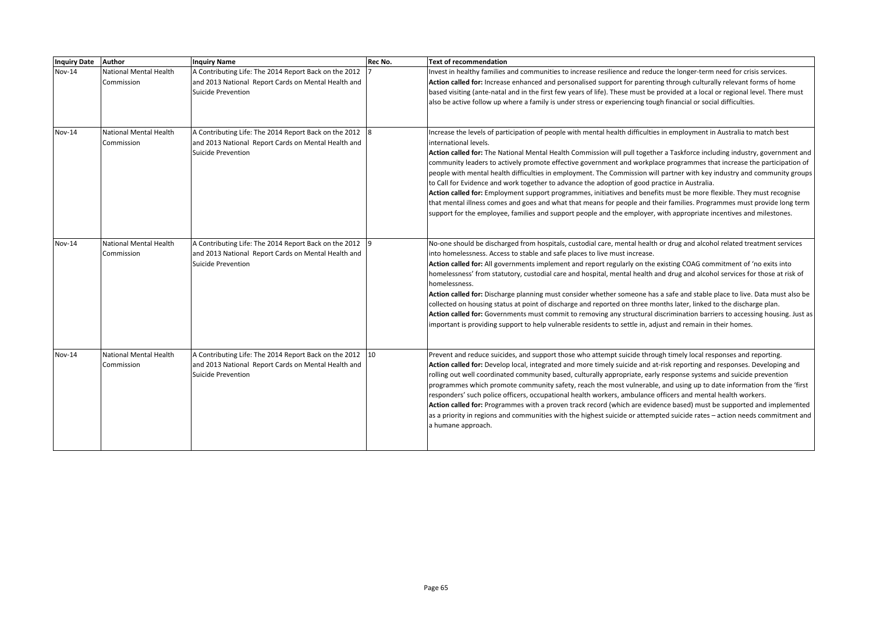| <b>Inquiry Date</b> | <b>Author</b>                               | <b>Inquiry Name</b>                                                                                                                       | Rec No. | Text of recommendation                                                                                                                                                                                                                                                                                                                                                                                                                                                                                                                                                                                                                                                                                                                                                                                                                                                                                                                                                                                           |
|---------------------|---------------------------------------------|-------------------------------------------------------------------------------------------------------------------------------------------|---------|------------------------------------------------------------------------------------------------------------------------------------------------------------------------------------------------------------------------------------------------------------------------------------------------------------------------------------------------------------------------------------------------------------------------------------------------------------------------------------------------------------------------------------------------------------------------------------------------------------------------------------------------------------------------------------------------------------------------------------------------------------------------------------------------------------------------------------------------------------------------------------------------------------------------------------------------------------------------------------------------------------------|
| Nov-14              | National Mental Health<br>Commission        | A Contributing Life: The 2014 Report Back on the 2012<br>and 2013 National Report Cards on Mental Health and<br><b>Suicide Prevention</b> |         | Invest in healthy families and communities to increase resilience and reduce the longer-term need for crisis services.<br>Action called for: Increase enhanced and personalised support for parenting through culturally relevant forms of home<br>based visiting (ante-natal and in the first few years of life). These must be provided at a local or regional level. There must<br>also be active follow up where a family is under stress or experiencing tough financial or social difficulties.                                                                                                                                                                                                                                                                                                                                                                                                                                                                                                            |
| <b>Nov-14</b>       | <b>National Mental Health</b><br>Commission | A Contributing Life: The 2014 Report Back on the 2012 8<br>and 2013 National Report Cards on Mental Health and<br>Suicide Prevention      |         | Increase the levels of participation of people with mental health difficulties in employment in Australia to match best<br>international levels.<br>Action called for: The National Mental Health Commission will pull together a Taskforce including industry, government and<br>community leaders to actively promote effective government and workplace programmes that increase the participation of<br>people with mental health difficulties in employment. The Commission will partner with key industry and community groups<br>to Call for Evidence and work together to advance the adoption of good practice in Australia.<br>Action called for: Employment support programmes, initiatives and benefits must be more flexible. They must recognise<br>that mental illness comes and goes and what that means for people and their families. Programmes must provide long term<br>support for the employee, families and support people and the employer, with appropriate incentives and milestones. |
| Nov-14              | <b>National Mental Health</b><br>Commission | A Contributing Life: The 2014 Report Back on the 2012 9<br>and 2013 National Report Cards on Mental Health and<br>Suicide Prevention      |         | No-one should be discharged from hospitals, custodial care, mental health or drug and alcohol related treatment services<br>into homelessness. Access to stable and safe places to live must increase.<br>Action called for: All governments implement and report regularly on the existing COAG commitment of 'no exits into<br>homelessness' from statutory, custodial care and hospital, mental health and drug and alcohol services for those at risk of<br>homelessness.<br>Action called for: Discharge planning must consider whether someone has a safe and stable place to live. Data must also be<br>collected on housing status at point of discharge and reported on three months later, linked to the discharge plan.<br>Action called for: Governments must commit to removing any structural discrimination barriers to accessing housing. Just as<br>important is providing support to help vulnerable residents to settle in, adjust and remain in their homes.                                 |
| Nov-14              | National Mental Health<br>Commission        | A Contributing Life: The 2014 Report Back on the 2012 10<br>and 2013 National Report Cards on Mental Health and<br>Suicide Prevention     |         | Prevent and reduce suicides, and support those who attempt suicide through timely local responses and reporting.<br>Action called for: Develop local, integrated and more timely suicide and at-risk reporting and responses. Developing and<br>rolling out well coordinated community based, culturally appropriate, early response systems and suicide prevention<br>programmes which promote community safety, reach the most vulnerable, and using up to date information from the 'first<br>responders' such police officers, occupational health workers, ambulance officers and mental health workers.<br>Action called for: Programmes with a proven track record (which are evidence based) must be supported and implemented<br>as a priority in regions and communities with the highest suicide or attempted suicide rates - action needs commitment and<br>a humane approach.                                                                                                                       |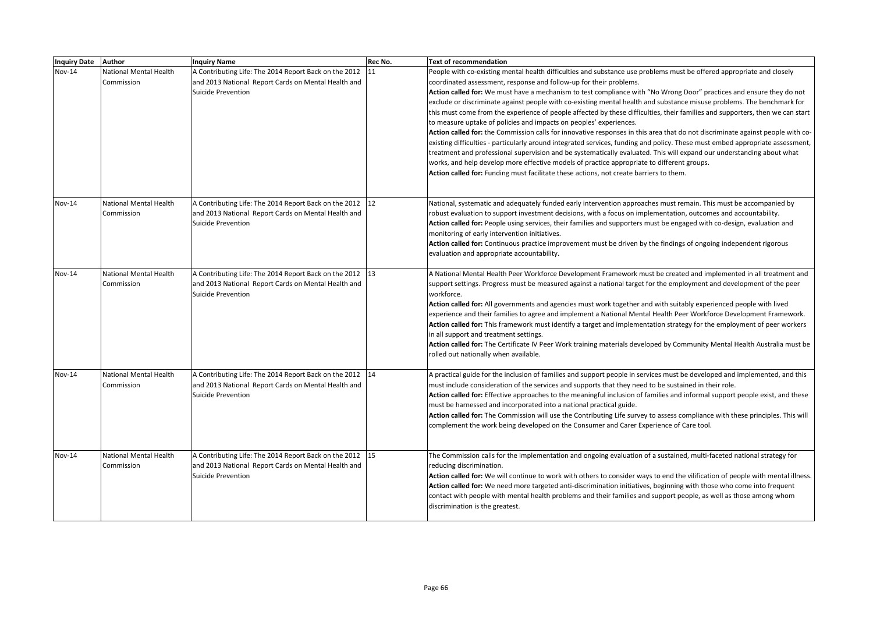| Inquiry Date Author |                               | <b>Inquiry Name</b>                                      | Rec No. | <b>Text of recommendation</b>                                                                                                                         |
|---------------------|-------------------------------|----------------------------------------------------------|---------|-------------------------------------------------------------------------------------------------------------------------------------------------------|
| Nov-14              | National Mental Health        | A Contributing Life: The 2014 Report Back on the 2012    | 11      | People with co-existing mental health difficulties and substance use problems must be offered appropriate and closely                                 |
|                     | Commission                    | and 2013 National Report Cards on Mental Health and      |         | coordinated assessment, response and follow-up for their problems.                                                                                    |
|                     |                               | <b>Suicide Prevention</b>                                |         | Action called for: We must have a mechanism to test compliance with "No Wrong Door" practices and ensure they do not                                  |
|                     |                               |                                                          |         | exclude or discriminate against people with co-existing mental health and substance misuse problems. The benchmark for                                |
|                     |                               |                                                          |         | this must come from the experience of people affected by these difficulties, their families and supporters, then we can start                         |
|                     |                               |                                                          |         | to measure uptake of policies and impacts on peoples' experiences.                                                                                    |
|                     |                               |                                                          |         | Action called for: the Commission calls for innovative responses in this area that do not discriminate against people with co-                        |
|                     |                               |                                                          |         | existing difficulties - particularly around integrated services, funding and policy. These must embed appropriate assessment,                         |
|                     |                               |                                                          |         | treatment and professional supervision and be systematically evaluated. This will expand our understanding about what                                 |
|                     |                               |                                                          |         | works, and help develop more effective models of practice appropriate to different groups.                                                            |
|                     |                               |                                                          |         | Action called for: Funding must facilitate these actions, not create barriers to them.                                                                |
|                     |                               |                                                          |         |                                                                                                                                                       |
| <b>Nov-14</b>       | <b>National Mental Health</b> | A Contributing Life: The 2014 Report Back on the 2012 12 |         | National, systematic and adequately funded early intervention approaches must remain. This must be accompanied by                                     |
|                     | Commission                    | and 2013 National Report Cards on Mental Health and      |         | robust evaluation to support investment decisions, with a focus on implementation, outcomes and accountability.                                       |
|                     |                               | <b>Suicide Prevention</b>                                |         | Action called for: People using services, their families and supporters must be engaged with co-design, evaluation and                                |
|                     |                               |                                                          |         | monitoring of early intervention initiatives.                                                                                                         |
|                     |                               |                                                          |         | Action called for: Continuous practice improvement must be driven by the findings of ongoing independent rigorous                                     |
|                     |                               |                                                          |         | evaluation and appropriate accountability.                                                                                                            |
| <b>Nov-14</b>       | <b>National Mental Health</b> | A Contributing Life: The 2014 Report Back on the 2012 13 |         | A National Mental Health Peer Workforce Development Framework must be created and implemented in all treatment and                                    |
|                     | Commission                    | and 2013 National Report Cards on Mental Health and      |         | support settings. Progress must be measured against a national target for the employment and development of the peer                                  |
|                     |                               | Suicide Prevention                                       |         | workforce.                                                                                                                                            |
|                     |                               |                                                          |         | Action called for: All governments and agencies must work together and with suitably experienced people with lived                                    |
|                     |                               |                                                          |         | experience and their families to agree and implement a National Mental Health Peer Workforce Development Framework.                                   |
|                     |                               |                                                          |         | Action called for: This framework must identify a target and implementation strategy for the employment of peer workers                               |
|                     |                               |                                                          |         | in all support and treatment settings.                                                                                                                |
|                     |                               |                                                          |         | Action called for: The Certificate IV Peer Work training materials developed by Community Mental Health Australia must be                             |
|                     |                               |                                                          |         | rolled out nationally when available.                                                                                                                 |
| Nov-14              | National Mental Health        | A Contributing Life: The 2014 Report Back on the 2012 14 |         | A practical guide for the inclusion of families and support people in services must be developed and implemented, and this                            |
|                     | Commission                    | and 2013 National Report Cards on Mental Health and      |         | must include consideration of the services and supports that they need to be sustained in their role.                                                 |
|                     |                               | <b>Suicide Prevention</b>                                |         | Action called for: Effective approaches to the meaningful inclusion of families and informal support people exist, and these                          |
|                     |                               |                                                          |         | must be harnessed and incorporated into a national practical guide.                                                                                   |
|                     |                               |                                                          |         | Action called for: The Commission will use the Contributing Life survey to assess compliance with these principles. This will                         |
|                     |                               |                                                          |         | complement the work being developed on the Consumer and Carer Experience of Care tool.                                                                |
|                     |                               |                                                          |         |                                                                                                                                                       |
| <b>Nov-14</b>       | National Mental Health        | A Contributing Life: The 2014 Report Back on the 2012 15 |         | The Commission calls for the implementation and ongoing evaluation of a sustained, multi-faceted national strategy for                                |
|                     | Commission                    | and 2013 National Report Cards on Mental Health and      |         | reducing discrimination.                                                                                                                              |
|                     |                               | <b>Suicide Prevention</b>                                |         | Action called for: We will continue to work with others to consider ways to end the vilification of people with mental illness.                       |
|                     |                               |                                                          |         | Action called for: We need more targeted anti-discrimination initiatives, beginning with those who come into frequent                                 |
|                     |                               |                                                          |         | contact with people with mental health problems and their families and support people, as well as those among whom<br>discrimination is the greatest. |
|                     |                               |                                                          |         |                                                                                                                                                       |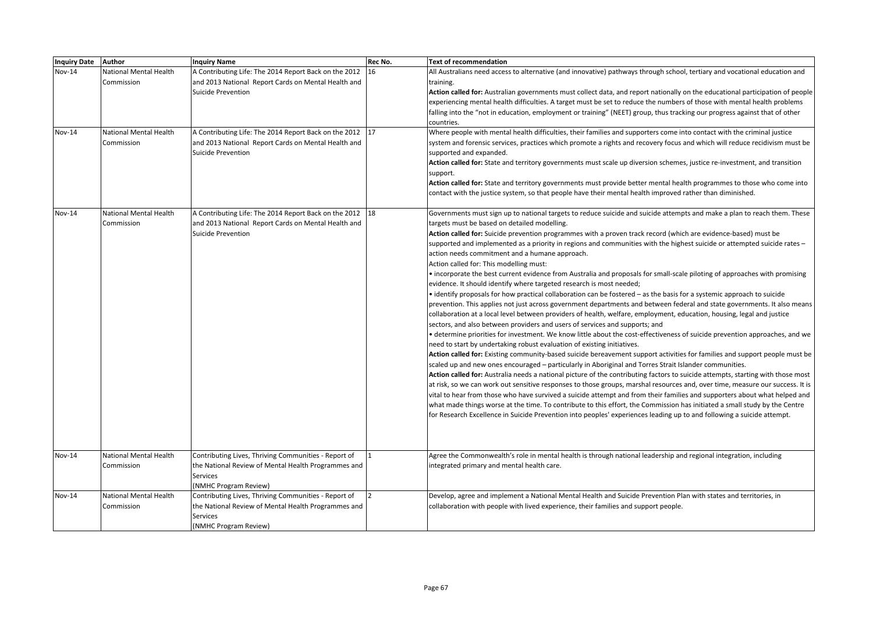| <b>Inquiry Date</b>     | Author                                                         | <b>Inquiry Name</b>                                                                                                                                                                            | Rec No. | Text of recommendation                                                                                                                                                                                                                                                                                                                                                                                                                                                                                                                                                                                                                                                                                                                                                                                                                                                                                                                                                                                                                                                                                                                                                                                                                                                                                                                                                                                                                                                                                                                                                                                                                                                                                                                                                                                                                                                                                                                                                                                                                                                                                                                                                                                                                                                                              |
|-------------------------|----------------------------------------------------------------|------------------------------------------------------------------------------------------------------------------------------------------------------------------------------------------------|---------|-----------------------------------------------------------------------------------------------------------------------------------------------------------------------------------------------------------------------------------------------------------------------------------------------------------------------------------------------------------------------------------------------------------------------------------------------------------------------------------------------------------------------------------------------------------------------------------------------------------------------------------------------------------------------------------------------------------------------------------------------------------------------------------------------------------------------------------------------------------------------------------------------------------------------------------------------------------------------------------------------------------------------------------------------------------------------------------------------------------------------------------------------------------------------------------------------------------------------------------------------------------------------------------------------------------------------------------------------------------------------------------------------------------------------------------------------------------------------------------------------------------------------------------------------------------------------------------------------------------------------------------------------------------------------------------------------------------------------------------------------------------------------------------------------------------------------------------------------------------------------------------------------------------------------------------------------------------------------------------------------------------------------------------------------------------------------------------------------------------------------------------------------------------------------------------------------------------------------------------------------------------------------------------------------------|
| Nov-14<br><b>Nov-14</b> | National Mental Health<br>Commission<br>National Mental Health | A Contributing Life: The 2014 Report Back on the 2012<br>and 2013 National Report Cards on Mental Health and<br>Suicide Prevention<br>A Contributing Life: The 2014 Report Back on the 2012 17 | 16      | All Australians need access to alternative (and innovative) pathways through school, tertiary and vocational education and<br>training.<br>Action called for: Australian governments must collect data, and report nationally on the educational participation of people<br>experiencing mental health difficulties. A target must be set to reduce the numbers of those with mental health problems<br>falling into the "not in education, employment or training" (NEET) group, thus tracking our progress against that of other<br>countries.<br>Where people with mental health difficulties, their families and supporters come into contact with the criminal justice                                                                                                                                                                                                                                                                                                                                                                                                                                                                                                                                                                                                                                                                                                                                                                                                                                                                                                                                                                                                                                                                                                                                                                                                                                                                                                                                                                                                                                                                                                                                                                                                                         |
|                         | Commission                                                     | and 2013 National Report Cards on Mental Health and<br>Suicide Prevention                                                                                                                      |         | system and forensic services, practices which promote a rights and recovery focus and which will reduce recidivism must be<br>supported and expanded.<br>Action called for: State and territory governments must scale up diversion schemes, justice re-investment, and transition<br>support.<br>Action called for: State and territory governments must provide better mental health programmes to those who come into<br>contact with the justice system, so that people have their mental health improved rather than diminished.                                                                                                                                                                                                                                                                                                                                                                                                                                                                                                                                                                                                                                                                                                                                                                                                                                                                                                                                                                                                                                                                                                                                                                                                                                                                                                                                                                                                                                                                                                                                                                                                                                                                                                                                                               |
| <b>Nov-14</b>           | National Mental Health<br>Commission                           | A Contributing Life: The 2014 Report Back on the 2012 18<br>and 2013 National Report Cards on Mental Health and<br>Suicide Prevention                                                          |         | Governments must sign up to national targets to reduce suicide and suicide attempts and make a plan to reach them. These<br>targets must be based on detailed modelling.<br>Action called for: Suicide prevention programmes with a proven track record (which are evidence-based) must be<br>supported and implemented as a priority in regions and communities with the highest suicide or attempted suicide rates -<br>action needs commitment and a humane approach.<br>Action called for: This modelling must:<br>• incorporate the best current evidence from Australia and proposals for small-scale piloting of approaches with promising<br>evidence. It should identify where targeted research is most needed;<br>• identify proposals for how practical collaboration can be fostered – as the basis for a systemic approach to suicide<br>prevention. This applies not just across government departments and between federal and state governments. It also means<br>collaboration at a local level between providers of health, welfare, employment, education, housing, legal and justice<br>sectors, and also between providers and users of services and supports; and<br>• determine priorities for investment. We know little about the cost-effectiveness of suicide prevention approaches, and we<br>need to start by undertaking robust evaluation of existing initiatives.<br>Action called for: Existing community-based suicide bereavement support activities for families and support people must be<br>scaled up and new ones encouraged - particularly in Aboriginal and Torres Strait Islander communities.<br>Action called for: Australia needs a national picture of the contributing factors to suicide attempts, starting with those most<br>at risk, so we can work out sensitive responses to those groups, marshal resources and, over time, measure our success. It is<br>vital to hear from those who have survived a suicide attempt and from their families and supporters about what helped and<br>what made things worse at the time. To contribute to this effort, the Commission has initiated a small study by the Centre<br>for Research Excellence in Suicide Prevention into peoples' experiences leading up to and following a suicide attempt. |
| Nov-14                  | National Mental Health<br>Commission                           | Contributing Lives, Thriving Communities - Report of<br>the National Review of Mental Health Programmes and<br>Services<br>(NMHC Program Review)                                               |         | Agree the Commonwealth's role in mental health is through national leadership and regional integration, including<br>integrated primary and mental health care.                                                                                                                                                                                                                                                                                                                                                                                                                                                                                                                                                                                                                                                                                                                                                                                                                                                                                                                                                                                                                                                                                                                                                                                                                                                                                                                                                                                                                                                                                                                                                                                                                                                                                                                                                                                                                                                                                                                                                                                                                                                                                                                                     |
| <b>Nov-14</b>           | National Mental Health<br>Commission                           | Contributing Lives, Thriving Communities - Report of<br>the National Review of Mental Health Programmes and<br><b>Services</b><br>(NMHC Program Review)                                        |         | Develop, agree and implement a National Mental Health and Suicide Prevention Plan with states and territories, in<br>collaboration with people with lived experience, their families and support people.                                                                                                                                                                                                                                                                                                                                                                                                                                                                                                                                                                                                                                                                                                                                                                                                                                                                                                                                                                                                                                                                                                                                                                                                                                                                                                                                                                                                                                                                                                                                                                                                                                                                                                                                                                                                                                                                                                                                                                                                                                                                                            |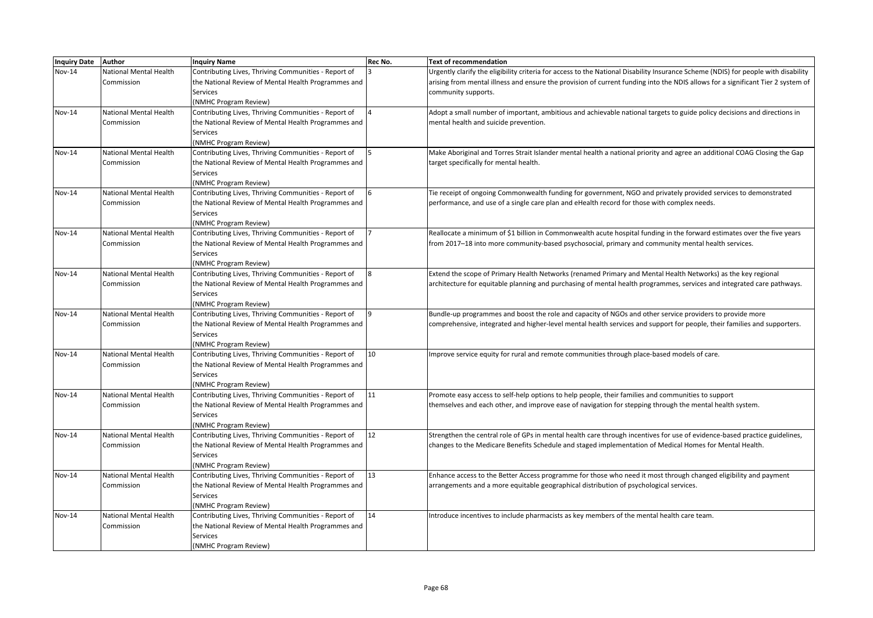| Inquiry Date Author |                               | <b>Inquiry Name</b>                                  | Rec No. | <b>Text of recommendation</b>                                                                                                      |
|---------------------|-------------------------------|------------------------------------------------------|---------|------------------------------------------------------------------------------------------------------------------------------------|
| <b>Nov-14</b>       | National Mental Health        | Contributing Lives, Thriving Communities - Report of |         | Urgently clarify the eligibility criteria for access to the National Disability Insurance Scheme (NDIS) for people with disability |
|                     | Commission                    | the National Review of Mental Health Programmes and  |         | arising from mental illness and ensure the provision of current funding into the NDIS allows for a significant Tier 2 system of    |
|                     |                               | Services                                             |         | community supports.                                                                                                                |
|                     |                               | (NMHC Program Review)                                |         |                                                                                                                                    |
| Nov-14              | <b>National Mental Health</b> | Contributing Lives, Thriving Communities - Report of |         | Adopt a small number of important, ambitious and achievable national targets to guide policy decisions and directions in           |
|                     | Commission                    | the National Review of Mental Health Programmes and  |         | mental health and suicide prevention.                                                                                              |
|                     |                               | Services                                             |         |                                                                                                                                    |
|                     |                               | (NMHC Program Review)                                |         |                                                                                                                                    |
| Nov-14              | <b>National Mental Health</b> | Contributing Lives, Thriving Communities - Report of |         | Make Aboriginal and Torres Strait Islander mental health a national priority and agree an additional COAG Closing the Gap          |
|                     | Commission                    | the National Review of Mental Health Programmes and  |         | target specifically for mental health.                                                                                             |
|                     |                               | <b>Services</b>                                      |         |                                                                                                                                    |
|                     |                               | (NMHC Program Review)                                |         |                                                                                                                                    |
| <b>Nov-14</b>       | <b>National Mental Health</b> | Contributing Lives, Thriving Communities - Report of |         | Tie receipt of ongoing Commonwealth funding for government, NGO and privately provided services to demonstrated                    |
|                     | Commission                    | the National Review of Mental Health Programmes and  |         | performance, and use of a single care plan and eHealth record for those with complex needs.                                        |
|                     |                               | Services                                             |         |                                                                                                                                    |
|                     |                               | (NMHC Program Review)                                |         |                                                                                                                                    |
| Nov-14              | National Mental Health        | Contributing Lives, Thriving Communities - Report of |         | Reallocate a minimum of \$1 billion in Commonwealth acute hospital funding in the forward estimates over the five years            |
|                     | Commission                    | the National Review of Mental Health Programmes and  |         | from 2017-18 into more community-based psychosocial, primary and community mental health services.                                 |
|                     |                               | <b>Services</b>                                      |         |                                                                                                                                    |
|                     |                               | (NMHC Program Review)                                |         |                                                                                                                                    |
| <b>Nov-14</b>       | <b>National Mental Health</b> | Contributing Lives, Thriving Communities - Report of |         | Extend the scope of Primary Health Networks (renamed Primary and Mental Health Networks) as the key regional                       |
|                     | Commission                    | the National Review of Mental Health Programmes and  |         | architecture for equitable planning and purchasing of mental health programmes, services and integrated care pathways.             |
|                     |                               | <b>Services</b>                                      |         |                                                                                                                                    |
|                     |                               | (NMHC Program Review)                                |         |                                                                                                                                    |
| <b>Nov-14</b>       | <b>National Mental Health</b> | Contributing Lives, Thriving Communities - Report of |         | Bundle-up programmes and boost the role and capacity of NGOs and other service providers to provide more                           |
|                     | Commission                    | the National Review of Mental Health Programmes and  |         | comprehensive, integrated and higher-level mental health services and support for people, their families and supporters.           |
|                     |                               | <b>Services</b>                                      |         |                                                                                                                                    |
|                     |                               | (NMHC Program Review)                                |         |                                                                                                                                    |
| <b>Nov-14</b>       | <b>National Mental Health</b> | Contributing Lives, Thriving Communities - Report of | 10      | Improve service equity for rural and remote communities through place-based models of care.                                        |
|                     | Commission                    | the National Review of Mental Health Programmes and  |         |                                                                                                                                    |
|                     |                               | Services                                             |         |                                                                                                                                    |
|                     |                               | (NMHC Program Review)                                |         |                                                                                                                                    |
| Nov-14              | <b>National Mental Health</b> | Contributing Lives, Thriving Communities - Report of | 11      | Promote easy access to self-help options to help people, their families and communities to support                                 |
|                     | Commission                    | the National Review of Mental Health Programmes and  |         | themselves and each other, and improve ease of navigation for stepping through the mental health system.                           |
|                     |                               | <b>Services</b>                                      |         |                                                                                                                                    |
|                     |                               | (NMHC Program Review)                                |         |                                                                                                                                    |
| <b>Nov-14</b>       | <b>National Mental Health</b> | Contributing Lives, Thriving Communities - Report of | 12      | Strengthen the central role of GPs in mental health care through incentives for use of evidence-based practice guidelines,         |
|                     | Commission                    | the National Review of Mental Health Programmes and  |         | changes to the Medicare Benefits Schedule and staged implementation of Medical Homes for Mental Health.                            |
|                     |                               | <b>Services</b>                                      |         |                                                                                                                                    |
|                     |                               | (NMHC Program Review)                                |         |                                                                                                                                    |
| <b>Nov-14</b>       | <b>National Mental Health</b> | Contributing Lives, Thriving Communities - Report of | 13      | Enhance access to the Better Access programme for those who need it most through changed eligibility and payment                   |
|                     | Commission                    | the National Review of Mental Health Programmes and  |         | arrangements and a more equitable geographical distribution of psychological services.                                             |
|                     |                               | <b>Services</b>                                      |         |                                                                                                                                    |
|                     |                               | (NMHC Program Review)                                |         |                                                                                                                                    |
| $Nov-14$            | <b>National Mental Health</b> | Contributing Lives, Thriving Communities - Report of | 14      | Introduce incentives to include pharmacists as key members of the mental health care team.                                         |
|                     | Commission                    | the National Review of Mental Health Programmes and  |         |                                                                                                                                    |
|                     |                               | Services                                             |         |                                                                                                                                    |
|                     |                               | (NMHC Program Review)                                |         |                                                                                                                                    |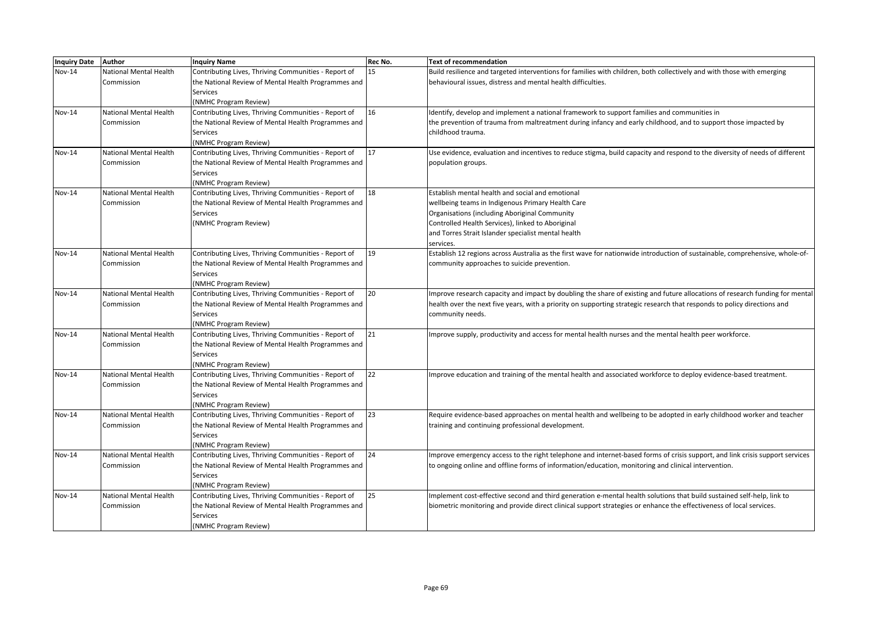| <b>Inquiry Date</b> | Author                 | <b>Inquiry Name</b>                                                           | Rec No. | <b>Text of recommendation</b>                                                                                                |
|---------------------|------------------------|-------------------------------------------------------------------------------|---------|------------------------------------------------------------------------------------------------------------------------------|
| Nov-14              | National Mental Health | Contributing Lives, Thriving Communities - Report of                          | 15      | Build resilience and targeted interventions for families with children, both collectively and with those with emerging       |
|                     | Commission             | the National Review of Mental Health Programmes and                           |         | behavioural issues, distress and mental health difficulties.                                                                 |
|                     |                        | Services                                                                      |         |                                                                                                                              |
|                     |                        | (NMHC Program Review)                                                         |         |                                                                                                                              |
| Nov-14              | National Mental Health | Contributing Lives, Thriving Communities - Report of                          | 16      | Identify, develop and implement a national framework to support families and communities in                                  |
|                     | Commission             | the National Review of Mental Health Programmes and                           |         | the prevention of trauma from maltreatment during infancy and early childhood, and to support those impacted by              |
|                     |                        | Services                                                                      |         | childhood trauma.                                                                                                            |
|                     |                        | (NMHC Program Review)                                                         |         |                                                                                                                              |
| Nov-14              | National Mental Health | Contributing Lives, Thriving Communities - Report of                          | 17      | Use evidence, evaluation and incentives to reduce stigma, build capacity and respond to the diversity of needs of different  |
|                     | Commission             | the National Review of Mental Health Programmes and                           |         | population groups.                                                                                                           |
|                     |                        | Services                                                                      |         |                                                                                                                              |
|                     |                        | (NMHC Program Review)                                                         |         |                                                                                                                              |
| <b>Nov-14</b>       | National Mental Health | Contributing Lives, Thriving Communities - Report of                          | 18      | Establish mental health and social and emotional                                                                             |
|                     | Commission             | the National Review of Mental Health Programmes and                           |         | wellbeing teams in Indigenous Primary Health Care                                                                            |
|                     |                        | Services                                                                      |         | Organisations (including Aboriginal Community                                                                                |
|                     |                        | (NMHC Program Review)                                                         |         | Controlled Health Services), linked to Aboriginal                                                                            |
|                     |                        |                                                                               |         | and Torres Strait Islander specialist mental health                                                                          |
|                     |                        |                                                                               |         | services.                                                                                                                    |
| Nov-14              | National Mental Health | Contributing Lives, Thriving Communities - Report of                          | 19      | Establish 12 regions across Australia as the first wave for nationwide introduction of sustainable, comprehensive, whole-of- |
|                     | Commission             | the National Review of Mental Health Programmes and                           |         | community approaches to suicide prevention.                                                                                  |
|                     |                        | <b>Services</b>                                                               |         |                                                                                                                              |
|                     |                        | (NMHC Program Review)                                                         |         |                                                                                                                              |
| Nov-14              | National Mental Health | Contributing Lives, Thriving Communities - Report of                          | 20      | Improve research capacity and impact by doubling the share of existing and future allocations of research funding for mental |
|                     | Commission             | the National Review of Mental Health Programmes and                           |         | health over the next five years, with a priority on supporting strategic research that responds to policy directions and     |
|                     |                        | Services                                                                      |         | community needs.                                                                                                             |
| Nov-14              | National Mental Health | (NMHC Program Review)<br>Contributing Lives, Thriving Communities - Report of | 21      | Improve supply, productivity and access for mental health nurses and the mental health peer workforce.                       |
|                     | Commission             | the National Review of Mental Health Programmes and                           |         |                                                                                                                              |
|                     |                        | Services                                                                      |         |                                                                                                                              |
|                     |                        | (NMHC Program Review)                                                         |         |                                                                                                                              |
| <b>Nov-14</b>       | National Mental Health | Contributing Lives, Thriving Communities - Report of                          | 22      | Improve education and training of the mental health and associated workforce to deploy evidence-based treatment.             |
|                     | Commission             | the National Review of Mental Health Programmes and                           |         |                                                                                                                              |
|                     |                        | Services                                                                      |         |                                                                                                                              |
|                     |                        | (NMHC Program Review)                                                         |         |                                                                                                                              |
| Nov-14              | National Mental Health | Contributing Lives, Thriving Communities - Report of                          | 23      | Require evidence-based approaches on mental health and wellbeing to be adopted in early childhood worker and teacher         |
|                     | Commission             | the National Review of Mental Health Programmes and                           |         | training and continuing professional development.                                                                            |
|                     |                        | Services                                                                      |         |                                                                                                                              |
|                     |                        | (NMHC Program Review)                                                         |         |                                                                                                                              |
| Nov-14              | National Mental Health | Contributing Lives, Thriving Communities - Report of                          | 24      | Improve emergency access to the right telephone and internet-based forms of crisis support, and link crisis support services |
|                     | Commission             | the National Review of Mental Health Programmes and                           |         | to ongoing online and offline forms of information/education, monitoring and clinical intervention.                          |
|                     |                        | Services                                                                      |         |                                                                                                                              |
|                     |                        | (NMHC Program Review)                                                         |         |                                                                                                                              |
| <b>Nov-14</b>       | National Mental Health | Contributing Lives, Thriving Communities - Report of                          | 25      | Implement cost-effective second and third generation e-mental health solutions that build sustained self-help, link to       |
|                     | Commission             | the National Review of Mental Health Programmes and                           |         | biometric monitoring and provide direct clinical support strategies or enhance the effectiveness of local services.          |
|                     |                        | Services                                                                      |         |                                                                                                                              |
|                     |                        | (NMHC Program Review)                                                         |         |                                                                                                                              |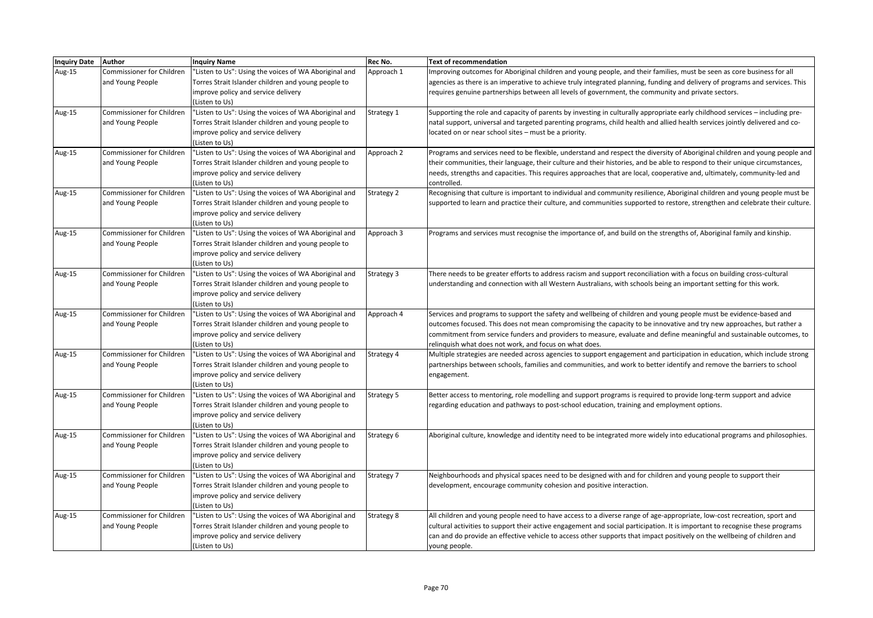| Inquiry Date Author |                                  | <b>Inquiry Name</b>                                   | Rec No.           | <b>Text of recommendation</b>                                                                                                |
|---------------------|----------------------------------|-------------------------------------------------------|-------------------|------------------------------------------------------------------------------------------------------------------------------|
| Aug-15              | Commissioner for Children        | "Listen to Us": Using the voices of WA Aboriginal and | Approach 1        | Improving outcomes for Aboriginal children and young people, and their families, must be seen as core business for all       |
|                     | and Young People                 | Torres Strait Islander children and young people to   |                   | agencies as there is an imperative to achieve truly integrated planning, funding and delivery of programs and services. This |
|                     |                                  | improve policy and service delivery                   |                   | requires genuine partnerships between all levels of government, the community and private sectors.                           |
|                     |                                  | (Listen to Us)                                        |                   |                                                                                                                              |
| Aug-15              | Commissioner for Children        | "Listen to Us": Using the voices of WA Aboriginal and | Strategy 1        | Supporting the role and capacity of parents by investing in culturally appropriate early childhood services – including pre- |
|                     | and Young People                 | Torres Strait Islander children and young people to   |                   | natal support, universal and targeted parenting programs, child health and allied health services jointly delivered and co-  |
|                     |                                  | improve policy and service delivery                   |                   | located on or near school sites - must be a priority.                                                                        |
|                     |                                  | (Listen to Us)                                        |                   |                                                                                                                              |
| Aug-15              | Commissioner for Children        | "Listen to Us": Using the voices of WA Aboriginal and | Approach 2        | Programs and services need to be flexible, understand and respect the diversity of Aboriginal children and young people and  |
|                     | and Young People                 | Torres Strait Islander children and young people to   |                   | their communities, their language, their culture and their histories, and be able to respond to their unique circumstances,  |
|                     |                                  | improve policy and service delivery                   |                   | needs, strengths and capacities. This requires approaches that are local, cooperative and, ultimately, community-led and     |
|                     |                                  | (Listen to Us)                                        |                   | controlled.                                                                                                                  |
| Aug-15              | <b>Commissioner for Children</b> | "Listen to Us": Using the voices of WA Aboriginal and | <b>Strategy 2</b> | Recognising that culture is important to individual and community resilience, Aboriginal children and young people must be   |
|                     | and Young People                 | Torres Strait Islander children and young people to   |                   | supported to learn and practice their culture, and communities supported to restore, strengthen and celebrate their culture. |
|                     |                                  | improve policy and service delivery                   |                   |                                                                                                                              |
|                     |                                  | (Listen to Us)                                        |                   |                                                                                                                              |
| Aug-15              | Commissioner for Children        | "Listen to Us": Using the voices of WA Aboriginal and | Approach 3        | Programs and services must recognise the importance of, and build on the strengths of, Aboriginal family and kinship.        |
|                     | and Young People                 | Torres Strait Islander children and young people to   |                   |                                                                                                                              |
|                     |                                  | improve policy and service delivery                   |                   |                                                                                                                              |
|                     |                                  | (Listen to Us)                                        |                   |                                                                                                                              |
| Aug-15              | <b>Commissioner for Children</b> | "Listen to Us": Using the voices of WA Aboriginal and | Strategy 3        | There needs to be greater efforts to address racism and support reconciliation with a focus on building cross-cultural       |
|                     | and Young People                 | Torres Strait Islander children and young people to   |                   | understanding and connection with all Western Australians, with schools being an important setting for this work.            |
|                     |                                  | improve policy and service delivery                   |                   |                                                                                                                              |
|                     |                                  | (Listen to Us)                                        |                   |                                                                                                                              |
| Aug-15              | Commissioner for Children        | "Listen to Us": Using the voices of WA Aboriginal and | Approach 4        | Services and programs to support the safety and wellbeing of children and young people must be evidence-based and            |
|                     | and Young People                 | Torres Strait Islander children and young people to   |                   | outcomes focused. This does not mean compromising the capacity to be innovative and try new approaches, but rather a         |
|                     |                                  | improve policy and service delivery                   |                   | commitment from service funders and providers to measure, evaluate and define meaningful and sustainable outcomes, to        |
|                     |                                  | (Listen to Us)                                        |                   | relinquish what does not work, and focus on what does.                                                                       |
| Aug-15              | Commissioner for Children        | "Listen to Us": Using the voices of WA Aboriginal and | Strategy 4        | Multiple strategies are needed across agencies to support engagement and participation in education, which include strong    |
|                     | and Young People                 | Torres Strait Islander children and young people to   |                   | partnerships between schools, families and communities, and work to better identify and remove the barriers to school        |
|                     |                                  | improve policy and service delivery                   |                   | engagement.                                                                                                                  |
|                     |                                  | (Listen to Us)                                        |                   |                                                                                                                              |
| Aug-15              | Commissioner for Children        | "Listen to Us": Using the voices of WA Aboriginal and | Strategy 5        | Better access to mentoring, role modelling and support programs is required to provide long-term support and advice          |
|                     | and Young People                 | Torres Strait Islander children and young people to   |                   | regarding education and pathways to post-school education, training and employment options.                                  |
|                     |                                  | improve policy and service delivery                   |                   |                                                                                                                              |
|                     |                                  | (Listen to Us)                                        |                   |                                                                                                                              |
| Aug-15              | <b>Commissioner for Children</b> | "Listen to Us": Using the voices of WA Aboriginal and | Strategy 6        | Aboriginal culture, knowledge and identity need to be integrated more widely into educational programs and philosophies.     |
|                     | and Young People                 | Torres Strait Islander children and young people to   |                   |                                                                                                                              |
|                     |                                  | improve policy and service delivery                   |                   |                                                                                                                              |
|                     |                                  | (Listen to Us)                                        |                   |                                                                                                                              |
| Aug-15              | Commissioner for Children        | "Listen to Us": Using the voices of WA Aboriginal and | Strategy 7        | Neighbourhoods and physical spaces need to be designed with and for children and young people to support their               |
|                     | and Young People                 | Torres Strait Islander children and young people to   |                   | development, encourage community cohesion and positive interaction.                                                          |
|                     |                                  | improve policy and service delivery                   |                   |                                                                                                                              |
|                     |                                  | (Listen to Us)                                        |                   |                                                                                                                              |
| Aug-15              | Commissioner for Children        | "Listen to Us": Using the voices of WA Aboriginal and | <b>Strategy 8</b> | All children and young people need to have access to a diverse range of age-appropriate, low-cost recreation, sport and      |
|                     | and Young People                 | Torres Strait Islander children and young people to   |                   | cultural activities to support their active engagement and social participation. It is important to recognise these programs |
|                     |                                  | improve policy and service delivery                   |                   | can and do provide an effective vehicle to access other supports that impact positively on the wellbeing of children and     |
|                     |                                  | (Listen to Us)                                        |                   | young people.                                                                                                                |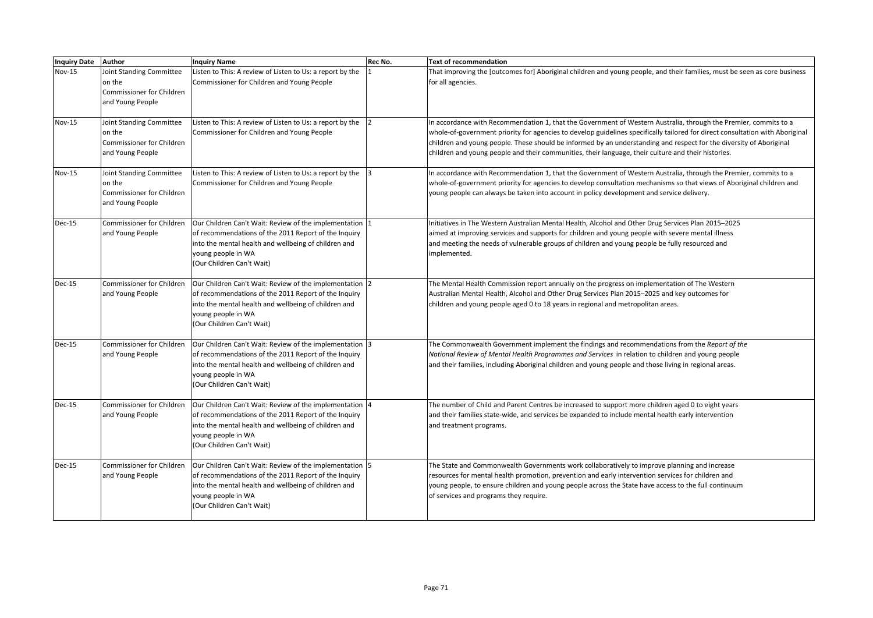| <b>Inquiry Date</b> | Author                                                                              | <b>Inquiry Name</b>                                                                                                                                                                                                         | <b>Rec No.</b> | Text of recommendation                                                                                                                                                                                                                                                                                                                                                                                                                                                          |
|---------------------|-------------------------------------------------------------------------------------|-----------------------------------------------------------------------------------------------------------------------------------------------------------------------------------------------------------------------------|----------------|---------------------------------------------------------------------------------------------------------------------------------------------------------------------------------------------------------------------------------------------------------------------------------------------------------------------------------------------------------------------------------------------------------------------------------------------------------------------------------|
| <b>Nov-15</b>       | Joint Standing Committee<br>on the<br>Commissioner for Children<br>and Young People | Listen to This: A review of Listen to Us: a report by the<br>Commissioner for Children and Young People                                                                                                                     |                | That improving the [outcomes for] Aboriginal children and young people, and their families, must be seen as core business<br>for all agencies.                                                                                                                                                                                                                                                                                                                                  |
| <b>Nov-15</b>       | Joint Standing Committee<br>on the<br>Commissioner for Children<br>and Young People | Listen to This: A review of Listen to Us: a report by the<br>Commissioner for Children and Young People                                                                                                                     |                | In accordance with Recommendation 1, that the Government of Western Australia, through the Premier, commits to a<br>whole-of-government priority for agencies to develop guidelines specifically tailored for direct consultation with Aboriginal<br>children and young people. These should be informed by an understanding and respect for the diversity of Aboriginal<br>children and young people and their communities, their language, their culture and their histories. |
| <b>Nov-15</b>       | Joint Standing Committee<br>on the<br>Commissioner for Children<br>and Young People | Listen to This: A review of Listen to Us: a report by the<br>Commissioner for Children and Young People                                                                                                                     |                | In accordance with Recommendation 1, that the Government of Western Australia, through the Premier, commits to a<br>whole-of-government priority for agencies to develop consultation mechanisms so that views of Aboriginal children and<br>young people can always be taken into account in policy development and service delivery.                                                                                                                                          |
| <b>Dec-15</b>       | Commissioner for Children<br>and Young People                                       | Our Children Can't Wait: Review of the implementation  1<br>of recommendations of the 2011 Report of the Inquiry<br>into the mental health and wellbeing of children and<br>young people in WA<br>(Our Children Can't Wait) |                | Initiatives in The Western Australian Mental Health, Alcohol and Other Drug Services Plan 2015-2025<br>aimed at improving services and supports for children and young people with severe mental illness<br>and meeting the needs of vulnerable groups of children and young people be fully resourced and<br>implemented.                                                                                                                                                      |
| Dec-15              | Commissioner for Children<br>and Young People                                       | Our Children Can't Wait: Review of the implementation 2<br>of recommendations of the 2011 Report of the Inquiry<br>into the mental health and wellbeing of children and<br>young people in WA<br>(Our Children Can't Wait)  |                | The Mental Health Commission report annually on the progress on implementation of The Western<br>Australian Mental Health, Alcohol and Other Drug Services Plan 2015-2025 and key outcomes for<br>children and young people aged 0 to 18 years in regional and metropolitan areas.                                                                                                                                                                                              |
| Dec-15              | Commissioner for Children<br>and Young People                                       | Our Children Can't Wait: Review of the implementation 3<br>of recommendations of the 2011 Report of the Inquiry<br>into the mental health and wellbeing of children and<br>young people in WA<br>(Our Children Can't Wait)  |                | The Commonwealth Government implement the findings and recommendations from the Report of the<br>National Review of Mental Health Programmes and Services in relation to children and young people<br>and their families, including Aboriginal children and young people and those living in regional areas.                                                                                                                                                                    |
| Dec-15              | Commissioner for Children<br>and Young People                                       | Our Children Can't Wait: Review of the implementation 4<br>of recommendations of the 2011 Report of the Inquiry<br>into the mental health and wellbeing of children and<br>young people in WA<br>(Our Children Can't Wait)  |                | The number of Child and Parent Centres be increased to support more children aged 0 to eight years<br>and their families state-wide, and services be expanded to include mental health early intervention<br>and treatment programs.                                                                                                                                                                                                                                            |
| <b>Dec-15</b>       | Commissioner for Children<br>and Young People                                       | Our Children Can't Wait: Review of the implementation 5<br>of recommendations of the 2011 Report of the Inquiry<br>into the mental health and wellbeing of children and<br>young people in WA<br>(Our Children Can't Wait)  |                | The State and Commonwealth Governments work collaboratively to improve planning and increase<br>resources for mental health promotion, prevention and early intervention services for children and<br>young people, to ensure children and young people across the State have access to the full continuum<br>of services and programs they require.                                                                                                                            |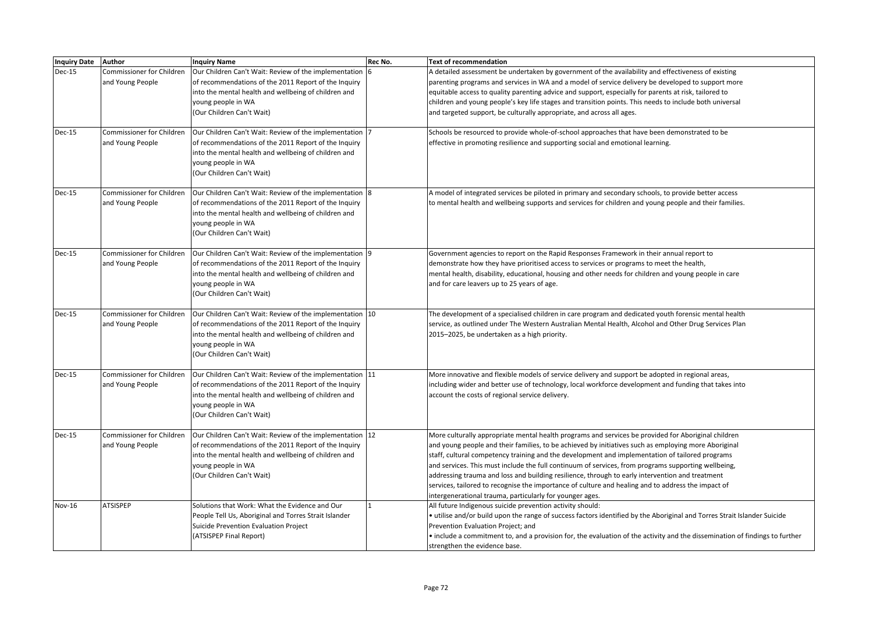| Inquiry Date Author |                                               | <b>Inquiry Name</b>                                                                                           | Rec No. | <b>Text of recommendation</b>                                                                                                                                                                             |
|---------------------|-----------------------------------------------|---------------------------------------------------------------------------------------------------------------|---------|-----------------------------------------------------------------------------------------------------------------------------------------------------------------------------------------------------------|
| <b>Dec-15</b>       | Commissioner for Children<br>and Young People | Our Children Can't Wait: Review of the implementation<br>of recommendations of the 2011 Report of the Inquiry |         | A detailed assessment be undertaken by government of the availability and effectiveness of existing<br>parenting programs and services in WA and a model of service delivery be developed to support more |
|                     |                                               | into the mental health and wellbeing of children and                                                          |         | equitable access to quality parenting advice and support, especially for parents at risk, tailored to                                                                                                     |
|                     |                                               | young people in WA                                                                                            |         | children and young people's key life stages and transition points. This needs to include both universal                                                                                                   |
|                     |                                               | (Our Children Can't Wait)                                                                                     |         | and targeted support, be culturally appropriate, and across all ages.                                                                                                                                     |
|                     |                                               |                                                                                                               |         |                                                                                                                                                                                                           |
| <b>Dec-15</b>       | Commissioner for Children                     | Our Children Can't Wait: Review of the implementation                                                         |         | Schools be resourced to provide whole-of-school approaches that have been demonstrated to be                                                                                                              |
|                     | and Young People                              | of recommendations of the 2011 Report of the Inquiry                                                          |         | effective in promoting resilience and supporting social and emotional learning.                                                                                                                           |
|                     |                                               | into the mental health and wellbeing of children and                                                          |         |                                                                                                                                                                                                           |
|                     |                                               | young people in WA                                                                                            |         |                                                                                                                                                                                                           |
|                     |                                               | (Our Children Can't Wait)                                                                                     |         |                                                                                                                                                                                                           |
| Dec-15              | Commissioner for Children                     | Our Children Can't Wait: Review of the implementation 8                                                       |         | A model of integrated services be piloted in primary and secondary schools, to provide better access                                                                                                      |
|                     | and Young People                              | of recommendations of the 2011 Report of the Inquiry                                                          |         | to mental health and wellbeing supports and services for children and young people and their families.                                                                                                    |
|                     |                                               | into the mental health and wellbeing of children and                                                          |         |                                                                                                                                                                                                           |
|                     |                                               | young people in WA                                                                                            |         |                                                                                                                                                                                                           |
|                     |                                               | (Our Children Can't Wait)                                                                                     |         |                                                                                                                                                                                                           |
| Dec-15              | Commissioner for Children                     | Our Children Can't Wait: Review of the implementation 9                                                       |         | Government agencies to report on the Rapid Responses Framework in their annual report to                                                                                                                  |
|                     | and Young People                              | of recommendations of the 2011 Report of the Inquiry                                                          |         | demonstrate how they have prioritised access to services or programs to meet the health,                                                                                                                  |
|                     |                                               | into the mental health and wellbeing of children and                                                          |         | mental health, disability, educational, housing and other needs for children and young people in care                                                                                                     |
|                     |                                               | young people in WA                                                                                            |         | and for care leavers up to 25 years of age.                                                                                                                                                               |
|                     |                                               | (Our Children Can't Wait)                                                                                     |         |                                                                                                                                                                                                           |
| Dec-15              | Commissioner for Children                     | Our Children Can't Wait: Review of the implementation 10                                                      |         | The development of a specialised children in care program and dedicated youth forensic mental health                                                                                                      |
|                     | and Young People                              | of recommendations of the 2011 Report of the Inquiry                                                          |         | service, as outlined under The Western Australian Mental Health, Alcohol and Other Drug Services Plan                                                                                                     |
|                     |                                               | into the mental health and wellbeing of children and                                                          |         | 2015-2025, be undertaken as a high priority.                                                                                                                                                              |
|                     |                                               | young people in WA                                                                                            |         |                                                                                                                                                                                                           |
|                     |                                               | (Our Children Can't Wait)                                                                                     |         |                                                                                                                                                                                                           |
| <b>Dec-15</b>       | Commissioner for Children                     | Our Children Can't Wait: Review of the implementation 11                                                      |         | More innovative and flexible models of service delivery and support be adopted in regional areas,                                                                                                         |
|                     | and Young People                              | of recommendations of the 2011 Report of the Inquiry                                                          |         | including wider and better use of technology, local workforce development and funding that takes into                                                                                                     |
|                     |                                               | into the mental health and wellbeing of children and                                                          |         | account the costs of regional service delivery.                                                                                                                                                           |
|                     |                                               | young people in WA                                                                                            |         |                                                                                                                                                                                                           |
|                     |                                               | (Our Children Can't Wait)                                                                                     |         |                                                                                                                                                                                                           |
| <b>Dec-15</b>       | Commissioner for Children                     | Our Children Can't Wait: Review of the implementation 12                                                      |         | More culturally appropriate mental health programs and services be provided for Aboriginal children                                                                                                       |
|                     | and Young People                              | of recommendations of the 2011 Report of the Inquiry                                                          |         | and young people and their families, to be achieved by initiatives such as employing more Aboriginal                                                                                                      |
|                     |                                               | into the mental health and wellbeing of children and                                                          |         | staff, cultural competency training and the development and implementation of tailored programs                                                                                                           |
|                     |                                               | young people in WA                                                                                            |         | and services. This must include the full continuum of services, from programs supporting wellbeing,                                                                                                       |
|                     |                                               | (Our Children Can't Wait)                                                                                     |         | addressing trauma and loss and building resilience, through to early intervention and treatment                                                                                                           |
|                     |                                               |                                                                                                               |         | services, tailored to recognise the importance of culture and healing and to address the impact of                                                                                                        |
|                     |                                               |                                                                                                               |         | intergenerational trauma, particularly for younger ages.                                                                                                                                                  |
| <b>Nov-16</b>       | <b>ATSISPEP</b>                               | Solutions that Work: What the Evidence and Our                                                                |         | All future Indigenous suicide prevention activity should:                                                                                                                                                 |
|                     |                                               | People Tell Us, Aboriginal and Torres Strait Islander                                                         |         | . utilise and/or build upon the range of success factors identified by the Aboriginal and Torres Strait Islander Suicide                                                                                  |
|                     |                                               | Suicide Prevention Evaluation Project                                                                         |         | Prevention Evaluation Project; and                                                                                                                                                                        |
|                     |                                               | (ATSISPEP Final Report)                                                                                       |         | • include a commitment to, and a provision for, the evaluation of the activity and the dissemination of findings to further                                                                               |
|                     |                                               |                                                                                                               |         | strengthen the evidence base.                                                                                                                                                                             |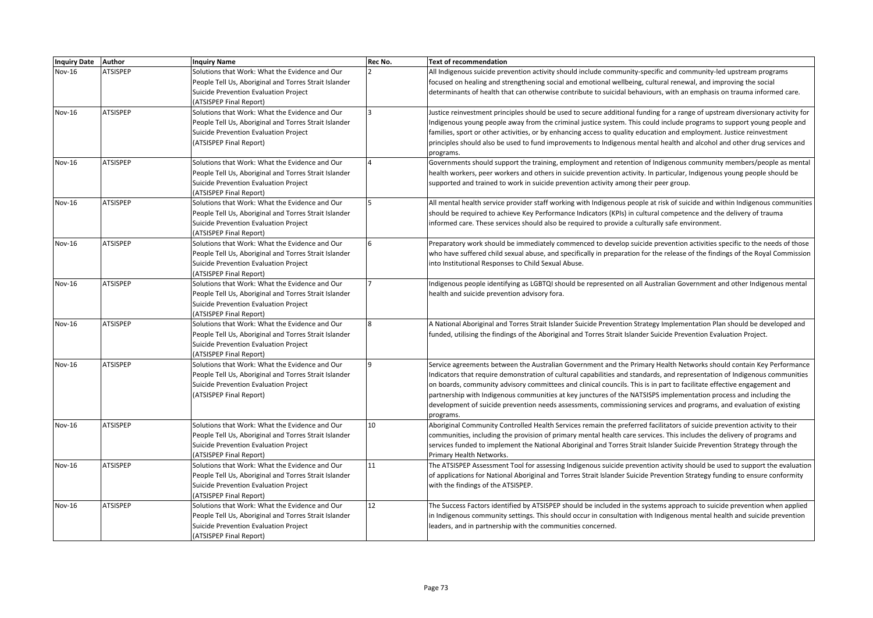| <b>Nov-16</b><br><b>ATSISPEP</b><br>Solutions that Work: What the Evidence and Our<br>All Indigenous suicide prevention activity should include community-specific and community-led upstream programs<br>People Tell Us, Aboriginal and Torres Strait Islander<br>focused on healing and strengthening social and emotional wellbeing, cultural renewal, and improving the social<br>Suicide Prevention Evaluation Project<br>determinants of health that can otherwise contribute to suicidal behaviours, with an emphasis on trauma informed care.<br>(ATSISPEP Final Report) |  |
|----------------------------------------------------------------------------------------------------------------------------------------------------------------------------------------------------------------------------------------------------------------------------------------------------------------------------------------------------------------------------------------------------------------------------------------------------------------------------------------------------------------------------------------------------------------------------------|--|
|                                                                                                                                                                                                                                                                                                                                                                                                                                                                                                                                                                                  |  |
|                                                                                                                                                                                                                                                                                                                                                                                                                                                                                                                                                                                  |  |
|                                                                                                                                                                                                                                                                                                                                                                                                                                                                                                                                                                                  |  |
|                                                                                                                                                                                                                                                                                                                                                                                                                                                                                                                                                                                  |  |
| Nov-16<br><b>ATSISPEP</b><br>Solutions that Work: What the Evidence and Our<br>Justice reinvestment principles should be used to secure additional funding for a range of upstream diversionary activity for                                                                                                                                                                                                                                                                                                                                                                     |  |
| People Tell Us, Aboriginal and Torres Strait Islander<br>Indigenous young people away from the criminal justice system. This could include programs to support young people and                                                                                                                                                                                                                                                                                                                                                                                                  |  |
| Suicide Prevention Evaluation Project<br>families, sport or other activities, or by enhancing access to quality education and employment. Justice reinvestment                                                                                                                                                                                                                                                                                                                                                                                                                   |  |
| (ATSISPEP Final Report)<br>principles should also be used to fund improvements to Indigenous mental health and alcohol and other drug services and                                                                                                                                                                                                                                                                                                                                                                                                                               |  |
| programs.                                                                                                                                                                                                                                                                                                                                                                                                                                                                                                                                                                        |  |
| <b>ATSISPEP</b><br>Nov-16<br>Solutions that Work: What the Evidence and Our<br>Governments should support the training, employment and retention of Indigenous community members/people as mental                                                                                                                                                                                                                                                                                                                                                                                |  |
| People Tell Us, Aboriginal and Torres Strait Islander<br>health workers, peer workers and others in suicide prevention activity. In particular, Indigenous young people should be                                                                                                                                                                                                                                                                                                                                                                                                |  |
| Suicide Prevention Evaluation Project<br>supported and trained to work in suicide prevention activity among their peer group.                                                                                                                                                                                                                                                                                                                                                                                                                                                    |  |
| (ATSISPEP Final Report)                                                                                                                                                                                                                                                                                                                                                                                                                                                                                                                                                          |  |
| <b>ATSISPEP</b><br>Solutions that Work: What the Evidence and Our<br>Nov-16<br>All mental health service provider staff working with Indigenous people at risk of suicide and within Indigenous communities                                                                                                                                                                                                                                                                                                                                                                      |  |
| People Tell Us, Aboriginal and Torres Strait Islander<br>should be required to achieve Key Performance Indicators (KPIs) in cultural competence and the delivery of trauma                                                                                                                                                                                                                                                                                                                                                                                                       |  |
| informed care. These services should also be required to provide a culturally safe environment.<br>Suicide Prevention Evaluation Project                                                                                                                                                                                                                                                                                                                                                                                                                                         |  |
| (ATSISPEP Final Report)                                                                                                                                                                                                                                                                                                                                                                                                                                                                                                                                                          |  |
| <b>ATSISPEP</b><br>Solutions that Work: What the Evidence and Our<br>Preparatory work should be immediately commenced to develop suicide prevention activities specific to the needs of those<br>Nov-16                                                                                                                                                                                                                                                                                                                                                                          |  |
| who have suffered child sexual abuse, and specifically in preparation for the release of the findings of the Royal Commission<br>People Tell Us, Aboriginal and Torres Strait Islander                                                                                                                                                                                                                                                                                                                                                                                           |  |
| Suicide Prevention Evaluation Project<br>into Institutional Responses to Child Sexual Abuse.                                                                                                                                                                                                                                                                                                                                                                                                                                                                                     |  |
| (ATSISPEP Final Report)                                                                                                                                                                                                                                                                                                                                                                                                                                                                                                                                                          |  |
| <b>ATSISPEP</b><br>Nov-16<br>Solutions that Work: What the Evidence and Our<br>Indigenous people identifying as LGBTQI should be represented on all Australian Government and other Indigenous mental                                                                                                                                                                                                                                                                                                                                                                            |  |
| health and suicide prevention advisory fora.<br>People Tell Us, Aboriginal and Torres Strait Islander                                                                                                                                                                                                                                                                                                                                                                                                                                                                            |  |
| Suicide Prevention Evaluation Project                                                                                                                                                                                                                                                                                                                                                                                                                                                                                                                                            |  |
| (ATSISPEP Final Report)                                                                                                                                                                                                                                                                                                                                                                                                                                                                                                                                                          |  |
| Nov-16<br><b>ATSISPEP</b><br>Solutions that Work: What the Evidence and Our<br>A National Aboriginal and Torres Strait Islander Suicide Prevention Strategy Implementation Plan should be developed and                                                                                                                                                                                                                                                                                                                                                                          |  |
| People Tell Us, Aboriginal and Torres Strait Islander<br>funded, utilising the findings of the Aboriginal and Torres Strait Islander Suicide Prevention Evaluation Project.                                                                                                                                                                                                                                                                                                                                                                                                      |  |
| Suicide Prevention Evaluation Project                                                                                                                                                                                                                                                                                                                                                                                                                                                                                                                                            |  |
| (ATSISPEP Final Report)                                                                                                                                                                                                                                                                                                                                                                                                                                                                                                                                                          |  |
| Nov-16<br><b>ATSISPEP</b><br>Solutions that Work: What the Evidence and Our<br>Service agreements between the Australian Government and the Primary Health Networks should contain Key Performance                                                                                                                                                                                                                                                                                                                                                                               |  |
| People Tell Us, Aboriginal and Torres Strait Islander<br>Indicators that require demonstration of cultural capabilities and standards, and representation of Indigenous communities                                                                                                                                                                                                                                                                                                                                                                                              |  |
| Suicide Prevention Evaluation Project<br>on boards, community advisory committees and clinical councils. This is in part to facilitate effective engagement and                                                                                                                                                                                                                                                                                                                                                                                                                  |  |
| (ATSISPEP Final Report)<br>partnership with Indigenous communities at key junctures of the NATSISPS implementation process and including the                                                                                                                                                                                                                                                                                                                                                                                                                                     |  |
| development of suicide prevention needs assessments, commissioning services and programs, and evaluation of existing                                                                                                                                                                                                                                                                                                                                                                                                                                                             |  |
| programs.                                                                                                                                                                                                                                                                                                                                                                                                                                                                                                                                                                        |  |
| <b>ATSISPEP</b><br>Solutions that Work: What the Evidence and Our<br>10<br>Nov-16<br>Aboriginal Community Controlled Health Services remain the preferred facilitators of suicide prevention activity to their                                                                                                                                                                                                                                                                                                                                                                   |  |
| People Tell Us, Aboriginal and Torres Strait Islander<br>communities, including the provision of primary mental health care services. This includes the delivery of programs and                                                                                                                                                                                                                                                                                                                                                                                                 |  |
| services funded to implement the National Aboriginal and Torres Strait Islander Suicide Prevention Strategy through the<br>Suicide Prevention Evaluation Project                                                                                                                                                                                                                                                                                                                                                                                                                 |  |
| (ATSISPEP Final Report)<br>Primary Health Networks.                                                                                                                                                                                                                                                                                                                                                                                                                                                                                                                              |  |
| <b>ATSISPEP</b><br>11<br>Nov-16<br>Solutions that Work: What the Evidence and Our<br>The ATSISPEP Assessment Tool for assessing Indigenous suicide prevention activity should be used to support the evaluation                                                                                                                                                                                                                                                                                                                                                                  |  |
| of applications for National Aboriginal and Torres Strait Islander Suicide Prevention Strategy funding to ensure conformity<br>People Tell Us, Aboriginal and Torres Strait Islander                                                                                                                                                                                                                                                                                                                                                                                             |  |
| with the findings of the ATSISPEP.<br>Suicide Prevention Evaluation Project                                                                                                                                                                                                                                                                                                                                                                                                                                                                                                      |  |
| (ATSISPEP Final Report)                                                                                                                                                                                                                                                                                                                                                                                                                                                                                                                                                          |  |
| <b>ATSISPEP</b><br>Solutions that Work: What the Evidence and Our<br>12<br>Nov-16<br>The Success Factors identified by ATSISPEP should be included in the systems approach to suicide prevention when applied                                                                                                                                                                                                                                                                                                                                                                    |  |
| People Tell Us, Aboriginal and Torres Strait Islander<br>in Indigenous community settings. This should occur in consultation with Indigenous mental health and suicide prevention                                                                                                                                                                                                                                                                                                                                                                                                |  |
| Suicide Prevention Evaluation Project<br>leaders, and in partnership with the communities concerned.                                                                                                                                                                                                                                                                                                                                                                                                                                                                             |  |
| (ATSISPEP Final Report)                                                                                                                                                                                                                                                                                                                                                                                                                                                                                                                                                          |  |